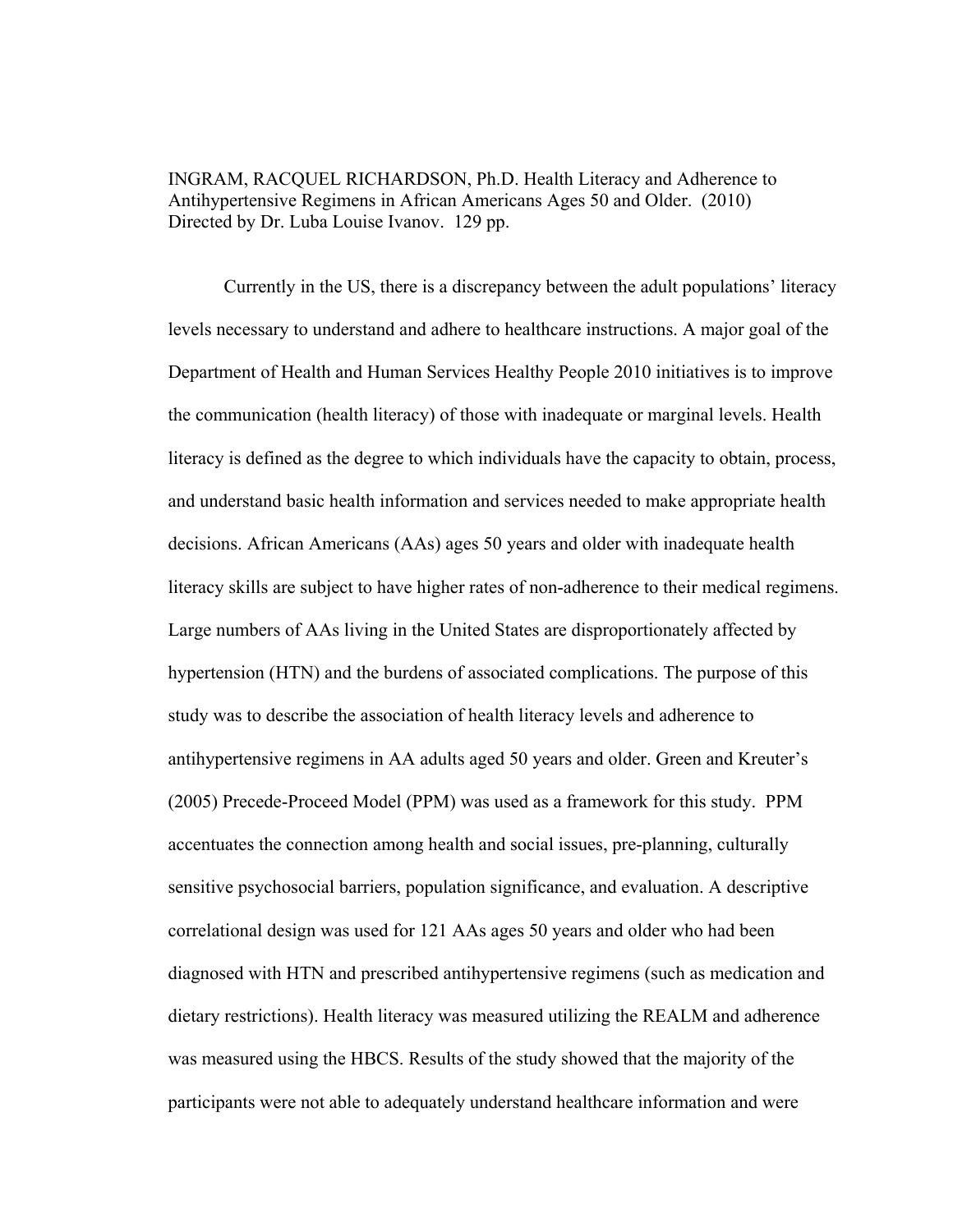INGRAM, RACQUEL RICHARDSON, Ph.D. Health Literacy and Adherence to Antihypertensive Regimens in African Americans Ages 50 and Older. (2010) Directed by Dr. Luba Louise Ivanov. 129 pp.

Currently in the US, there is a discrepancy between the adult populations' literacy levels necessary to understand and adhere to healthcare instructions. A major goal of the Department of Health and Human Services Healthy People 2010 initiatives is to improve the communication (health literacy) of those with inadequate or marginal levels. Health literacy is defined as the degree to which individuals have the capacity to obtain, process, and understand basic health information and services needed to make appropriate health decisions. African Americans (AAs) ages 50 years and older with inadequate health literacy skills are subject to have higher rates of non-adherence to their medical regimens. Large numbers of AAs living in the United States are disproportionately affected by hypertension (HTN) and the burdens of associated complications. The purpose of this study was to describe the association of health literacy levels and adherence to antihypertensive regimens in AA adults aged 50 years and older. Green and Kreuter's (2005) Precede-Proceed Model (PPM) was used as a framework for this study. PPM accentuates the connection among health and social issues, pre-planning, culturally sensitive psychosocial barriers, population significance, and evaluation. A descriptive correlational design was used for 121 AAs ages 50 years and older who had been diagnosed with HTN and prescribed antihypertensive regimens (such as medication and dietary restrictions). Health literacy was measured utilizing the REALM and adherence was measured using the HBCS. Results of the study showed that the majority of the participants were not able to adequately understand healthcare information and were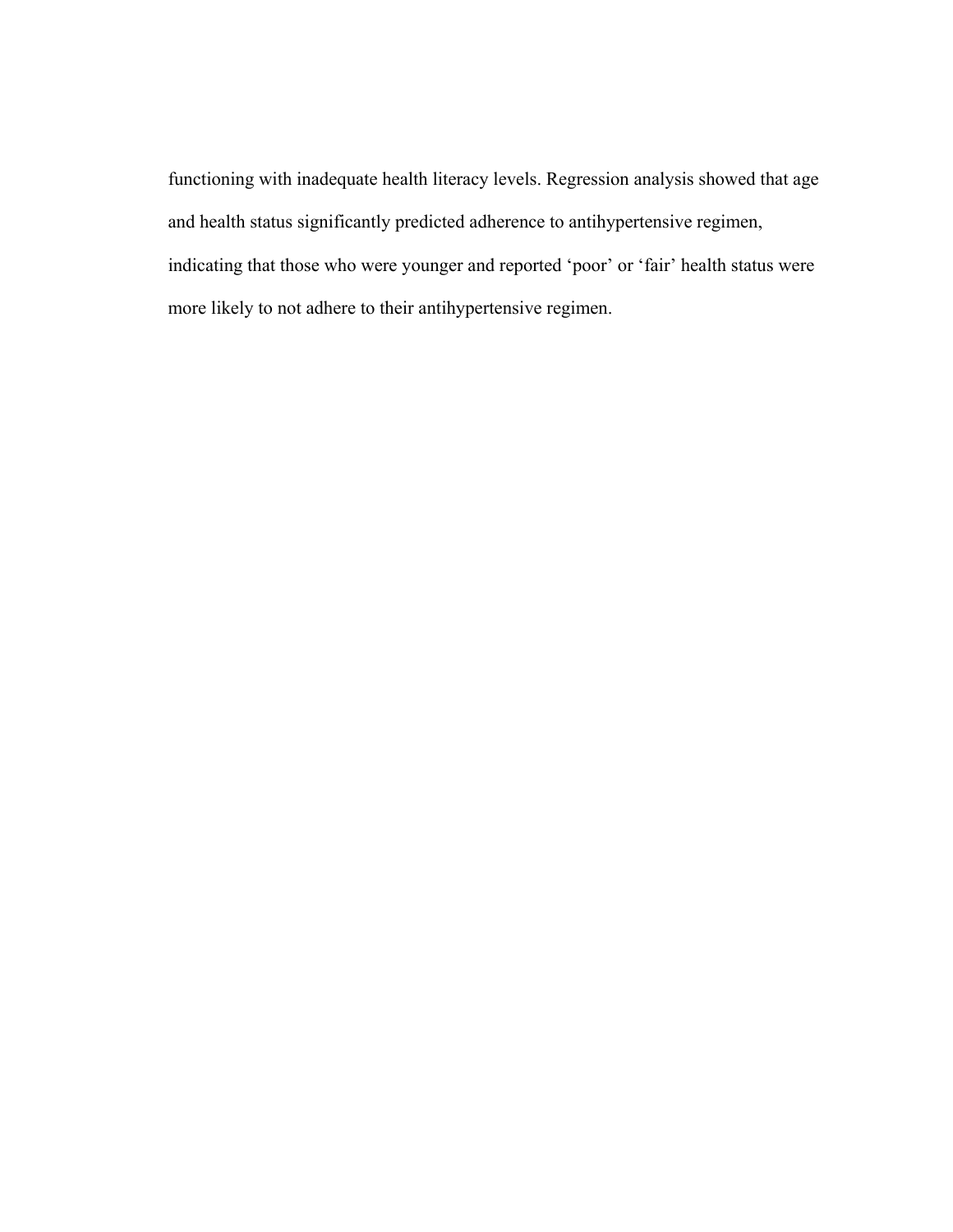functioning with inadequate health literacy levels. Regression analysis showed that age and health status significantly predicted adherence to antihypertensive regimen, indicating that those who were younger and reported 'poor' or 'fair' health status were more likely to not adhere to their antihypertensive regimen.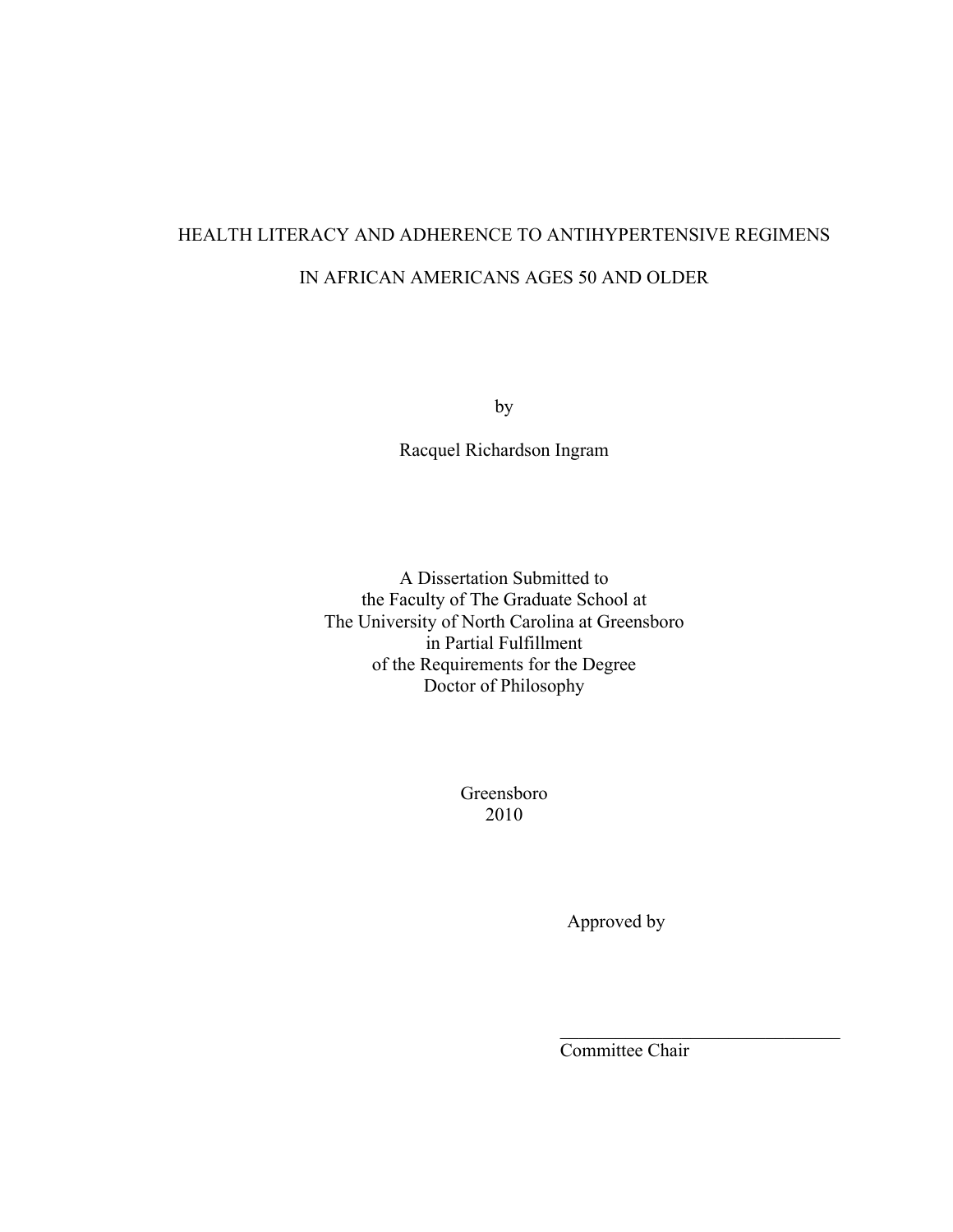# HEALTH LITERACY AND ADHERENCE TO ANTIHYPERTENSIVE REGIMENS IN AFRICAN AMERICANS AGES 50 AND OLDER

by

Racquel Richardson Ingram

A Dissertation Submitted to the Faculty of The Graduate School at The University of North Carolina at Greensboro in Partial Fulfillment of the Requirements for the Degree Doctor of Philosophy

> Greensboro 2010

> > Approved by

Committee Chair

 $\mathcal{L}_\text{max}$  , where  $\mathcal{L}_\text{max}$  and  $\mathcal{L}_\text{max}$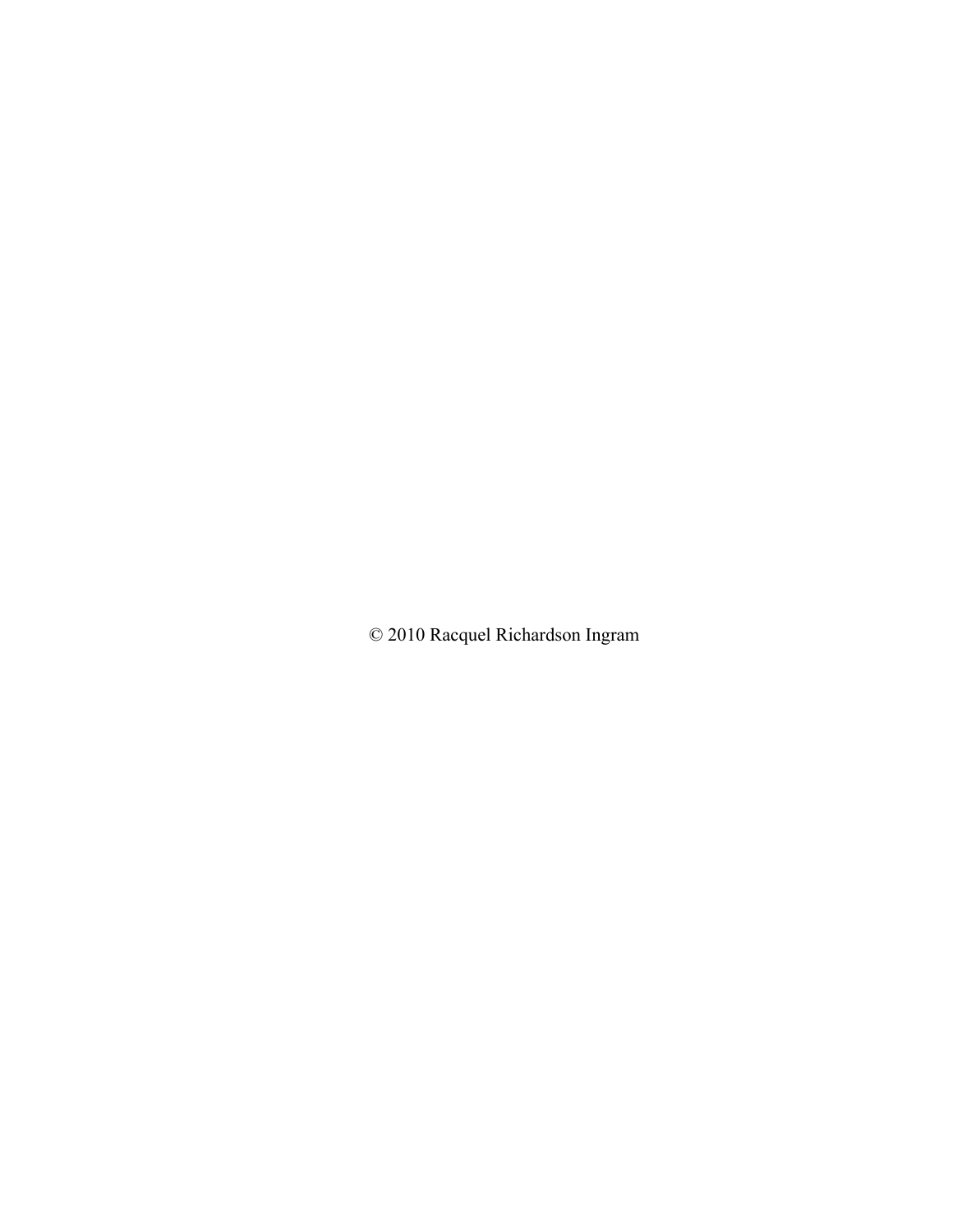© 2010 Racquel Richardson Ingram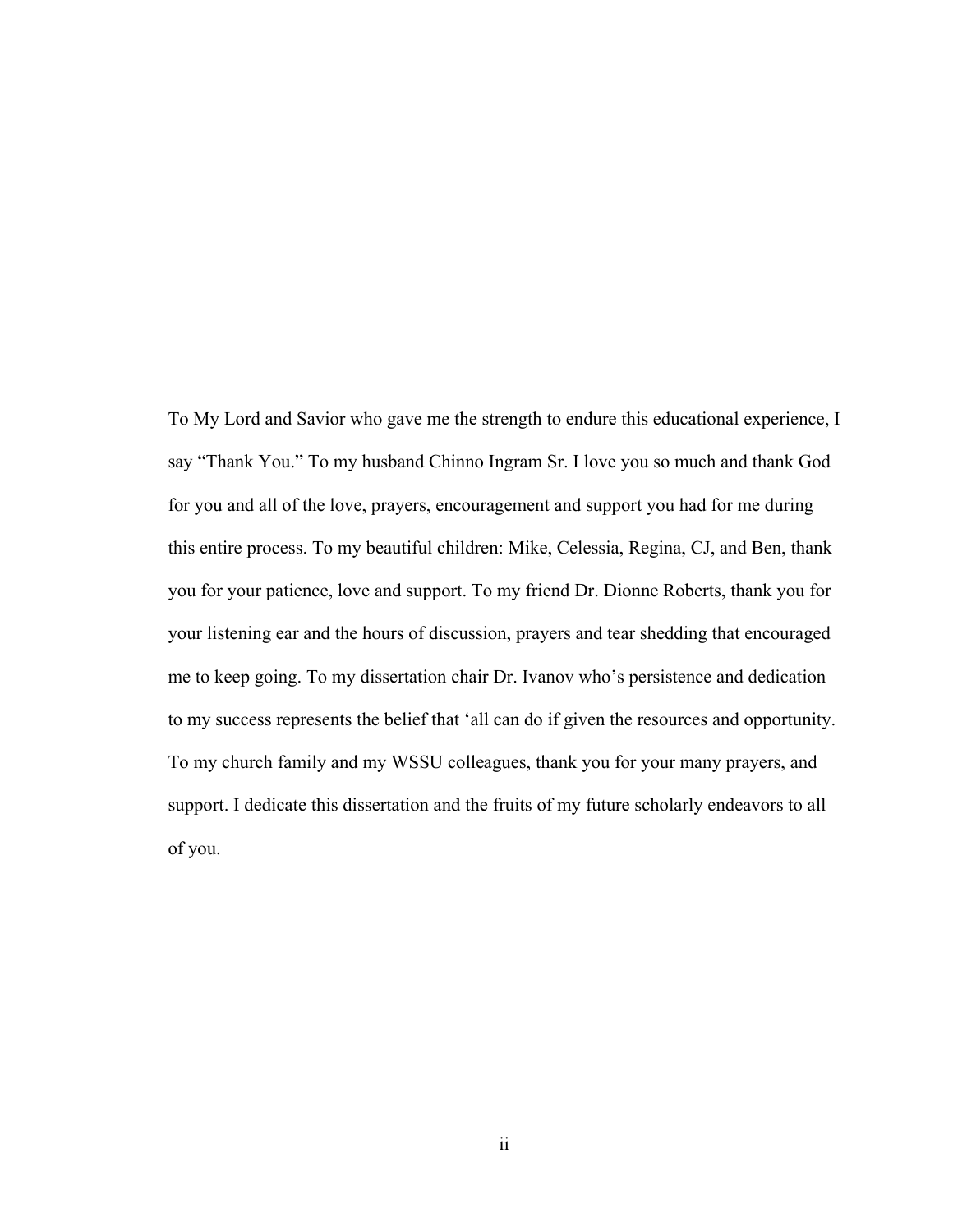To My Lord and Savior who gave me the strength to endure this educational experience, I say "Thank You." To my husband Chinno Ingram Sr. I love you so much and thank God for you and all of the love, prayers, encouragement and support you had for me during this entire process. To my beautiful children: Mike, Celessia, Regina, CJ, and Ben, thank you for your patience, love and support. To my friend Dr. Dionne Roberts, thank you for your listening ear and the hours of discussion, prayers and tear shedding that encouraged me to keep going. To my dissertation chair Dr. Ivanov who's persistence and dedication to my success represents the belief that 'all can do if given the resources and opportunity. To my church family and my WSSU colleagues, thank you for your many prayers, and support. I dedicate this dissertation and the fruits of my future scholarly endeavors to all of you.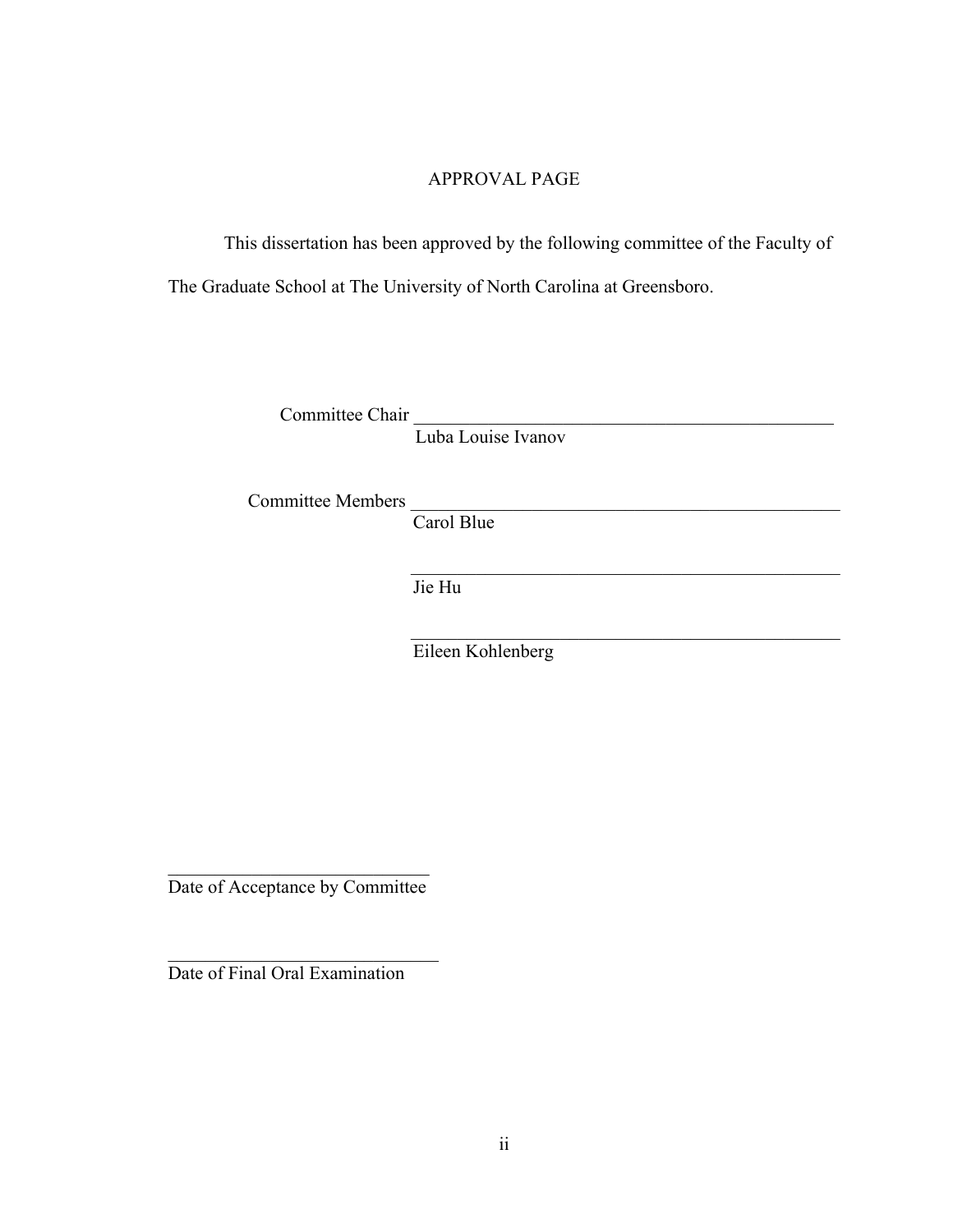# APPROVAL PAGE

This dissertation has been approved by the following committee of the Faculty of The Graduate School at The University of North Carolina at Greensboro.

Committee Chair \_\_\_\_\_\_\_\_\_\_\_\_\_\_\_\_\_\_\_\_\_\_\_\_\_\_\_\_\_\_\_\_\_\_\_\_\_\_\_\_\_\_\_\_\_

Luba Louise Ivanov

Committee Members

Carol Blue

Jie Hu

Eileen Kohlenberg

 $\mathcal{L}_\text{max}$  , and the set of the set of the set of the set of the set of the set of the set of the set of the set of the set of the set of the set of the set of the set of the set of the set of the set of the set of the

 $\mathcal{L}_\text{max}$  , and the set of the set of the set of the set of the set of the set of the set of the set of the set of the set of the set of the set of the set of the set of the set of the set of the set of the set of the

 $\mathcal{L}_\text{max}$  , where  $\mathcal{L}_\text{max}$  and  $\mathcal{L}_\text{max}$ Date of Acceptance by Committee

 $\mathcal{L}_\text{max}$  , and the set of the set of the set of the set of the set of the set of the set of the set of the set of the set of the set of the set of the set of the set of the set of the set of the set of the set of the

Date of Final Oral Examination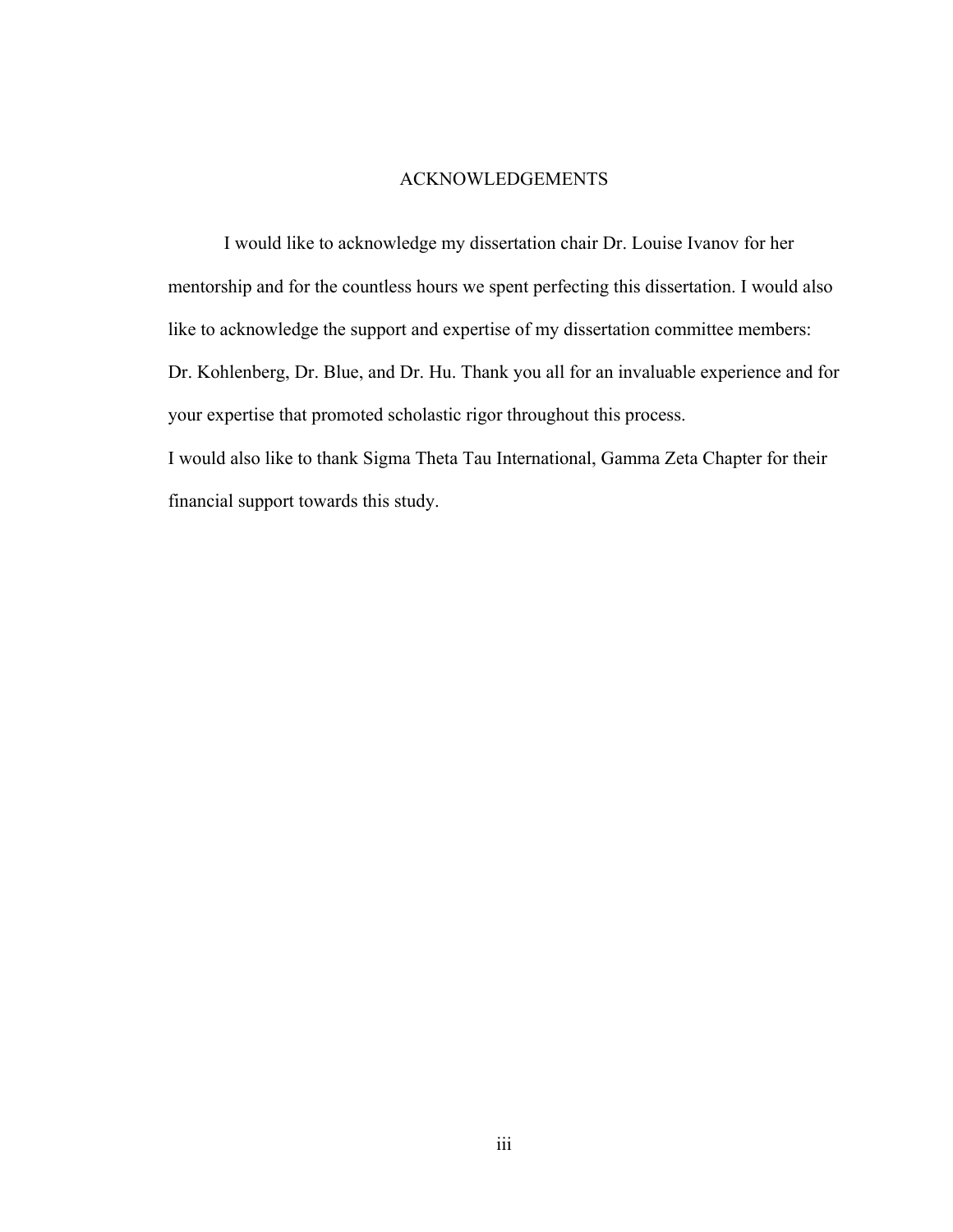#### ACKNOWLEDGEMENTS

I would like to acknowledge my dissertation chair Dr. Louise Ivanov for her mentorship and for the countless hours we spent perfecting this dissertation. I would also like to acknowledge the support and expertise of my dissertation committee members: Dr. Kohlenberg, Dr. Blue, and Dr. Hu. Thank you all for an invaluable experience and for your expertise that promoted scholastic rigor throughout this process. I would also like to thank Sigma Theta Tau International, Gamma Zeta Chapter for their

financial support towards this study.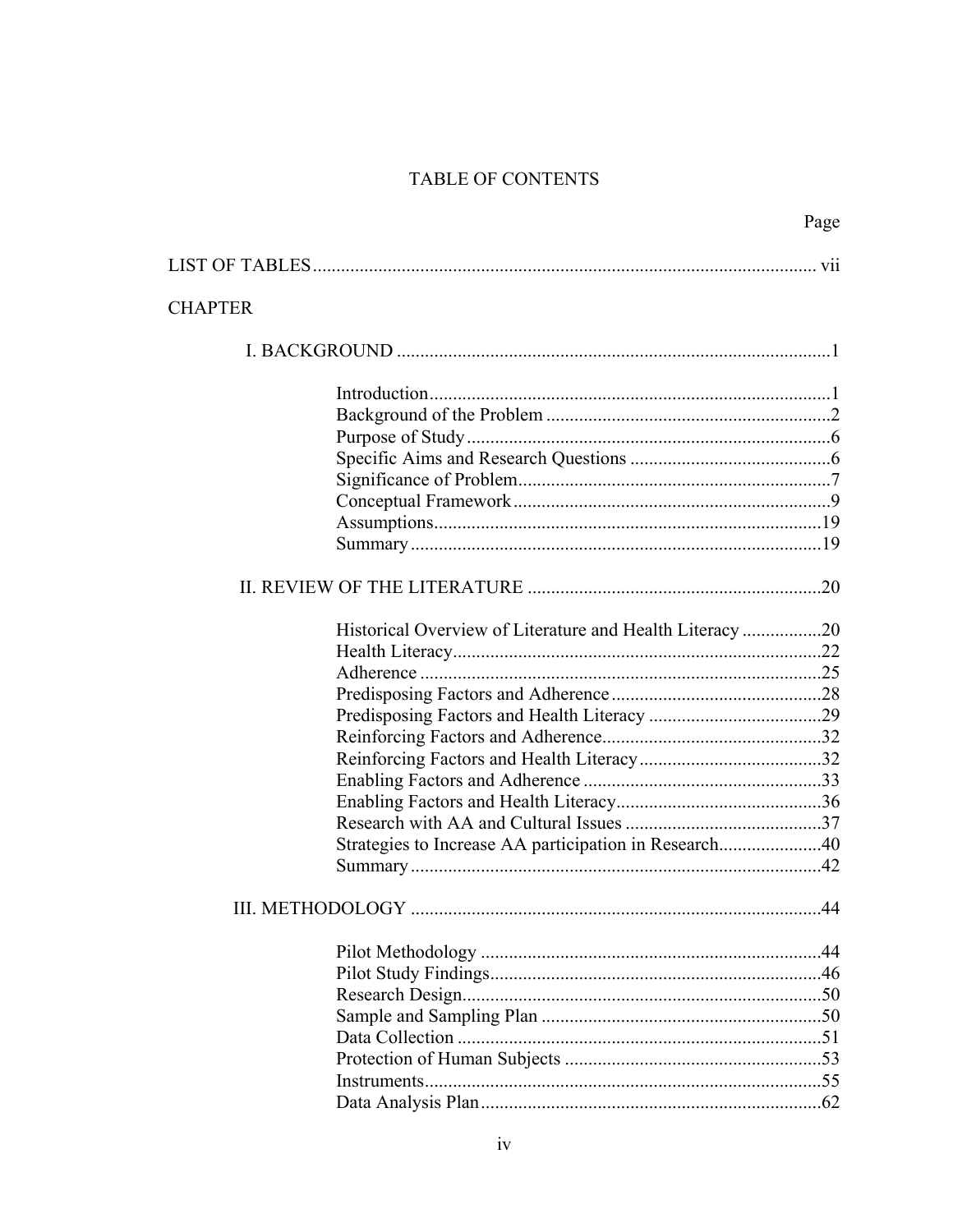# TABLE OF CONTENTS

|                  |                                                         | Page           |
|------------------|---------------------------------------------------------|----------------|
|                  |                                                         |                |
| <b>CHAPTER</b>   |                                                         |                |
|                  |                                                         |                |
|                  |                                                         |                |
|                  |                                                         |                |
|                  |                                                         |                |
|                  |                                                         |                |
|                  |                                                         |                |
|                  |                                                         |                |
|                  |                                                         |                |
|                  |                                                         |                |
|                  |                                                         |                |
|                  |                                                         |                |
|                  |                                                         |                |
|                  | Historical Overview of Literature and Health Literacy20 |                |
|                  |                                                         |                |
|                  |                                                         |                |
|                  |                                                         |                |
|                  |                                                         |                |
|                  |                                                         |                |
|                  |                                                         |                |
|                  |                                                         |                |
|                  |                                                         |                |
|                  | Strategies to Increase AA participation in Research40   |                |
|                  |                                                         |                |
|                  |                                                         |                |
| III. METHODOLOGY |                                                         | $\Delta\Delta$ |
|                  |                                                         |                |
|                  |                                                         |                |
|                  |                                                         |                |
|                  |                                                         |                |
|                  |                                                         |                |
|                  |                                                         |                |
|                  |                                                         |                |
|                  |                                                         |                |
|                  |                                                         |                |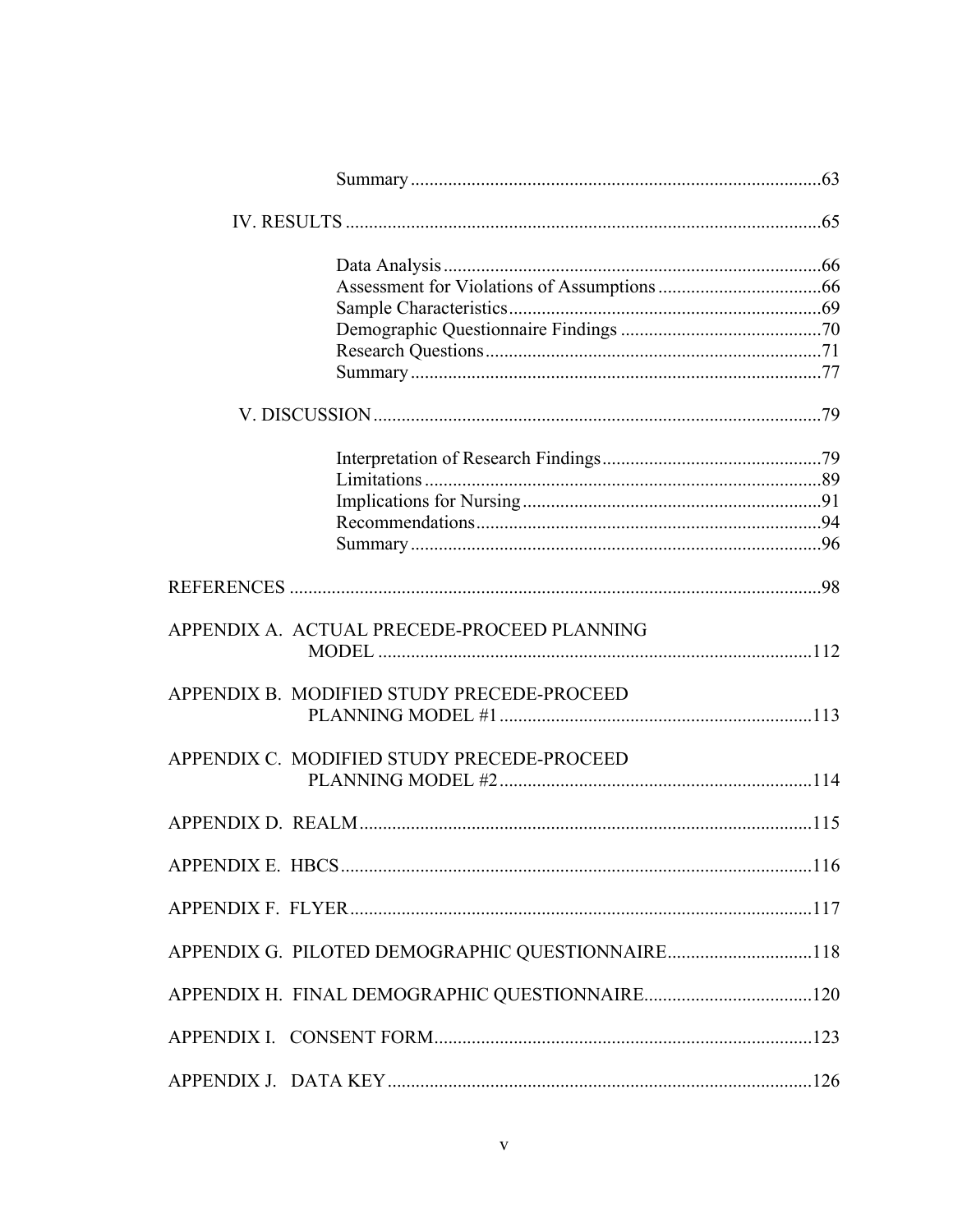| APPENDIX A. ACTUAL PRECEDE-PROCEED PLANNING      |  |
|--------------------------------------------------|--|
| APPENDIX B. MODIFIED STUDY PRECEDE-PROCEED       |  |
| APPENDIX C. MODIFIED STUDY PRECEDE-PROCEED       |  |
|                                                  |  |
|                                                  |  |
|                                                  |  |
| APPENDIX G. PILOTED DEMOGRAPHIC QUESTIONNAIRE118 |  |
|                                                  |  |
|                                                  |  |
|                                                  |  |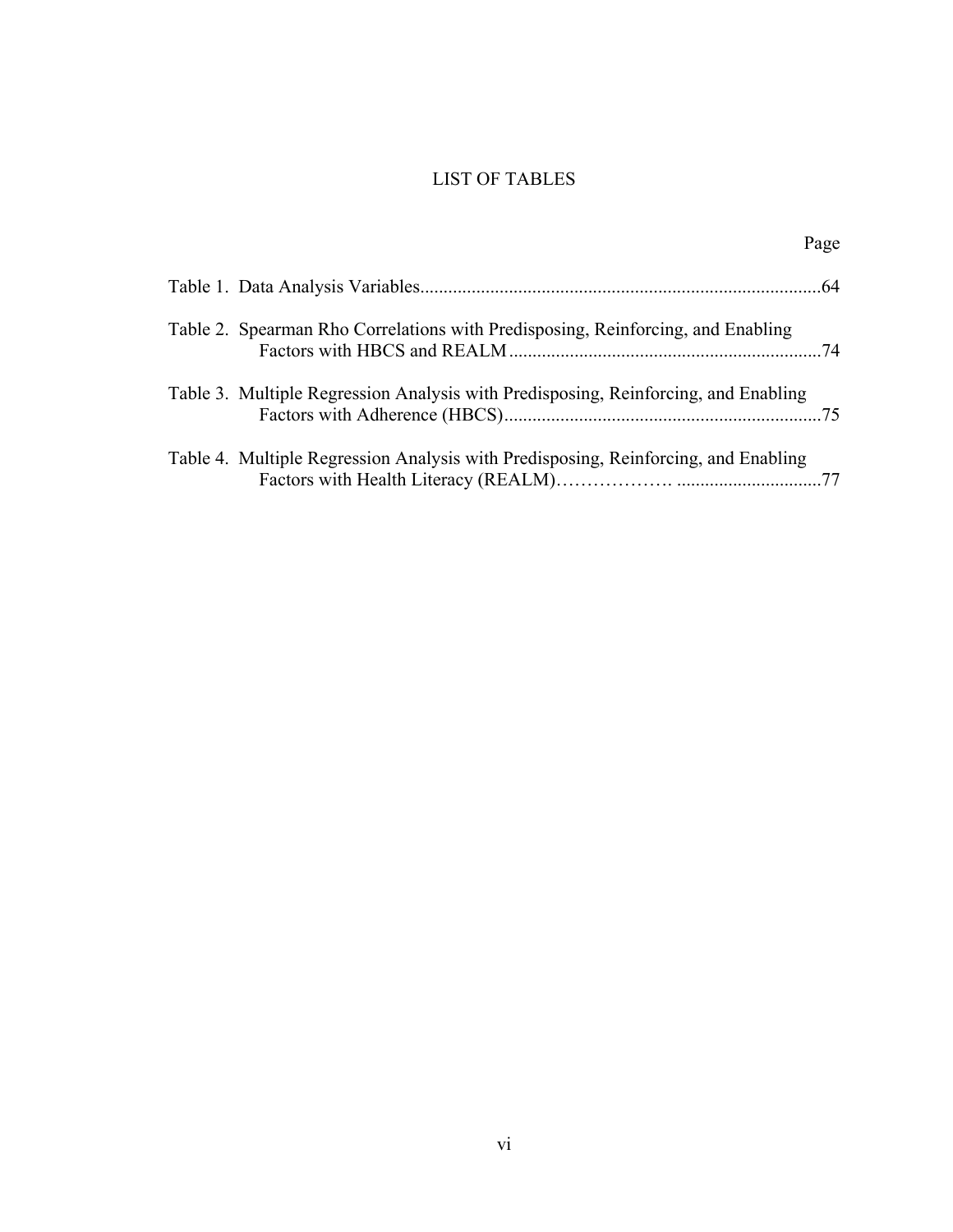# LIST OF TABLES

|                                                                                    | Page |
|------------------------------------------------------------------------------------|------|
|                                                                                    |      |
| Table 2. Spearman Rho Correlations with Predisposing, Reinforcing, and Enabling    |      |
| Table 3. Multiple Regression Analysis with Predisposing, Reinforcing, and Enabling |      |
| Table 4. Multiple Regression Analysis with Predisposing, Reinforcing, and Enabling |      |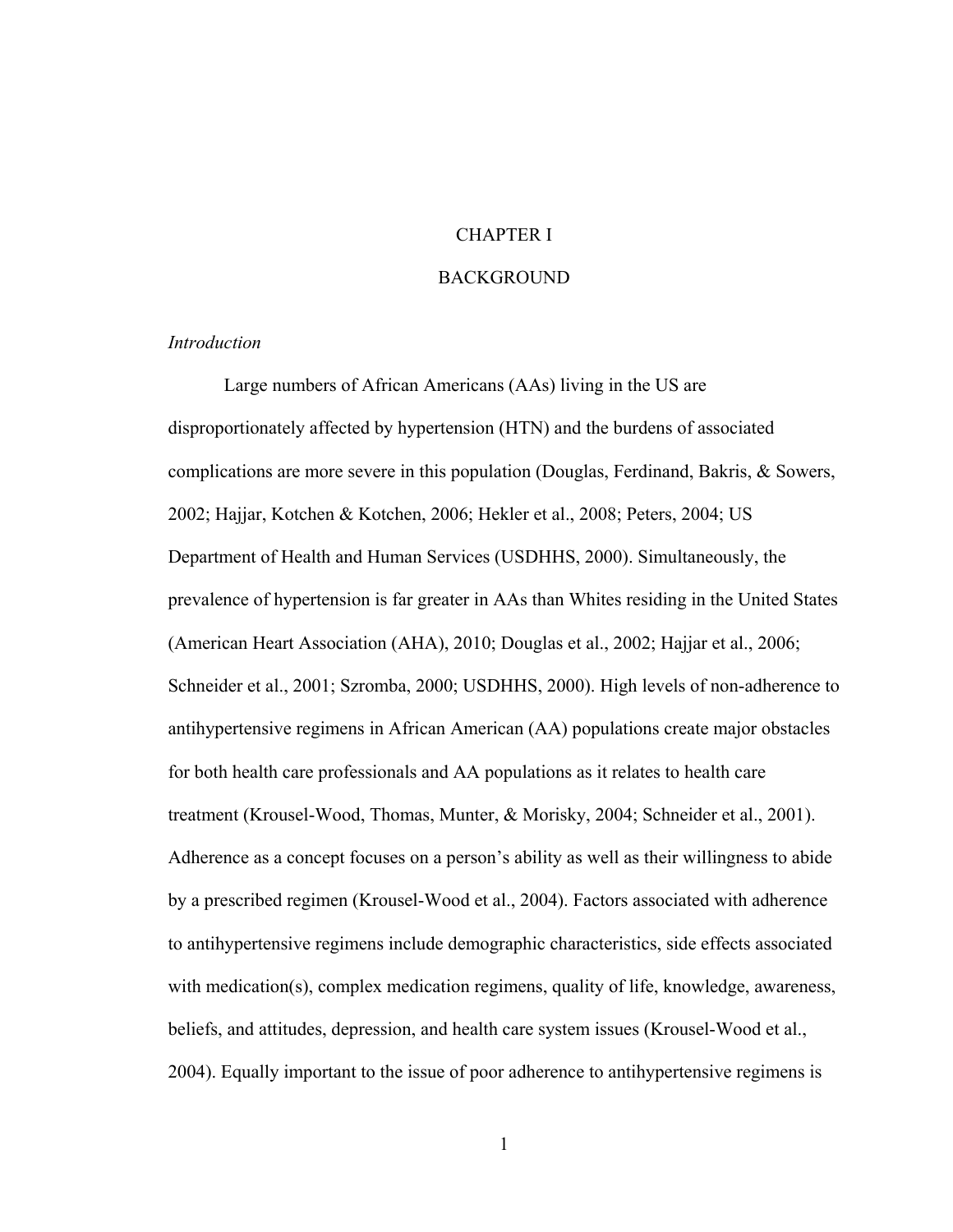# CHAPTER I

#### BACKGROUND

## *Introduction*

Large numbers of African Americans (AAs) living in the US are disproportionately affected by hypertension (HTN) and the burdens of associated complications are more severe in this population (Douglas, Ferdinand, Bakris, & Sowers, 2002; Hajjar, Kotchen & Kotchen, 2006; Hekler et al., 2008; Peters, 2004; US Department of Health and Human Services (USDHHS, 2000). Simultaneously, the prevalence of hypertension is far greater in AAs than Whites residing in the United States (American Heart Association (AHA), 2010; Douglas et al., 2002; Hajjar et al., 2006; Schneider et al., 2001; Szromba, 2000; USDHHS, 2000). High levels of non-adherence to antihypertensive regimens in African American (AA) populations create major obstacles for both health care professionals and AA populations as it relates to health care treatment (Krousel-Wood, Thomas, Munter, & Morisky, 2004; Schneider et al., 2001). Adherence as a concept focuses on a person's ability as well as their willingness to abide by a prescribed regimen (Krousel-Wood et al., 2004). Factors associated with adherence to antihypertensive regimens include demographic characteristics, side effects associated with medication(s), complex medication regimens, quality of life, knowledge, awareness, beliefs, and attitudes, depression, and health care system issues (Krousel-Wood et al., 2004). Equally important to the issue of poor adherence to antihypertensive regimens is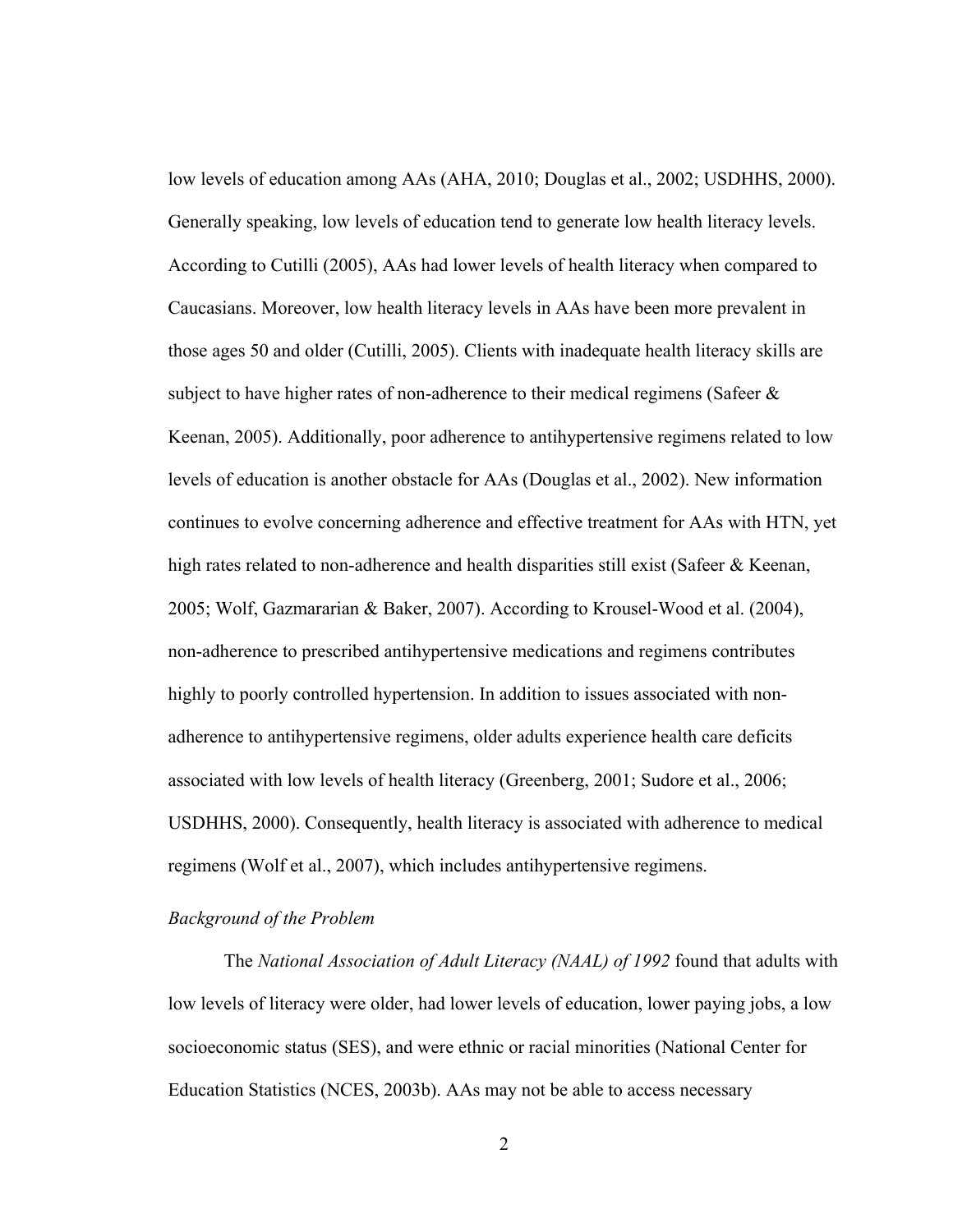low levels of education among AAs (AHA, 2010; Douglas et al., 2002; USDHHS, 2000). Generally speaking, low levels of education tend to generate low health literacy levels. According to Cutilli (2005), AAs had lower levels of health literacy when compared to Caucasians. Moreover, low health literacy levels in AAs have been more prevalent in those ages 50 and older (Cutilli, 2005). Clients with inadequate health literacy skills are subject to have higher rates of non-adherence to their medical regimens (Safeer  $\&$ Keenan, 2005). Additionally, poor adherence to antihypertensive regimens related to low levels of education is another obstacle for AAs (Douglas et al., 2002). New information continues to evolve concerning adherence and effective treatment for AAs with HTN, yet high rates related to non-adherence and health disparities still exist (Safeer & Keenan, 2005; Wolf, Gazmararian & Baker, 2007). According to Krousel-Wood et al. (2004), non-adherence to prescribed antihypertensive medications and regimens contributes highly to poorly controlled hypertension. In addition to issues associated with nonadherence to antihypertensive regimens, older adults experience health care deficits associated with low levels of health literacy (Greenberg, 2001; Sudore et al., 2006; USDHHS, 2000). Consequently, health literacy is associated with adherence to medical regimens (Wolf et al., 2007), which includes antihypertensive regimens.

#### *Background of the Problem*

The *National Association of Adult Literacy (NAAL) of 1992* found that adults with low levels of literacy were older, had lower levels of education, lower paying jobs, a low socioeconomic status (SES), and were ethnic or racial minorities (National Center for Education Statistics (NCES, 2003b). AAs may not be able to access necessary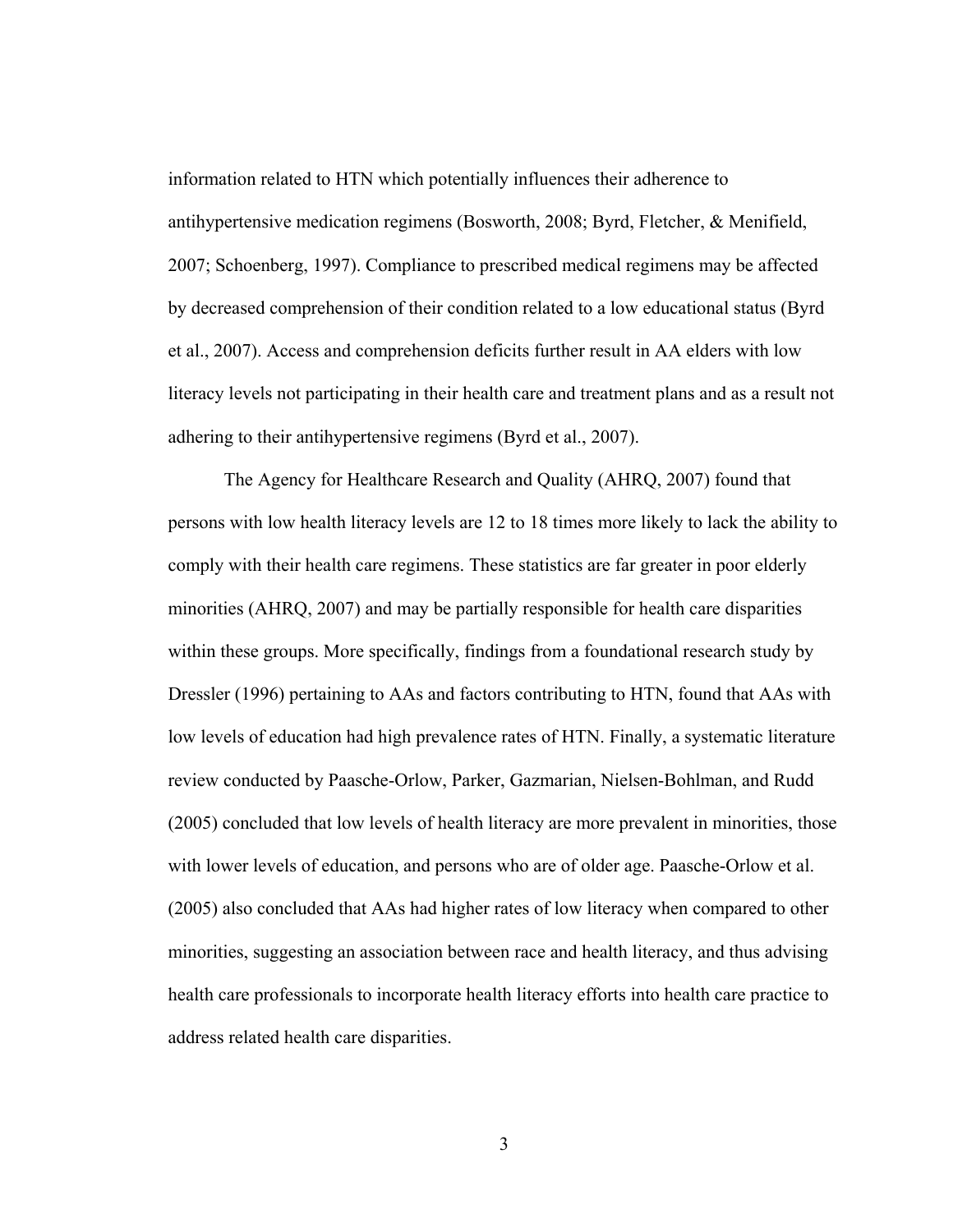information related to HTN which potentially influences their adherence to antihypertensive medication regimens (Bosworth, 2008; Byrd, Fletcher, & Menifield, 2007; Schoenberg, 1997). Compliance to prescribed medical regimens may be affected by decreased comprehension of their condition related to a low educational status (Byrd et al., 2007). Access and comprehension deficits further result in AA elders with low literacy levels not participating in their health care and treatment plans and as a result not adhering to their antihypertensive regimens (Byrd et al., 2007).

The Agency for Healthcare Research and Quality (AHRQ, 2007) found that persons with low health literacy levels are 12 to 18 times more likely to lack the ability to comply with their health care regimens. These statistics are far greater in poor elderly minorities (AHRQ, 2007) and may be partially responsible for health care disparities within these groups. More specifically, findings from a foundational research study by Dressler (1996) pertaining to AAs and factors contributing to HTN, found that AAs with low levels of education had high prevalence rates of HTN. Finally, a systematic literature review conducted by Paasche-Orlow, Parker, Gazmarian, Nielsen-Bohlman, and Rudd (2005) concluded that low levels of health literacy are more prevalent in minorities, those with lower levels of education, and persons who are of older age. Paasche-Orlow et al. (2005) also concluded that AAs had higher rates of low literacy when compared to other minorities, suggesting an association between race and health literacy, and thus advising health care professionals to incorporate health literacy efforts into health care practice to address related health care disparities.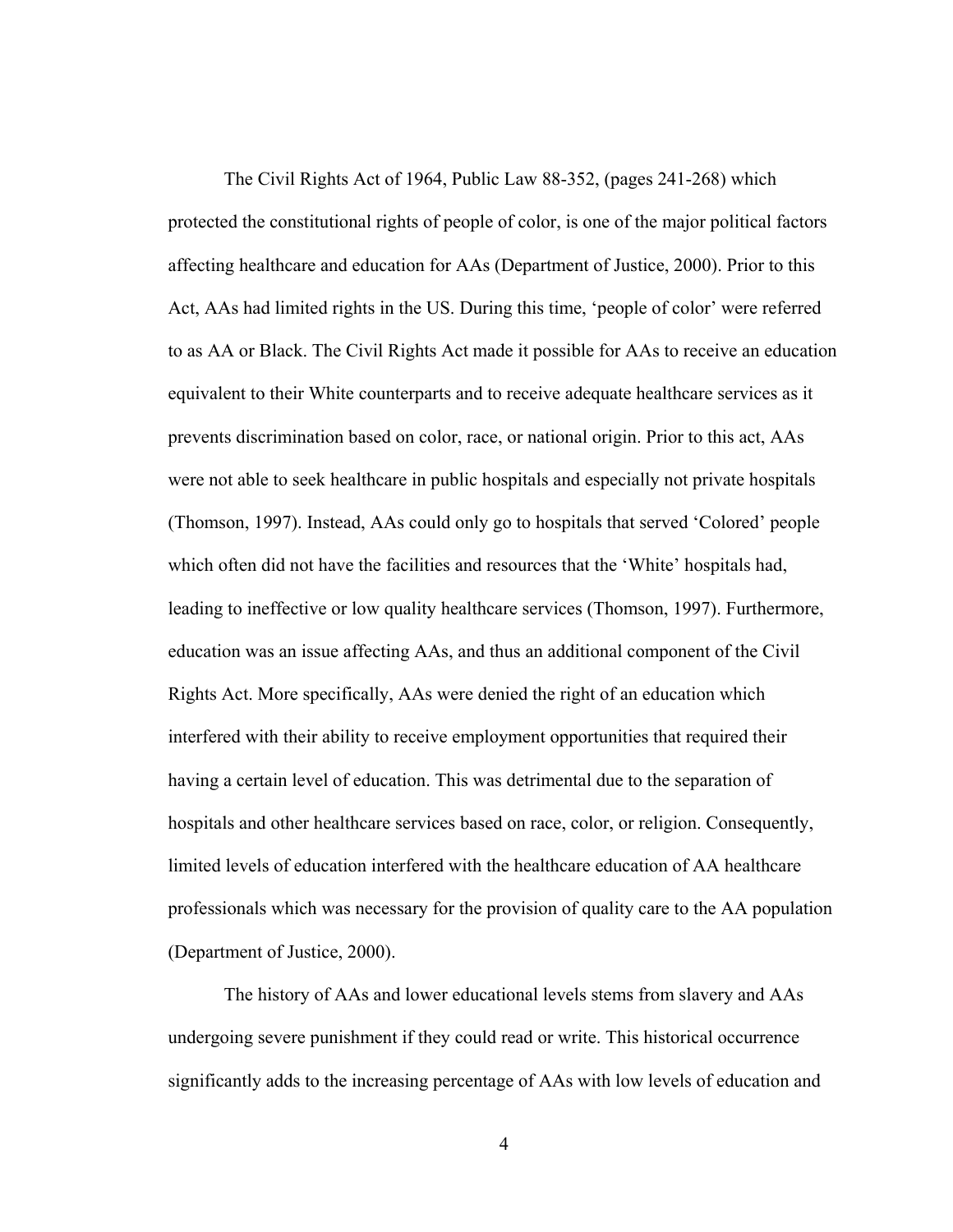The Civil Rights Act of 1964, Public Law 88-352, (pages 241-268) which protected the constitutional rights of people of color, is one of the major political factors affecting healthcare and education for AAs (Department of Justice, 2000). Prior to this Act, AAs had limited rights in the US. During this time, 'people of color' were referred to as AA or Black. The Civil Rights Act made it possible for AAs to receive an education equivalent to their White counterparts and to receive adequate healthcare services as it prevents discrimination based on color, race, or national origin. Prior to this act, AAs were not able to seek healthcare in public hospitals and especially not private hospitals (Thomson, 1997). Instead, AAs could only go to hospitals that served 'Colored' people which often did not have the facilities and resources that the 'White' hospitals had, leading to ineffective or low quality healthcare services (Thomson, 1997). Furthermore, education was an issue affecting AAs, and thus an additional component of the Civil Rights Act. More specifically, AAs were denied the right of an education which interfered with their ability to receive employment opportunities that required their having a certain level of education. This was detrimental due to the separation of hospitals and other healthcare services based on race, color, or religion. Consequently, limited levels of education interfered with the healthcare education of AA healthcare professionals which was necessary for the provision of quality care to the AA population (Department of Justice, 2000).

The history of AAs and lower educational levels stems from slavery and AAs undergoing severe punishment if they could read or write. This historical occurrence significantly adds to the increasing percentage of AAs with low levels of education and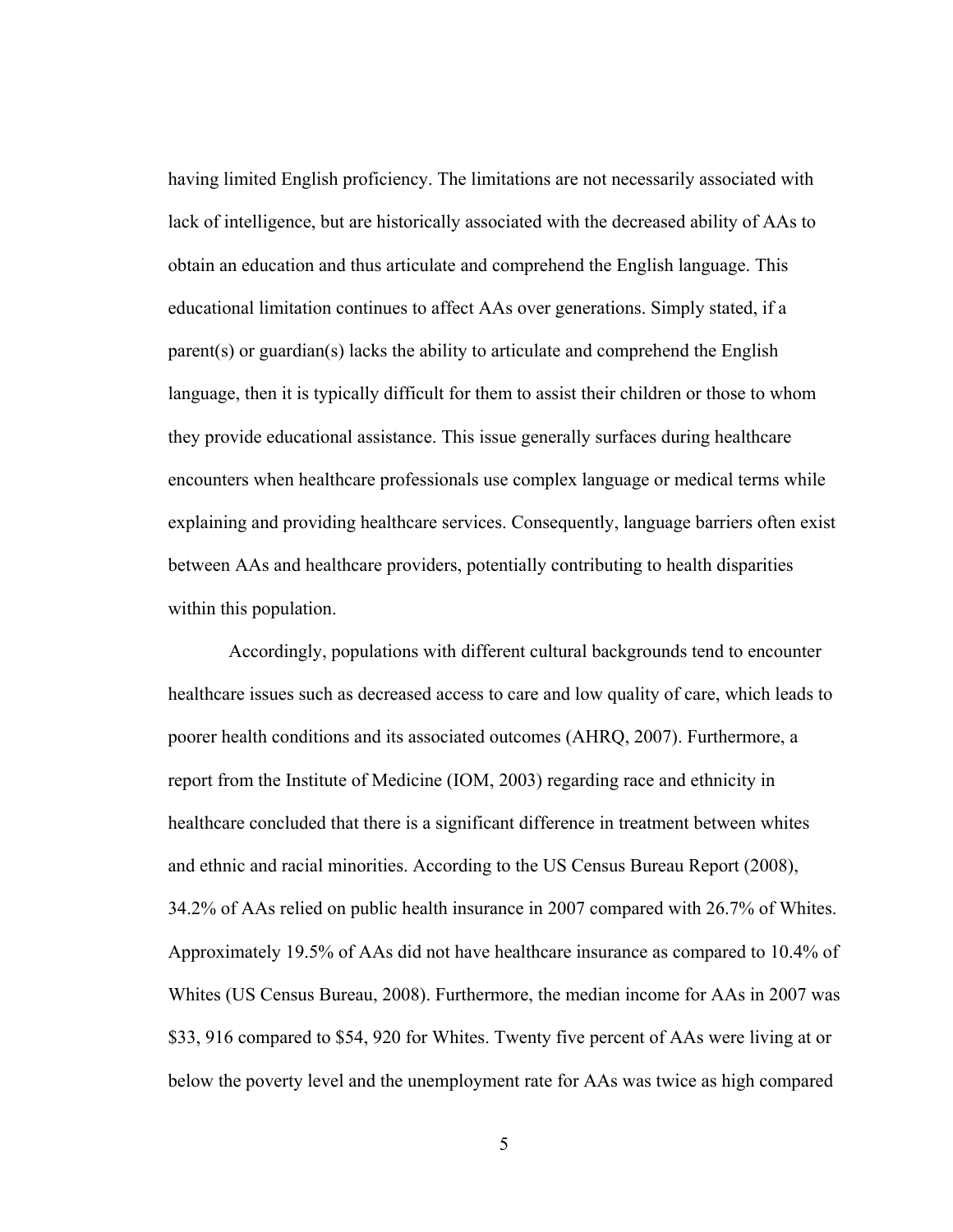having limited English proficiency. The limitations are not necessarily associated with lack of intelligence, but are historically associated with the decreased ability of AAs to obtain an education and thus articulate and comprehend the English language. This educational limitation continues to affect AAs over generations. Simply stated, if a parent(s) or guardian(s) lacks the ability to articulate and comprehend the English language, then it is typically difficult for them to assist their children or those to whom they provide educational assistance. This issue generally surfaces during healthcare encounters when healthcare professionals use complex language or medical terms while explaining and providing healthcare services. Consequently, language barriers often exist between AAs and healthcare providers, potentially contributing to health disparities within this population.

 Accordingly, populations with different cultural backgrounds tend to encounter healthcare issues such as decreased access to care and low quality of care, which leads to poorer health conditions and its associated outcomes (AHRQ, 2007). Furthermore, a report from the Institute of Medicine (IOM, 2003) regarding race and ethnicity in healthcare concluded that there is a significant difference in treatment between whites and ethnic and racial minorities. According to the US Census Bureau Report (2008), 34.2% of AAs relied on public health insurance in 2007 compared with 26.7% of Whites. Approximately 19.5% of AAs did not have healthcare insurance as compared to 10.4% of Whites (US Census Bureau, 2008). Furthermore, the median income for AAs in 2007 was \$33, 916 compared to \$54, 920 for Whites. Twenty five percent of AAs were living at or below the poverty level and the unemployment rate for AAs was twice as high compared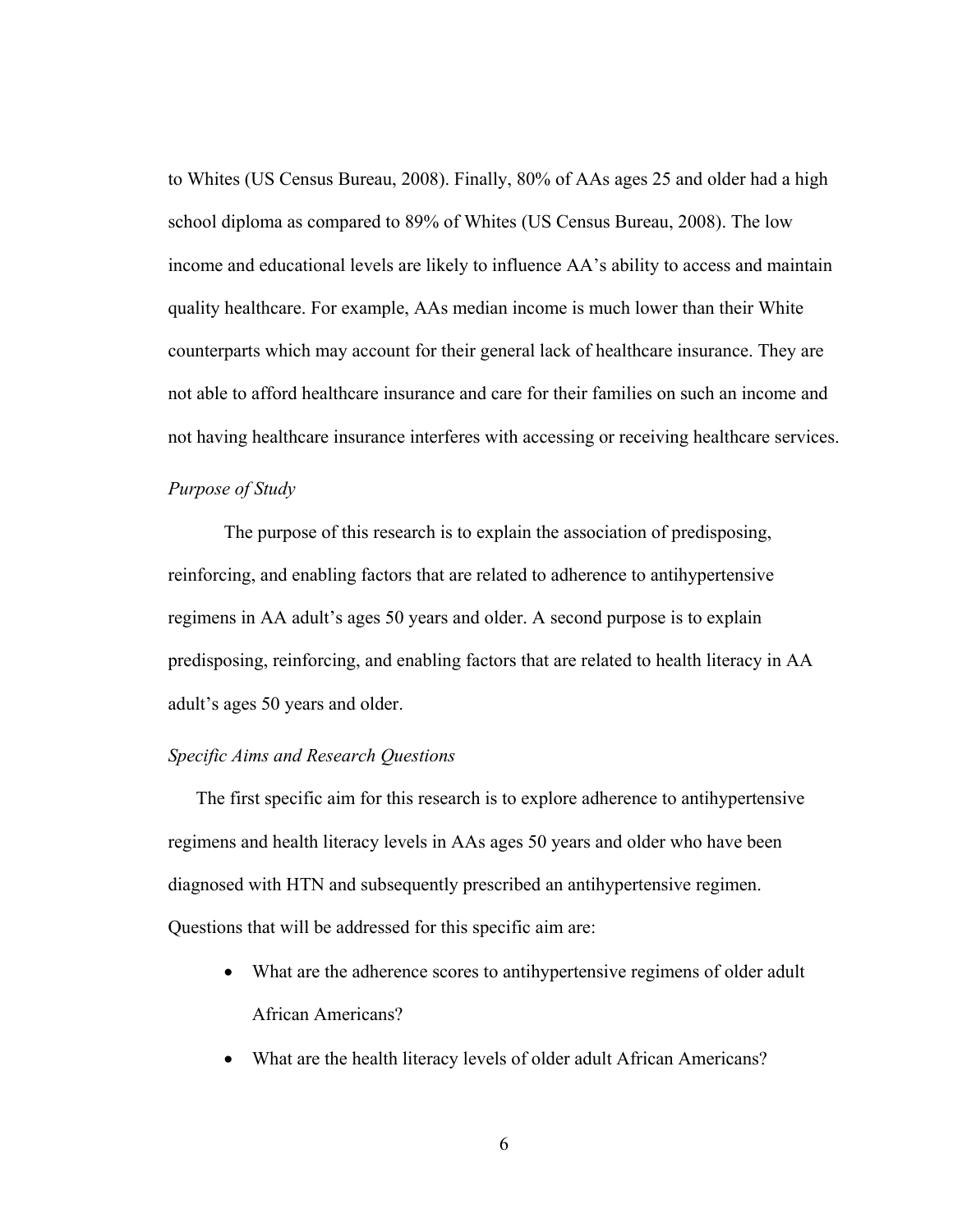to Whites (US Census Bureau, 2008). Finally, 80% of AAs ages 25 and older had a high school diploma as compared to 89% of Whites (US Census Bureau, 2008). The low income and educational levels are likely to influence AA's ability to access and maintain quality healthcare. For example, AAs median income is much lower than their White counterparts which may account for their general lack of healthcare insurance. They are not able to afford healthcare insurance and care for their families on such an income and not having healthcare insurance interferes with accessing or receiving healthcare services.

#### *Purpose of Study*

The purpose of this research is to explain the association of predisposing, reinforcing, and enabling factors that are related to adherence to antihypertensive regimens in AA adult's ages 50 years and older. A second purpose is to explain predisposing, reinforcing, and enabling factors that are related to health literacy in AA adult's ages 50 years and older.

#### *Specific Aims and Research Questions*

The first specific aim for this research is to explore adherence to antihypertensive regimens and health literacy levels in AAs ages 50 years and older who have been diagnosed with HTN and subsequently prescribed an antihypertensive regimen. Questions that will be addressed for this specific aim are:

- What are the adherence scores to antihypertensive regimens of older adult African Americans?
- What are the health literacy levels of older adult African Americans?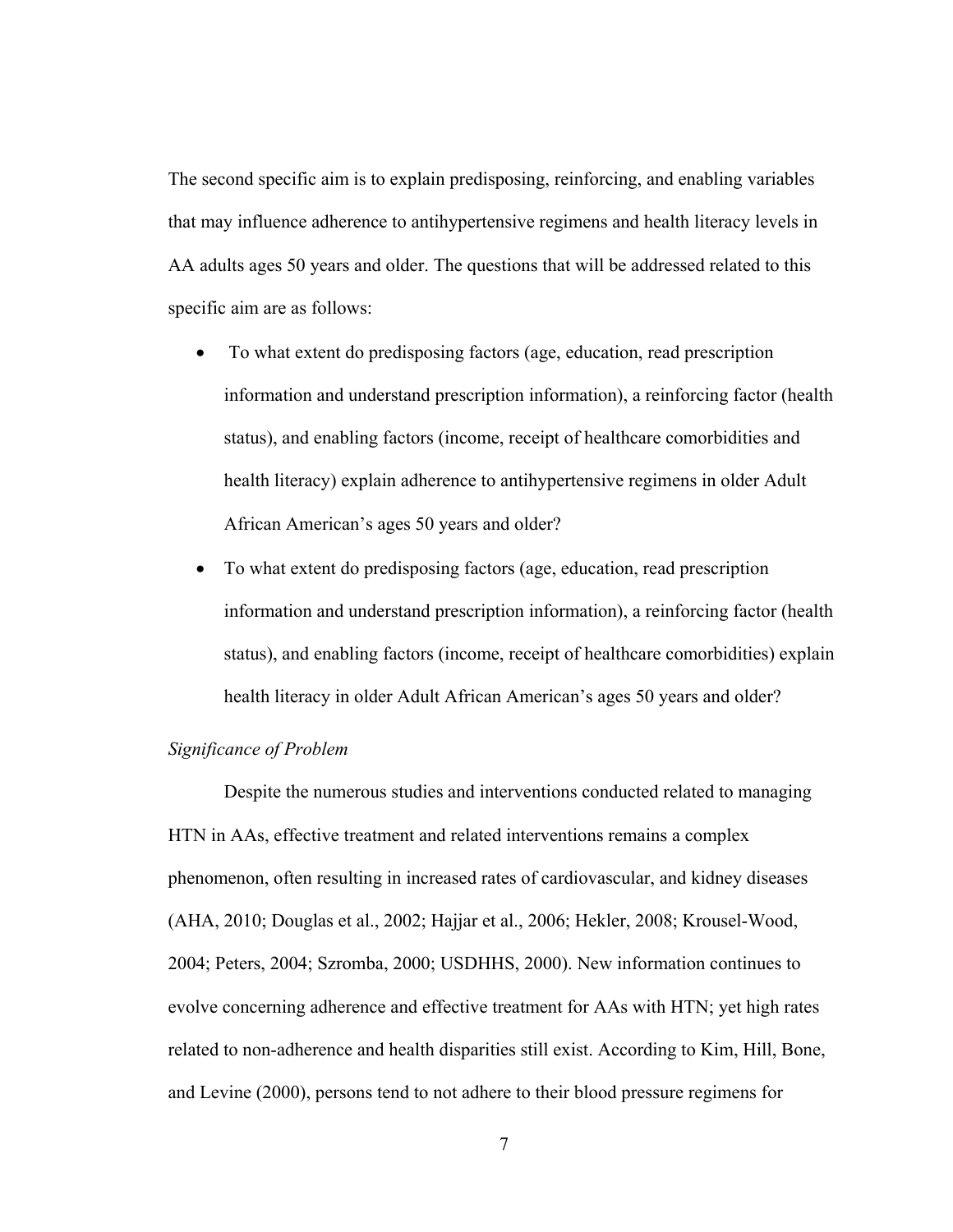The second specific aim is to explain predisposing, reinforcing, and enabling variables that may influence adherence to antihypertensive regimens and health literacy levels in AA adults ages 50 years and older. The questions that will be addressed related to this specific aim are as follows:

- To what extent do predisposing factors (age, education, read prescription information and understand prescription information), a reinforcing factor (health status), and enabling factors (income, receipt of healthcare comorbidities and health literacy) explain adherence to antihypertensive regimens in older Adult African American's ages 50 years and older?
- To what extent do predisposing factors (age, education, read prescription information and understand prescription information), a reinforcing factor (health status), and enabling factors (income, receipt of healthcare comorbidities) explain health literacy in older Adult African American's ages 50 years and older?

#### *Significance of Problem*

Despite the numerous studies and interventions conducted related to managing HTN in AAs, effective treatment and related interventions remains a complex phenomenon, often resulting in increased rates of cardiovascular, and kidney diseases (AHA, 2010; Douglas et al., 2002; Hajjar et al., 2006; Hekler, 2008; Krousel-Wood, 2004; Peters, 2004; Szromba, 2000; USDHHS, 2000). New information continues to evolve concerning adherence and effective treatment for AAs with HTN; yet high rates related to non-adherence and health disparities still exist. According to Kim, Hill, Bone, and Levine (2000), persons tend to not adhere to their blood pressure regimens for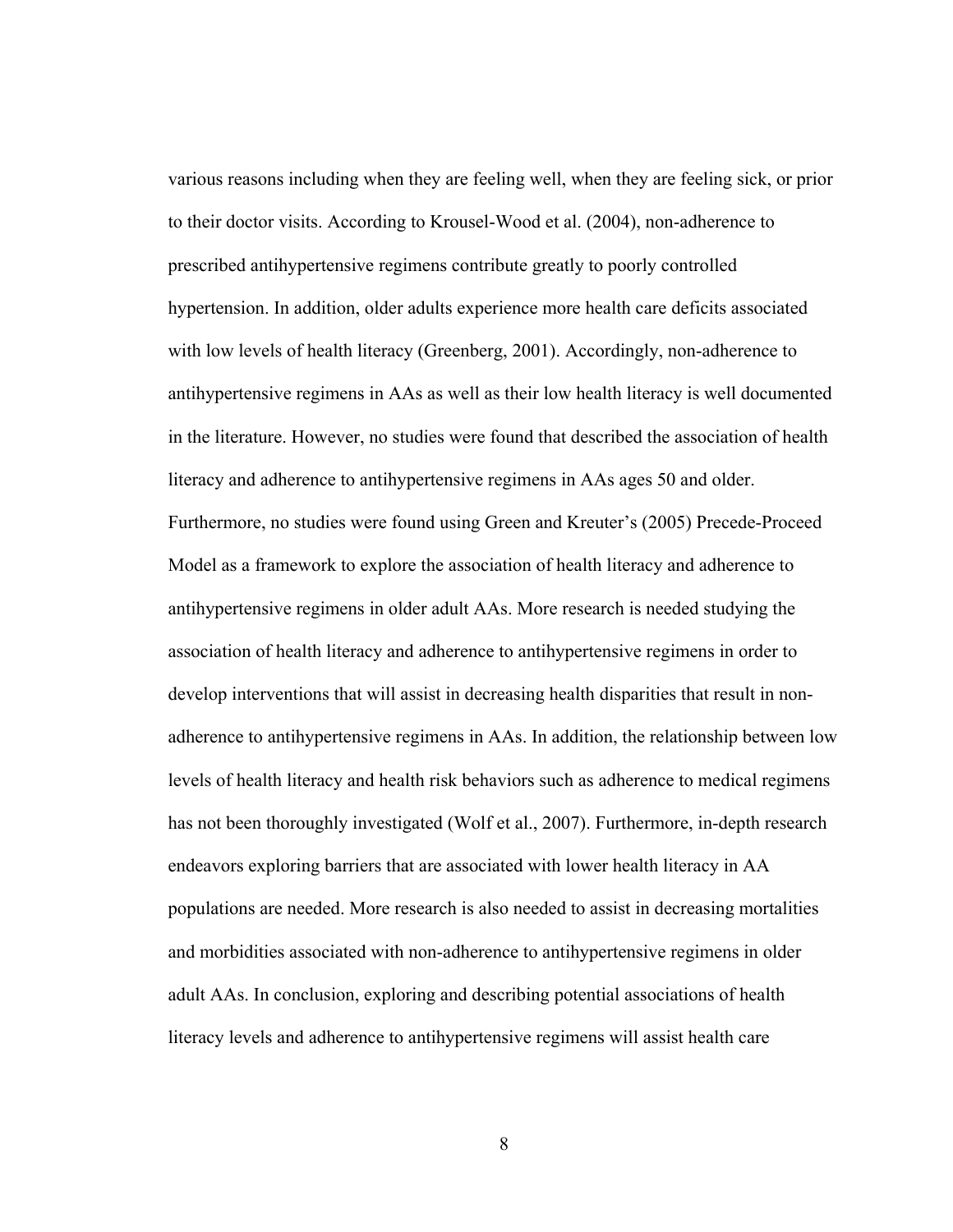various reasons including when they are feeling well, when they are feeling sick, or prior to their doctor visits. According to Krousel-Wood et al. (2004), non-adherence to prescribed antihypertensive regimens contribute greatly to poorly controlled hypertension. In addition, older adults experience more health care deficits associated with low levels of health literacy (Greenberg, 2001). Accordingly, non-adherence to antihypertensive regimens in AAs as well as their low health literacy is well documented in the literature. However, no studies were found that described the association of health literacy and adherence to antihypertensive regimens in AAs ages 50 and older. Furthermore, no studies were found using Green and Kreuter's (2005) Precede-Proceed Model as a framework to explore the association of health literacy and adherence to antihypertensive regimens in older adult AAs. More research is needed studying the association of health literacy and adherence to antihypertensive regimens in order to develop interventions that will assist in decreasing health disparities that result in nonadherence to antihypertensive regimens in AAs. In addition, the relationship between low levels of health literacy and health risk behaviors such as adherence to medical regimens has not been thoroughly investigated (Wolf et al., 2007). Furthermore, in-depth research endeavors exploring barriers that are associated with lower health literacy in AA populations are needed. More research is also needed to assist in decreasing mortalities and morbidities associated with non-adherence to antihypertensive regimens in older adult AAs. In conclusion, exploring and describing potential associations of health literacy levels and adherence to antihypertensive regimens will assist health care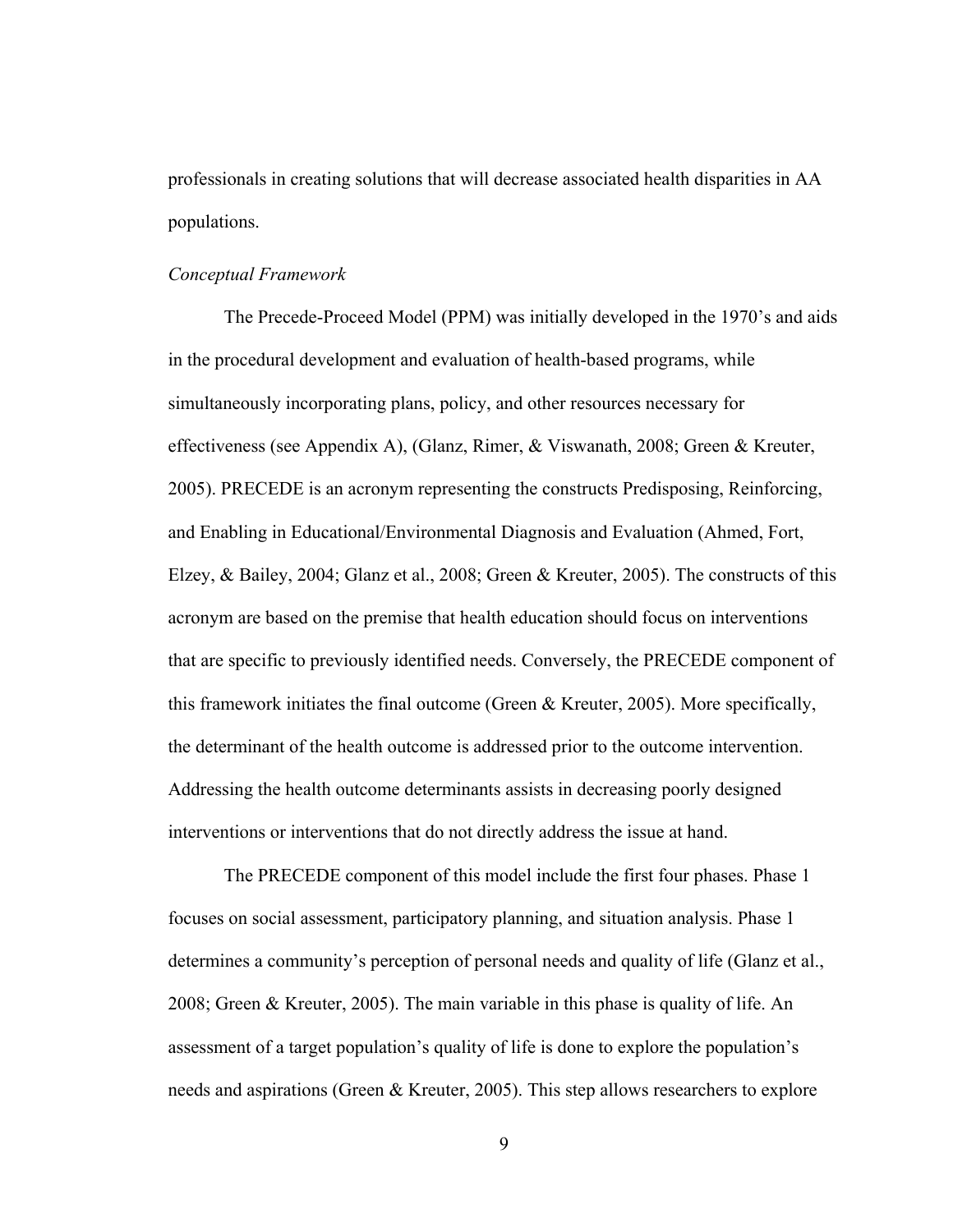professionals in creating solutions that will decrease associated health disparities in AA populations.

#### *Conceptual Framework*

The Precede-Proceed Model (PPM) was initially developed in the 1970's and aids in the procedural development and evaluation of health-based programs, while simultaneously incorporating plans, policy, and other resources necessary for effectiveness (see Appendix A), (Glanz, Rimer, & Viswanath, 2008; Green & Kreuter, 2005). PRECEDE is an acronym representing the constructs Predisposing, Reinforcing, and Enabling in Educational/Environmental Diagnosis and Evaluation (Ahmed, Fort, Elzey, & Bailey, 2004; Glanz et al., 2008; Green & Kreuter, 2005). The constructs of this acronym are based on the premise that health education should focus on interventions that are specific to previously identified needs. Conversely, the PRECEDE component of this framework initiates the final outcome (Green & Kreuter, 2005). More specifically, the determinant of the health outcome is addressed prior to the outcome intervention. Addressing the health outcome determinants assists in decreasing poorly designed interventions or interventions that do not directly address the issue at hand.

The PRECEDE component of this model include the first four phases. Phase 1 focuses on social assessment, participatory planning, and situation analysis. Phase 1 determines a community's perception of personal needs and quality of life (Glanz et al., 2008; Green & Kreuter, 2005). The main variable in this phase is quality of life. An assessment of a target population's quality of life is done to explore the population's needs and aspirations (Green & Kreuter, 2005). This step allows researchers to explore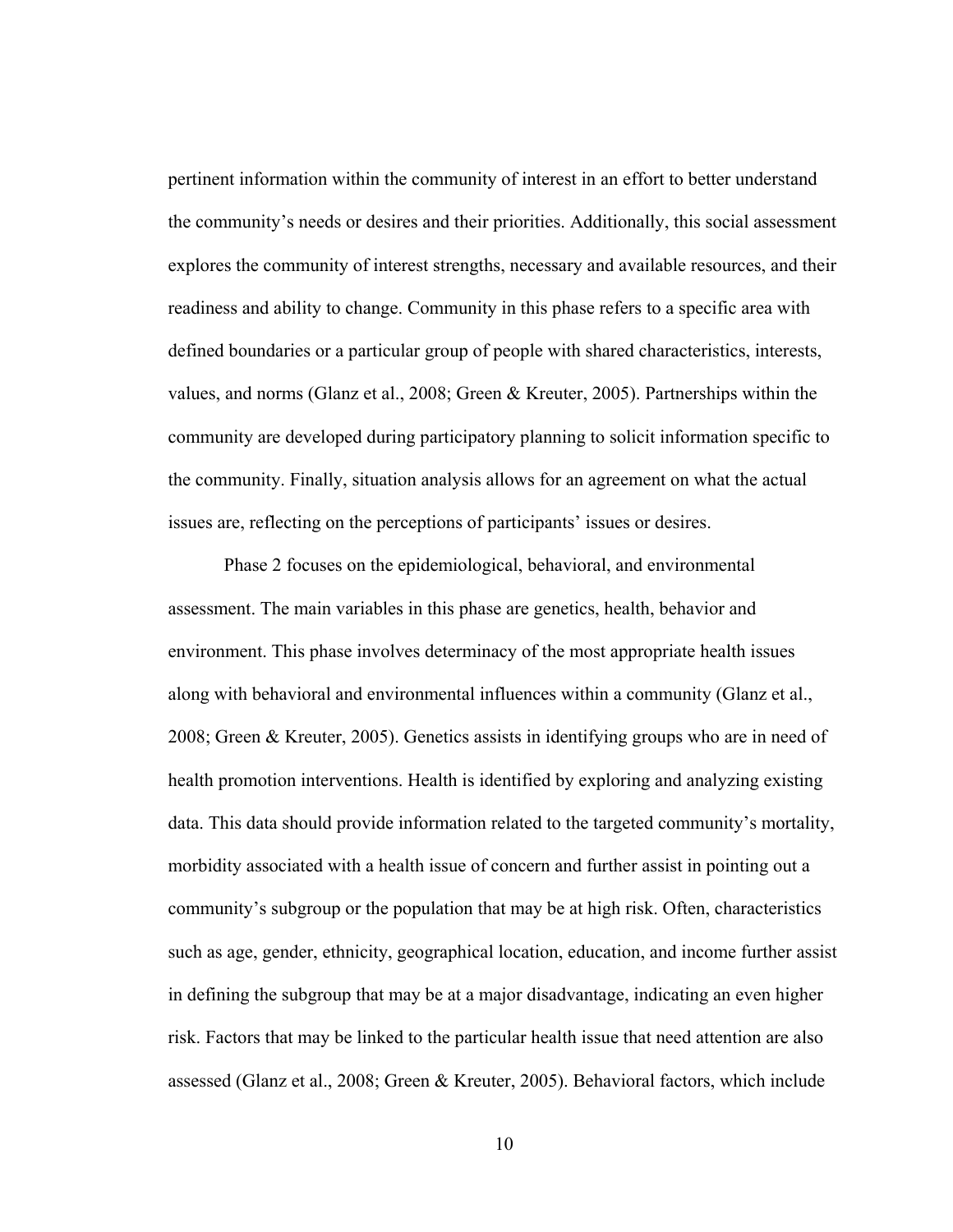pertinent information within the community of interest in an effort to better understand the community's needs or desires and their priorities. Additionally, this social assessment explores the community of interest strengths, necessary and available resources, and their readiness and ability to change. Community in this phase refers to a specific area with defined boundaries or a particular group of people with shared characteristics, interests, values, and norms (Glanz et al., 2008; Green & Kreuter, 2005). Partnerships within the community are developed during participatory planning to solicit information specific to the community. Finally, situation analysis allows for an agreement on what the actual issues are, reflecting on the perceptions of participants' issues or desires.

Phase 2 focuses on the epidemiological, behavioral, and environmental assessment. The main variables in this phase are genetics, health, behavior and environment. This phase involves determinacy of the most appropriate health issues along with behavioral and environmental influences within a community (Glanz et al., 2008; Green & Kreuter, 2005). Genetics assists in identifying groups who are in need of health promotion interventions. Health is identified by exploring and analyzing existing data. This data should provide information related to the targeted community's mortality, morbidity associated with a health issue of concern and further assist in pointing out a community's subgroup or the population that may be at high risk. Often, characteristics such as age, gender, ethnicity, geographical location, education, and income further assist in defining the subgroup that may be at a major disadvantage, indicating an even higher risk. Factors that may be linked to the particular health issue that need attention are also assessed (Glanz et al., 2008; Green & Kreuter, 2005). Behavioral factors, which include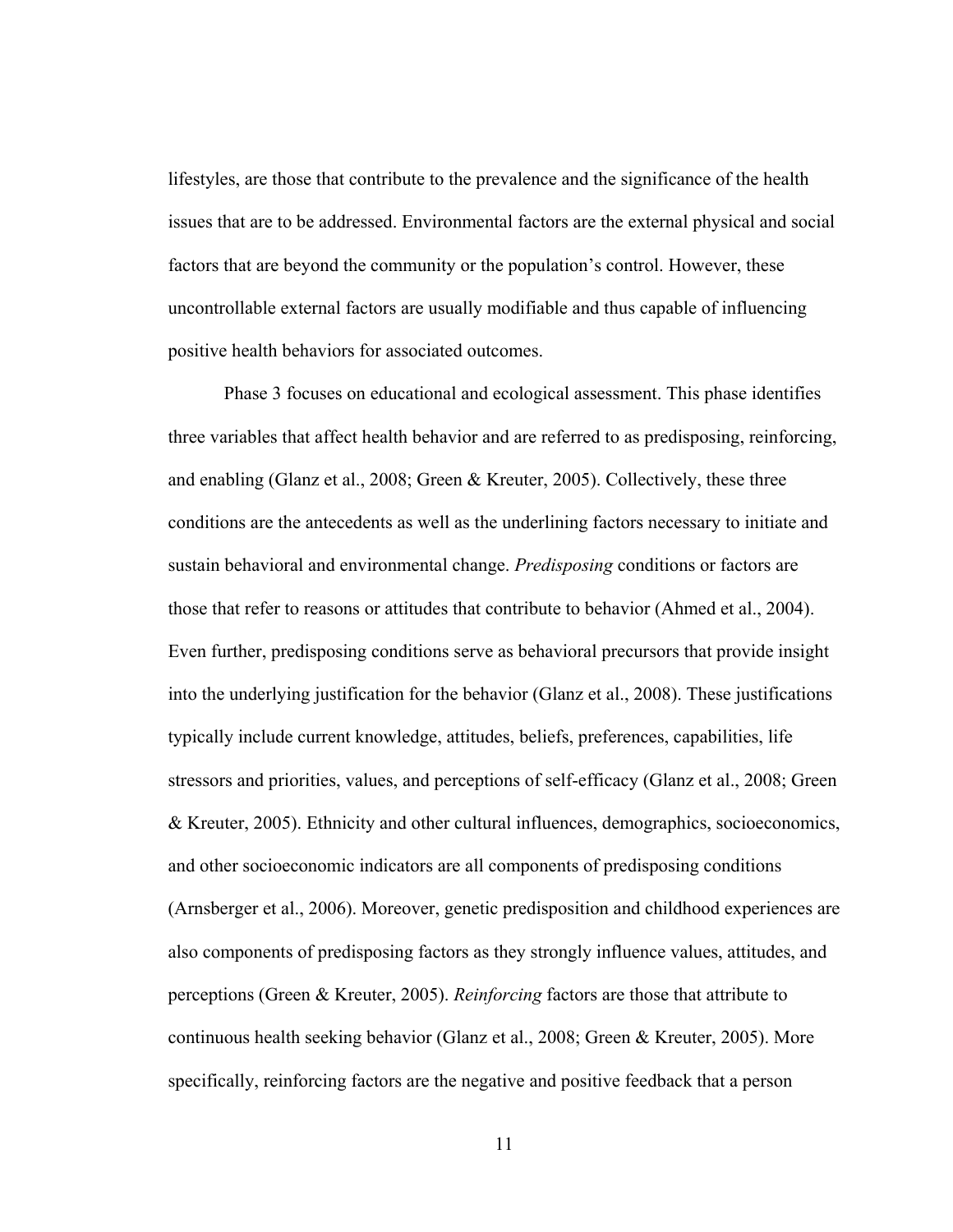lifestyles, are those that contribute to the prevalence and the significance of the health issues that are to be addressed. Environmental factors are the external physical and social factors that are beyond the community or the population's control. However, these uncontrollable external factors are usually modifiable and thus capable of influencing positive health behaviors for associated outcomes.

Phase 3 focuses on educational and ecological assessment. This phase identifies three variables that affect health behavior and are referred to as predisposing, reinforcing, and enabling (Glanz et al., 2008; Green & Kreuter, 2005). Collectively, these three conditions are the antecedents as well as the underlining factors necessary to initiate and sustain behavioral and environmental change. *Predisposing* conditions or factors are those that refer to reasons or attitudes that contribute to behavior (Ahmed et al., 2004). Even further, predisposing conditions serve as behavioral precursors that provide insight into the underlying justification for the behavior (Glanz et al., 2008). These justifications typically include current knowledge, attitudes, beliefs, preferences, capabilities, life stressors and priorities, values, and perceptions of self-efficacy (Glanz et al., 2008; Green & Kreuter, 2005). Ethnicity and other cultural influences, demographics, socioeconomics, and other socioeconomic indicators are all components of predisposing conditions (Arnsberger et al., 2006). Moreover, genetic predisposition and childhood experiences are also components of predisposing factors as they strongly influence values, attitudes, and perceptions (Green & Kreuter, 2005). *Reinforcing* factors are those that attribute to continuous health seeking behavior (Glanz et al., 2008; Green & Kreuter, 2005). More specifically, reinforcing factors are the negative and positive feedback that a person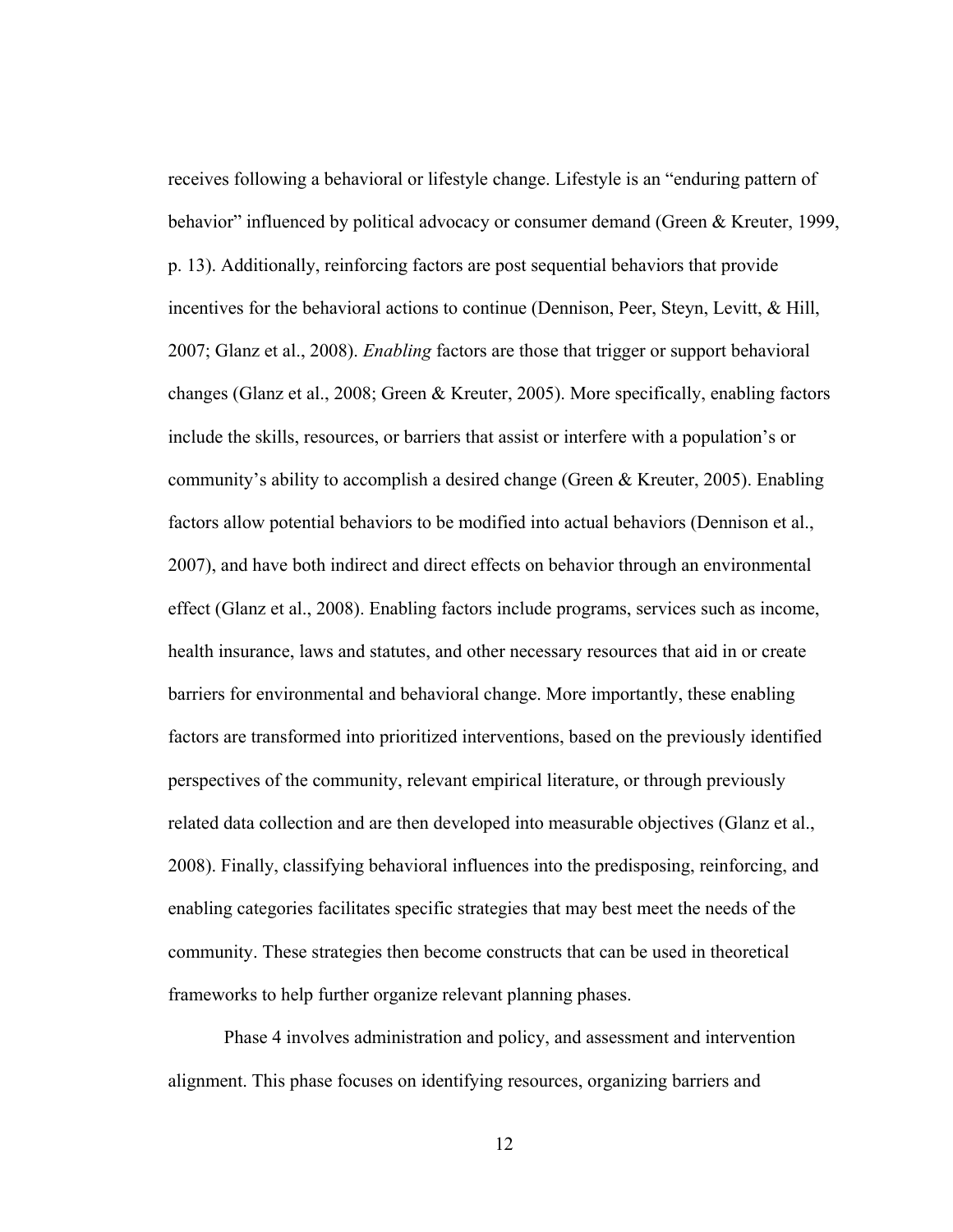receives following a behavioral or lifestyle change. Lifestyle is an "enduring pattern of behavior" influenced by political advocacy or consumer demand (Green & Kreuter, 1999, p. 13). Additionally, reinforcing factors are post sequential behaviors that provide incentives for the behavioral actions to continue (Dennison, Peer, Steyn, Levitt, & Hill, 2007; Glanz et al., 2008). *Enabling* factors are those that trigger or support behavioral changes (Glanz et al., 2008; Green & Kreuter, 2005). More specifically, enabling factors include the skills, resources, or barriers that assist or interfere with a population's or community's ability to accomplish a desired change (Green & Kreuter, 2005). Enabling factors allow potential behaviors to be modified into actual behaviors (Dennison et al., 2007), and have both indirect and direct effects on behavior through an environmental effect (Glanz et al., 2008). Enabling factors include programs, services such as income, health insurance, laws and statutes, and other necessary resources that aid in or create barriers for environmental and behavioral change. More importantly, these enabling factors are transformed into prioritized interventions, based on the previously identified perspectives of the community, relevant empirical literature, or through previously related data collection and are then developed into measurable objectives (Glanz et al., 2008). Finally, classifying behavioral influences into the predisposing, reinforcing, and enabling categories facilitates specific strategies that may best meet the needs of the community. These strategies then become constructs that can be used in theoretical frameworks to help further organize relevant planning phases.

Phase 4 involves administration and policy, and assessment and intervention alignment. This phase focuses on identifying resources, organizing barriers and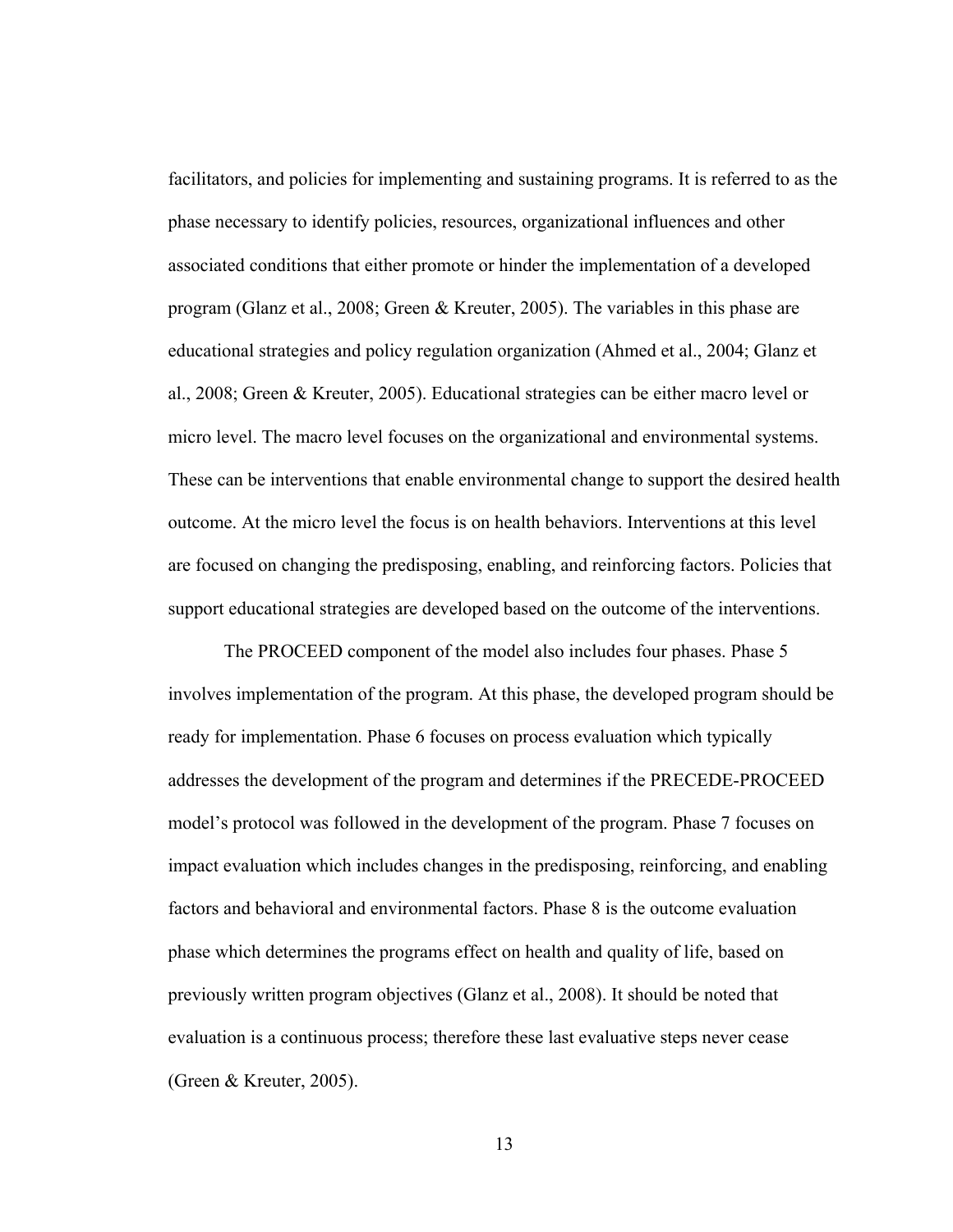facilitators, and policies for implementing and sustaining programs. It is referred to as the phase necessary to identify policies, resources, organizational influences and other associated conditions that either promote or hinder the implementation of a developed program (Glanz et al., 2008; Green & Kreuter, 2005). The variables in this phase are educational strategies and policy regulation organization (Ahmed et al., 2004; Glanz et al., 2008; Green & Kreuter, 2005). Educational strategies can be either macro level or micro level. The macro level focuses on the organizational and environmental systems. These can be interventions that enable environmental change to support the desired health outcome. At the micro level the focus is on health behaviors. Interventions at this level are focused on changing the predisposing, enabling, and reinforcing factors. Policies that support educational strategies are developed based on the outcome of the interventions.

The PROCEED component of the model also includes four phases. Phase 5 involves implementation of the program. At this phase, the developed program should be ready for implementation. Phase 6 focuses on process evaluation which typically addresses the development of the program and determines if the PRECEDE-PROCEED model's protocol was followed in the development of the program. Phase 7 focuses on impact evaluation which includes changes in the predisposing, reinforcing, and enabling factors and behavioral and environmental factors. Phase 8 is the outcome evaluation phase which determines the programs effect on health and quality of life, based on previously written program objectives (Glanz et al., 2008). It should be noted that evaluation is a continuous process; therefore these last evaluative steps never cease (Green & Kreuter, 2005).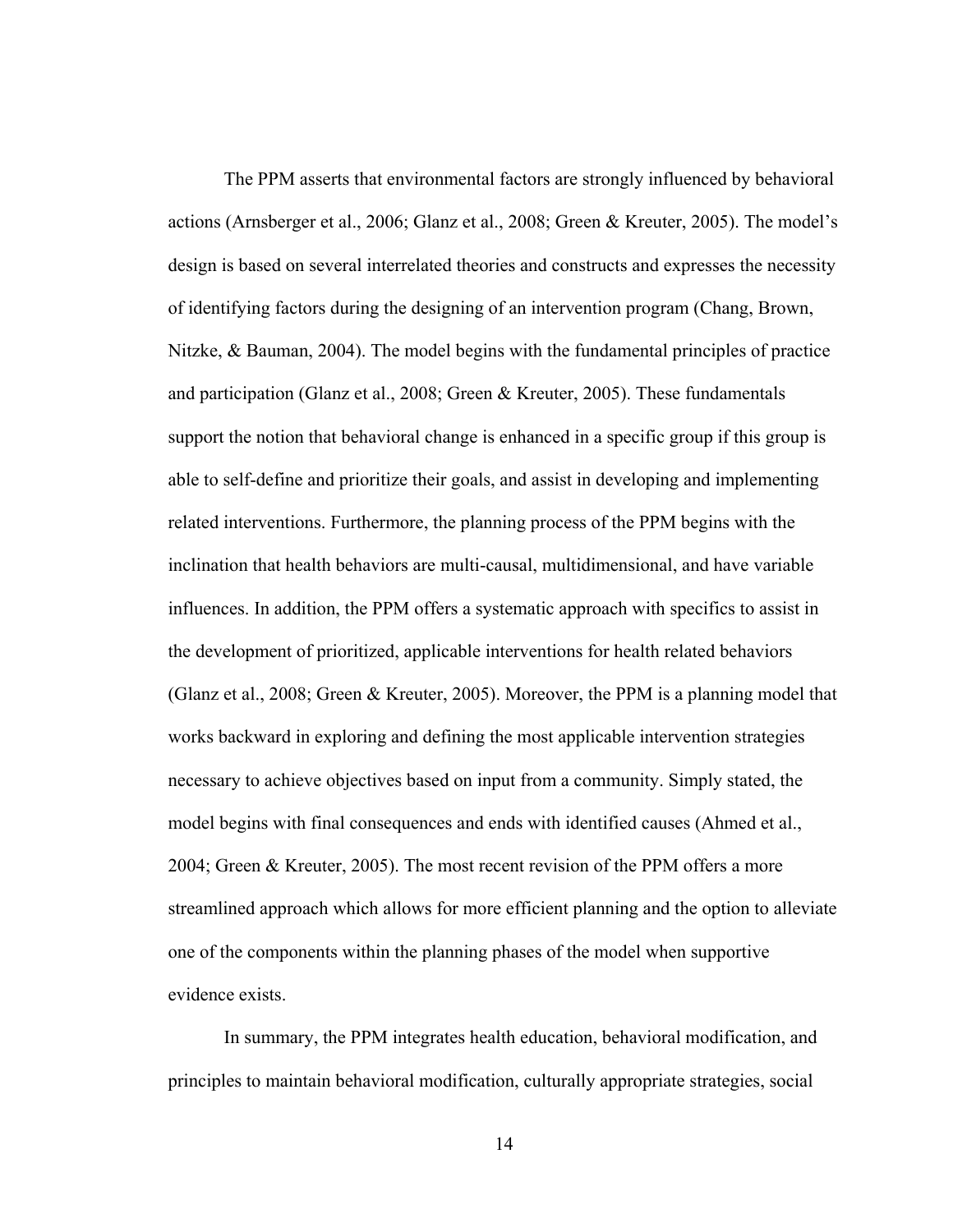The PPM asserts that environmental factors are strongly influenced by behavioral actions (Arnsberger et al., 2006; Glanz et al., 2008; Green & Kreuter, 2005). The model's design is based on several interrelated theories and constructs and expresses the necessity of identifying factors during the designing of an intervention program (Chang, Brown, Nitzke, & Bauman, 2004). The model begins with the fundamental principles of practice and participation (Glanz et al., 2008; Green & Kreuter, 2005). These fundamentals support the notion that behavioral change is enhanced in a specific group if this group is able to self-define and prioritize their goals, and assist in developing and implementing related interventions. Furthermore, the planning process of the PPM begins with the inclination that health behaviors are multi-causal, multidimensional, and have variable influences. In addition, the PPM offers a systematic approach with specifics to assist in the development of prioritized, applicable interventions for health related behaviors (Glanz et al., 2008; Green & Kreuter, 2005). Moreover, the PPM is a planning model that works backward in exploring and defining the most applicable intervention strategies necessary to achieve objectives based on input from a community. Simply stated, the model begins with final consequences and ends with identified causes (Ahmed et al., 2004; Green & Kreuter, 2005). The most recent revision of the PPM offers a more streamlined approach which allows for more efficient planning and the option to alleviate one of the components within the planning phases of the model when supportive evidence exists.

In summary, the PPM integrates health education, behavioral modification, and principles to maintain behavioral modification, culturally appropriate strategies, social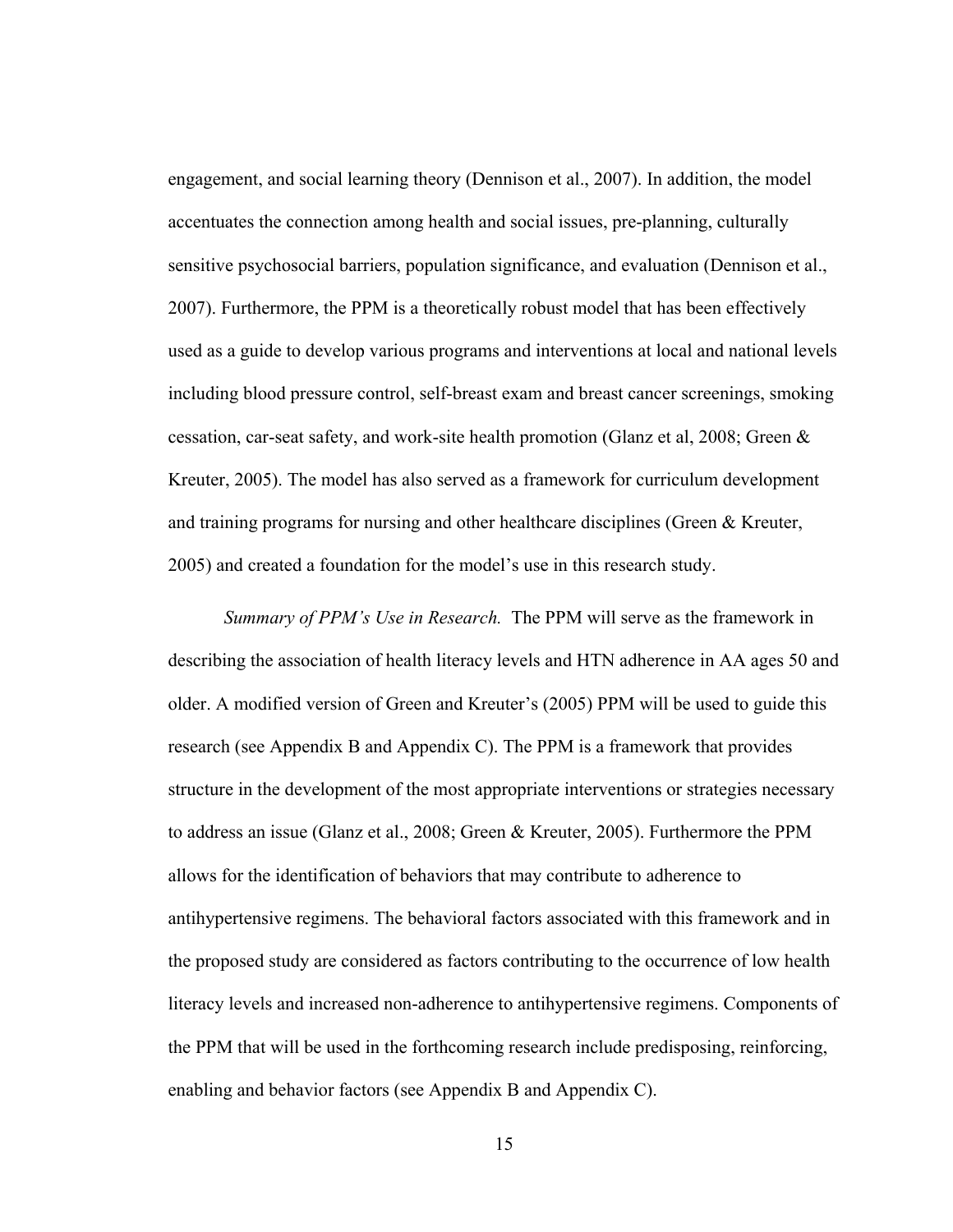engagement, and social learning theory (Dennison et al., 2007). In addition, the model accentuates the connection among health and social issues, pre-planning, culturally sensitive psychosocial barriers, population significance, and evaluation (Dennison et al., 2007). Furthermore, the PPM is a theoretically robust model that has been effectively used as a guide to develop various programs and interventions at local and national levels including blood pressure control, self-breast exam and breast cancer screenings, smoking cessation, car-seat safety, and work-site health promotion (Glanz et al, 2008; Green & Kreuter, 2005). The model has also served as a framework for curriculum development and training programs for nursing and other healthcare disciplines (Green & Kreuter, 2005) and created a foundation for the model's use in this research study.

*Summary of PPM's Use in Research.* The PPM will serve as the framework in describing the association of health literacy levels and HTN adherence in AA ages 50 and older. A modified version of Green and Kreuter's (2005) PPM will be used to guide this research (see Appendix B and Appendix C). The PPM is a framework that provides structure in the development of the most appropriate interventions or strategies necessary to address an issue (Glanz et al., 2008; Green & Kreuter, 2005). Furthermore the PPM allows for the identification of behaviors that may contribute to adherence to antihypertensive regimens. The behavioral factors associated with this framework and in the proposed study are considered as factors contributing to the occurrence of low health literacy levels and increased non-adherence to antihypertensive regimens. Components of the PPM that will be used in the forthcoming research include predisposing, reinforcing, enabling and behavior factors (see Appendix B and Appendix C).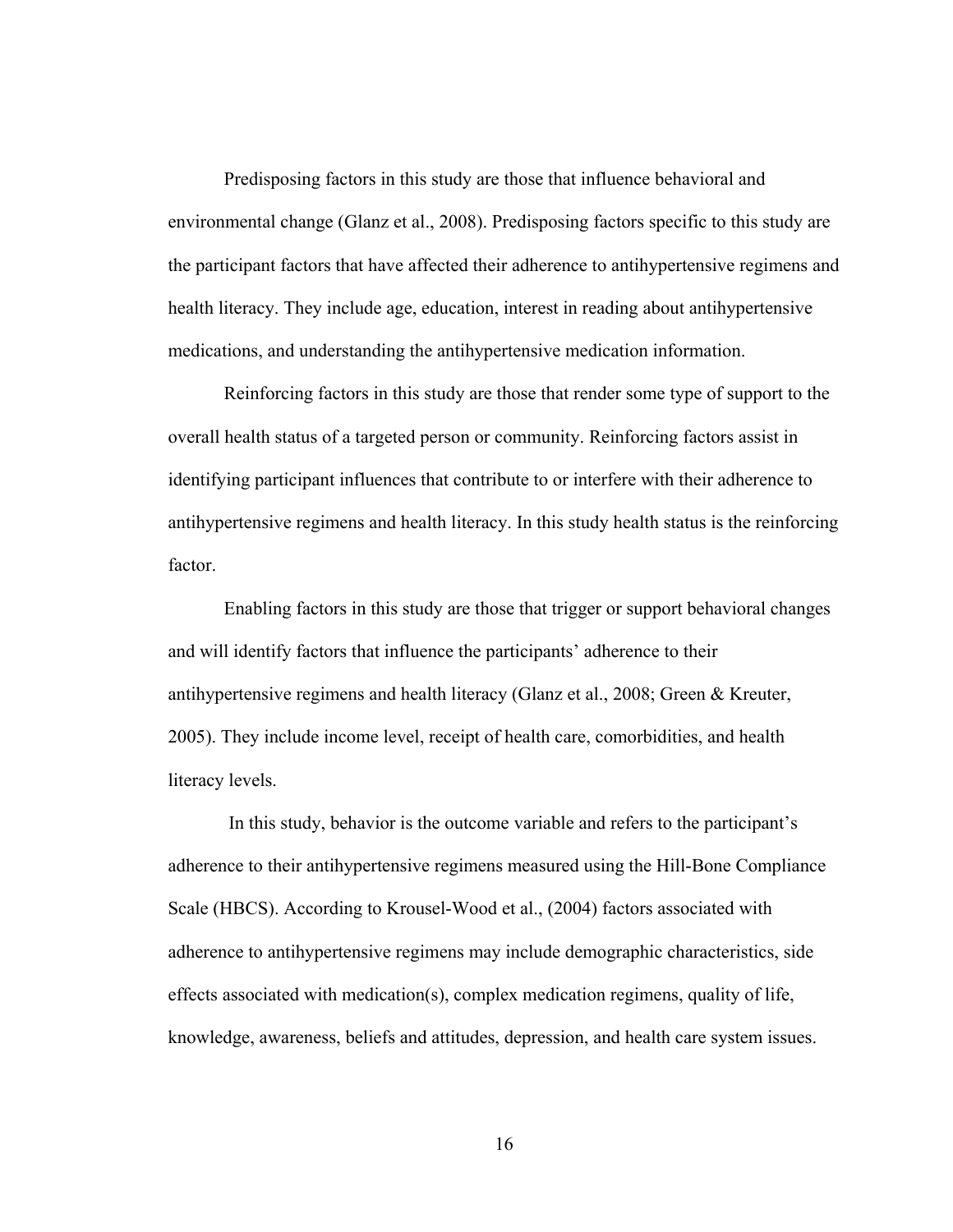Predisposing factors in this study are those that influence behavioral and environmental change (Glanz et al., 2008). Predisposing factors specific to this study are the participant factors that have affected their adherence to antihypertensive regimens and health literacy. They include age, education, interest in reading about antihypertensive medications, and understanding the antihypertensive medication information.

Reinforcing factors in this study are those that render some type of support to the overall health status of a targeted person or community. Reinforcing factors assist in identifying participant influences that contribute to or interfere with their adherence to antihypertensive regimens and health literacy. In this study health status is the reinforcing factor.

Enabling factors in this study are those that trigger or support behavioral changes and will identify factors that influence the participants' adherence to their antihypertensive regimens and health literacy (Glanz et al., 2008; Green & Kreuter, 2005). They include income level, receipt of health care, comorbidities, and health literacy levels.

 In this study, behavior is the outcome variable and refers to the participant's adherence to their antihypertensive regimens measured using the Hill-Bone Compliance Scale (HBCS). According to Krousel-Wood et al., (2004) factors associated with adherence to antihypertensive regimens may include demographic characteristics, side effects associated with medication(s), complex medication regimens, quality of life, knowledge, awareness, beliefs and attitudes, depression, and health care system issues.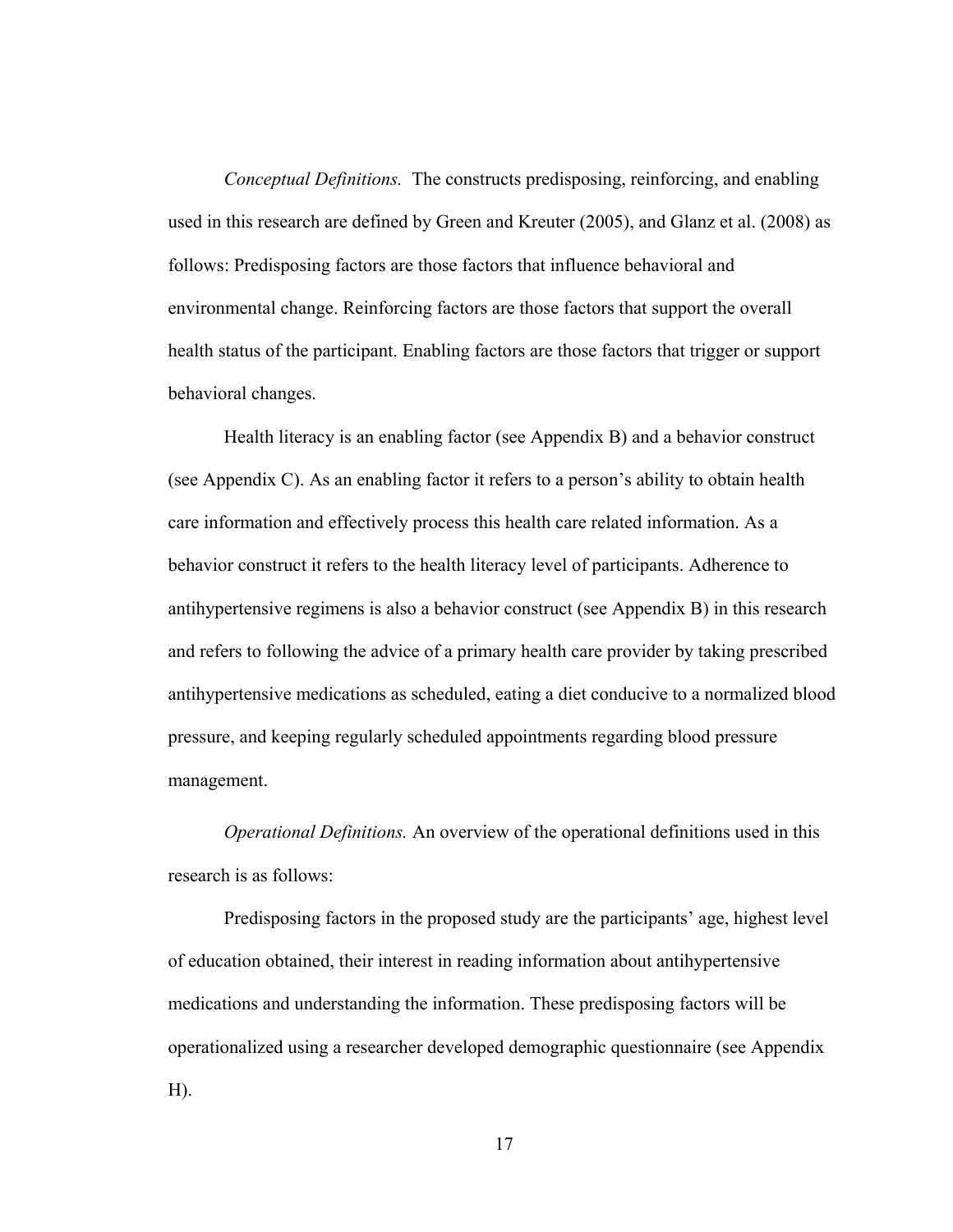*Conceptual Definitions.* The constructs predisposing, reinforcing, and enabling used in this research are defined by Green and Kreuter (2005), and Glanz et al. (2008) as follows: Predisposing factors are those factors that influence behavioral and environmental change. Reinforcing factors are those factors that support the overall health status of the participant. Enabling factors are those factors that trigger or support behavioral changes.

Health literacy is an enabling factor (see Appendix B) and a behavior construct (see Appendix C). As an enabling factor it refers to a person's ability to obtain health care information and effectively process this health care related information. As a behavior construct it refers to the health literacy level of participants. Adherence to antihypertensive regimens is also a behavior construct (see Appendix B) in this research and refers to following the advice of a primary health care provider by taking prescribed antihypertensive medications as scheduled, eating a diet conducive to a normalized blood pressure, and keeping regularly scheduled appointments regarding blood pressure management.

*Operational Definitions.* An overview of the operational definitions used in this research is as follows:

Predisposing factors in the proposed study are the participants' age, highest level of education obtained, their interest in reading information about antihypertensive medications and understanding the information. These predisposing factors will be operationalized using a researcher developed demographic questionnaire (see Appendix  $H$ ).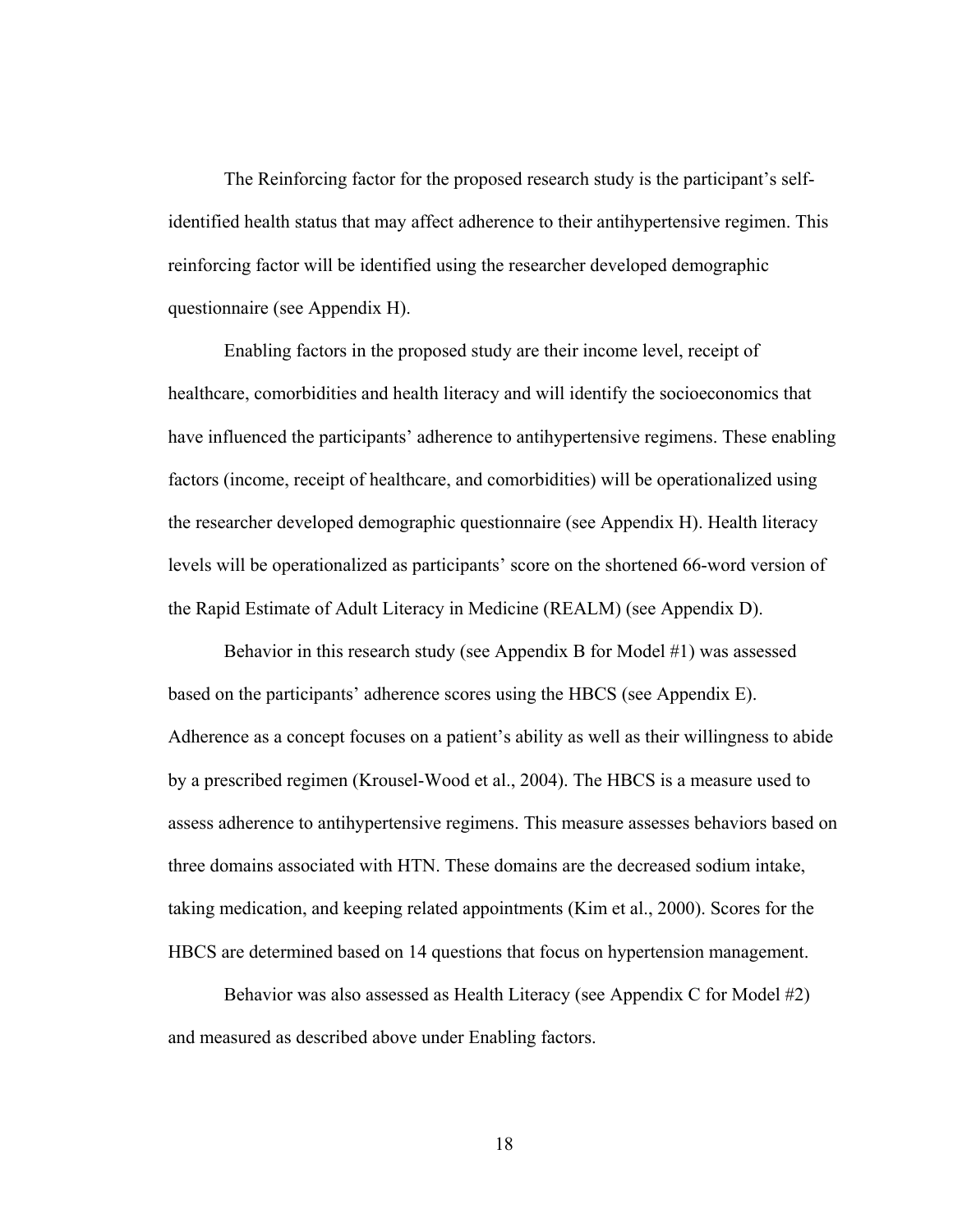The Reinforcing factor for the proposed research study is the participant's selfidentified health status that may affect adherence to their antihypertensive regimen. This reinforcing factor will be identified using the researcher developed demographic questionnaire (see Appendix H).

Enabling factors in the proposed study are their income level, receipt of healthcare, comorbidities and health literacy and will identify the socioeconomics that have influenced the participants' adherence to antihypertensive regimens. These enabling factors (income, receipt of healthcare, and comorbidities) will be operationalized using the researcher developed demographic questionnaire (see Appendix H). Health literacy levels will be operationalized as participants' score on the shortened 66-word version of the Rapid Estimate of Adult Literacy in Medicine (REALM) (see Appendix D).

Behavior in this research study (see Appendix B for Model #1) was assessed based on the participants' adherence scores using the HBCS (see Appendix E). Adherence as a concept focuses on a patient's ability as well as their willingness to abide by a prescribed regimen (Krousel-Wood et al., 2004). The HBCS is a measure used to assess adherence to antihypertensive regimens. This measure assesses behaviors based on three domains associated with HTN. These domains are the decreased sodium intake, taking medication, and keeping related appointments (Kim et al., 2000). Scores for the HBCS are determined based on 14 questions that focus on hypertension management.

Behavior was also assessed as Health Literacy (see Appendix C for Model #2) and measured as described above under Enabling factors.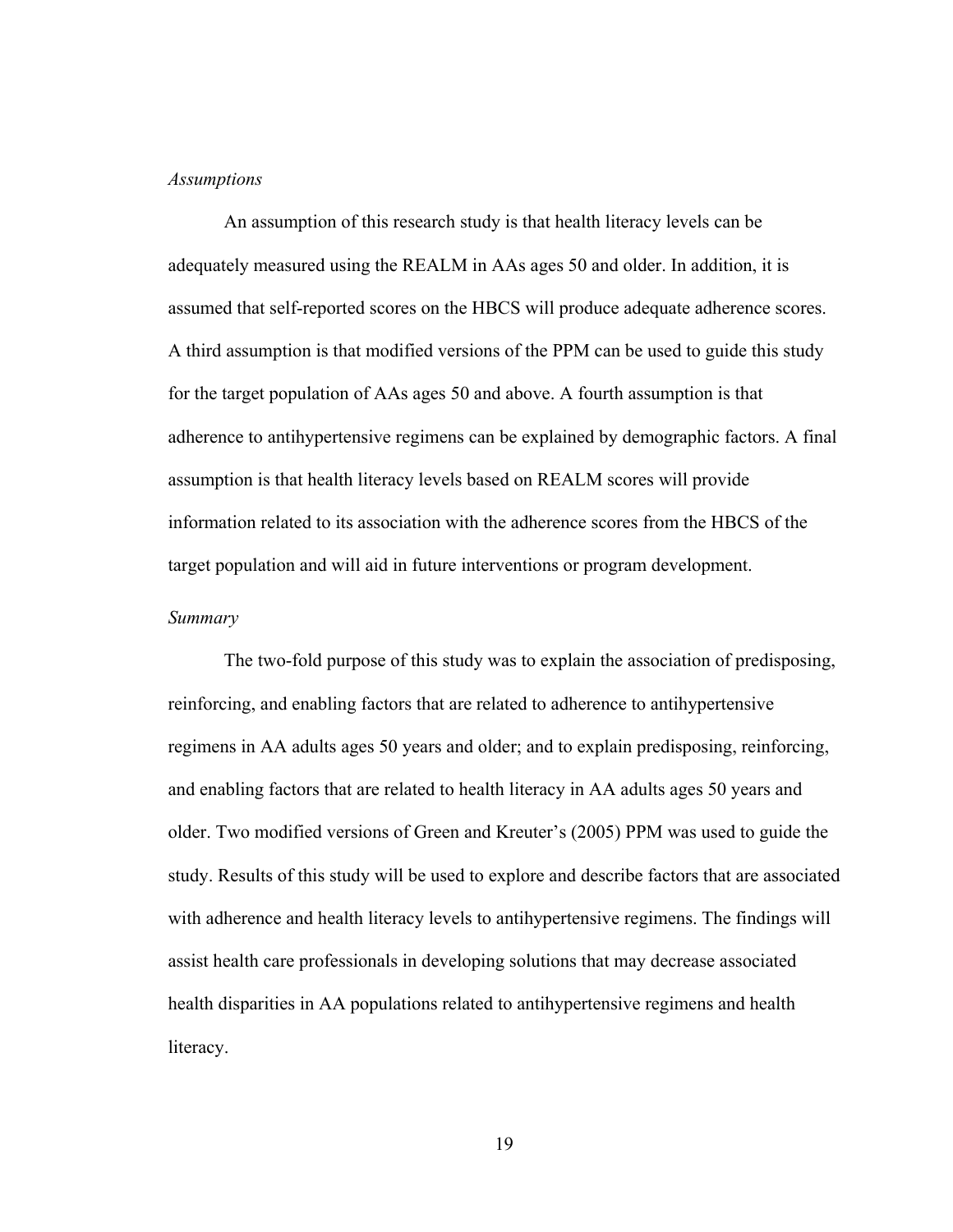#### *Assumptions*

An assumption of this research study is that health literacy levels can be adequately measured using the REALM in AAs ages 50 and older. In addition, it is assumed that self-reported scores on the HBCS will produce adequate adherence scores. A third assumption is that modified versions of the PPM can be used to guide this study for the target population of AAs ages 50 and above. A fourth assumption is that adherence to antihypertensive regimens can be explained by demographic factors. A final assumption is that health literacy levels based on REALM scores will provide information related to its association with the adherence scores from the HBCS of the target population and will aid in future interventions or program development.

#### *Summary*

 The two-fold purpose of this study was to explain the association of predisposing, reinforcing, and enabling factors that are related to adherence to antihypertensive regimens in AA adults ages 50 years and older; and to explain predisposing, reinforcing, and enabling factors that are related to health literacy in AA adults ages 50 years and older. Two modified versions of Green and Kreuter's (2005) PPM was used to guide the study. Results of this study will be used to explore and describe factors that are associated with adherence and health literacy levels to antihypertensive regimens. The findings will assist health care professionals in developing solutions that may decrease associated health disparities in AA populations related to antihypertensive regimens and health literacy.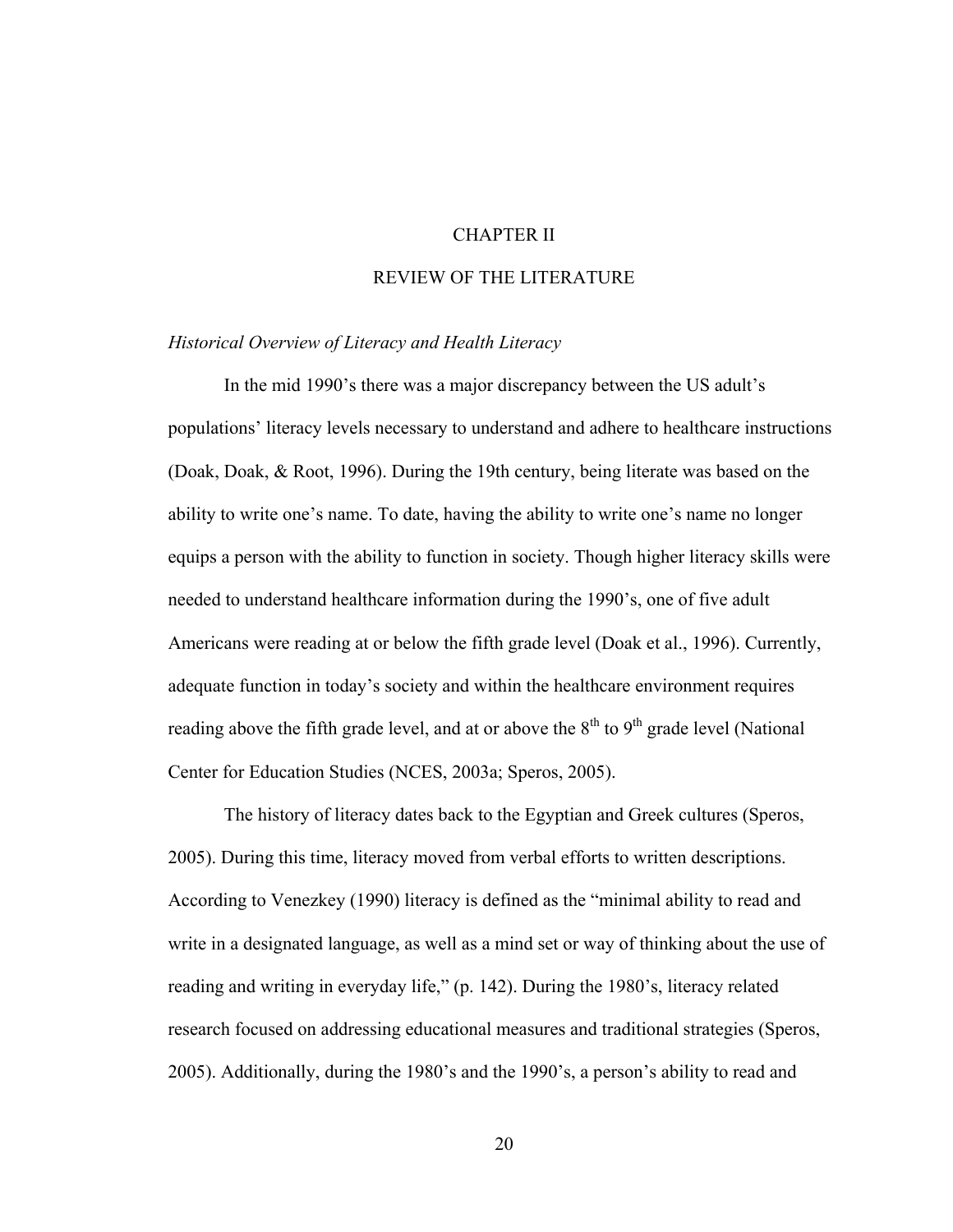## CHAPTER II

# REVIEW OF THE LITERATURE

### *Historical Overview of Literacy and Health Literacy*

In the mid 1990's there was a major discrepancy between the US adult's populations' literacy levels necessary to understand and adhere to healthcare instructions (Doak, Doak, & Root, 1996). During the 19th century, being literate was based on the ability to write one's name. To date, having the ability to write one's name no longer equips a person with the ability to function in society. Though higher literacy skills were needed to understand healthcare information during the 1990's, one of five adult Americans were reading at or below the fifth grade level (Doak et al., 1996). Currently, adequate function in today's society and within the healthcare environment requires reading above the fifth grade level, and at or above the  $8<sup>th</sup>$  to  $9<sup>th</sup>$  grade level (National Center for Education Studies (NCES, 2003a; Speros, 2005).

The history of literacy dates back to the Egyptian and Greek cultures (Speros, 2005). During this time, literacy moved from verbal efforts to written descriptions. According to Venezkey (1990) literacy is defined as the "minimal ability to read and write in a designated language, as well as a mind set or way of thinking about the use of reading and writing in everyday life," (p. 142). During the 1980's, literacy related research focused on addressing educational measures and traditional strategies (Speros, 2005). Additionally, during the 1980's and the 1990's, a person's ability to read and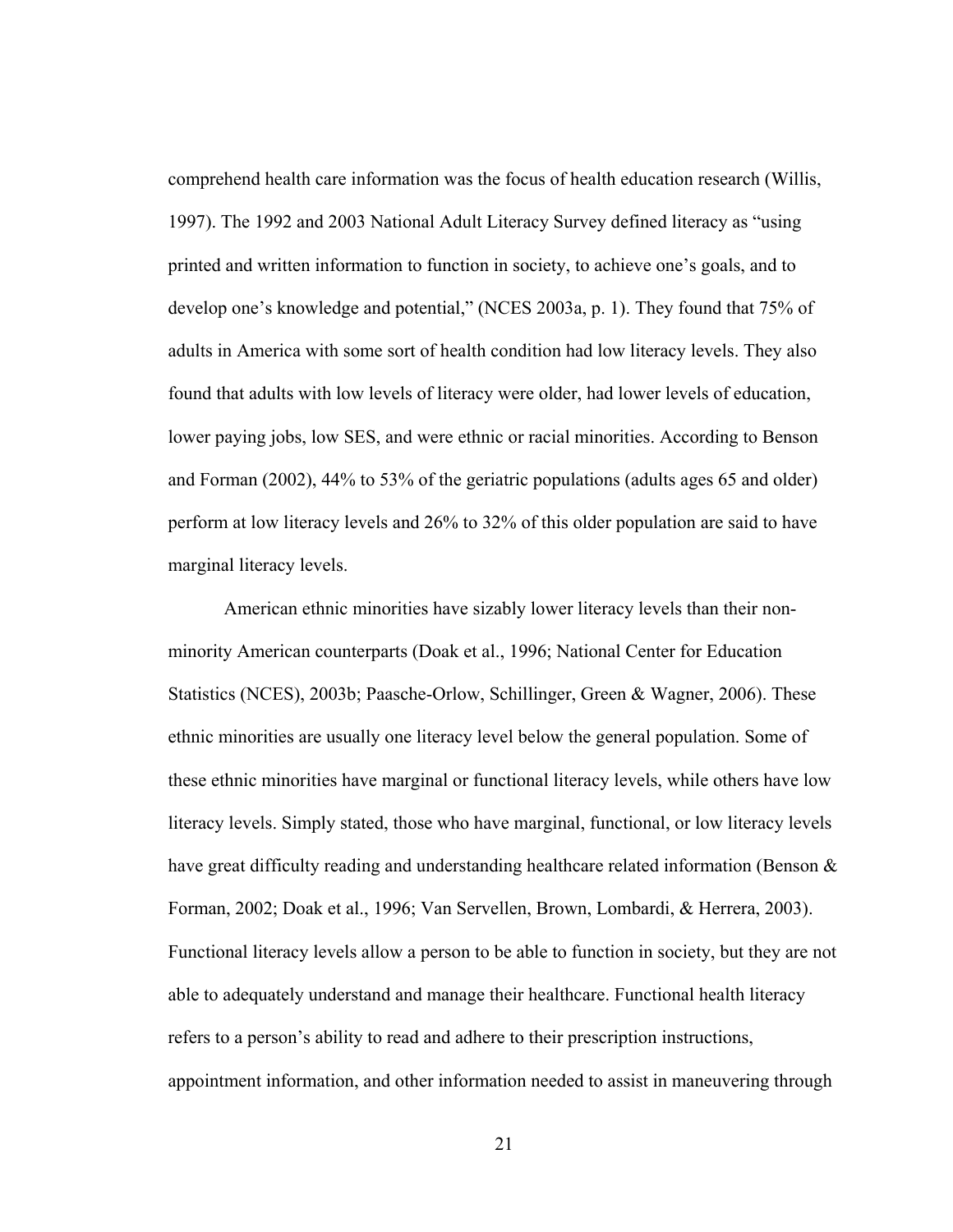comprehend health care information was the focus of health education research (Willis, 1997). The 1992 and 2003 National Adult Literacy Survey defined literacy as "using printed and written information to function in society, to achieve one's goals, and to develop one's knowledge and potential," (NCES 2003a, p. 1). They found that 75% of adults in America with some sort of health condition had low literacy levels. They also found that adults with low levels of literacy were older, had lower levels of education, lower paying jobs, low SES, and were ethnic or racial minorities. According to Benson and Forman (2002), 44% to 53% of the geriatric populations (adults ages 65 and older) perform at low literacy levels and 26% to 32% of this older population are said to have marginal literacy levels.

American ethnic minorities have sizably lower literacy levels than their nonminority American counterparts (Doak et al., 1996; National Center for Education Statistics (NCES), 2003b; Paasche-Orlow, Schillinger, Green & Wagner, 2006). These ethnic minorities are usually one literacy level below the general population. Some of these ethnic minorities have marginal or functional literacy levels, while others have low literacy levels. Simply stated, those who have marginal, functional, or low literacy levels have great difficulty reading and understanding healthcare related information (Benson  $\&$ Forman, 2002; Doak et al., 1996; Van Servellen, Brown, Lombardi, & Herrera, 2003). Functional literacy levels allow a person to be able to function in society, but they are not able to adequately understand and manage their healthcare. Functional health literacy refers to a person's ability to read and adhere to their prescription instructions, appointment information, and other information needed to assist in maneuvering through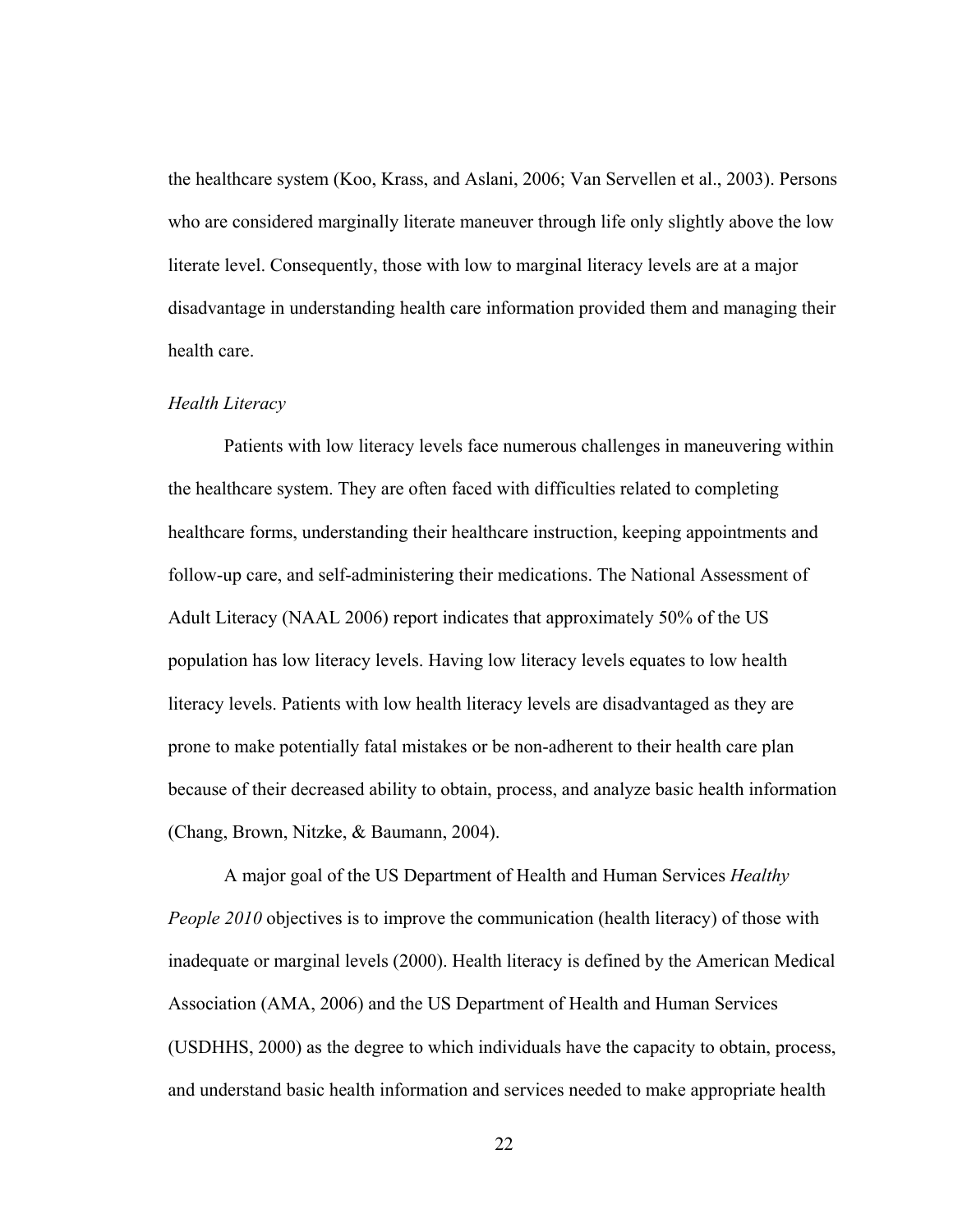the healthcare system (Koo, Krass, and Aslani, 2006; Van Servellen et al., 2003). Persons who are considered marginally literate maneuver through life only slightly above the low literate level. Consequently, those with low to marginal literacy levels are at a major disadvantage in understanding health care information provided them and managing their health care.

#### *Health Literacy*

Patients with low literacy levels face numerous challenges in maneuvering within the healthcare system. They are often faced with difficulties related to completing healthcare forms, understanding their healthcare instruction, keeping appointments and follow-up care, and self-administering their medications. The National Assessment of Adult Literacy (NAAL 2006) report indicates that approximately 50% of the US population has low literacy levels. Having low literacy levels equates to low health literacy levels. Patients with low health literacy levels are disadvantaged as they are prone to make potentially fatal mistakes or be non-adherent to their health care plan because of their decreased ability to obtain, process, and analyze basic health information (Chang, Brown, Nitzke, & Baumann, 2004).

A major goal of the US Department of Health and Human Services *Healthy People 2010* objectives is to improve the communication (health literacy) of those with inadequate or marginal levels (2000). Health literacy is defined by the American Medical Association (AMA, 2006) and the US Department of Health and Human Services (USDHHS, 2000) as the degree to which individuals have the capacity to obtain, process, and understand basic health information and services needed to make appropriate health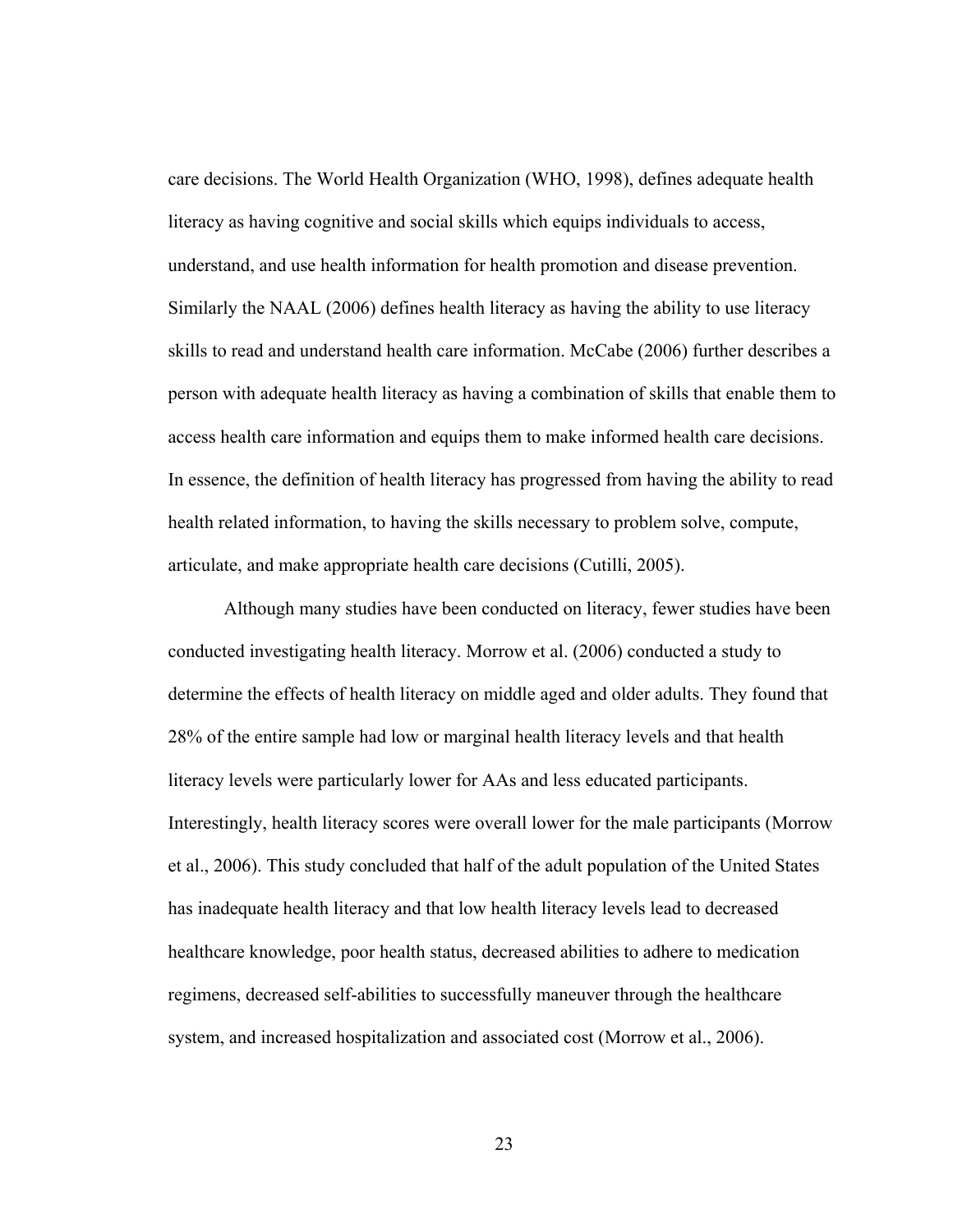care decisions. The World Health Organization (WHO, 1998), defines adequate health literacy as having cognitive and social skills which equips individuals to access, understand, and use health information for health promotion and disease prevention. Similarly the NAAL (2006) defines health literacy as having the ability to use literacy skills to read and understand health care information. McCabe (2006) further describes a person with adequate health literacy as having a combination of skills that enable them to access health care information and equips them to make informed health care decisions. In essence, the definition of health literacy has progressed from having the ability to read health related information, to having the skills necessary to problem solve, compute, articulate, and make appropriate health care decisions (Cutilli, 2005).

Although many studies have been conducted on literacy, fewer studies have been conducted investigating health literacy. Morrow et al. (2006) conducted a study to determine the effects of health literacy on middle aged and older adults. They found that 28% of the entire sample had low or marginal health literacy levels and that health literacy levels were particularly lower for AAs and less educated participants. Interestingly, health literacy scores were overall lower for the male participants (Morrow et al., 2006). This study concluded that half of the adult population of the United States has inadequate health literacy and that low health literacy levels lead to decreased healthcare knowledge, poor health status, decreased abilities to adhere to medication regimens, decreased self-abilities to successfully maneuver through the healthcare system, and increased hospitalization and associated cost (Morrow et al., 2006).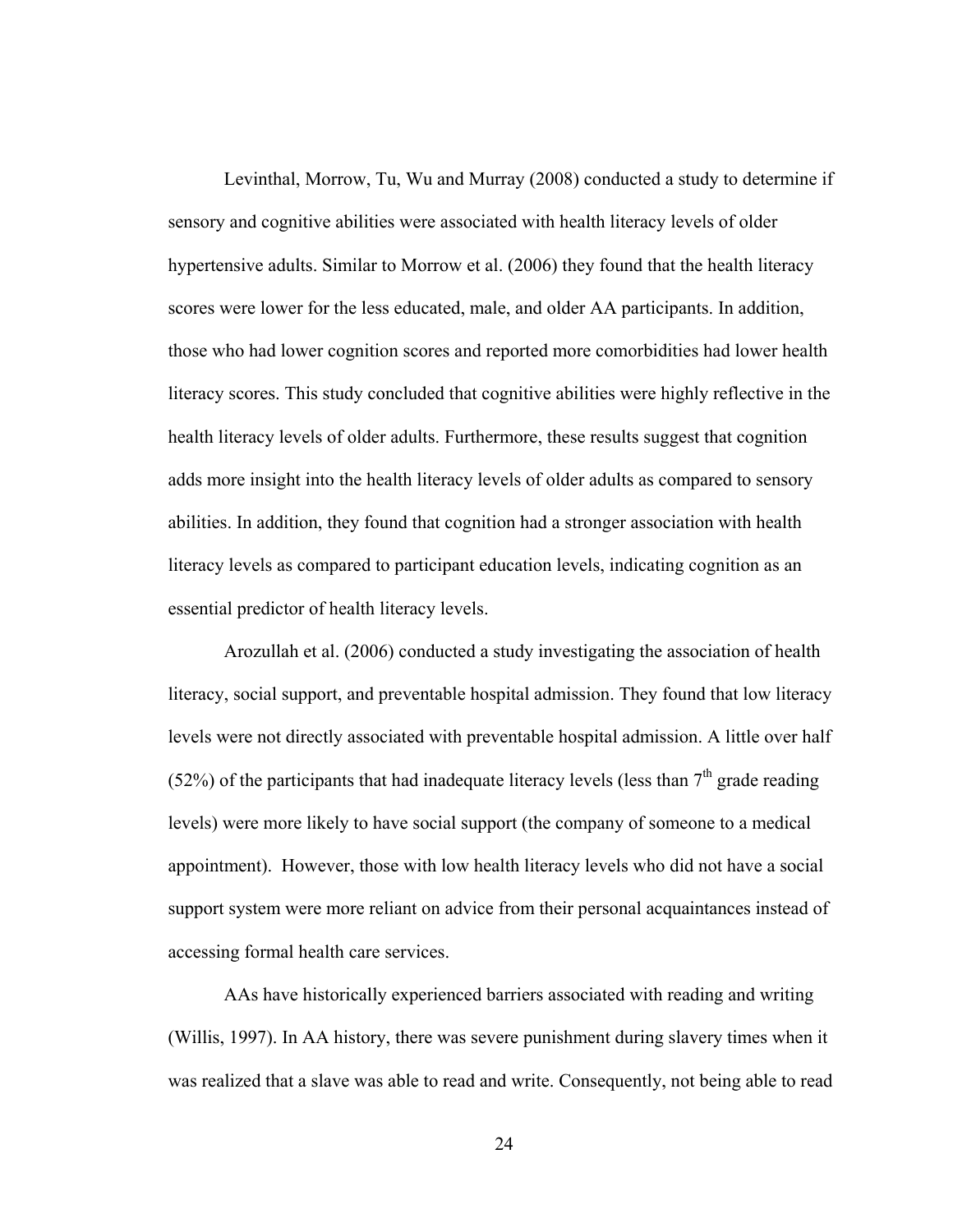Levinthal, Morrow, Tu, Wu and Murray (2008) conducted a study to determine if sensory and cognitive abilities were associated with health literacy levels of older hypertensive adults. Similar to Morrow et al. (2006) they found that the health literacy scores were lower for the less educated, male, and older AA participants. In addition, those who had lower cognition scores and reported more comorbidities had lower health literacy scores. This study concluded that cognitive abilities were highly reflective in the health literacy levels of older adults. Furthermore, these results suggest that cognition adds more insight into the health literacy levels of older adults as compared to sensory abilities. In addition, they found that cognition had a stronger association with health literacy levels as compared to participant education levels, indicating cognition as an essential predictor of health literacy levels.

Arozullah et al. (2006) conducted a study investigating the association of health literacy, social support, and preventable hospital admission. They found that low literacy levels were not directly associated with preventable hospital admission. A little over half (52%) of the participants that had inadequate literacy levels (less than  $7<sup>th</sup>$  grade reading levels) were more likely to have social support (the company of someone to a medical appointment). However, those with low health literacy levels who did not have a social support system were more reliant on advice from their personal acquaintances instead of accessing formal health care services.

AAs have historically experienced barriers associated with reading and writing (Willis, 1997). In AA history, there was severe punishment during slavery times when it was realized that a slave was able to read and write. Consequently, not being able to read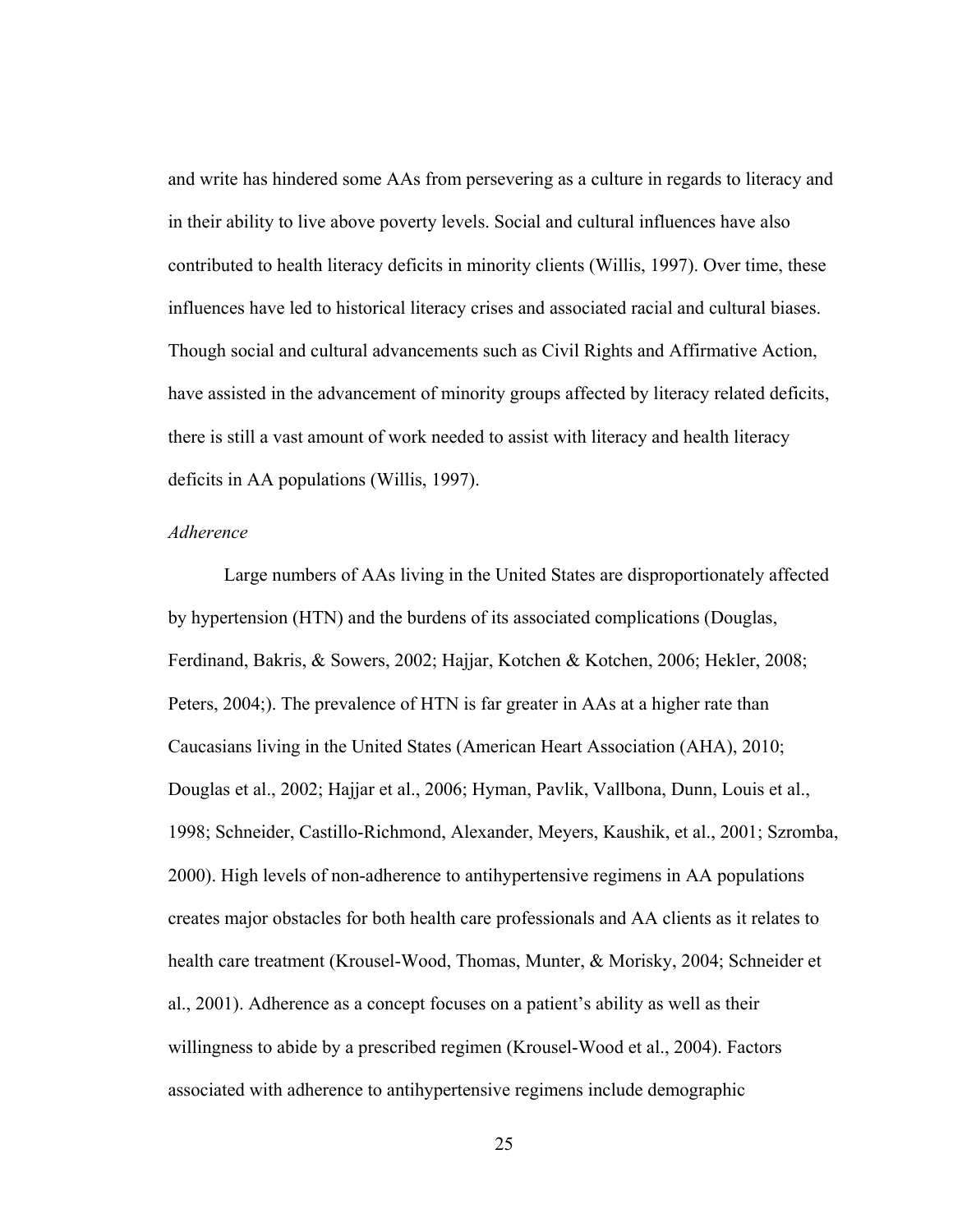and write has hindered some AAs from persevering as a culture in regards to literacy and in their ability to live above poverty levels. Social and cultural influences have also contributed to health literacy deficits in minority clients (Willis, 1997). Over time, these influences have led to historical literacy crises and associated racial and cultural biases. Though social and cultural advancements such as Civil Rights and Affirmative Action, have assisted in the advancement of minority groups affected by literacy related deficits, there is still a vast amount of work needed to assist with literacy and health literacy deficits in AA populations (Willis, 1997).

#### *Adherence*

Large numbers of AAs living in the United States are disproportionately affected by hypertension (HTN) and the burdens of its associated complications (Douglas, Ferdinand, Bakris, & Sowers, 2002; Hajjar, Kotchen & Kotchen, 2006; Hekler, 2008; Peters, 2004;). The prevalence of HTN is far greater in AAs at a higher rate than Caucasians living in the United States (American Heart Association (AHA), 2010; Douglas et al., 2002; Hajjar et al., 2006; Hyman, Pavlik, Vallbona, Dunn, Louis et al., 1998; Schneider, Castillo-Richmond, Alexander, Meyers, Kaushik, et al., 2001; Szromba, 2000). High levels of non-adherence to antihypertensive regimens in AA populations creates major obstacles for both health care professionals and AA clients as it relates to health care treatment (Krousel-Wood, Thomas, Munter, & Morisky, 2004; Schneider et al., 2001). Adherence as a concept focuses on a patient's ability as well as their willingness to abide by a prescribed regimen (Krousel-Wood et al., 2004). Factors associated with adherence to antihypertensive regimens include demographic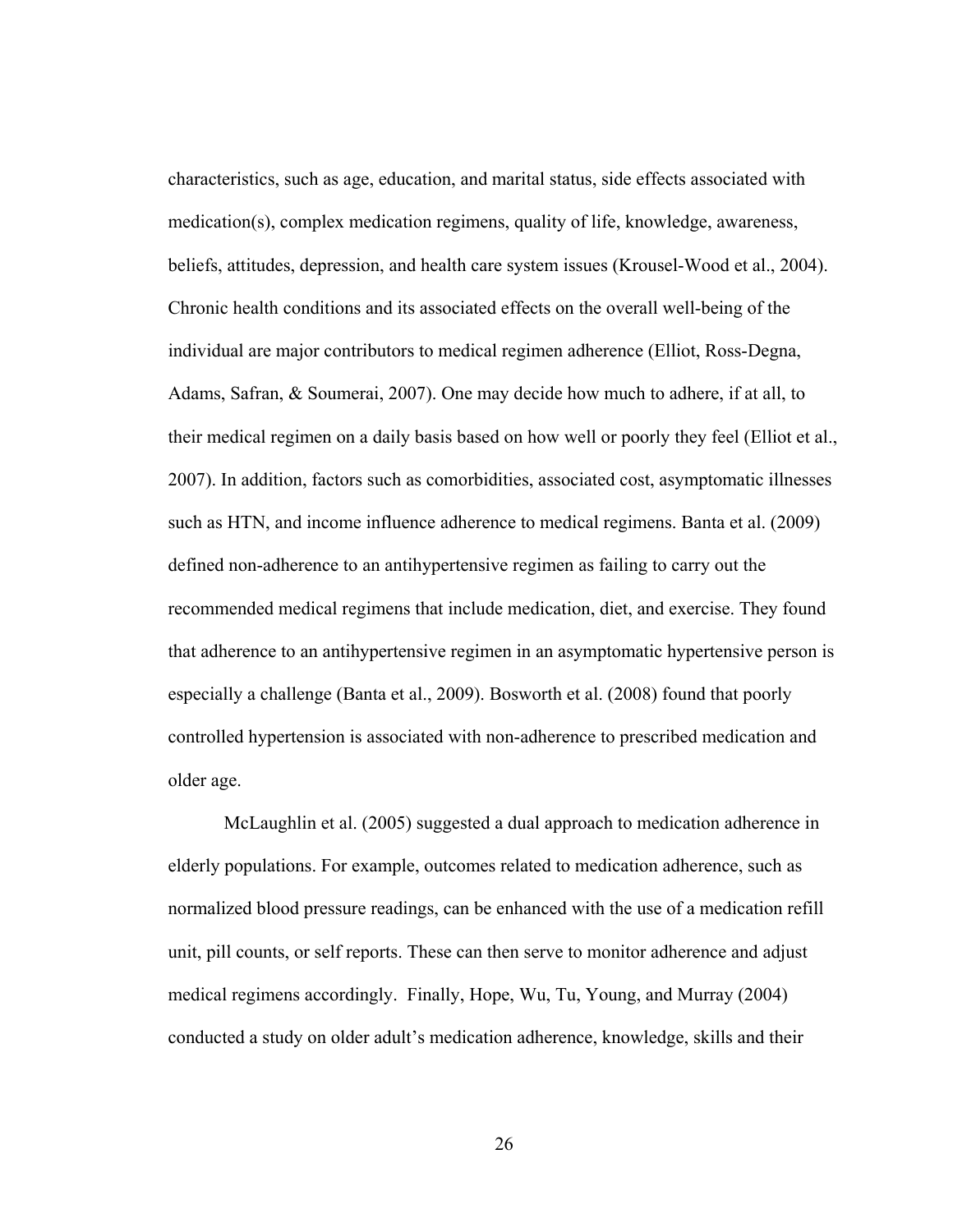characteristics, such as age, education, and marital status, side effects associated with medication(s), complex medication regimens, quality of life, knowledge, awareness, beliefs, attitudes, depression, and health care system issues (Krousel-Wood et al., 2004). Chronic health conditions and its associated effects on the overall well-being of the individual are major contributors to medical regimen adherence (Elliot, Ross-Degna, Adams, Safran, & Soumerai, 2007). One may decide how much to adhere, if at all, to their medical regimen on a daily basis based on how well or poorly they feel (Elliot et al., 2007). In addition, factors such as comorbidities, associated cost, asymptomatic illnesses such as HTN, and income influence adherence to medical regimens. Banta et al. (2009) defined non-adherence to an antihypertensive regimen as failing to carry out the recommended medical regimens that include medication, diet, and exercise. They found that adherence to an antihypertensive regimen in an asymptomatic hypertensive person is especially a challenge (Banta et al., 2009). Bosworth et al. (2008) found that poorly controlled hypertension is associated with non-adherence to prescribed medication and older age.

McLaughlin et al. (2005) suggested a dual approach to medication adherence in elderly populations. For example, outcomes related to medication adherence, such as normalized blood pressure readings, can be enhanced with the use of a medication refill unit, pill counts, or self reports. These can then serve to monitor adherence and adjust medical regimens accordingly. Finally, Hope, Wu, Tu, Young, and Murray (2004) conducted a study on older adult's medication adherence, knowledge, skills and their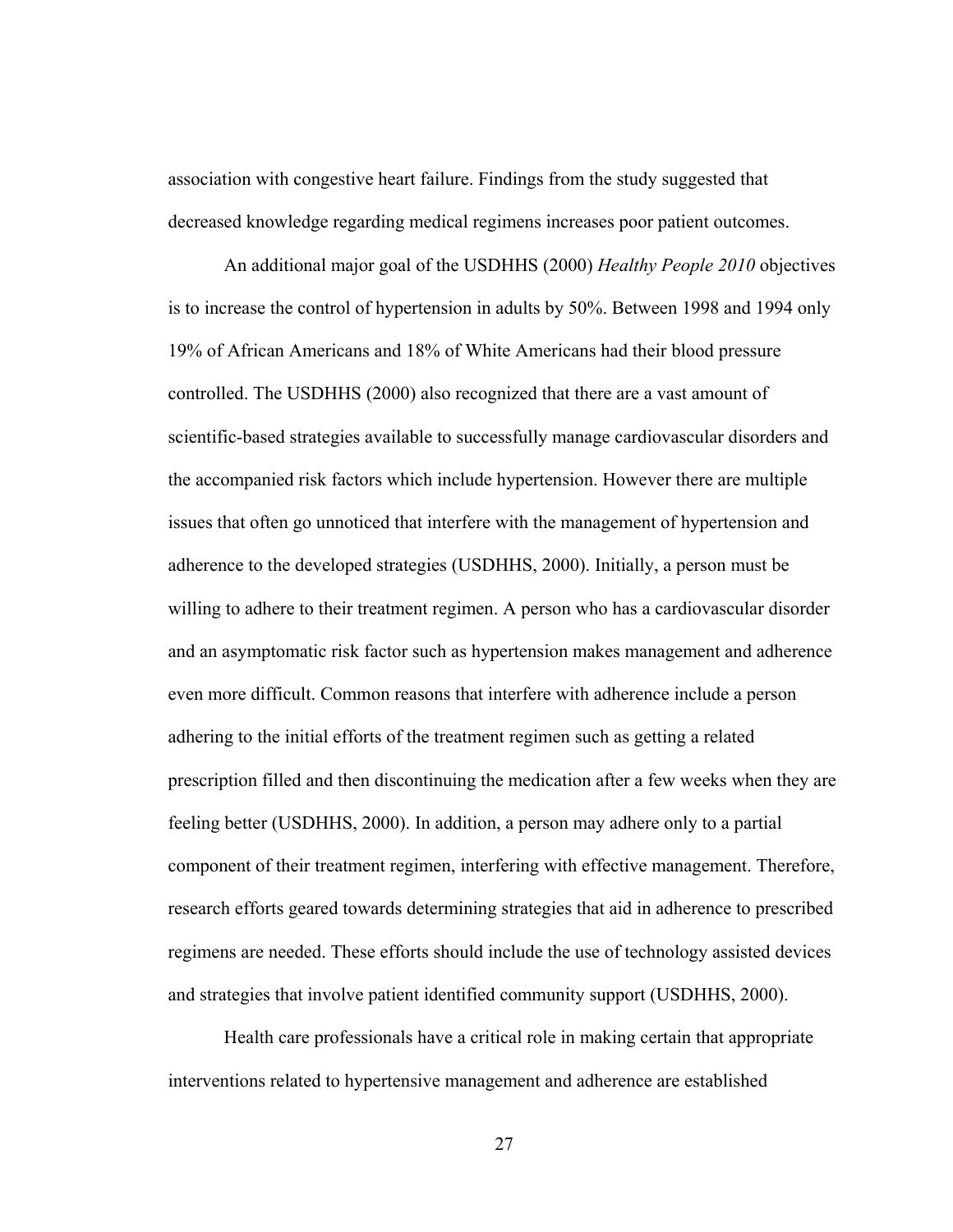association with congestive heart failure. Findings from the study suggested that decreased knowledge regarding medical regimens increases poor patient outcomes.

An additional major goal of the USDHHS (2000) *Healthy People 2010* objectives is to increase the control of hypertension in adults by 50%. Between 1998 and 1994 only 19% of African Americans and 18% of White Americans had their blood pressure controlled. The USDHHS (2000) also recognized that there are a vast amount of scientific-based strategies available to successfully manage cardiovascular disorders and the accompanied risk factors which include hypertension. However there are multiple issues that often go unnoticed that interfere with the management of hypertension and adherence to the developed strategies (USDHHS, 2000). Initially, a person must be willing to adhere to their treatment regimen. A person who has a cardiovascular disorder and an asymptomatic risk factor such as hypertension makes management and adherence even more difficult. Common reasons that interfere with adherence include a person adhering to the initial efforts of the treatment regimen such as getting a related prescription filled and then discontinuing the medication after a few weeks when they are feeling better (USDHHS, 2000). In addition, a person may adhere only to a partial component of their treatment regimen, interfering with effective management. Therefore, research efforts geared towards determining strategies that aid in adherence to prescribed regimens are needed. These efforts should include the use of technology assisted devices and strategies that involve patient identified community support (USDHHS, 2000).

Health care professionals have a critical role in making certain that appropriate interventions related to hypertensive management and adherence are established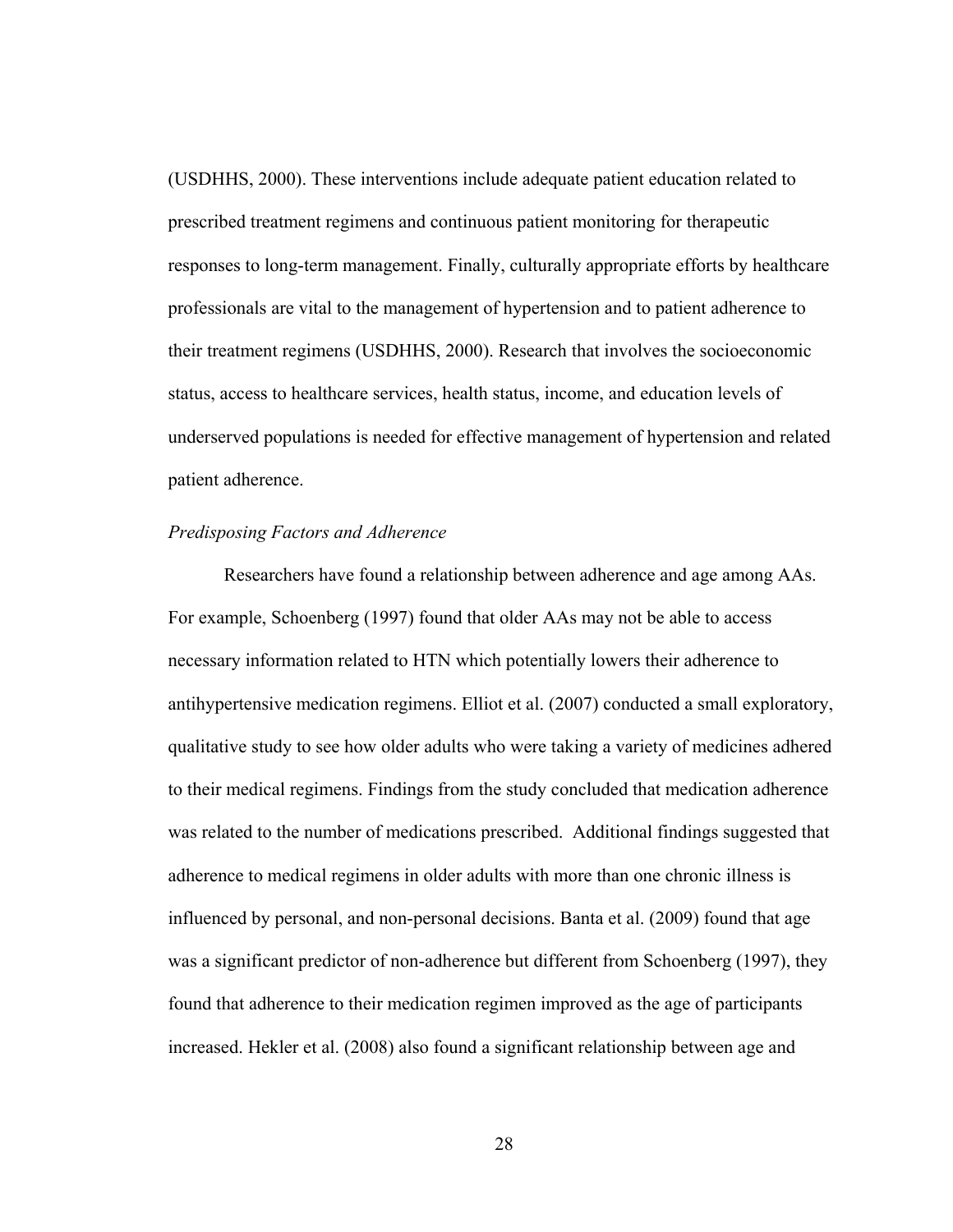(USDHHS, 2000). These interventions include adequate patient education related to prescribed treatment regimens and continuous patient monitoring for therapeutic responses to long-term management. Finally, culturally appropriate efforts by healthcare professionals are vital to the management of hypertension and to patient adherence to their treatment regimens (USDHHS, 2000). Research that involves the socioeconomic status, access to healthcare services, health status, income, and education levels of underserved populations is needed for effective management of hypertension and related patient adherence.

#### *Predisposing Factors and Adherence*

Researchers have found a relationship between adherence and age among AAs. For example, Schoenberg (1997) found that older AAs may not be able to access necessary information related to HTN which potentially lowers their adherence to antihypertensive medication regimens. Elliot et al. (2007) conducted a small exploratory, qualitative study to see how older adults who were taking a variety of medicines adhered to their medical regimens. Findings from the study concluded that medication adherence was related to the number of medications prescribed. Additional findings suggested that adherence to medical regimens in older adults with more than one chronic illness is influenced by personal, and non-personal decisions. Banta et al. (2009) found that age was a significant predictor of non-adherence but different from Schoenberg (1997), they found that adherence to their medication regimen improved as the age of participants increased. Hekler et al. (2008) also found a significant relationship between age and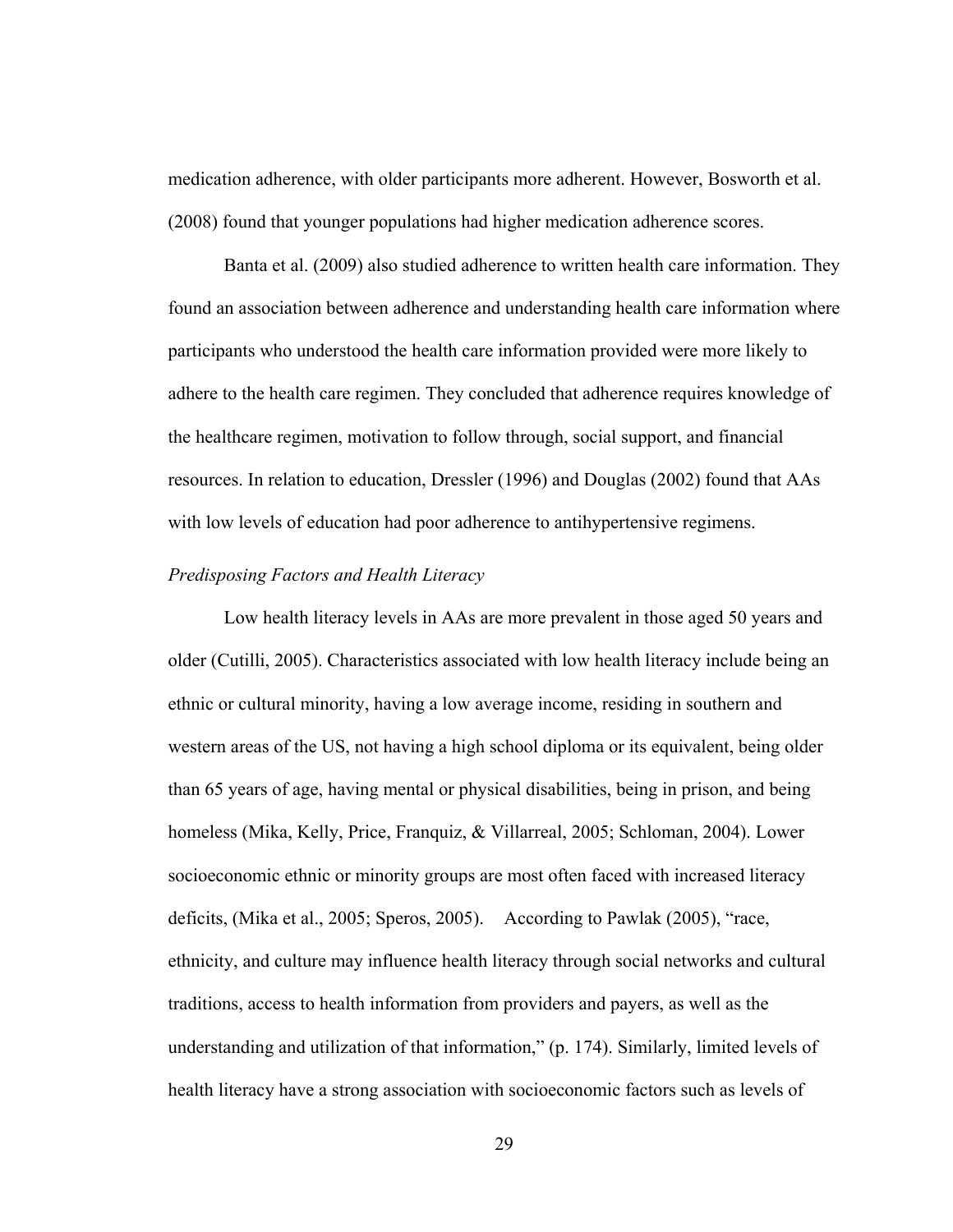medication adherence, with older participants more adherent. However, Bosworth et al. (2008) found that younger populations had higher medication adherence scores.

Banta et al. (2009) also studied adherence to written health care information. They found an association between adherence and understanding health care information where participants who understood the health care information provided were more likely to adhere to the health care regimen. They concluded that adherence requires knowledge of the healthcare regimen, motivation to follow through, social support, and financial resources. In relation to education, Dressler (1996) and Douglas (2002) found that AAs with low levels of education had poor adherence to antihypertensive regimens.

## *Predisposing Factors and Health Literacy*

Low health literacy levels in AAs are more prevalent in those aged 50 years and older (Cutilli, 2005). Characteristics associated with low health literacy include being an ethnic or cultural minority, having a low average income, residing in southern and western areas of the US, not having a high school diploma or its equivalent, being older than 65 years of age, having mental or physical disabilities, being in prison, and being homeless (Mika, Kelly, Price, Franquiz, & Villarreal, 2005; Schloman, 2004). Lower socioeconomic ethnic or minority groups are most often faced with increased literacy deficits, (Mika et al., 2005; Speros, 2005). According to Pawlak (2005), "race, ethnicity, and culture may influence health literacy through social networks and cultural traditions, access to health information from providers and payers, as well as the understanding and utilization of that information," (p. 174). Similarly, limited levels of health literacy have a strong association with socioeconomic factors such as levels of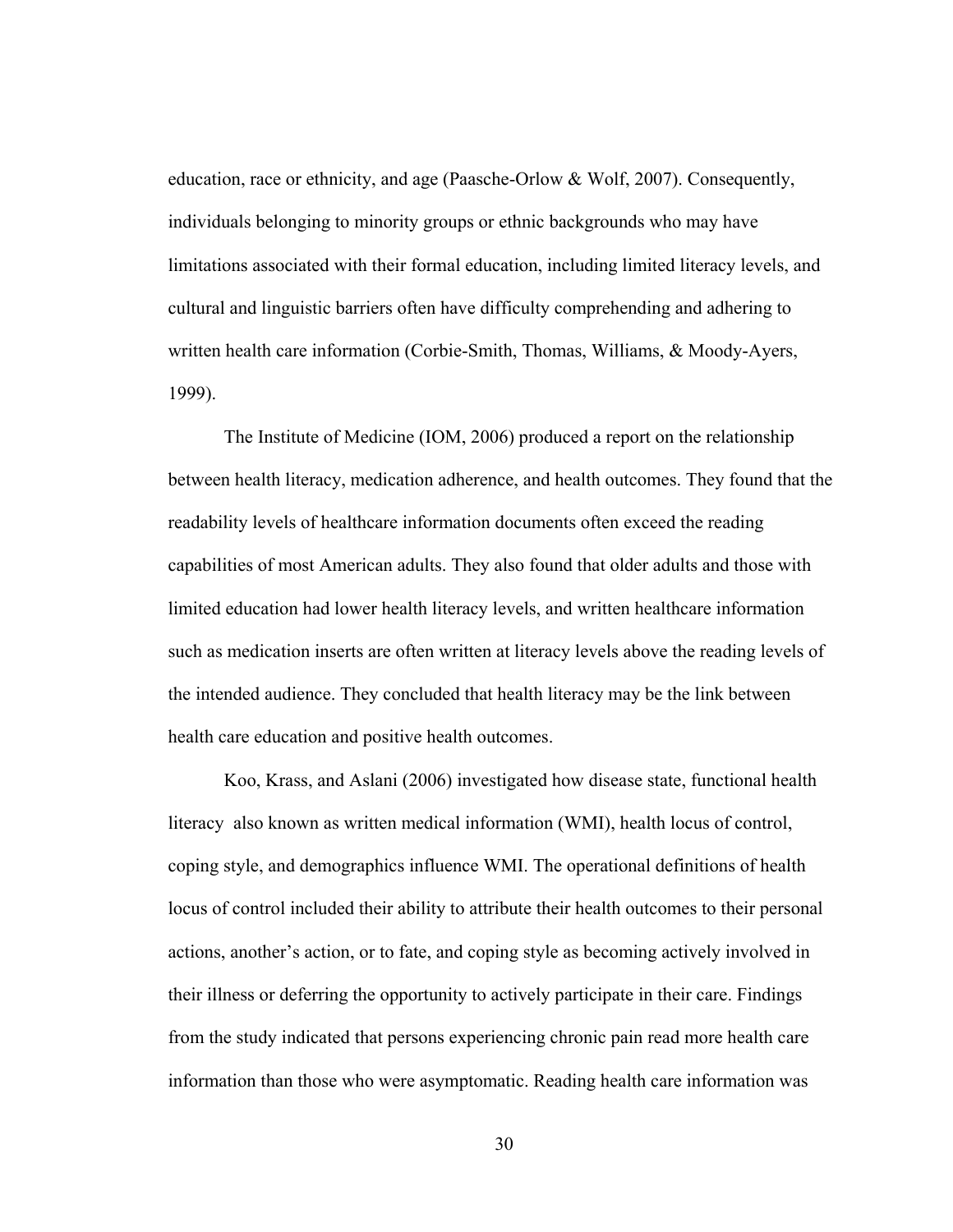education, race or ethnicity, and age (Paasche-Orlow & Wolf, 2007). Consequently, individuals belonging to minority groups or ethnic backgrounds who may have limitations associated with their formal education, including limited literacy levels, and cultural and linguistic barriers often have difficulty comprehending and adhering to written health care information (Corbie-Smith, Thomas, Williams, & Moody-Ayers, 1999).

The Institute of Medicine (IOM, 2006) produced a report on the relationship between health literacy, medication adherence, and health outcomes. They found that the readability levels of healthcare information documents often exceed the reading capabilities of most American adults. They also found that older adults and those with limited education had lower health literacy levels, and written healthcare information such as medication inserts are often written at literacy levels above the reading levels of the intended audience. They concluded that health literacy may be the link between health care education and positive health outcomes.

Koo, Krass, and Aslani (2006) investigated how disease state, functional health literacy also known as written medical information (WMI), health locus of control, coping style, and demographics influence WMI. The operational definitions of health locus of control included their ability to attribute their health outcomes to their personal actions, another's action, or to fate, and coping style as becoming actively involved in their illness or deferring the opportunity to actively participate in their care. Findings from the study indicated that persons experiencing chronic pain read more health care information than those who were asymptomatic. Reading health care information was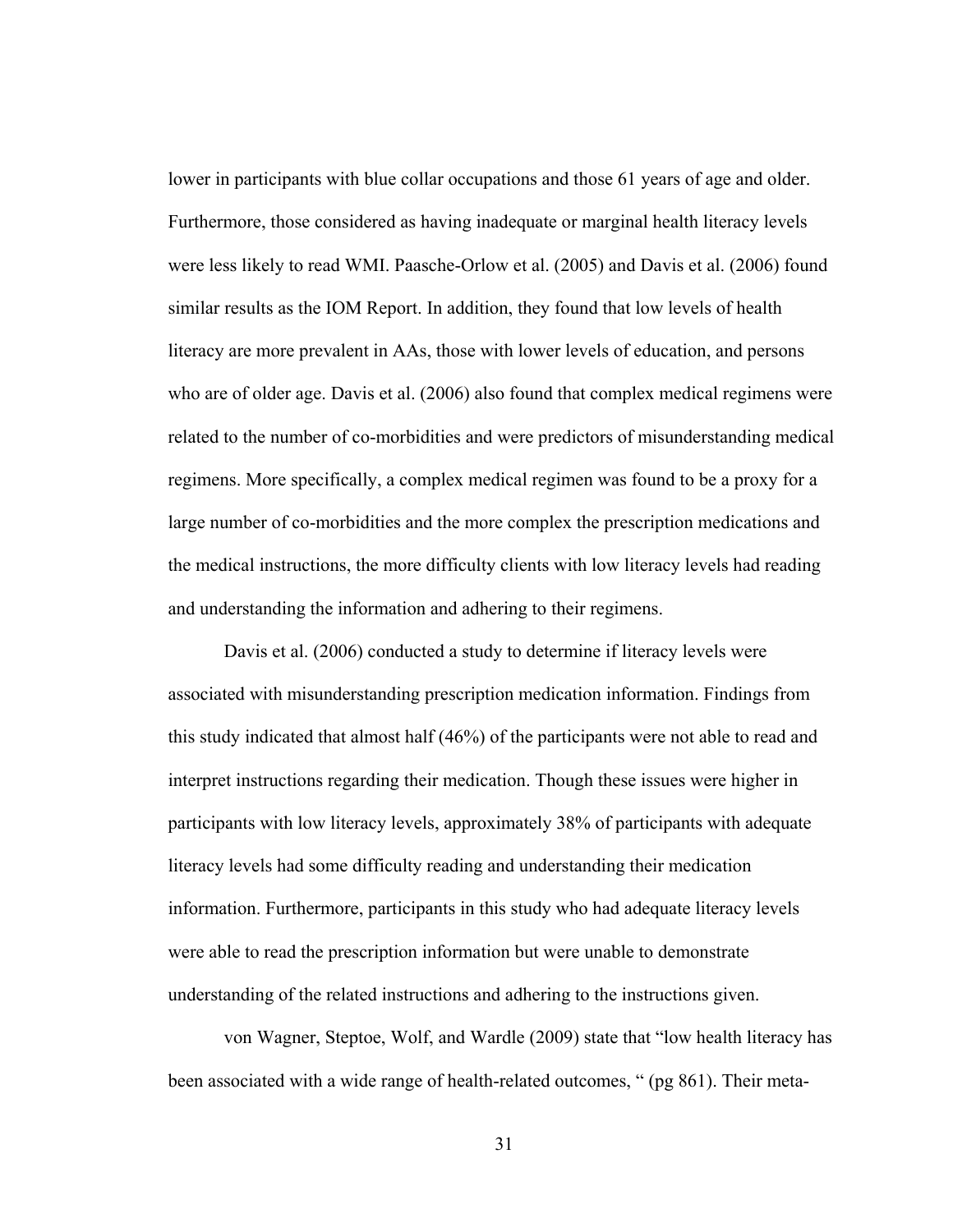lower in participants with blue collar occupations and those 61 years of age and older. Furthermore, those considered as having inadequate or marginal health literacy levels were less likely to read WMI. Paasche-Orlow et al. (2005) and Davis et al. (2006) found similar results as the IOM Report. In addition, they found that low levels of health literacy are more prevalent in AAs, those with lower levels of education, and persons who are of older age. Davis et al. (2006) also found that complex medical regimens were related to the number of co-morbidities and were predictors of misunderstanding medical regimens. More specifically, a complex medical regimen was found to be a proxy for a large number of co-morbidities and the more complex the prescription medications and the medical instructions, the more difficulty clients with low literacy levels had reading and understanding the information and adhering to their regimens.

Davis et al. (2006) conducted a study to determine if literacy levels were associated with misunderstanding prescription medication information. Findings from this study indicated that almost half (46%) of the participants were not able to read and interpret instructions regarding their medication. Though these issues were higher in participants with low literacy levels, approximately 38% of participants with adequate literacy levels had some difficulty reading and understanding their medication information. Furthermore, participants in this study who had adequate literacy levels were able to read the prescription information but were unable to demonstrate understanding of the related instructions and adhering to the instructions given.

von Wagner, Steptoe, Wolf, and Wardle (2009) state that "low health literacy has been associated with a wide range of health-related outcomes, " (pg 861). Their meta-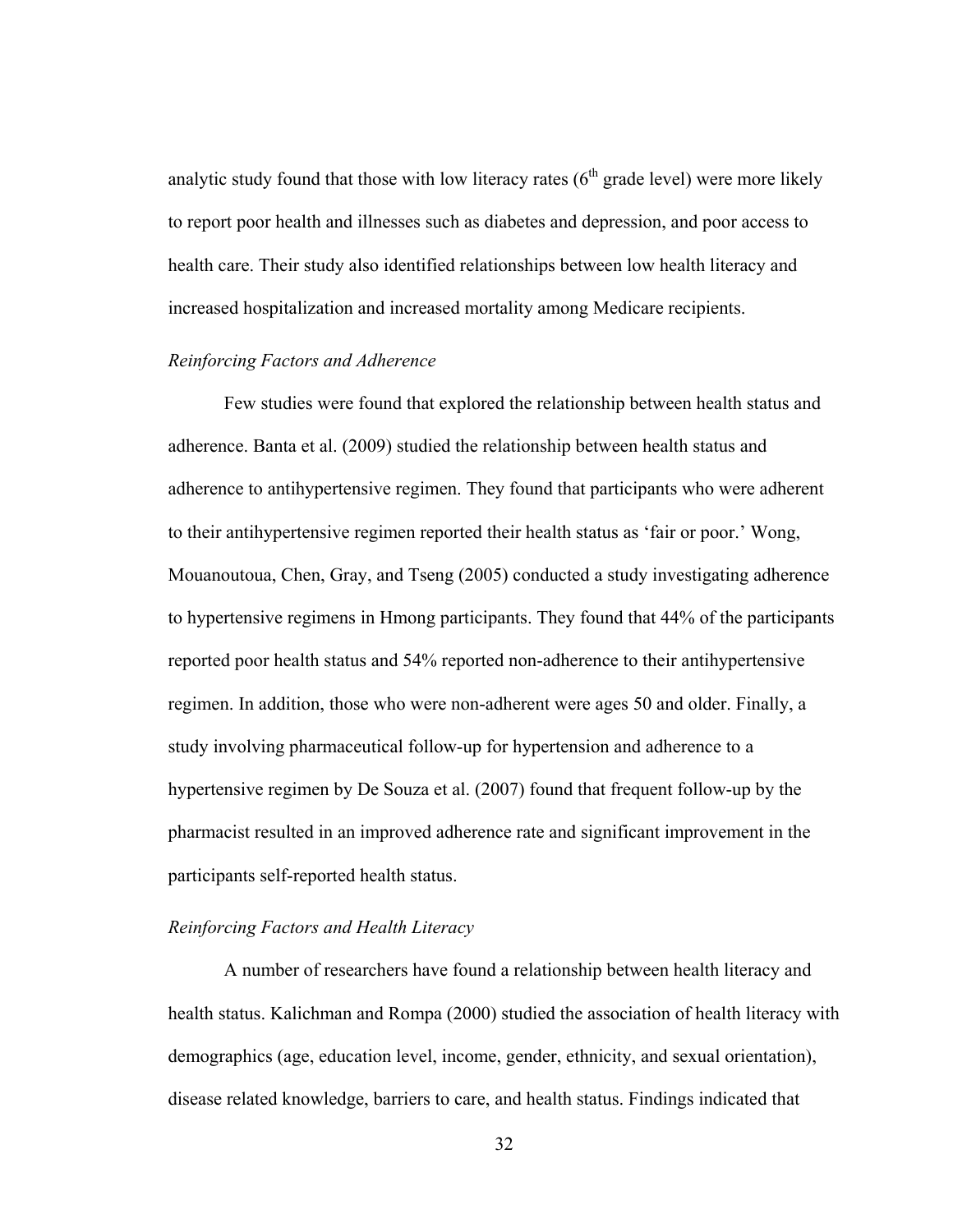analytic study found that those with low literacy rates  $(6<sup>th</sup>$  grade level) were more likely to report poor health and illnesses such as diabetes and depression, and poor access to health care. Their study also identified relationships between low health literacy and increased hospitalization and increased mortality among Medicare recipients.

## *Reinforcing Factors and Adherence*

Few studies were found that explored the relationship between health status and adherence. Banta et al. (2009) studied the relationship between health status and adherence to antihypertensive regimen. They found that participants who were adherent to their antihypertensive regimen reported their health status as 'fair or poor.' Wong, Mouanoutoua, Chen, Gray, and Tseng (2005) conducted a study investigating adherence to hypertensive regimens in Hmong participants. They found that 44% of the participants reported poor health status and 54% reported non-adherence to their antihypertensive regimen. In addition, those who were non-adherent were ages 50 and older. Finally, a study involving pharmaceutical follow-up for hypertension and adherence to a hypertensive regimen by De Souza et al. (2007) found that frequent follow-up by the pharmacist resulted in an improved adherence rate and significant improvement in the participants self-reported health status.

## *Reinforcing Factors and Health Literacy*

A number of researchers have found a relationship between health literacy and health status. Kalichman and Rompa (2000) studied the association of health literacy with demographics (age, education level, income, gender, ethnicity, and sexual orientation), disease related knowledge, barriers to care, and health status. Findings indicated that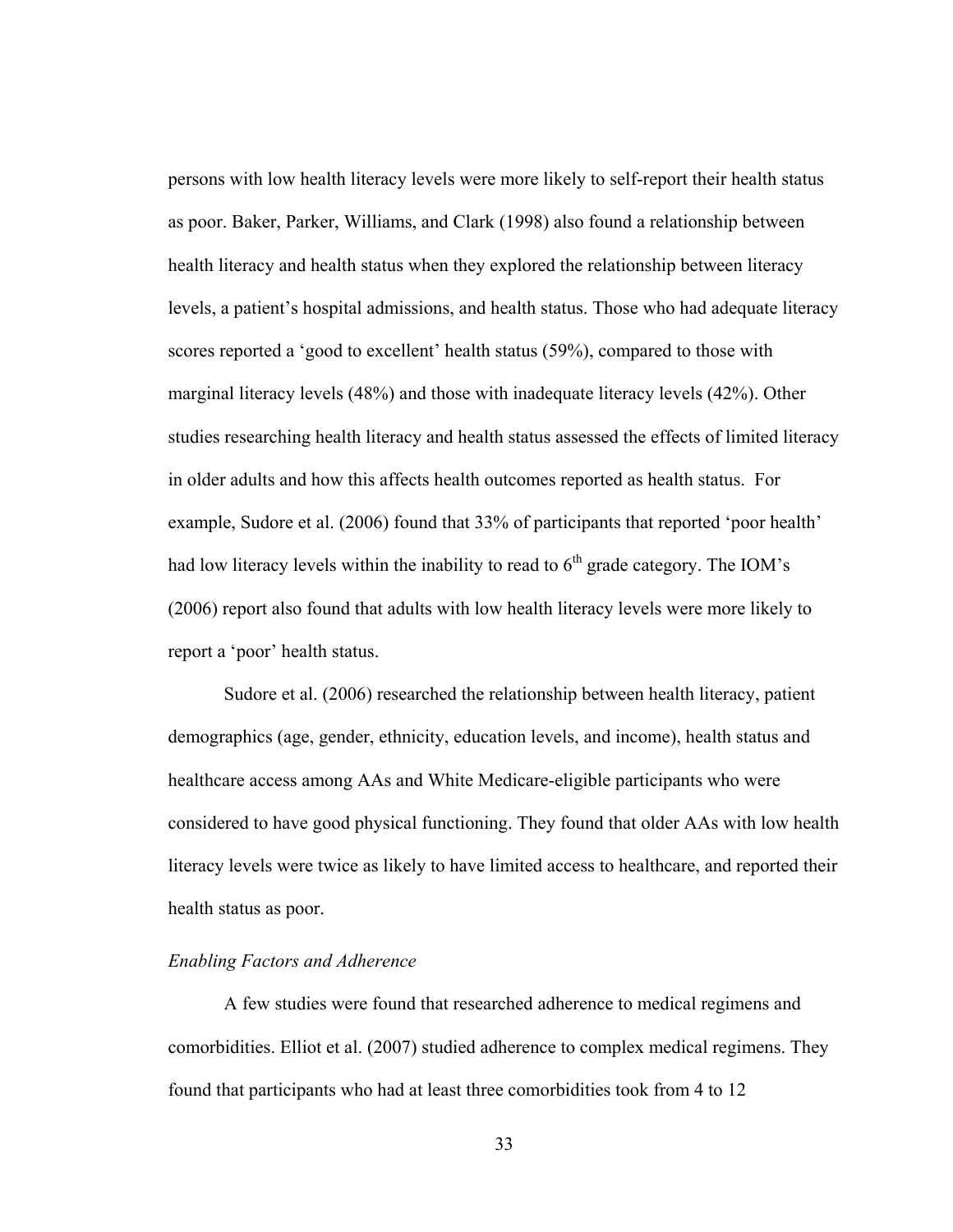persons with low health literacy levels were more likely to self-report their health status as poor. Baker, Parker, Williams, and Clark (1998) also found a relationship between health literacy and health status when they explored the relationship between literacy levels, a patient's hospital admissions, and health status. Those who had adequate literacy scores reported a 'good to excellent' health status (59%), compared to those with marginal literacy levels (48%) and those with inadequate literacy levels (42%). Other studies researching health literacy and health status assessed the effects of limited literacy in older adults and how this affects health outcomes reported as health status. For example, Sudore et al. (2006) found that 33% of participants that reported 'poor health' had low literacy levels within the inability to read to  $6<sup>th</sup>$  grade category. The IOM's (2006) report also found that adults with low health literacy levels were more likely to report a 'poor' health status.

Sudore et al. (2006) researched the relationship between health literacy, patient demographics (age, gender, ethnicity, education levels, and income), health status and healthcare access among AAs and White Medicare-eligible participants who were considered to have good physical functioning. They found that older AAs with low health literacy levels were twice as likely to have limited access to healthcare, and reported their health status as poor.

## *Enabling Factors and Adherence*

A few studies were found that researched adherence to medical regimens and comorbidities. Elliot et al. (2007) studied adherence to complex medical regimens. They found that participants who had at least three comorbidities took from 4 to 12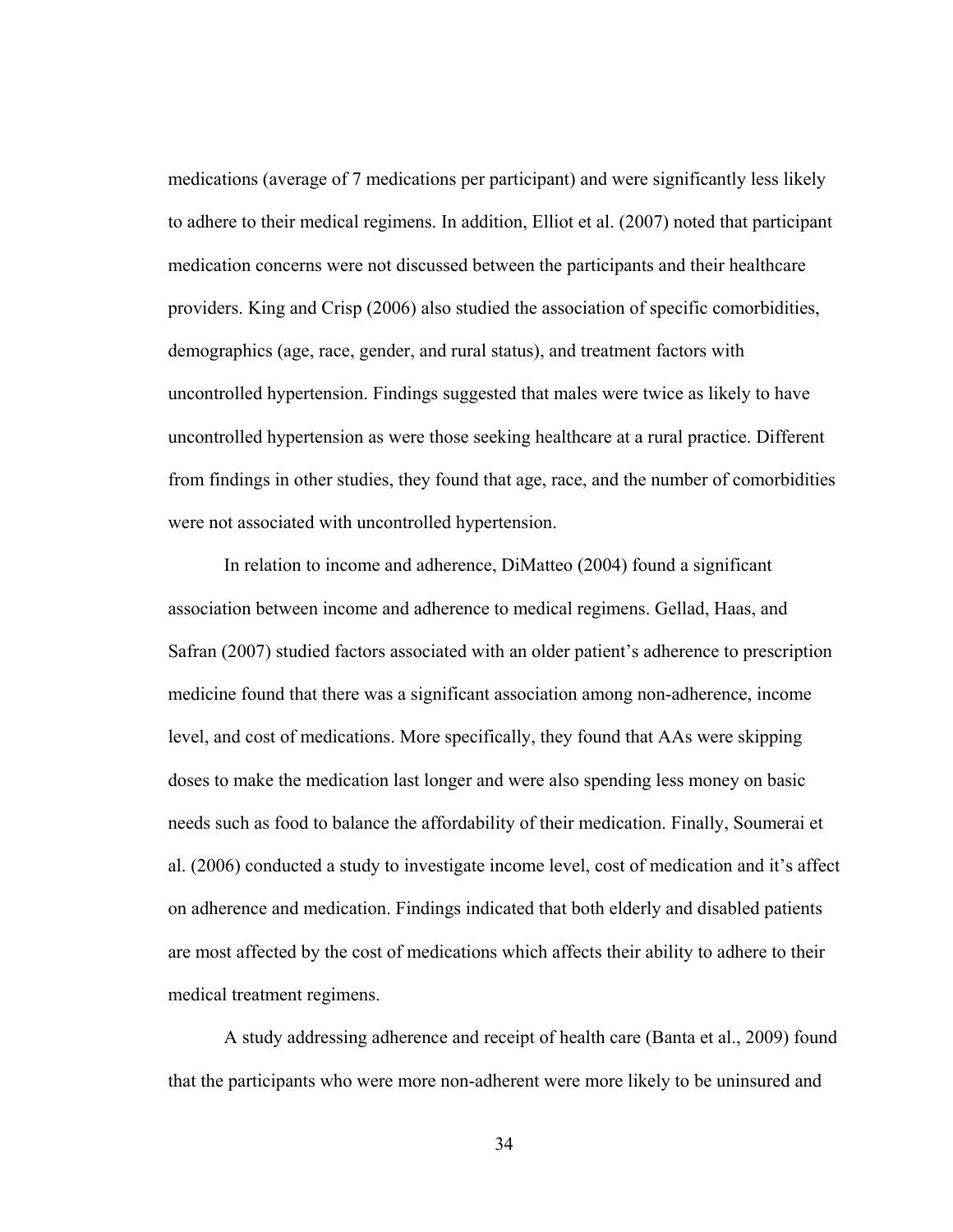medications (average of 7 medications per participant) and were significantly less likely to adhere to their medical regimens. In addition, Elliot et al. (2007) noted that participant medication concerns were not discussed between the participants and their healthcare providers. King and Crisp (2006) also studied the association of specific comorbidities, demographics (age, race, gender, and rural status), and treatment factors with uncontrolled hypertension. Findings suggested that males were twice as likely to have uncontrolled hypertension as were those seeking healthcare at a rural practice. Different from findings in other studies, they found that age, race, and the number of comorbidities were not associated with uncontrolled hypertension.

In relation to income and adherence, DiMatteo (2004) found a significant association between income and adherence to medical regimens. Gellad, Haas, and Safran (2007) studied factors associated with an older patient's adherence to prescription medicine found that there was a significant association among non-adherence, income level, and cost of medications. More specifically, they found that AAs were skipping doses to make the medication last longer and were also spending less money on basic needs such as food to balance the affordability of their medication. Finally, Soumerai et al. (2006) conducted a study to investigate income level, cost of medication and it's affect on adherence and medication. Findings indicated that both elderly and disabled patients are most affected by the cost of medications which affects their ability to adhere to their medical treatment regimens.

A study addressing adherence and receipt of health care (Banta et al., 2009) found that the participants who were more non-adherent were more likely to be uninsured and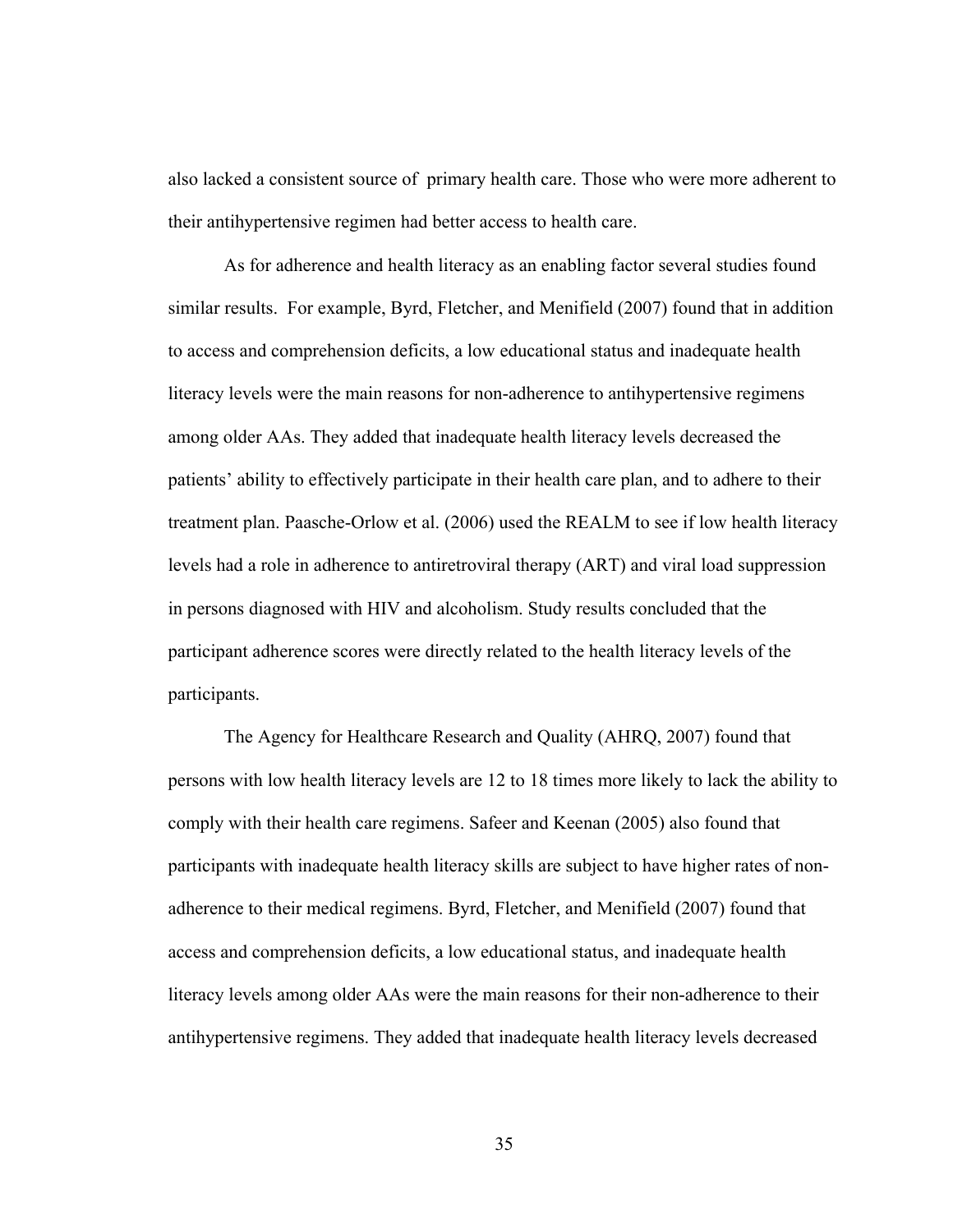also lacked a consistent source of primary health care. Those who were more adherent to their antihypertensive regimen had better access to health care.

As for adherence and health literacy as an enabling factor several studies found similar results. For example, Byrd, Fletcher, and Menifield (2007) found that in addition to access and comprehension deficits, a low educational status and inadequate health literacy levels were the main reasons for non-adherence to antihypertensive regimens among older AAs. They added that inadequate health literacy levels decreased the patients' ability to effectively participate in their health care plan, and to adhere to their treatment plan. Paasche-Orlow et al. (2006) used the REALM to see if low health literacy levels had a role in adherence to antiretroviral therapy (ART) and viral load suppression in persons diagnosed with HIV and alcoholism. Study results concluded that the participant adherence scores were directly related to the health literacy levels of the participants.

The Agency for Healthcare Research and Quality (AHRQ, 2007) found that persons with low health literacy levels are 12 to 18 times more likely to lack the ability to comply with their health care regimens. Safeer and Keenan (2005) also found that participants with inadequate health literacy skills are subject to have higher rates of nonadherence to their medical regimens. Byrd, Fletcher, and Menifield (2007) found that access and comprehension deficits, a low educational status, and inadequate health literacy levels among older AAs were the main reasons for their non-adherence to their antihypertensive regimens. They added that inadequate health literacy levels decreased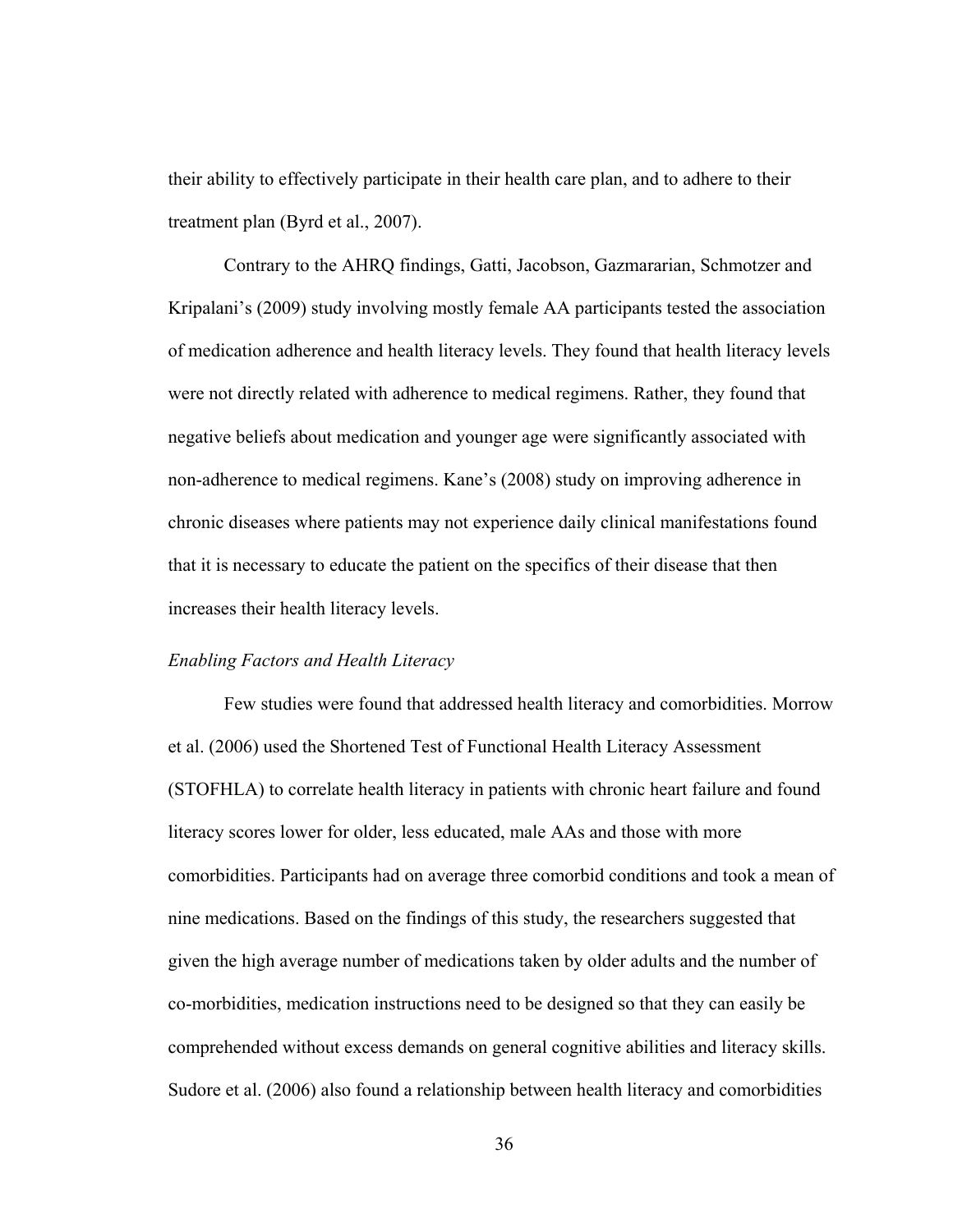their ability to effectively participate in their health care plan, and to adhere to their treatment plan (Byrd et al., 2007).

Contrary to the AHRQ findings, Gatti, Jacobson, Gazmararian, Schmotzer and Kripalani's (2009) study involving mostly female AA participants tested the association of medication adherence and health literacy levels. They found that health literacy levels were not directly related with adherence to medical regimens. Rather, they found that negative beliefs about medication and younger age were significantly associated with non-adherence to medical regimens. Kane's (2008) study on improving adherence in chronic diseases where patients may not experience daily clinical manifestations found that it is necessary to educate the patient on the specifics of their disease that then increases their health literacy levels.

#### *Enabling Factors and Health Literacy*

Few studies were found that addressed health literacy and comorbidities. Morrow et al. (2006) used the Shortened Test of Functional Health Literacy Assessment (STOFHLA) to correlate health literacy in patients with chronic heart failure and found literacy scores lower for older, less educated, male AAs and those with more comorbidities. Participants had on average three comorbid conditions and took a mean of nine medications. Based on the findings of this study, the researchers suggested that given the high average number of medications taken by older adults and the number of co-morbidities, medication instructions need to be designed so that they can easily be comprehended without excess demands on general cognitive abilities and literacy skills. Sudore et al. (2006) also found a relationship between health literacy and comorbidities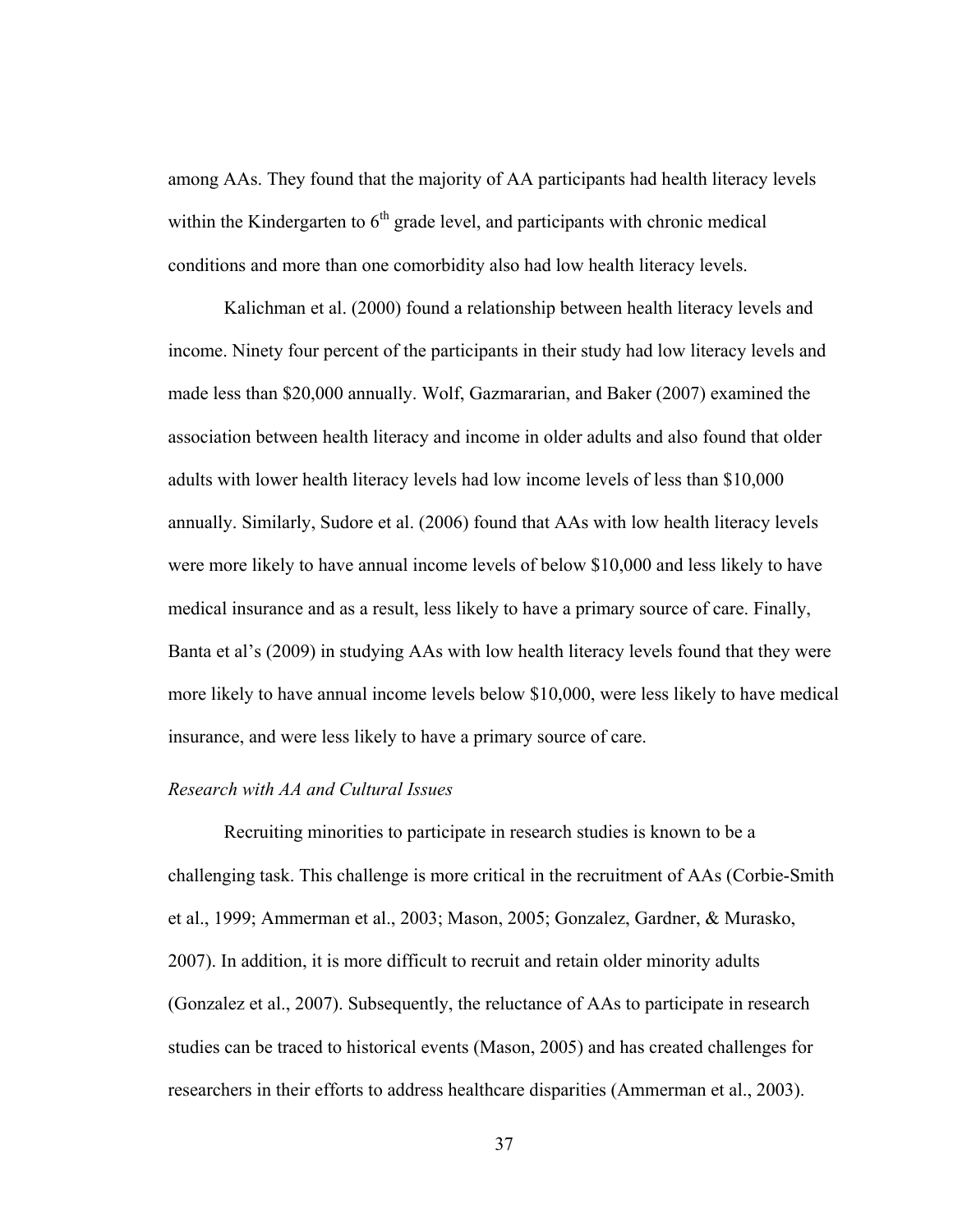among AAs. They found that the majority of AA participants had health literacy levels within the Kindergarten to  $6<sup>th</sup>$  grade level, and participants with chronic medical conditions and more than one comorbidity also had low health literacy levels.

Kalichman et al. (2000) found a relationship between health literacy levels and income. Ninety four percent of the participants in their study had low literacy levels and made less than \$20,000 annually. Wolf, Gazmararian, and Baker (2007) examined the association between health literacy and income in older adults and also found that older adults with lower health literacy levels had low income levels of less than \$10,000 annually. Similarly, Sudore et al. (2006) found that AAs with low health literacy levels were more likely to have annual income levels of below \$10,000 and less likely to have medical insurance and as a result, less likely to have a primary source of care. Finally, Banta et al's (2009) in studying AAs with low health literacy levels found that they were more likely to have annual income levels below \$10,000, were less likely to have medical insurance, and were less likely to have a primary source of care.

#### *Research with AA and Cultural Issues*

Recruiting minorities to participate in research studies is known to be a challenging task. This challenge is more critical in the recruitment of AAs (Corbie-Smith et al., 1999; Ammerman et al., 2003; Mason, 2005; Gonzalez, Gardner, & Murasko, 2007). In addition, it is more difficult to recruit and retain older minority adults (Gonzalez et al., 2007). Subsequently, the reluctance of AAs to participate in research studies can be traced to historical events (Mason, 2005) and has created challenges for researchers in their efforts to address healthcare disparities (Ammerman et al., 2003).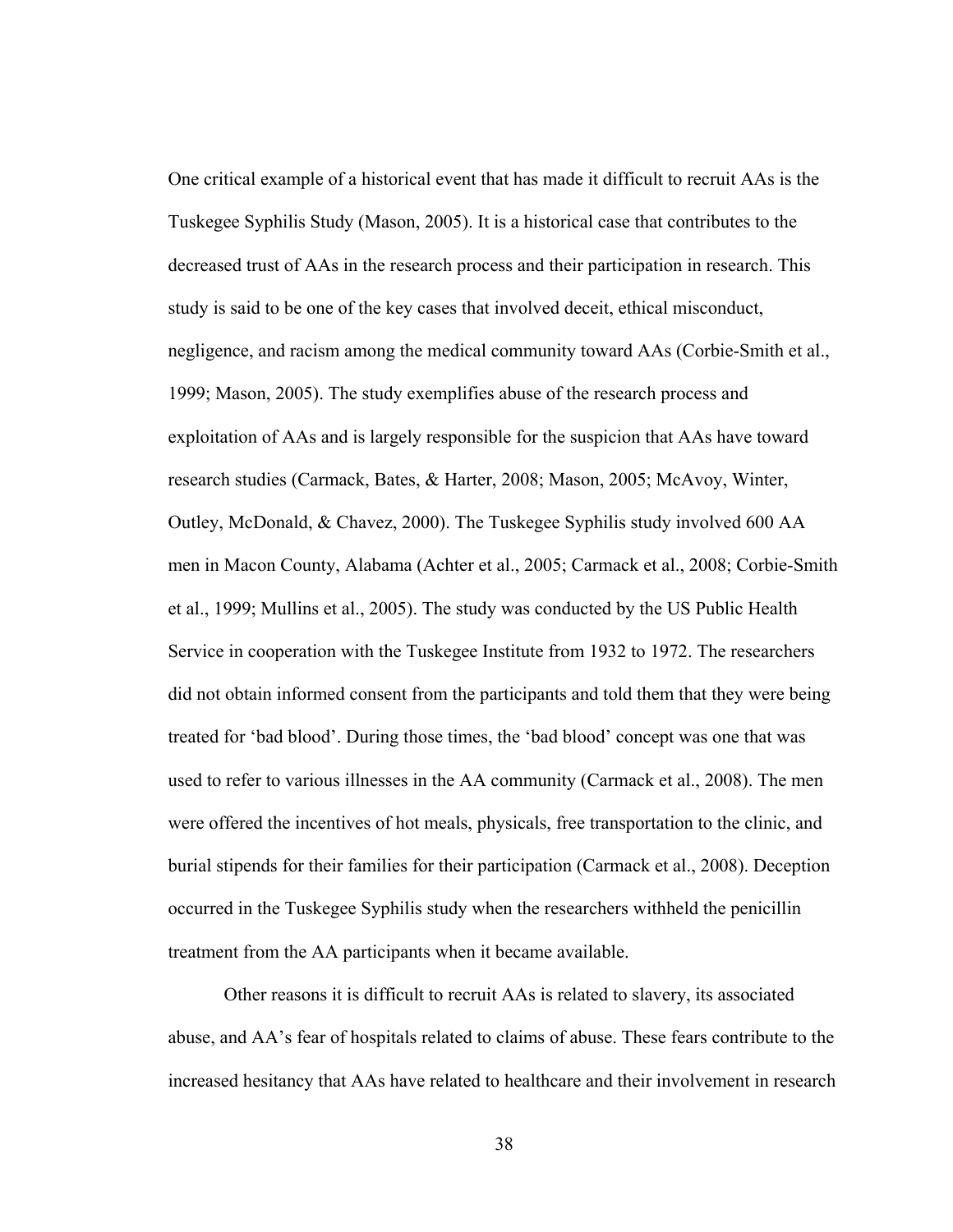One critical example of a historical event that has made it difficult to recruit AAs is the Tuskegee Syphilis Study (Mason, 2005). It is a historical case that contributes to the decreased trust of AAs in the research process and their participation in research. This study is said to be one of the key cases that involved deceit, ethical misconduct, negligence, and racism among the medical community toward AAs (Corbie-Smith et al., 1999; Mason, 2005). The study exemplifies abuse of the research process and exploitation of AAs and is largely responsible for the suspicion that AAs have toward research studies (Carmack, Bates, & Harter, 2008; Mason, 2005; McAvoy, Winter, Outley, McDonald, & Chavez, 2000). The Tuskegee Syphilis study involved 600 AA men in Macon County, Alabama (Achter et al., 2005; Carmack et al., 2008; Corbie-Smith et al., 1999; Mullins et al., 2005). The study was conducted by the US Public Health Service in cooperation with the Tuskegee Institute from 1932 to 1972. The researchers did not obtain informed consent from the participants and told them that they were being treated for 'bad blood'. During those times, the 'bad blood' concept was one that was used to refer to various illnesses in the AA community (Carmack et al., 2008). The men were offered the incentives of hot meals, physicals, free transportation to the clinic, and burial stipends for their families for their participation (Carmack et al., 2008). Deception occurred in the Tuskegee Syphilis study when the researchers withheld the penicillin treatment from the AA participants when it became available.

Other reasons it is difficult to recruit AAs is related to slavery, its associated abuse, and AA's fear of hospitals related to claims of abuse. These fears contribute to the increased hesitancy that AAs have related to healthcare and their involvement in research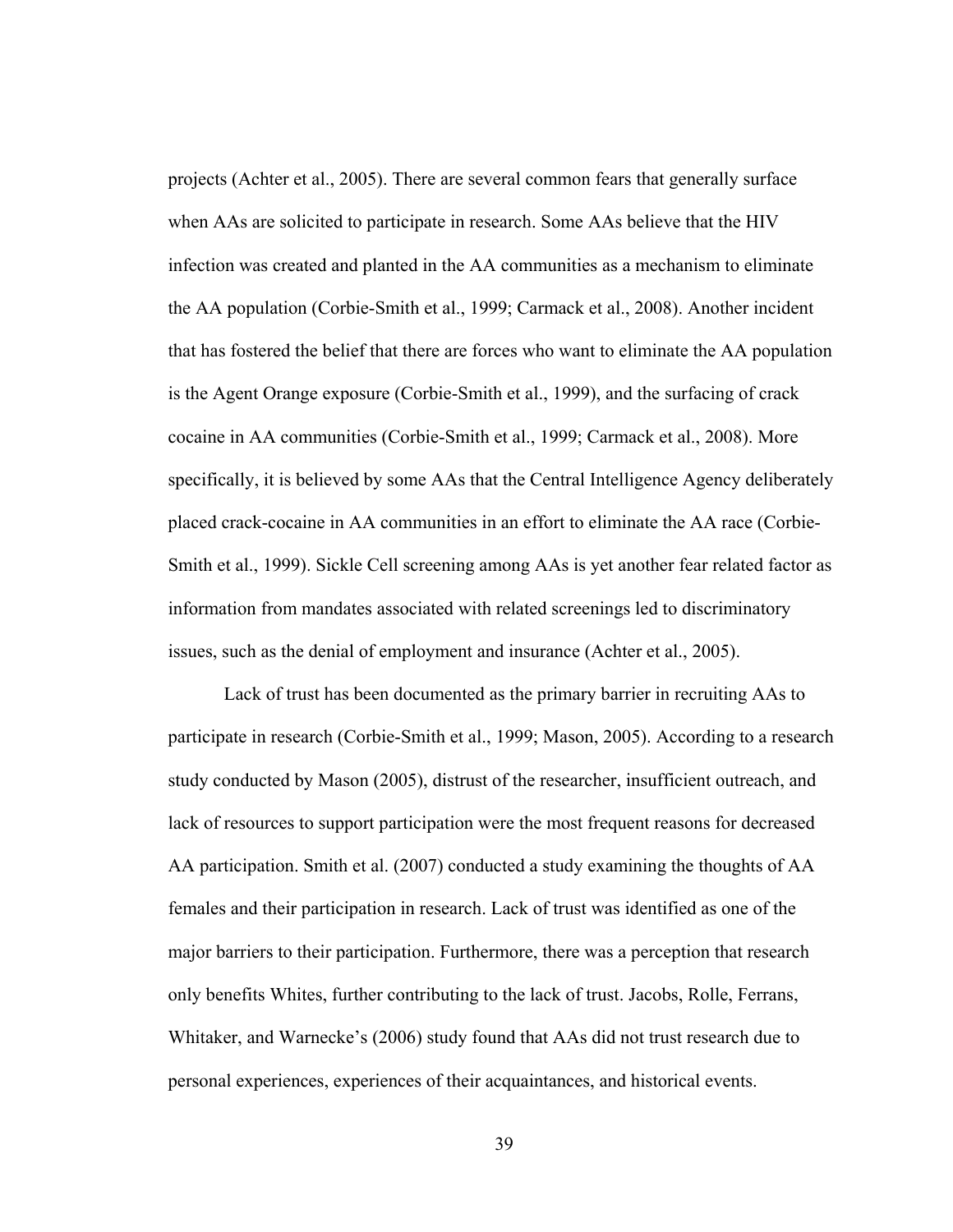projects (Achter et al., 2005). There are several common fears that generally surface when AAs are solicited to participate in research. Some AAs believe that the HIV infection was created and planted in the AA communities as a mechanism to eliminate the AA population (Corbie-Smith et al., 1999; Carmack et al., 2008). Another incident that has fostered the belief that there are forces who want to eliminate the AA population is the Agent Orange exposure (Corbie-Smith et al., 1999), and the surfacing of crack cocaine in AA communities (Corbie-Smith et al., 1999; Carmack et al., 2008). More specifically, it is believed by some AAs that the Central Intelligence Agency deliberately placed crack-cocaine in AA communities in an effort to eliminate the AA race (Corbie-Smith et al., 1999). Sickle Cell screening among AAs is yet another fear related factor as information from mandates associated with related screenings led to discriminatory issues, such as the denial of employment and insurance (Achter et al., 2005).

Lack of trust has been documented as the primary barrier in recruiting AAs to participate in research (Corbie-Smith et al., 1999; Mason, 2005). According to a research study conducted by Mason (2005), distrust of the researcher, insufficient outreach, and lack of resources to support participation were the most frequent reasons for decreased AA participation. Smith et al. (2007) conducted a study examining the thoughts of AA females and their participation in research. Lack of trust was identified as one of the major barriers to their participation. Furthermore, there was a perception that research only benefits Whites, further contributing to the lack of trust. Jacobs, Rolle, Ferrans, Whitaker, and Warnecke's (2006) study found that AAs did not trust research due to personal experiences, experiences of their acquaintances, and historical events.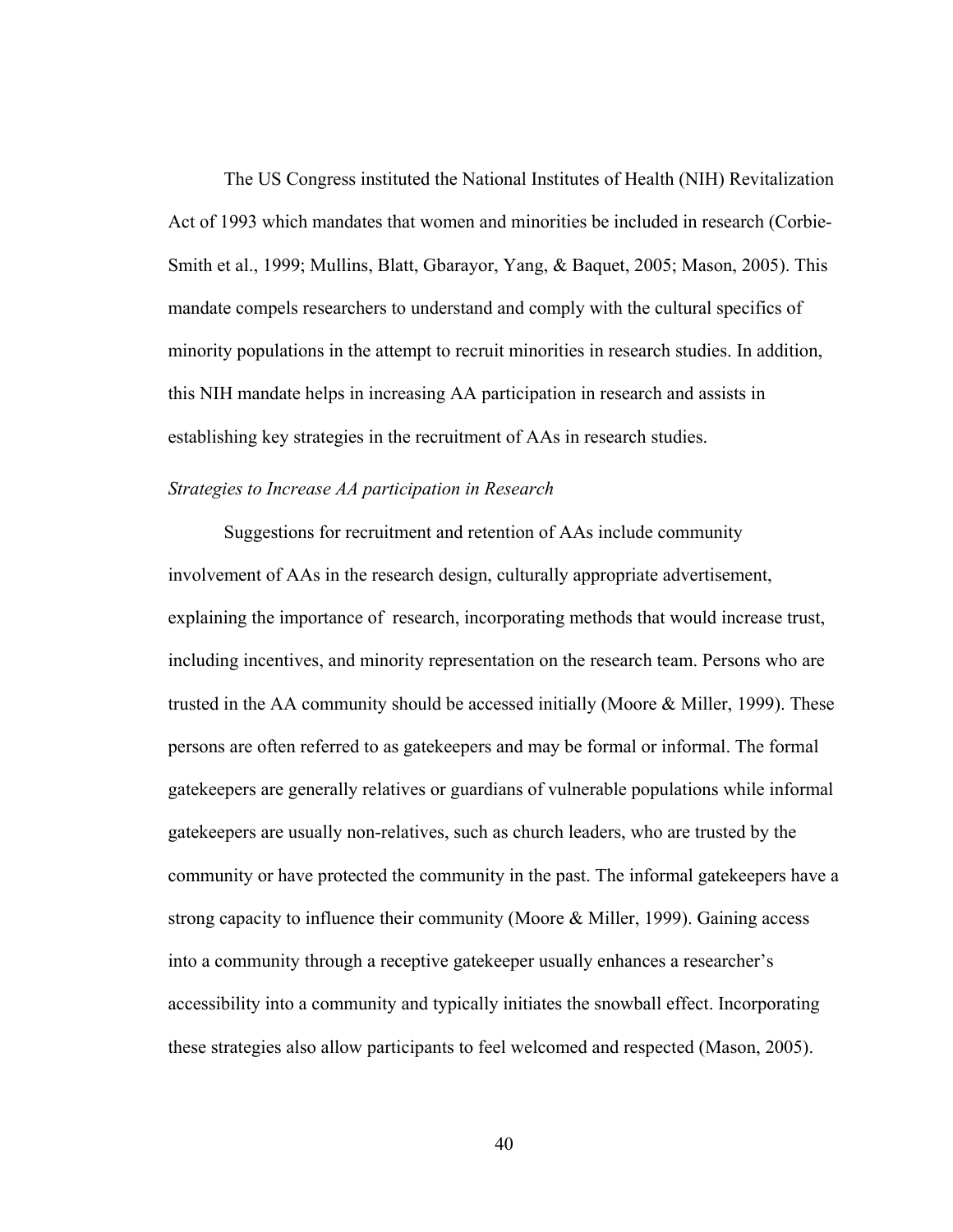The US Congress instituted the National Institutes of Health (NIH) Revitalization Act of 1993 which mandates that women and minorities be included in research (Corbie-Smith et al., 1999; Mullins, Blatt, Gbarayor, Yang, & Baquet, 2005; Mason, 2005). This mandate compels researchers to understand and comply with the cultural specifics of minority populations in the attempt to recruit minorities in research studies. In addition, this NIH mandate helps in increasing AA participation in research and assists in establishing key strategies in the recruitment of AAs in research studies.

#### *Strategies to Increase AA participation in Research*

Suggestions for recruitment and retention of AAs include community involvement of AAs in the research design, culturally appropriate advertisement, explaining the importance of research, incorporating methods that would increase trust, including incentives, and minority representation on the research team. Persons who are trusted in the AA community should be accessed initially (Moore & Miller, 1999). These persons are often referred to as gatekeepers and may be formal or informal. The formal gatekeepers are generally relatives or guardians of vulnerable populations while informal gatekeepers are usually non-relatives, such as church leaders, who are trusted by the community or have protected the community in the past. The informal gatekeepers have a strong capacity to influence their community (Moore & Miller, 1999). Gaining access into a community through a receptive gatekeeper usually enhances a researcher's accessibility into a community and typically initiates the snowball effect. Incorporating these strategies also allow participants to feel welcomed and respected (Mason, 2005).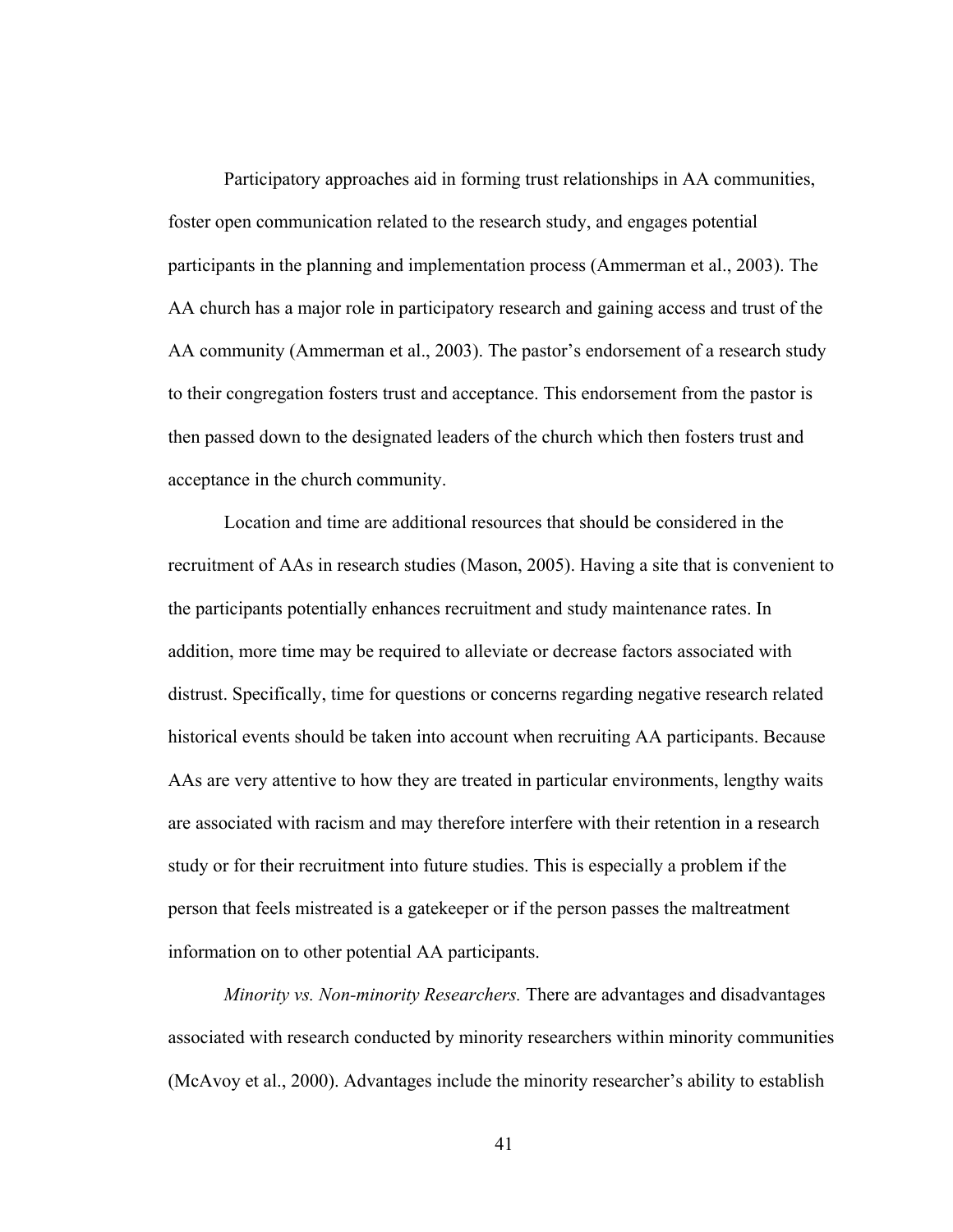Participatory approaches aid in forming trust relationships in AA communities, foster open communication related to the research study, and engages potential participants in the planning and implementation process (Ammerman et al., 2003). The AA church has a major role in participatory research and gaining access and trust of the AA community (Ammerman et al., 2003). The pastor's endorsement of a research study to their congregation fosters trust and acceptance. This endorsement from the pastor is then passed down to the designated leaders of the church which then fosters trust and acceptance in the church community.

Location and time are additional resources that should be considered in the recruitment of AAs in research studies (Mason, 2005). Having a site that is convenient to the participants potentially enhances recruitment and study maintenance rates. In addition, more time may be required to alleviate or decrease factors associated with distrust. Specifically, time for questions or concerns regarding negative research related historical events should be taken into account when recruiting AA participants. Because AAs are very attentive to how they are treated in particular environments, lengthy waits are associated with racism and may therefore interfere with their retention in a research study or for their recruitment into future studies. This is especially a problem if the person that feels mistreated is a gatekeeper or if the person passes the maltreatment information on to other potential AA participants.

*Minority vs. Non-minority Researchers.* There are advantages and disadvantages associated with research conducted by minority researchers within minority communities (McAvoy et al., 2000). Advantages include the minority researcher's ability to establish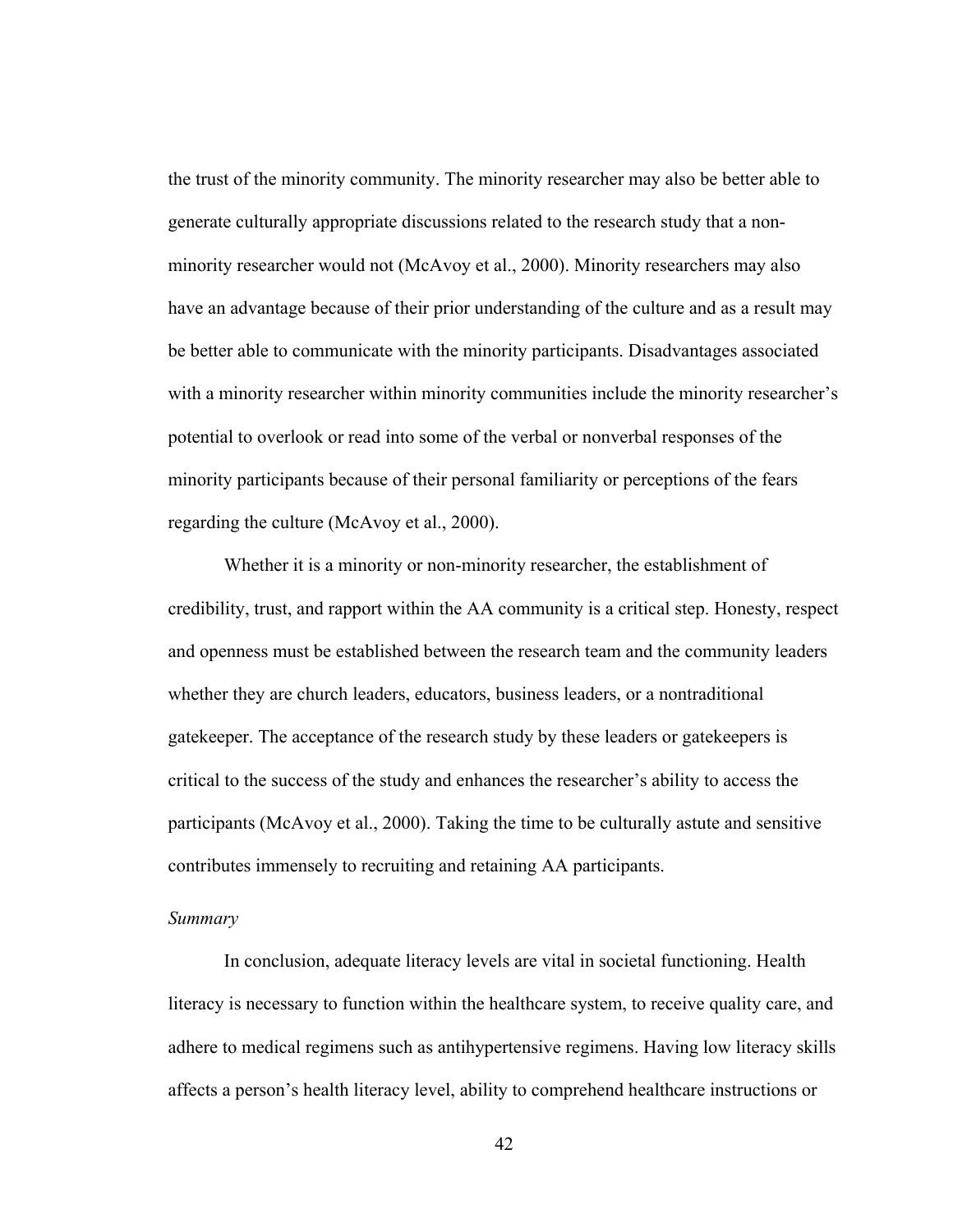the trust of the minority community. The minority researcher may also be better able to generate culturally appropriate discussions related to the research study that a nonminority researcher would not (McAvoy et al., 2000). Minority researchers may also have an advantage because of their prior understanding of the culture and as a result may be better able to communicate with the minority participants. Disadvantages associated with a minority researcher within minority communities include the minority researcher's potential to overlook or read into some of the verbal or nonverbal responses of the minority participants because of their personal familiarity or perceptions of the fears regarding the culture (McAvoy et al., 2000).

Whether it is a minority or non-minority researcher, the establishment of credibility, trust, and rapport within the AA community is a critical step. Honesty, respect and openness must be established between the research team and the community leaders whether they are church leaders, educators, business leaders, or a nontraditional gatekeeper. The acceptance of the research study by these leaders or gatekeepers is critical to the success of the study and enhances the researcher's ability to access the participants (McAvoy et al., 2000). Taking the time to be culturally astute and sensitive contributes immensely to recruiting and retaining AA participants.

# *Summary*

In conclusion, adequate literacy levels are vital in societal functioning. Health literacy is necessary to function within the healthcare system, to receive quality care, and adhere to medical regimens such as antihypertensive regimens. Having low literacy skills affects a person's health literacy level, ability to comprehend healthcare instructions or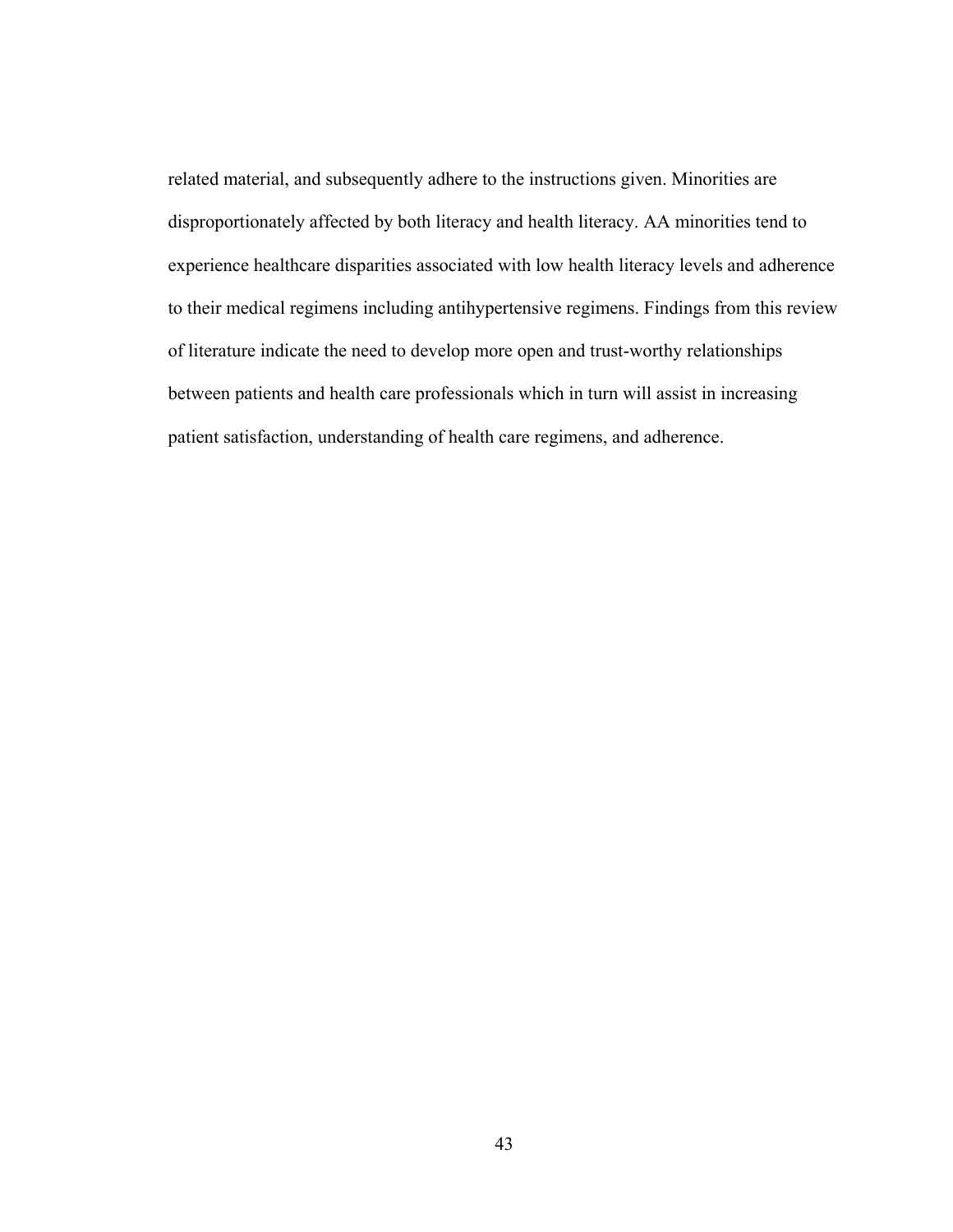related material, and subsequently adhere to the instructions given. Minorities are disproportionately affected by both literacy and health literacy. AA minorities tend to experience healthcare disparities associated with low health literacy levels and adherence to their medical regimens including antihypertensive regimens. Findings from this review of literature indicate the need to develop more open and trust-worthy relationships between patients and health care professionals which in turn will assist in increasing patient satisfaction, understanding of health care regimens, and adherence.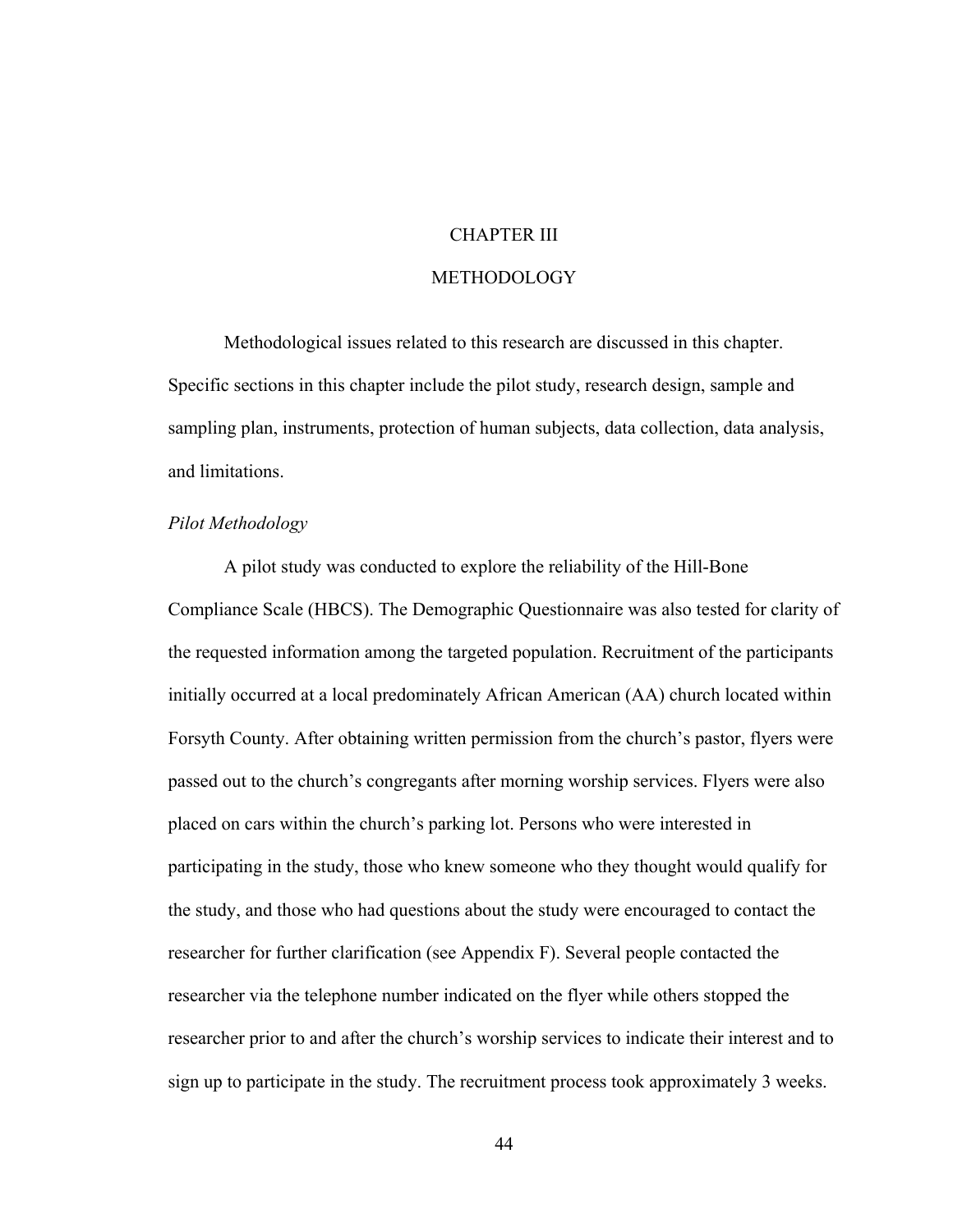# CHAPTER III

#### METHODOLOGY

 Methodological issues related to this research are discussed in this chapter. Specific sections in this chapter include the pilot study, research design, sample and sampling plan, instruments, protection of human subjects, data collection, data analysis, and limitations.

## *Pilot Methodology*

A pilot study was conducted to explore the reliability of the Hill-Bone Compliance Scale (HBCS). The Demographic Questionnaire was also tested for clarity of the requested information among the targeted population. Recruitment of the participants initially occurred at a local predominately African American (AA) church located within Forsyth County. After obtaining written permission from the church's pastor, flyers were passed out to the church's congregants after morning worship services. Flyers were also placed on cars within the church's parking lot. Persons who were interested in participating in the study, those who knew someone who they thought would qualify for the study, and those who had questions about the study were encouraged to contact the researcher for further clarification (see Appendix F). Several people contacted the researcher via the telephone number indicated on the flyer while others stopped the researcher prior to and after the church's worship services to indicate their interest and to sign up to participate in the study. The recruitment process took approximately 3 weeks.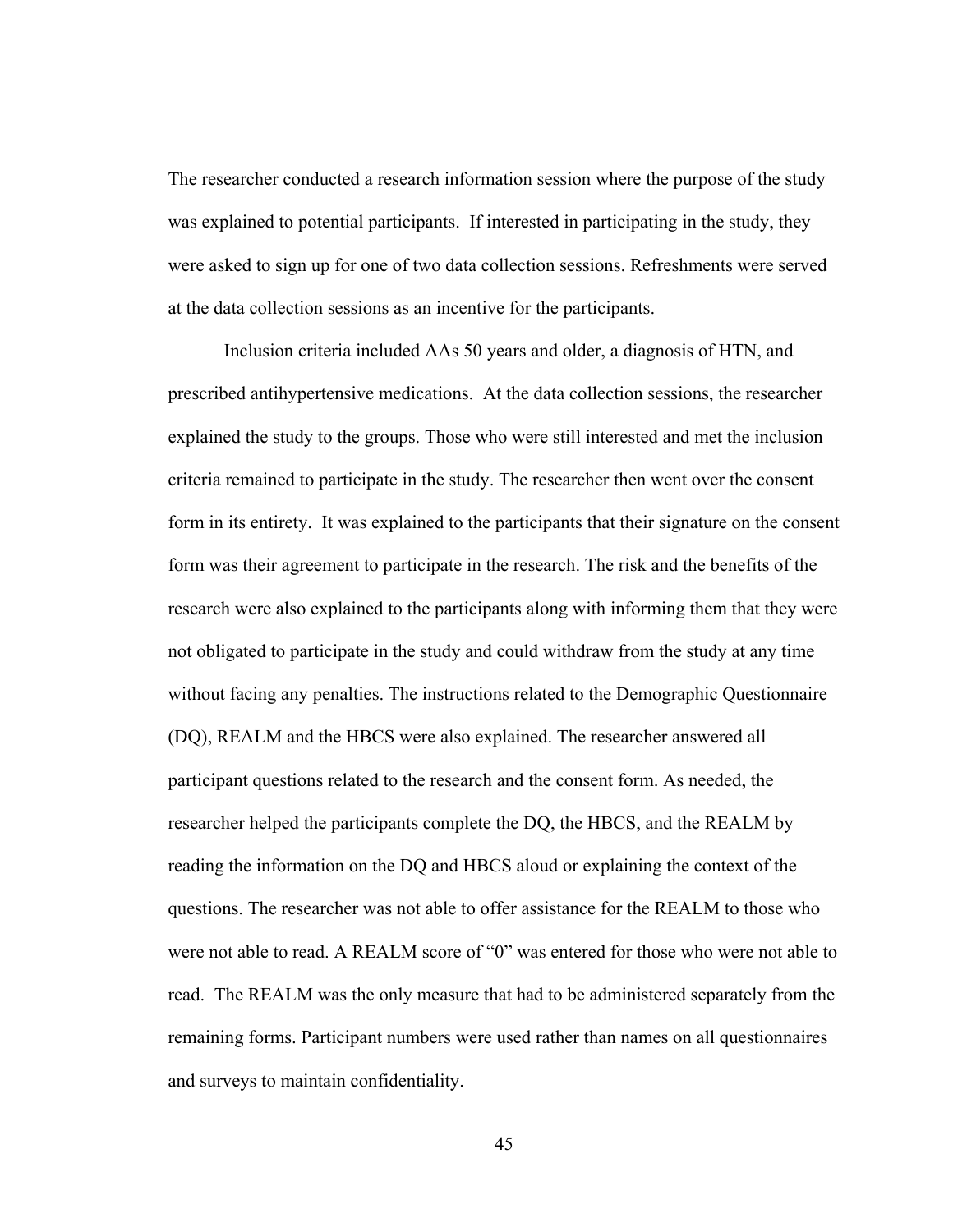The researcher conducted a research information session where the purpose of the study was explained to potential participants. If interested in participating in the study, they were asked to sign up for one of two data collection sessions. Refreshments were served at the data collection sessions as an incentive for the participants.

 Inclusion criteria included AAs 50 years and older, a diagnosis of HTN, and prescribed antihypertensive medications. At the data collection sessions, the researcher explained the study to the groups. Those who were still interested and met the inclusion criteria remained to participate in the study. The researcher then went over the consent form in its entirety. It was explained to the participants that their signature on the consent form was their agreement to participate in the research. The risk and the benefits of the research were also explained to the participants along with informing them that they were not obligated to participate in the study and could withdraw from the study at any time without facing any penalties. The instructions related to the Demographic Questionnaire (DQ), REALM and the HBCS were also explained. The researcher answered all participant questions related to the research and the consent form. As needed, the researcher helped the participants complete the DQ, the HBCS, and the REALM by reading the information on the DQ and HBCS aloud or explaining the context of the questions. The researcher was not able to offer assistance for the REALM to those who were not able to read. A REALM score of "0" was entered for those who were not able to read. The REALM was the only measure that had to be administered separately from the remaining forms. Participant numbers were used rather than names on all questionnaires and surveys to maintain confidentiality.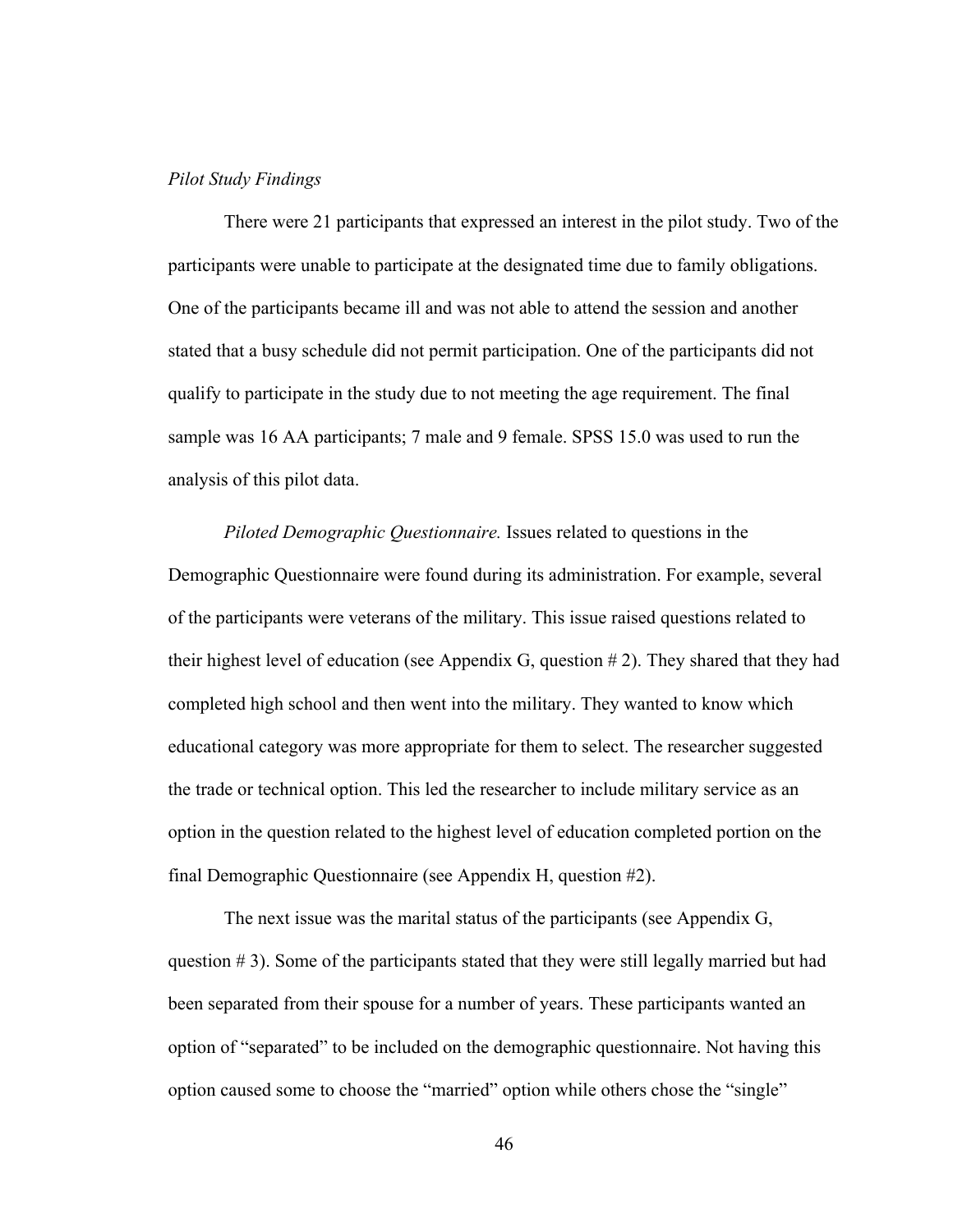## *Pilot Study Findings*

There were 21 participants that expressed an interest in the pilot study. Two of the participants were unable to participate at the designated time due to family obligations. One of the participants became ill and was not able to attend the session and another stated that a busy schedule did not permit participation. One of the participants did not qualify to participate in the study due to not meeting the age requirement. The final sample was 16 AA participants; 7 male and 9 female. SPSS 15.0 was used to run the analysis of this pilot data.

*Piloted Demographic Questionnaire.* Issues related to questions in the Demographic Questionnaire were found during its administration. For example, several of the participants were veterans of the military. This issue raised questions related to their highest level of education (see Appendix G, question # 2). They shared that they had completed high school and then went into the military. They wanted to know which educational category was more appropriate for them to select. The researcher suggested the trade or technical option. This led the researcher to include military service as an option in the question related to the highest level of education completed portion on the final Demographic Questionnaire (see Appendix H, question #2).

 The next issue was the marital status of the participants (see Appendix G, question  $# 3$ ). Some of the participants stated that they were still legally married but had been separated from their spouse for a number of years. These participants wanted an option of "separated" to be included on the demographic questionnaire. Not having this option caused some to choose the "married" option while others chose the "single"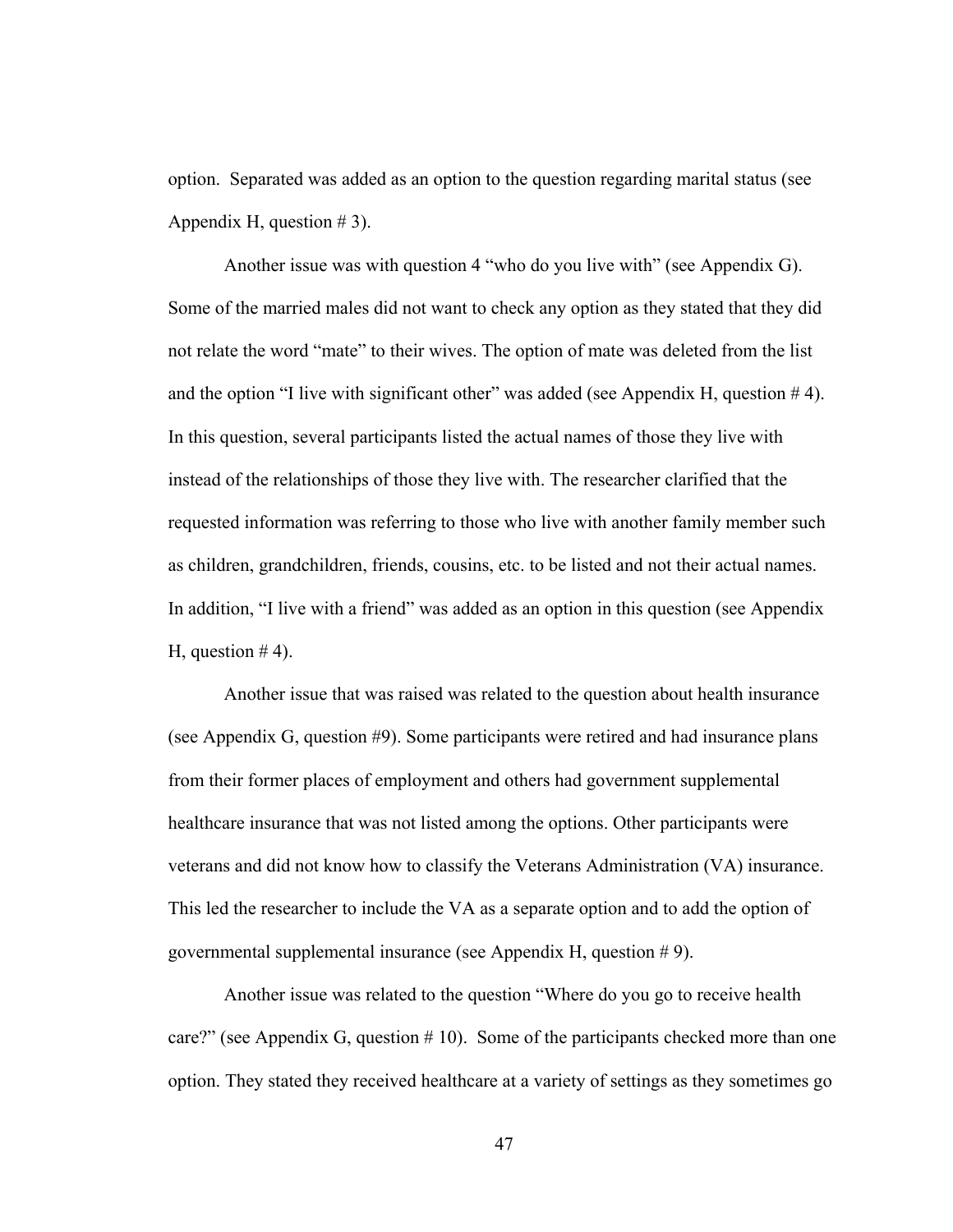option. Separated was added as an option to the question regarding marital status (see Appendix H, question  $# 3$ ).

 Another issue was with question 4 "who do you live with" (see Appendix G). Some of the married males did not want to check any option as they stated that they did not relate the word "mate" to their wives. The option of mate was deleted from the list and the option "I live with significant other" was added (see Appendix H, question  $# 4$ ). In this question, several participants listed the actual names of those they live with instead of the relationships of those they live with. The researcher clarified that the requested information was referring to those who live with another family member such as children, grandchildren, friends, cousins, etc. to be listed and not their actual names. In addition, "I live with a friend" was added as an option in this question (see Appendix H, question  $# 4$ ).

 Another issue that was raised was related to the question about health insurance (see Appendix G, question #9). Some participants were retired and had insurance plans from their former places of employment and others had government supplemental healthcare insurance that was not listed among the options. Other participants were veterans and did not know how to classify the Veterans Administration (VA) insurance. This led the researcher to include the VA as a separate option and to add the option of governmental supplemental insurance (see Appendix H, question # 9).

Another issue was related to the question "Where do you go to receive health care?" (see Appendix G, question  $# 10$ ). Some of the participants checked more than one option. They stated they received healthcare at a variety of settings as they sometimes go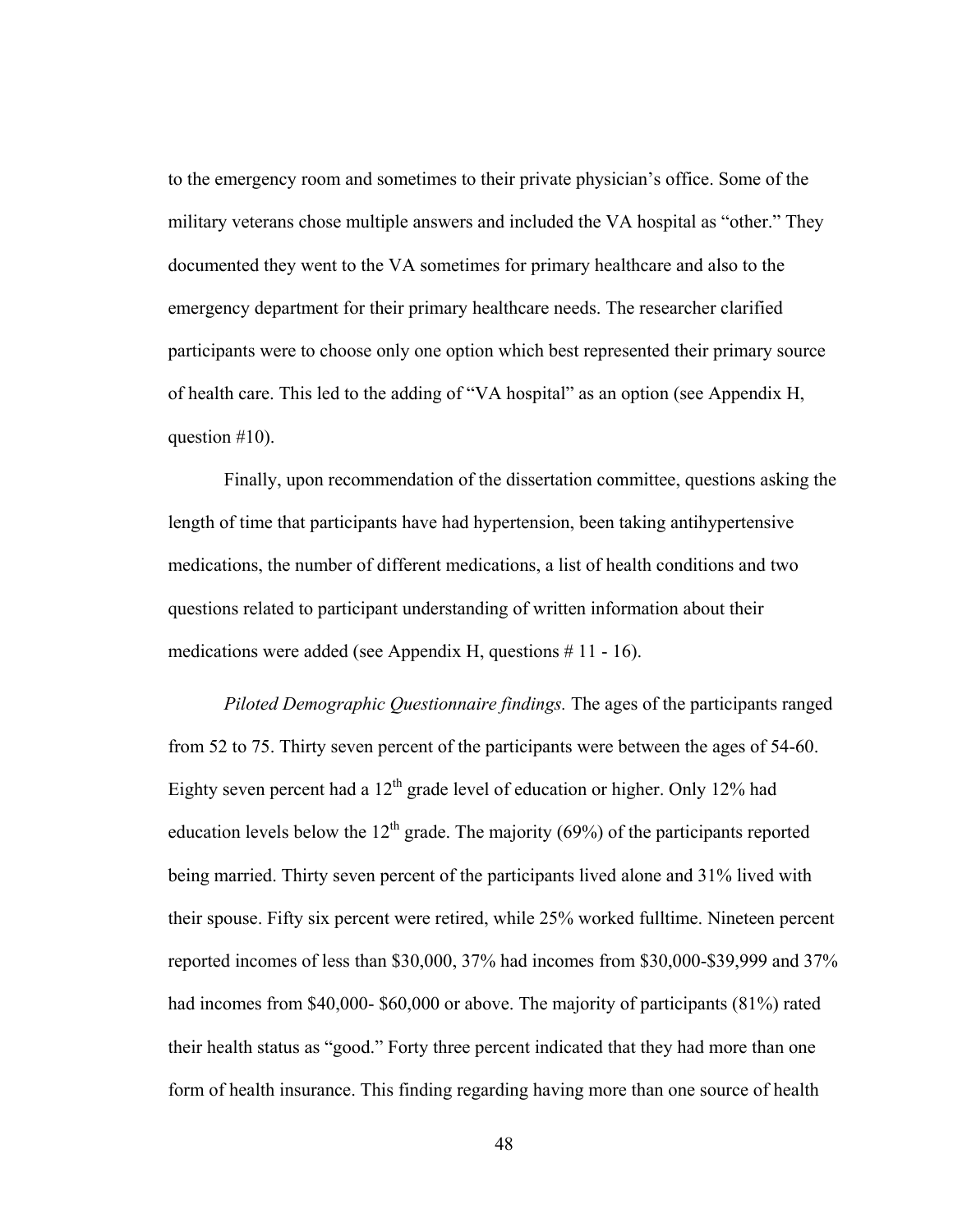to the emergency room and sometimes to their private physician's office. Some of the military veterans chose multiple answers and included the VA hospital as "other." They documented they went to the VA sometimes for primary healthcare and also to the emergency department for their primary healthcare needs. The researcher clarified participants were to choose only one option which best represented their primary source of health care. This led to the adding of "VA hospital" as an option (see Appendix H, question #10).

Finally, upon recommendation of the dissertation committee, questions asking the length of time that participants have had hypertension, been taking antihypertensive medications, the number of different medications, a list of health conditions and two questions related to participant understanding of written information about their medications were added (see Appendix H, questions # 11 - 16).

*Piloted Demographic Questionnaire findings.* The ages of the participants ranged from 52 to 75. Thirty seven percent of the participants were between the ages of 54-60. Eighty seven percent had a  $12<sup>th</sup>$  grade level of education or higher. Only 12% had education levels below the  $12<sup>th</sup>$  grade. The majority (69%) of the participants reported being married. Thirty seven percent of the participants lived alone and 31% lived with their spouse. Fifty six percent were retired, while 25% worked fulltime. Nineteen percent reported incomes of less than \$30,000, 37% had incomes from \$30,000-\$39,999 and 37% had incomes from \$40,000- \$60,000 or above. The majority of participants (81%) rated their health status as "good." Forty three percent indicated that they had more than one form of health insurance. This finding regarding having more than one source of health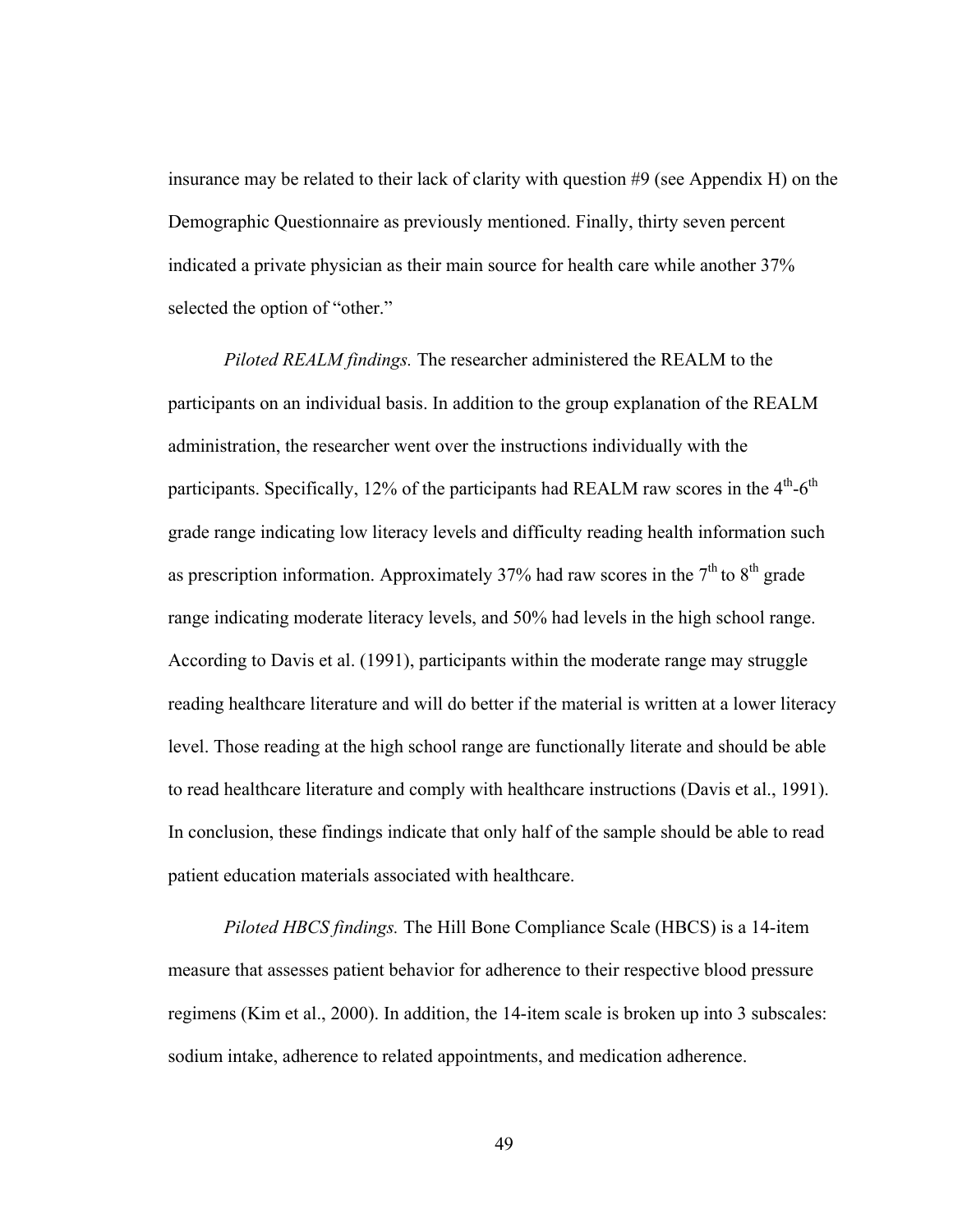insurance may be related to their lack of clarity with question #9 (see Appendix H) on the Demographic Questionnaire as previously mentioned. Finally, thirty seven percent indicated a private physician as their main source for health care while another 37% selected the option of "other."

*Piloted REALM findings.* The researcher administered the REALM to the participants on an individual basis. In addition to the group explanation of the REALM administration, the researcher went over the instructions individually with the participants. Specifically, 12% of the participants had REALM raw scores in the  $4<sup>th</sup>$ -6<sup>th</sup> grade range indicating low literacy levels and difficulty reading health information such as prescription information. Approximately 37% had raw scores in the  $7<sup>th</sup>$  to  $8<sup>th</sup>$  grade range indicating moderate literacy levels, and 50% had levels in the high school range. According to Davis et al. (1991), participants within the moderate range may struggle reading healthcare literature and will do better if the material is written at a lower literacy level. Those reading at the high school range are functionally literate and should be able to read healthcare literature and comply with healthcare instructions (Davis et al., 1991). In conclusion, these findings indicate that only half of the sample should be able to read patient education materials associated with healthcare.

*Piloted HBCS findings.* The Hill Bone Compliance Scale (HBCS) is a 14-item measure that assesses patient behavior for adherence to their respective blood pressure regimens (Kim et al., 2000). In addition, the 14-item scale is broken up into 3 subscales: sodium intake, adherence to related appointments, and medication adherence.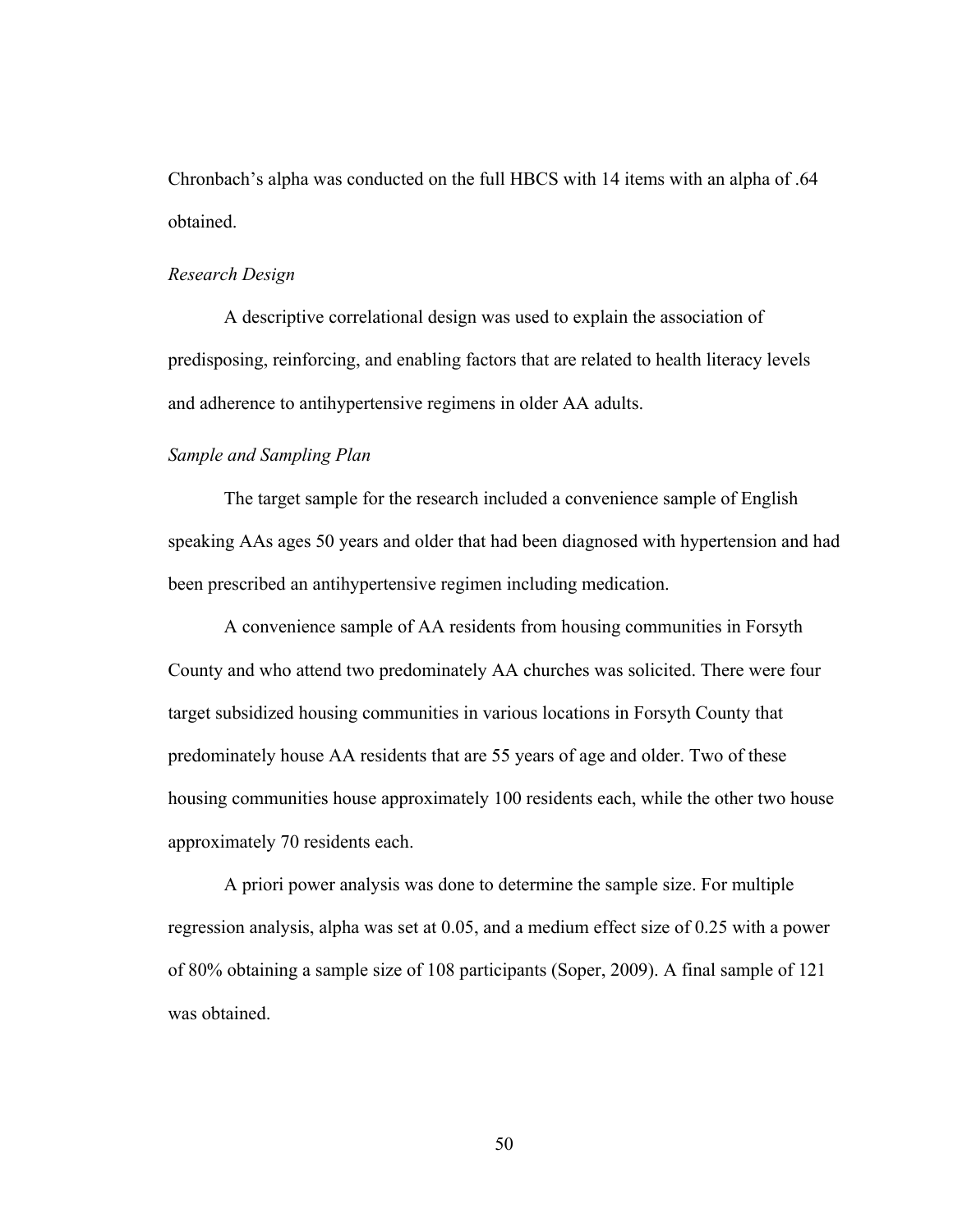Chronbach's alpha was conducted on the full HBCS with 14 items with an alpha of .64 obtained.

#### *Research Design*

A descriptive correlational design was used to explain the association of predisposing, reinforcing, and enabling factors that are related to health literacy levels and adherence to antihypertensive regimens in older AA adults.

## *Sample and Sampling Plan*

The target sample for the research included a convenience sample of English speaking AAs ages 50 years and older that had been diagnosed with hypertension and had been prescribed an antihypertensive regimen including medication.

A convenience sample of AA residents from housing communities in Forsyth County and who attend two predominately AA churches was solicited. There were four target subsidized housing communities in various locations in Forsyth County that predominately house AA residents that are 55 years of age and older. Two of these housing communities house approximately 100 residents each, while the other two house approximately 70 residents each.

A priori power analysis was done to determine the sample size. For multiple regression analysis, alpha was set at 0.05, and a medium effect size of 0.25 with a power of 80% obtaining a sample size of 108 participants (Soper, 2009). A final sample of 121 was obtained.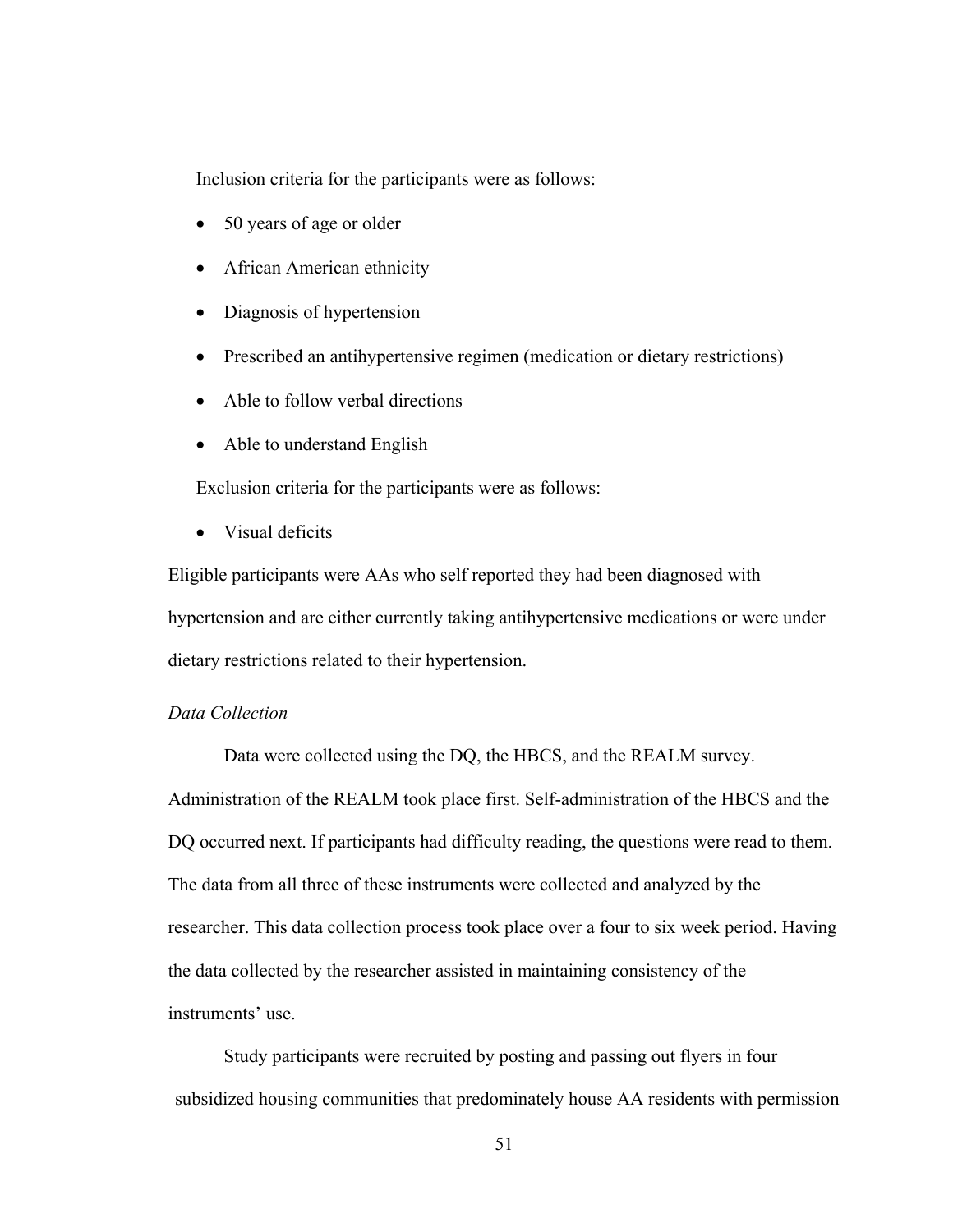Inclusion criteria for the participants were as follows:

- 50 years of age or older
- African American ethnicity
- Diagnosis of hypertension
- Prescribed an antihypertensive regimen (medication or dietary restrictions)
- Able to follow verbal directions
- Able to understand English

Exclusion criteria for the participants were as follows:

• Visual deficits

Eligible participants were AAs who self reported they had been diagnosed with hypertension and are either currently taking antihypertensive medications or were under dietary restrictions related to their hypertension.

# *Data Collection*

Data were collected using the DQ, the HBCS, and the REALM survey. Administration of the REALM took place first. Self-administration of the HBCS and the DQ occurred next. If participants had difficulty reading, the questions were read to them. The data from all three of these instruments were collected and analyzed by the researcher. This data collection process took place over a four to six week period. Having the data collected by the researcher assisted in maintaining consistency of the instruments' use.

Study participants were recruited by posting and passing out flyers in four subsidized housing communities that predominately house AA residents with permission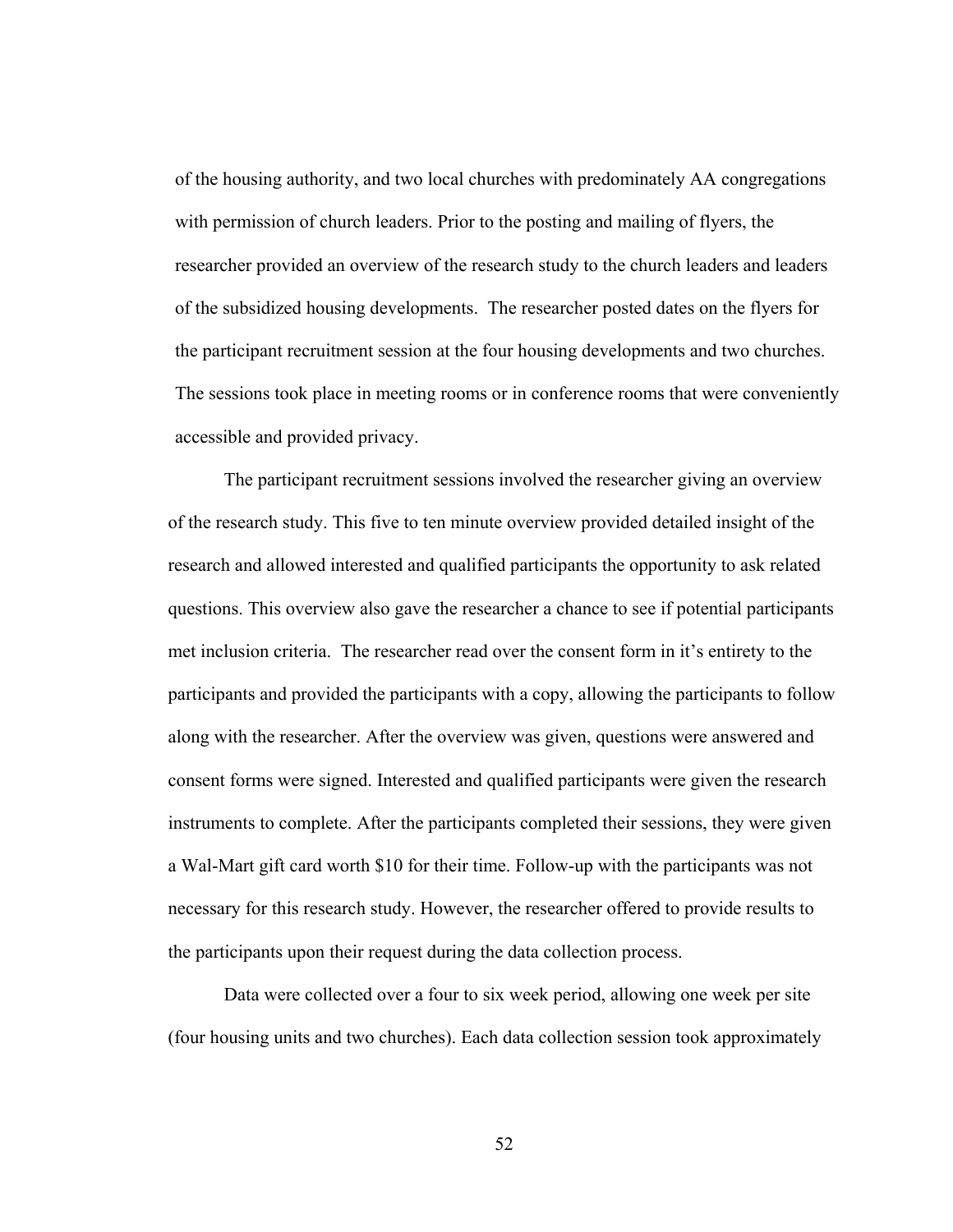of the housing authority, and two local churches with predominately AA congregations with permission of church leaders. Prior to the posting and mailing of flyers, the researcher provided an overview of the research study to the church leaders and leaders of the subsidized housing developments. The researcher posted dates on the flyers for the participant recruitment session at the four housing developments and two churches. The sessions took place in meeting rooms or in conference rooms that were conveniently accessible and provided privacy.

The participant recruitment sessions involved the researcher giving an overview of the research study. This five to ten minute overview provided detailed insight of the research and allowed interested and qualified participants the opportunity to ask related questions. This overview also gave the researcher a chance to see if potential participants met inclusion criteria. The researcher read over the consent form in it's entirety to the participants and provided the participants with a copy, allowing the participants to follow along with the researcher. After the overview was given, questions were answered and consent forms were signed. Interested and qualified participants were given the research instruments to complete. After the participants completed their sessions, they were given a Wal-Mart gift card worth \$10 for their time. Follow-up with the participants was not necessary for this research study. However, the researcher offered to provide results to the participants upon their request during the data collection process.

Data were collected over a four to six week period, allowing one week per site (four housing units and two churches). Each data collection session took approximately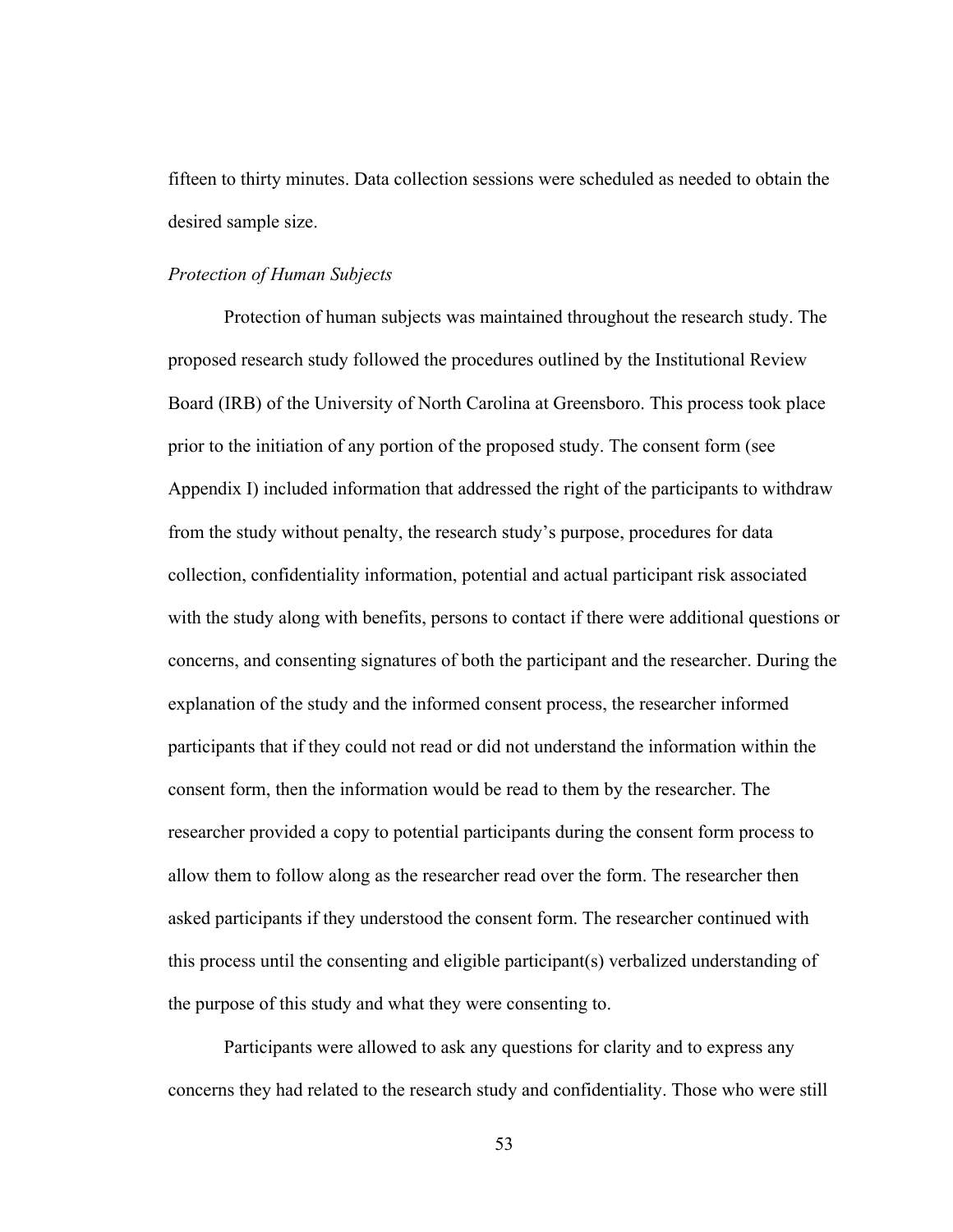fifteen to thirty minutes. Data collection sessions were scheduled as needed to obtain the desired sample size.

#### *Protection of Human Subjects*

Protection of human subjects was maintained throughout the research study. The proposed research study followed the procedures outlined by the Institutional Review Board (IRB) of the University of North Carolina at Greensboro. This process took place prior to the initiation of any portion of the proposed study. The consent form (see Appendix I) included information that addressed the right of the participants to withdraw from the study without penalty, the research study's purpose, procedures for data collection, confidentiality information, potential and actual participant risk associated with the study along with benefits, persons to contact if there were additional questions or concerns, and consenting signatures of both the participant and the researcher. During the explanation of the study and the informed consent process, the researcher informed participants that if they could not read or did not understand the information within the consent form, then the information would be read to them by the researcher. The researcher provided a copy to potential participants during the consent form process to allow them to follow along as the researcher read over the form. The researcher then asked participants if they understood the consent form. The researcher continued with this process until the consenting and eligible participant(s) verbalized understanding of the purpose of this study and what they were consenting to.

Participants were allowed to ask any questions for clarity and to express any concerns they had related to the research study and confidentiality. Those who were still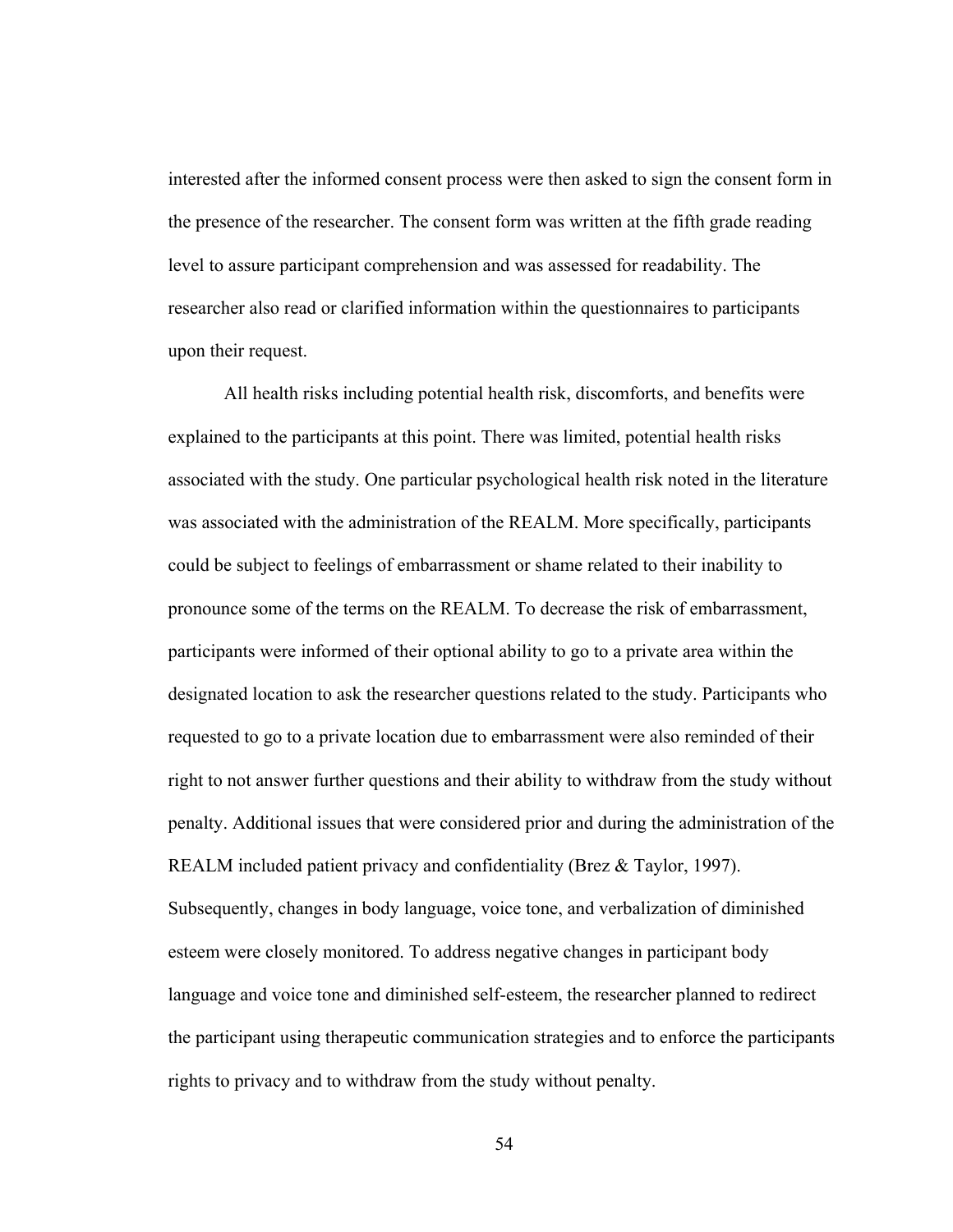interested after the informed consent process were then asked to sign the consent form in the presence of the researcher. The consent form was written at the fifth grade reading level to assure participant comprehension and was assessed for readability. The researcher also read or clarified information within the questionnaires to participants upon their request.

All health risks including potential health risk, discomforts, and benefits were explained to the participants at this point. There was limited, potential health risks associated with the study. One particular psychological health risk noted in the literature was associated with the administration of the REALM. More specifically, participants could be subject to feelings of embarrassment or shame related to their inability to pronounce some of the terms on the REALM. To decrease the risk of embarrassment, participants were informed of their optional ability to go to a private area within the designated location to ask the researcher questions related to the study. Participants who requested to go to a private location due to embarrassment were also reminded of their right to not answer further questions and their ability to withdraw from the study without penalty. Additional issues that were considered prior and during the administration of the REALM included patient privacy and confidentiality (Brez & Taylor, 1997). Subsequently, changes in body language, voice tone, and verbalization of diminished esteem were closely monitored. To address negative changes in participant body language and voice tone and diminished self-esteem, the researcher planned to redirect the participant using therapeutic communication strategies and to enforce the participants rights to privacy and to withdraw from the study without penalty.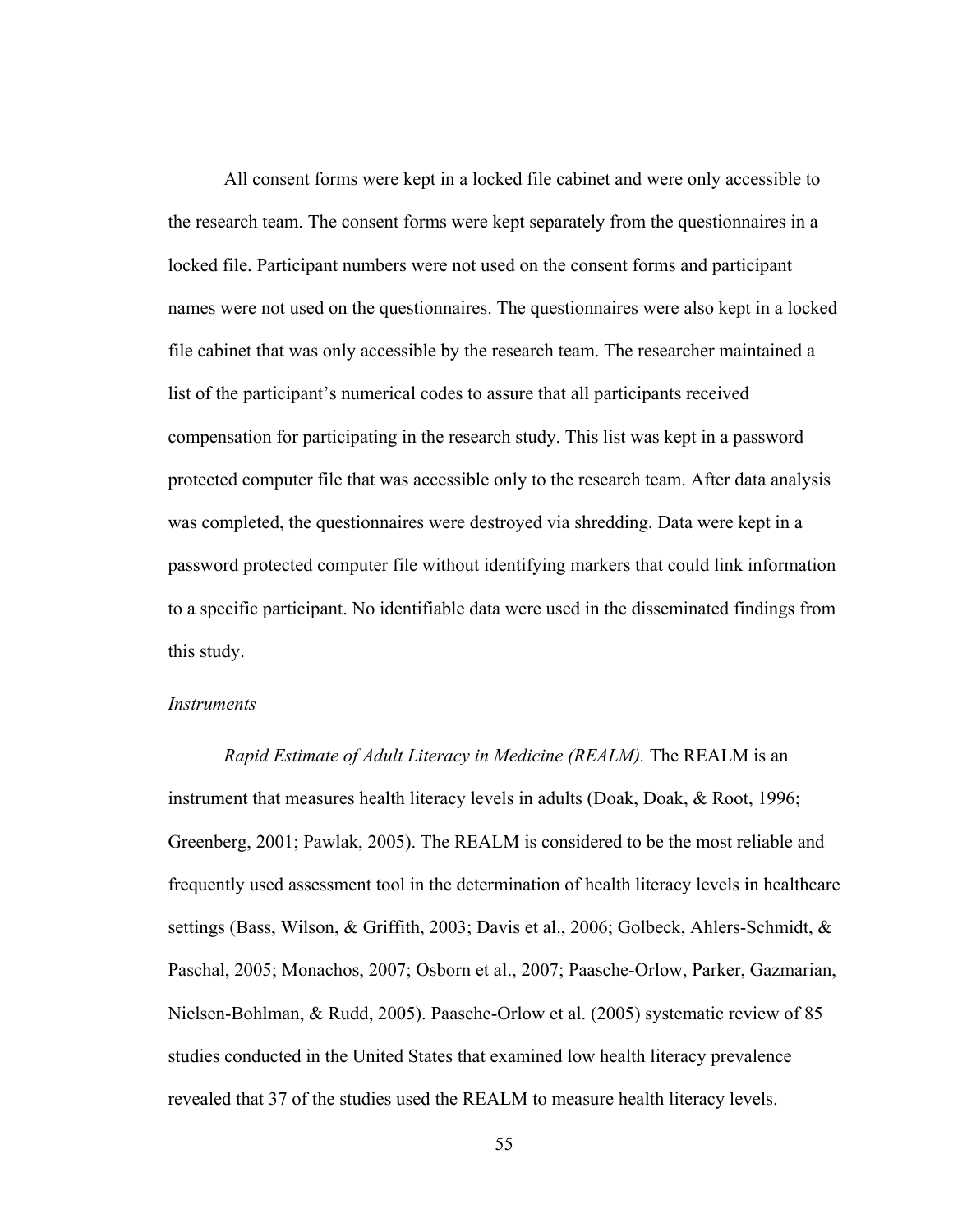All consent forms were kept in a locked file cabinet and were only accessible to the research team. The consent forms were kept separately from the questionnaires in a locked file. Participant numbers were not used on the consent forms and participant names were not used on the questionnaires. The questionnaires were also kept in a locked file cabinet that was only accessible by the research team. The researcher maintained a list of the participant's numerical codes to assure that all participants received compensation for participating in the research study. This list was kept in a password protected computer file that was accessible only to the research team. After data analysis was completed, the questionnaires were destroyed via shredding. Data were kept in a password protected computer file without identifying markers that could link information to a specific participant. No identifiable data were used in the disseminated findings from this study.

## *Instruments*

*Rapid Estimate of Adult Literacy in Medicine (REALM).* The REALM is an instrument that measures health literacy levels in adults (Doak, Doak, & Root, 1996; Greenberg, 2001; Pawlak, 2005). The REALM is considered to be the most reliable and frequently used assessment tool in the determination of health literacy levels in healthcare settings (Bass, Wilson, & Griffith, 2003; Davis et al., 2006; Golbeck, Ahlers-Schmidt, & Paschal, 2005; Monachos, 2007; Osborn et al., 2007; Paasche-Orlow, Parker, Gazmarian, Nielsen-Bohlman, & Rudd, 2005). Paasche-Orlow et al. (2005) systematic review of 85 studies conducted in the United States that examined low health literacy prevalence revealed that 37 of the studies used the REALM to measure health literacy levels.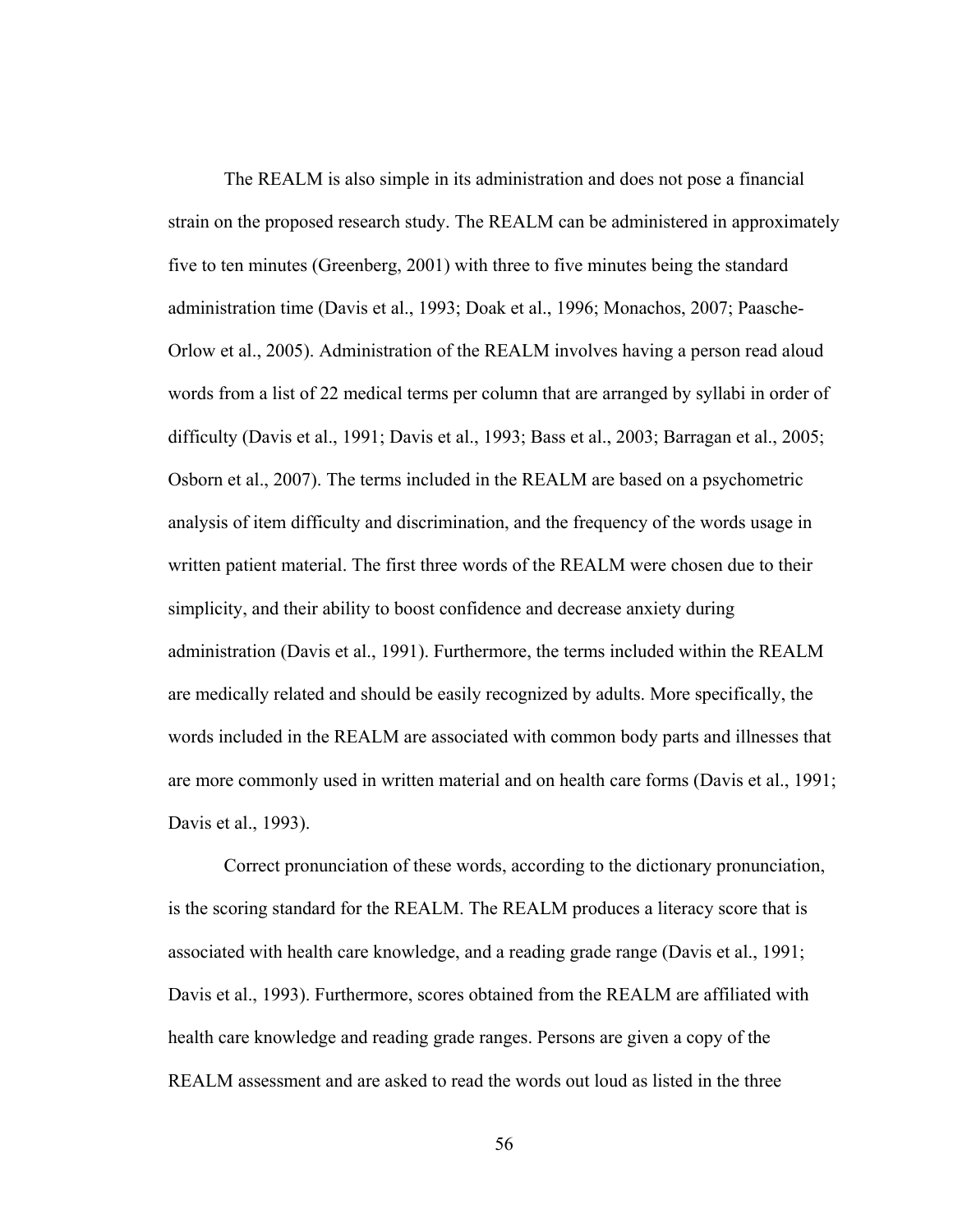The REALM is also simple in its administration and does not pose a financial strain on the proposed research study. The REALM can be administered in approximately five to ten minutes (Greenberg, 2001) with three to five minutes being the standard administration time (Davis et al., 1993; Doak et al., 1996; Monachos, 2007; Paasche-Orlow et al., 2005). Administration of the REALM involves having a person read aloud words from a list of 22 medical terms per column that are arranged by syllabi in order of difficulty (Davis et al., 1991; Davis et al., 1993; Bass et al., 2003; Barragan et al., 2005; Osborn et al., 2007). The terms included in the REALM are based on a psychometric analysis of item difficulty and discrimination, and the frequency of the words usage in written patient material. The first three words of the REALM were chosen due to their simplicity, and their ability to boost confidence and decrease anxiety during administration (Davis et al., 1991). Furthermore, the terms included within the REALM are medically related and should be easily recognized by adults. More specifically, the words included in the REALM are associated with common body parts and illnesses that are more commonly used in written material and on health care forms (Davis et al., 1991; Davis et al., 1993).

Correct pronunciation of these words, according to the dictionary pronunciation, is the scoring standard for the REALM. The REALM produces a literacy score that is associated with health care knowledge, and a reading grade range (Davis et al., 1991; Davis et al., 1993). Furthermore, scores obtained from the REALM are affiliated with health care knowledge and reading grade ranges. Persons are given a copy of the REALM assessment and are asked to read the words out loud as listed in the three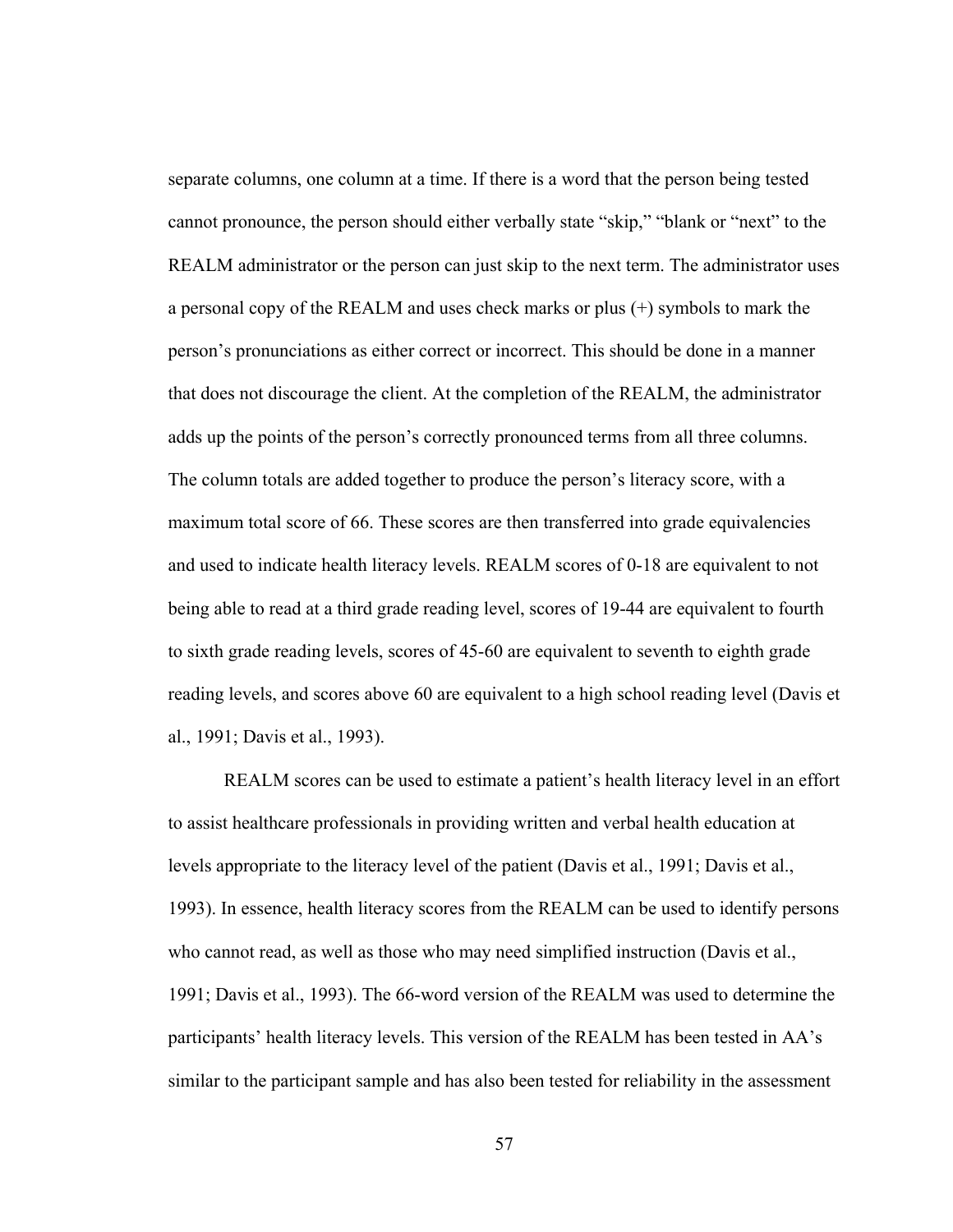separate columns, one column at a time. If there is a word that the person being tested cannot pronounce, the person should either verbally state "skip," "blank or "next" to the REALM administrator or the person can just skip to the next term. The administrator uses a personal copy of the REALM and uses check marks or plus (+) symbols to mark the person's pronunciations as either correct or incorrect. This should be done in a manner that does not discourage the client. At the completion of the REALM, the administrator adds up the points of the person's correctly pronounced terms from all three columns. The column totals are added together to produce the person's literacy score, with a maximum total score of 66. These scores are then transferred into grade equivalencies and used to indicate health literacy levels. REALM scores of 0-18 are equivalent to not being able to read at a third grade reading level, scores of 19-44 are equivalent to fourth to sixth grade reading levels, scores of 45-60 are equivalent to seventh to eighth grade reading levels, and scores above 60 are equivalent to a high school reading level (Davis et al., 1991; Davis et al., 1993).

REALM scores can be used to estimate a patient's health literacy level in an effort to assist healthcare professionals in providing written and verbal health education at levels appropriate to the literacy level of the patient (Davis et al., 1991; Davis et al., 1993). In essence, health literacy scores from the REALM can be used to identify persons who cannot read, as well as those who may need simplified instruction (Davis et al., 1991; Davis et al., 1993). The 66-word version of the REALM was used to determine the participants' health literacy levels. This version of the REALM has been tested in AA's similar to the participant sample and has also been tested for reliability in the assessment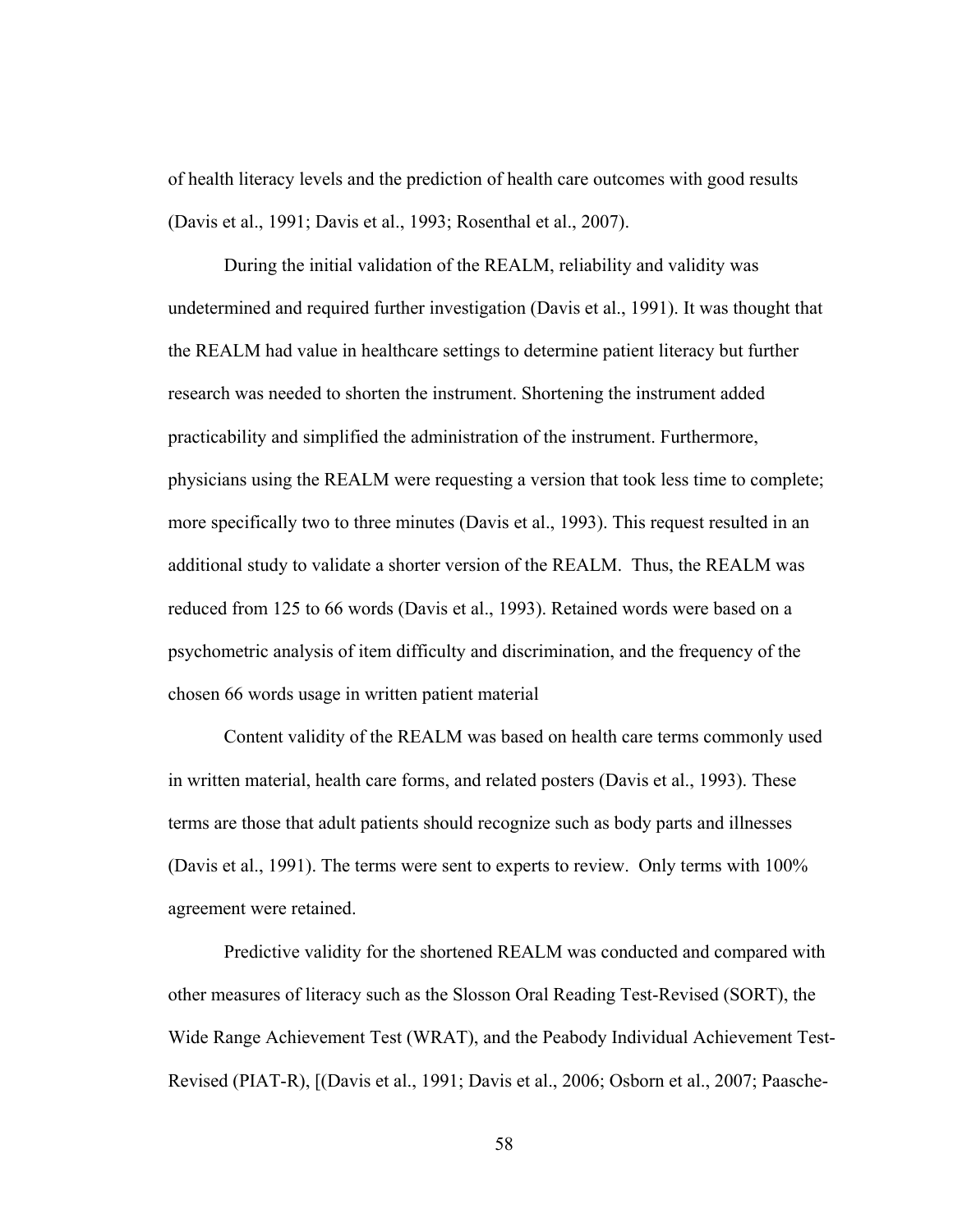of health literacy levels and the prediction of health care outcomes with good results (Davis et al., 1991; Davis et al., 1993; Rosenthal et al., 2007).

During the initial validation of the REALM, reliability and validity was undetermined and required further investigation (Davis et al., 1991). It was thought that the REALM had value in healthcare settings to determine patient literacy but further research was needed to shorten the instrument. Shortening the instrument added practicability and simplified the administration of the instrument. Furthermore, physicians using the REALM were requesting a version that took less time to complete; more specifically two to three minutes (Davis et al., 1993). This request resulted in an additional study to validate a shorter version of the REALM. Thus, the REALM was reduced from 125 to 66 words (Davis et al., 1993). Retained words were based on a psychometric analysis of item difficulty and discrimination, and the frequency of the chosen 66 words usage in written patient material

Content validity of the REALM was based on health care terms commonly used in written material, health care forms, and related posters (Davis et al., 1993). These terms are those that adult patients should recognize such as body parts and illnesses (Davis et al., 1991). The terms were sent to experts to review. Only terms with 100% agreement were retained.

Predictive validity for the shortened REALM was conducted and compared with other measures of literacy such as the Slosson Oral Reading Test-Revised (SORT), the Wide Range Achievement Test (WRAT), and the Peabody Individual Achievement Test-Revised (PIAT-R), [(Davis et al., 1991; Davis et al., 2006; Osborn et al., 2007; Paasche-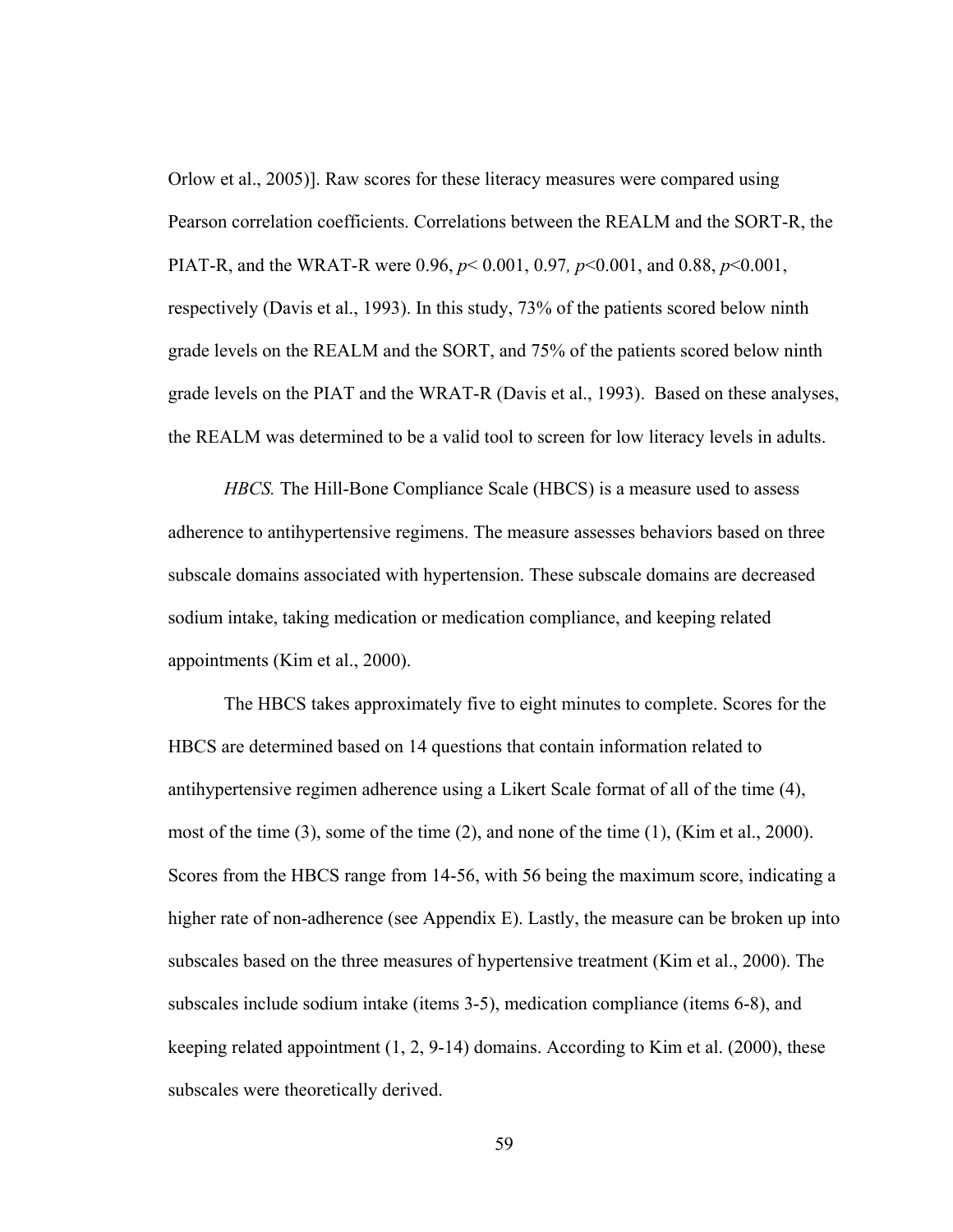Orlow et al., 2005)]. Raw scores for these literacy measures were compared using Pearson correlation coefficients. Correlations between the REALM and the SORT-R, the PIAT-R, and the WRAT-R were 0.96, *p*< 0.001, 0.97*, p*<0.001, and 0.88, *p*<0.001, respectively (Davis et al., 1993). In this study, 73% of the patients scored below ninth grade levels on the REALM and the SORT, and 75% of the patients scored below ninth grade levels on the PIAT and the WRAT-R (Davis et al., 1993). Based on these analyses, the REALM was determined to be a valid tool to screen for low literacy levels in adults.

*HBCS*. The Hill-Bone Compliance Scale (HBCS) is a measure used to assess adherence to antihypertensive regimens. The measure assesses behaviors based on three subscale domains associated with hypertension. These subscale domains are decreased sodium intake, taking medication or medication compliance, and keeping related appointments (Kim et al., 2000).

The HBCS takes approximately five to eight minutes to complete. Scores for the HBCS are determined based on 14 questions that contain information related to antihypertensive regimen adherence using a Likert Scale format of all of the time (4), most of the time (3), some of the time (2), and none of the time (1), (Kim et al., 2000). Scores from the HBCS range from 14-56, with 56 being the maximum score, indicating a higher rate of non-adherence (see Appendix E). Lastly, the measure can be broken up into subscales based on the three measures of hypertensive treatment (Kim et al., 2000). The subscales include sodium intake (items 3-5), medication compliance (items 6-8), and keeping related appointment (1, 2, 9-14) domains. According to Kim et al. (2000), these subscales were theoretically derived.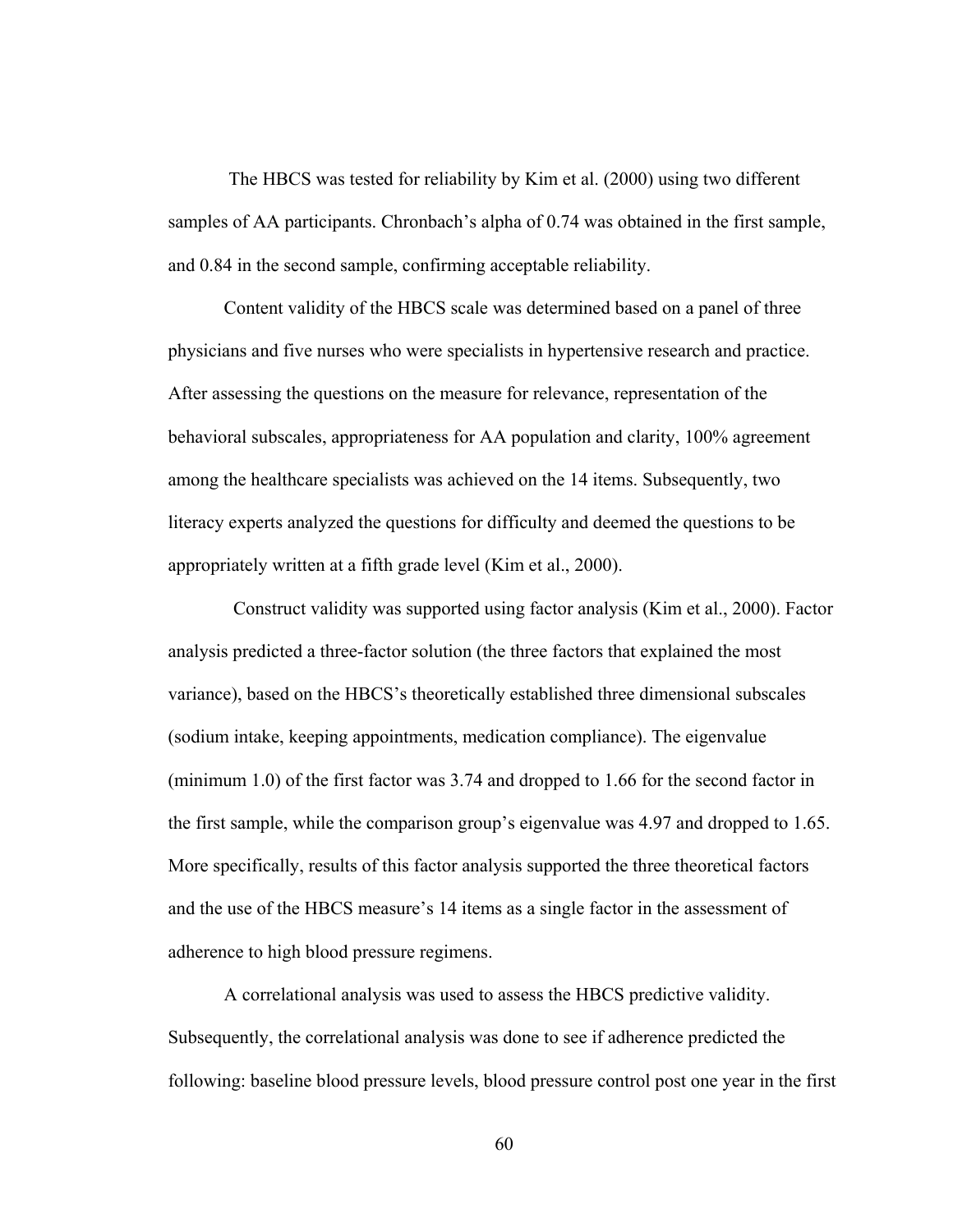The HBCS was tested for reliability by Kim et al. (2000) using two different samples of AA participants. Chronbach's alpha of 0.74 was obtained in the first sample, and 0.84 in the second sample, confirming acceptable reliability.

Content validity of the HBCS scale was determined based on a panel of three physicians and five nurses who were specialists in hypertensive research and practice. After assessing the questions on the measure for relevance, representation of the behavioral subscales, appropriateness for AA population and clarity, 100% agreement among the healthcare specialists was achieved on the 14 items. Subsequently, two literacy experts analyzed the questions for difficulty and deemed the questions to be appropriately written at a fifth grade level (Kim et al., 2000).

 Construct validity was supported using factor analysis (Kim et al., 2000). Factor analysis predicted a three-factor solution (the three factors that explained the most variance), based on the HBCS's theoretically established three dimensional subscales (sodium intake, keeping appointments, medication compliance). The eigenvalue (minimum 1.0) of the first factor was 3.74 and dropped to 1.66 for the second factor in the first sample, while the comparison group's eigenvalue was 4.97 and dropped to 1.65. More specifically, results of this factor analysis supported the three theoretical factors and the use of the HBCS measure's 14 items as a single factor in the assessment of adherence to high blood pressure regimens.

A correlational analysis was used to assess the HBCS predictive validity. Subsequently, the correlational analysis was done to see if adherence predicted the following: baseline blood pressure levels, blood pressure control post one year in the first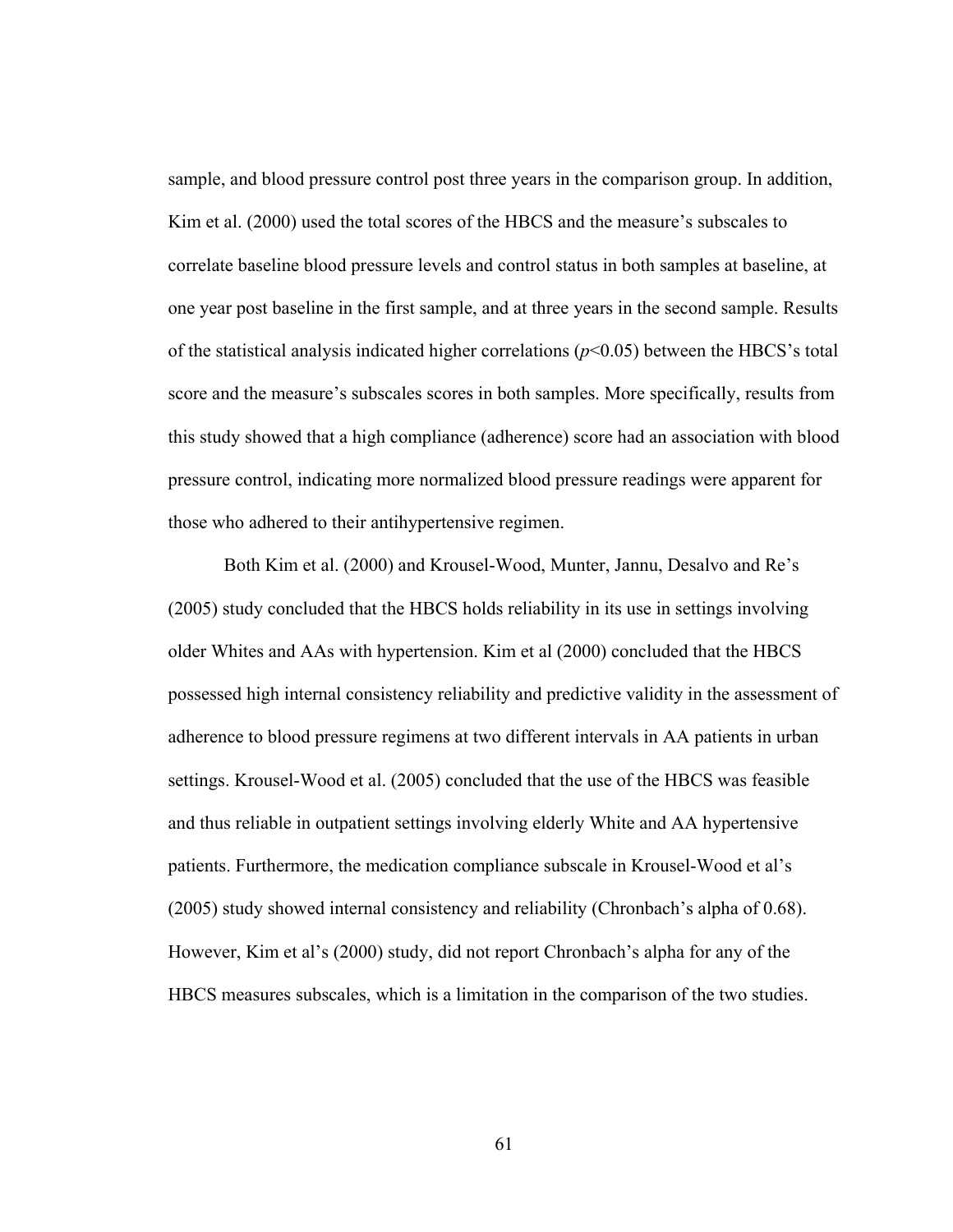sample, and blood pressure control post three years in the comparison group. In addition, Kim et al. (2000) used the total scores of the HBCS and the measure's subscales to correlate baseline blood pressure levels and control status in both samples at baseline, at one year post baseline in the first sample, and at three years in the second sample. Results of the statistical analysis indicated higher correlations (*p*<0.05) between the HBCS's total score and the measure's subscales scores in both samples. More specifically, results from this study showed that a high compliance (adherence) score had an association with blood pressure control, indicating more normalized blood pressure readings were apparent for those who adhered to their antihypertensive regimen.

Both Kim et al. (2000) and Krousel-Wood, Munter, Jannu, Desalvo and Re's (2005) study concluded that the HBCS holds reliability in its use in settings involving older Whites and AAs with hypertension. Kim et al (2000) concluded that the HBCS possessed high internal consistency reliability and predictive validity in the assessment of adherence to blood pressure regimens at two different intervals in AA patients in urban settings. Krousel-Wood et al. (2005) concluded that the use of the HBCS was feasible and thus reliable in outpatient settings involving elderly White and AA hypertensive patients. Furthermore, the medication compliance subscale in Krousel-Wood et al's (2005) study showed internal consistency and reliability (Chronbach's alpha of 0.68). However, Kim et al's (2000) study, did not report Chronbach's alpha for any of the HBCS measures subscales, which is a limitation in the comparison of the two studies.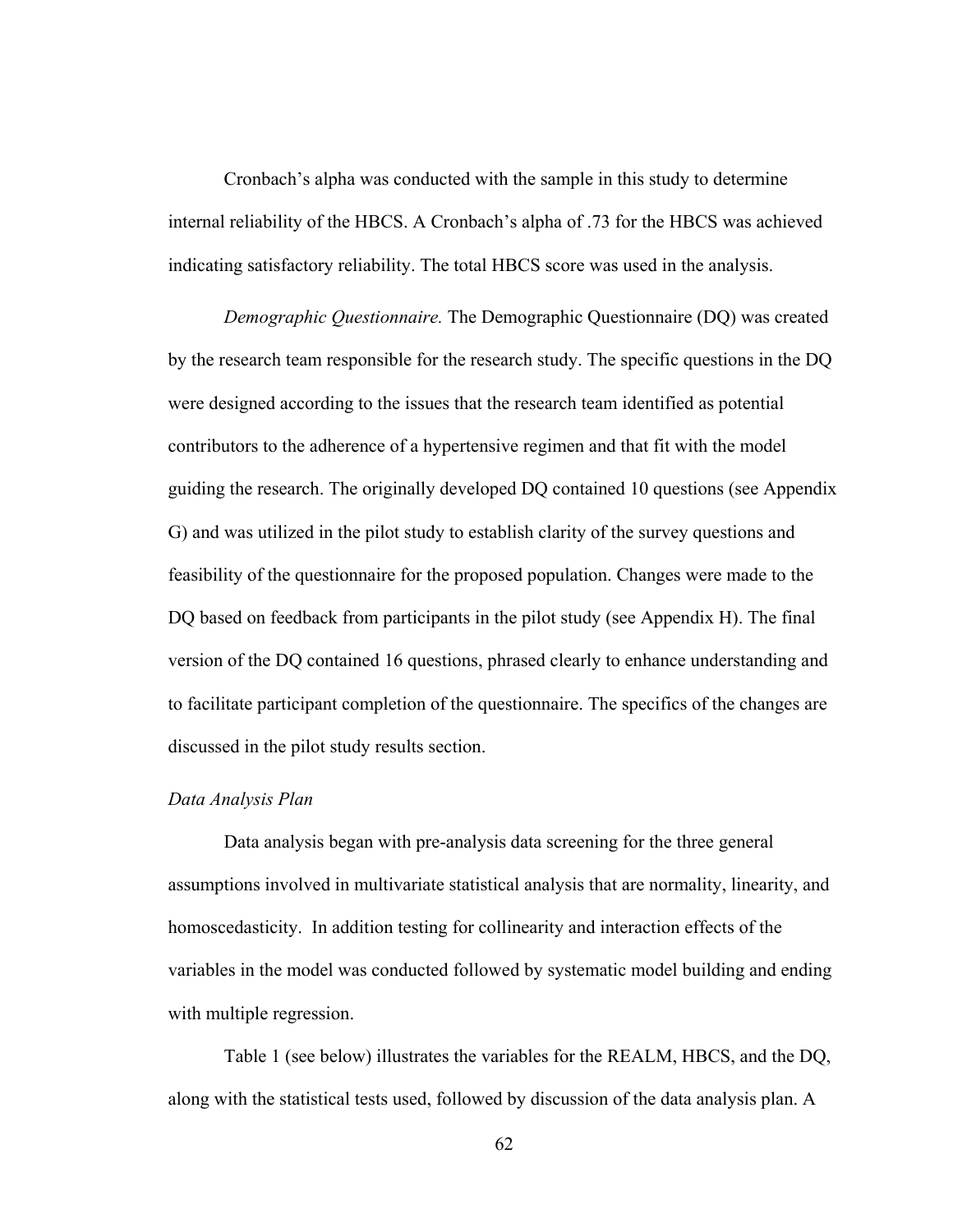Cronbach's alpha was conducted with the sample in this study to determine internal reliability of the HBCS. A Cronbach's alpha of .73 for the HBCS was achieved indicating satisfactory reliability. The total HBCS score was used in the analysis.

*Demographic Questionnaire.* The Demographic Questionnaire (DQ) was created by the research team responsible for the research study. The specific questions in the DQ were designed according to the issues that the research team identified as potential contributors to the adherence of a hypertensive regimen and that fit with the model guiding the research. The originally developed DQ contained 10 questions (see Appendix G) and was utilized in the pilot study to establish clarity of the survey questions and feasibility of the questionnaire for the proposed population. Changes were made to the DQ based on feedback from participants in the pilot study (see Appendix H). The final version of the DQ contained 16 questions, phrased clearly to enhance understanding and to facilitate participant completion of the questionnaire. The specifics of the changes are discussed in the pilot study results section.

#### *Data Analysis Plan*

Data analysis began with pre-analysis data screening for the three general assumptions involved in multivariate statistical analysis that are normality, linearity, and homoscedasticity. In addition testing for collinearity and interaction effects of the variables in the model was conducted followed by systematic model building and ending with multiple regression.

Table 1 (see below) illustrates the variables for the REALM, HBCS, and the DQ, along with the statistical tests used, followed by discussion of the data analysis plan. A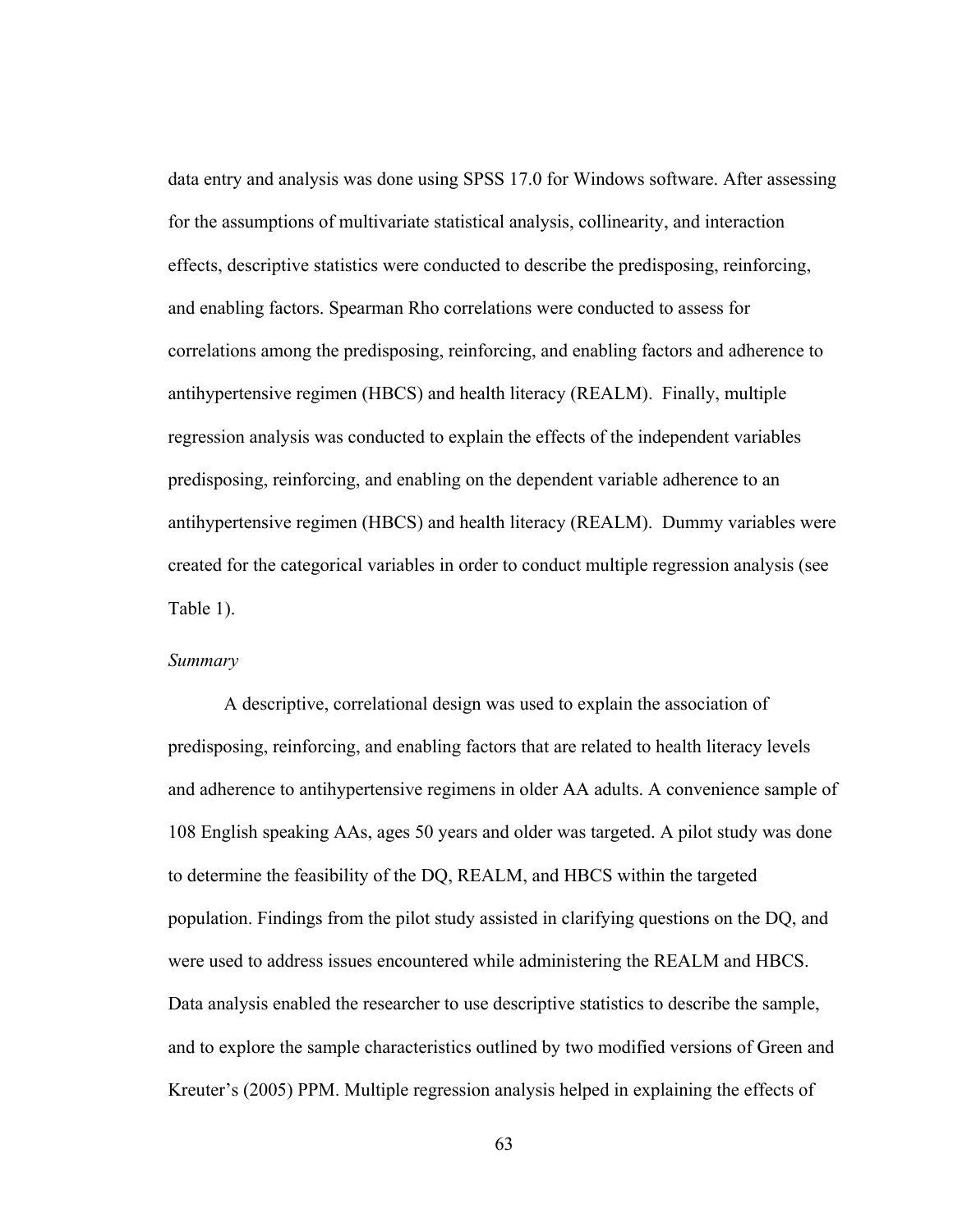data entry and analysis was done using SPSS 17.0 for Windows software. After assessing for the assumptions of multivariate statistical analysis, collinearity, and interaction effects, descriptive statistics were conducted to describe the predisposing, reinforcing, and enabling factors. Spearman Rho correlations were conducted to assess for correlations among the predisposing, reinforcing, and enabling factors and adherence to antihypertensive regimen (HBCS) and health literacy (REALM). Finally, multiple regression analysis was conducted to explain the effects of the independent variables predisposing, reinforcing, and enabling on the dependent variable adherence to an antihypertensive regimen (HBCS) and health literacy (REALM). Dummy variables were created for the categorical variables in order to conduct multiple regression analysis (see Table 1).

## *Summary*

A descriptive, correlational design was used to explain the association of predisposing, reinforcing, and enabling factors that are related to health literacy levels and adherence to antihypertensive regimens in older AA adults. A convenience sample of 108 English speaking AAs, ages 50 years and older was targeted. A pilot study was done to determine the feasibility of the DQ, REALM, and HBCS within the targeted population. Findings from the pilot study assisted in clarifying questions on the DQ, and were used to address issues encountered while administering the REALM and HBCS. Data analysis enabled the researcher to use descriptive statistics to describe the sample, and to explore the sample characteristics outlined by two modified versions of Green and Kreuter's (2005) PPM. Multiple regression analysis helped in explaining the effects of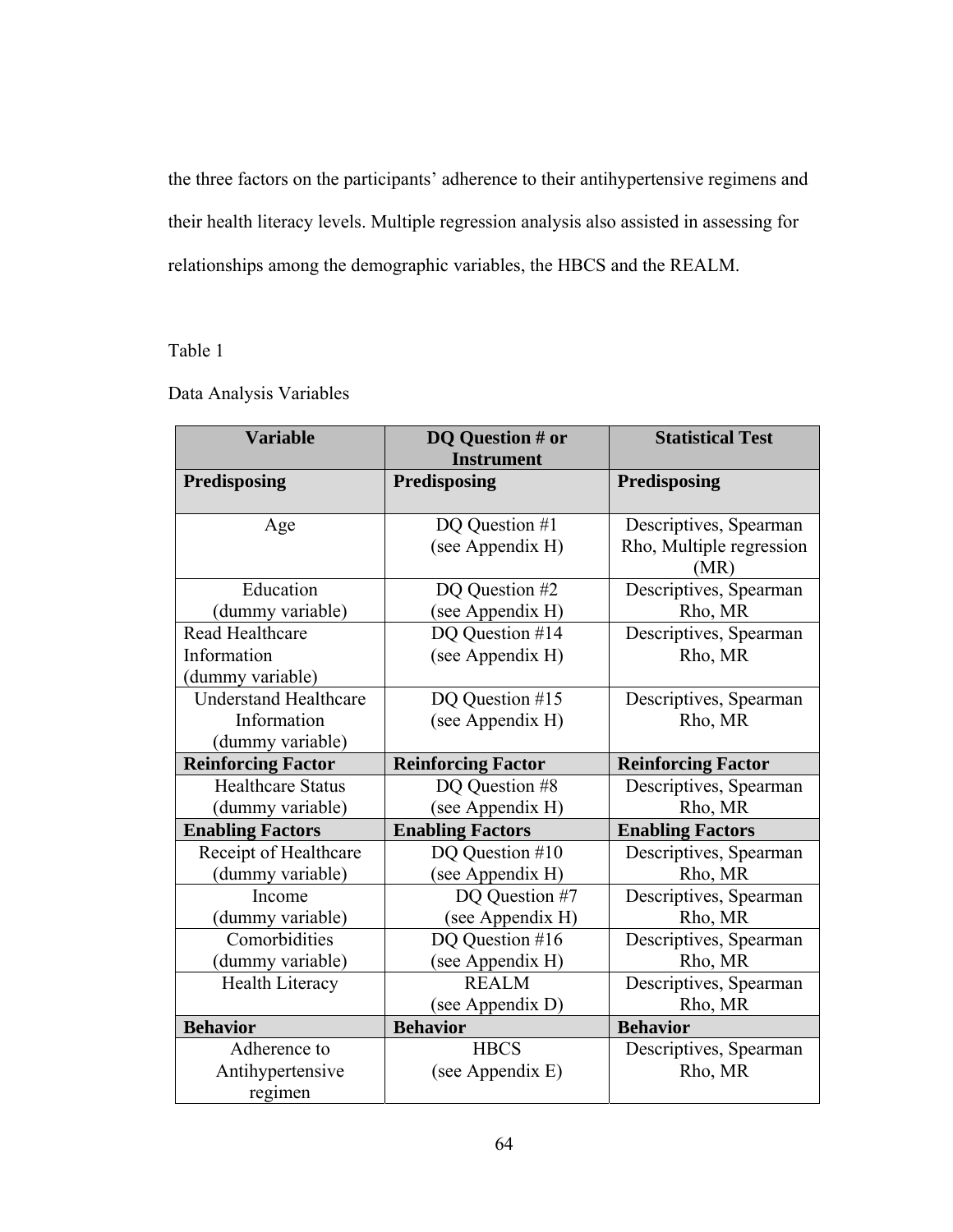the three factors on the participants' adherence to their antihypertensive regimens and their health literacy levels. Multiple regression analysis also assisted in assessing for relationships among the demographic variables, the HBCS and the REALM.

# Table 1

|  |  | Data Analysis Variables |  |
|--|--|-------------------------|--|
|  |  |                         |  |

| <b>Variable</b>              | DQ Question # or<br><b>Instrument</b> | <b>Statistical Test</b>          |  |  |
|------------------------------|---------------------------------------|----------------------------------|--|--|
| Predisposing                 | Predisposing                          | Predisposing                     |  |  |
| Age                          | DQ Question #1                        | Descriptives, Spearman           |  |  |
|                              | (see Appendix H)                      | Rho, Multiple regression<br>(MR) |  |  |
| Education                    | DQ Question #2                        | Descriptives, Spearman           |  |  |
| (dummy variable)             | (see Appendix H)                      | Rho, MR                          |  |  |
| Read Healthcare              | DQ Question #14                       | Descriptives, Spearman           |  |  |
| Information                  | (see Appendix H)                      | Rho, MR                          |  |  |
| (dummy variable)             |                                       |                                  |  |  |
| <b>Understand Healthcare</b> | DQ Question #15                       | Descriptives, Spearman           |  |  |
| Information                  | (see Appendix H)                      | Rho, MR                          |  |  |
| (dummy variable)             |                                       |                                  |  |  |
| <b>Reinforcing Factor</b>    | <b>Reinforcing Factor</b>             | <b>Reinforcing Factor</b>        |  |  |
| <b>Healthcare Status</b>     | DQ Question #8                        | Descriptives, Spearman           |  |  |
| (dummy variable)             | (see Appendix H)                      | Rho, MR                          |  |  |
| <b>Enabling Factors</b>      | <b>Enabling Factors</b>               | <b>Enabling Factors</b>          |  |  |
| Receipt of Healthcare        | DQ Question #10                       | Descriptives, Spearman           |  |  |
| (dummy variable)             | (see Appendix H)                      | Rho, MR                          |  |  |
| Income                       | DQ Question #7                        | Descriptives, Spearman           |  |  |
| (dummy variable)             | (see Appendix H)                      | Rho, MR                          |  |  |
| Comorbidities                | DQ Question #16                       | Descriptives, Spearman           |  |  |
| (dummy variable)             | (see Appendix H)                      | Rho, MR                          |  |  |
| Health Literacy              | <b>REALM</b>                          | Descriptives, Spearman           |  |  |
|                              | (see Appendix D)                      | Rho, MR                          |  |  |
| <b>Behavior</b>              | <b>Behavior</b>                       | <b>Behavior</b>                  |  |  |
| Adherence to                 | <b>HBCS</b>                           | Descriptives, Spearman           |  |  |
| Antihypertensive             | (see Appendix E)                      | Rho, MR                          |  |  |
| regimen                      |                                       |                                  |  |  |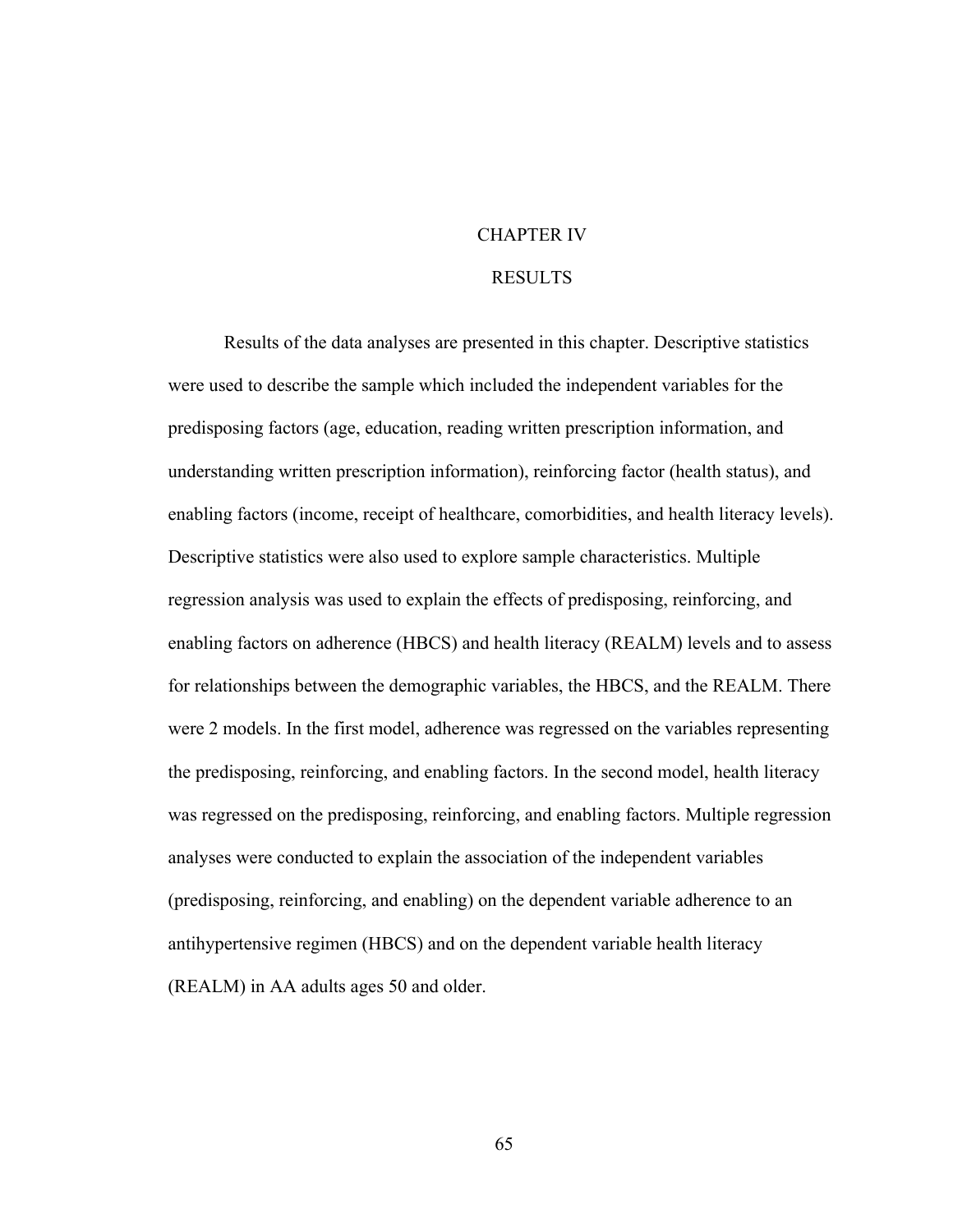## CHAPTER IV

## RESULTS

Results of the data analyses are presented in this chapter. Descriptive statistics were used to describe the sample which included the independent variables for the predisposing factors (age, education, reading written prescription information, and understanding written prescription information), reinforcing factor (health status), and enabling factors (income, receipt of healthcare, comorbidities, and health literacy levels). Descriptive statistics were also used to explore sample characteristics. Multiple regression analysis was used to explain the effects of predisposing, reinforcing, and enabling factors on adherence (HBCS) and health literacy (REALM) levels and to assess for relationships between the demographic variables, the HBCS, and the REALM. There were 2 models. In the first model, adherence was regressed on the variables representing the predisposing, reinforcing, and enabling factors. In the second model, health literacy was regressed on the predisposing, reinforcing, and enabling factors. Multiple regression analyses were conducted to explain the association of the independent variables (predisposing, reinforcing, and enabling) on the dependent variable adherence to an antihypertensive regimen (HBCS) and on the dependent variable health literacy (REALM) in AA adults ages 50 and older.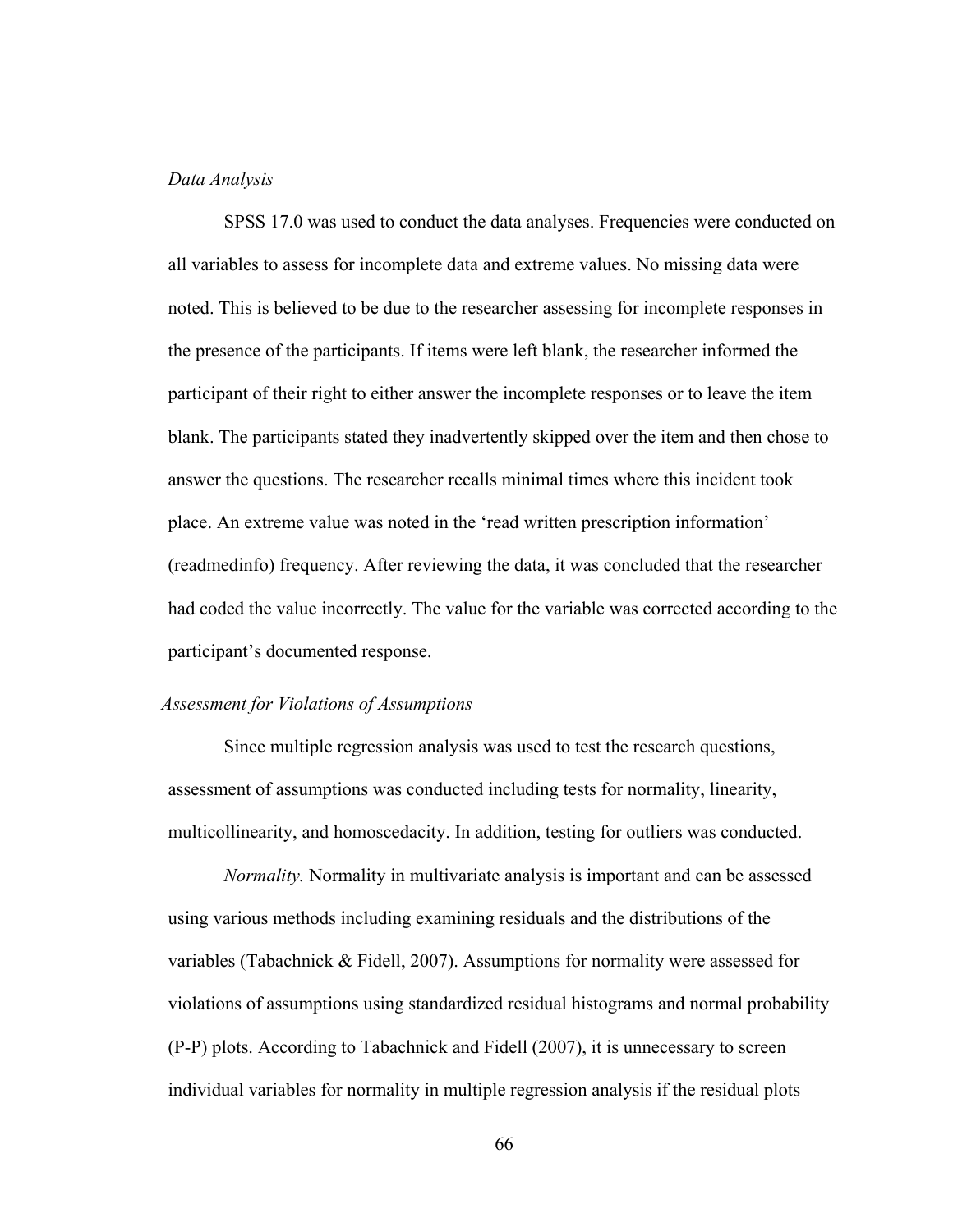## *Data Analysis*

SPSS 17.0 was used to conduct the data analyses. Frequencies were conducted on all variables to assess for incomplete data and extreme values. No missing data were noted. This is believed to be due to the researcher assessing for incomplete responses in the presence of the participants. If items were left blank, the researcher informed the participant of their right to either answer the incomplete responses or to leave the item blank. The participants stated they inadvertently skipped over the item and then chose to answer the questions. The researcher recalls minimal times where this incident took place. An extreme value was noted in the 'read written prescription information' (readmedinfo) frequency. After reviewing the data, it was concluded that the researcher had coded the value incorrectly. The value for the variable was corrected according to the participant's documented response.

#### *Assessment for Violations of Assumptions*

 Since multiple regression analysis was used to test the research questions, assessment of assumptions was conducted including tests for normality, linearity, multicollinearity, and homoscedacity. In addition, testing for outliers was conducted.

*Normality.* Normality in multivariate analysis is important and can be assessed using various methods including examining residuals and the distributions of the variables (Tabachnick & Fidell, 2007). Assumptions for normality were assessed for violations of assumptions using standardized residual histograms and normal probability (P-P) plots. According to Tabachnick and Fidell (2007), it is unnecessary to screen individual variables for normality in multiple regression analysis if the residual plots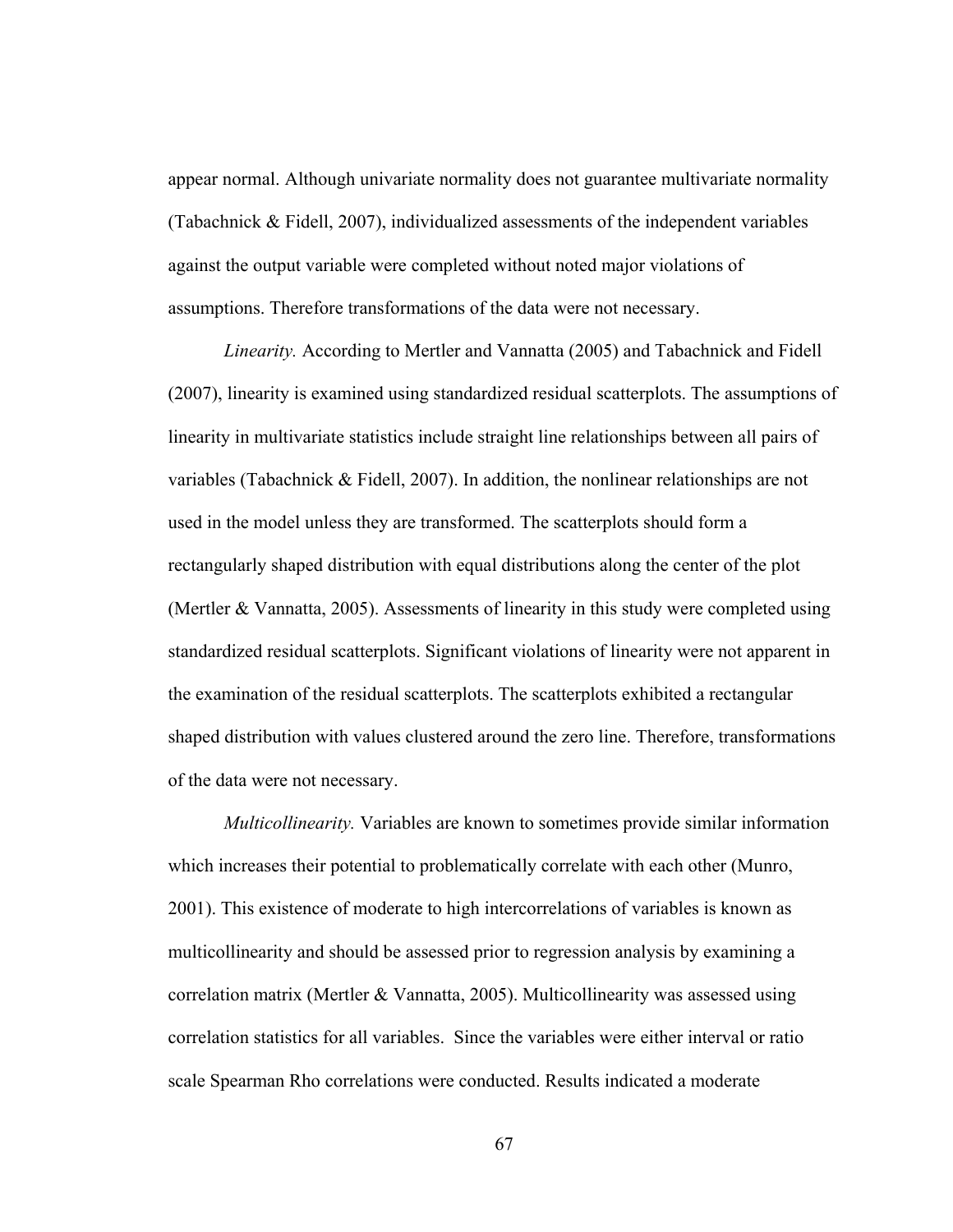appear normal. Although univariate normality does not guarantee multivariate normality (Tabachnick & Fidell, 2007), individualized assessments of the independent variables against the output variable were completed without noted major violations of assumptions. Therefore transformations of the data were not necessary.

 *Linearity.* According to Mertler and Vannatta (2005) and Tabachnick and Fidell (2007), linearity is examined using standardized residual scatterplots. The assumptions of linearity in multivariate statistics include straight line relationships between all pairs of variables (Tabachnick & Fidell, 2007). In addition, the nonlinear relationships are not used in the model unless they are transformed. The scatterplots should form a rectangularly shaped distribution with equal distributions along the center of the plot (Mertler & Vannatta, 2005). Assessments of linearity in this study were completed using standardized residual scatterplots. Significant violations of linearity were not apparent in the examination of the residual scatterplots. The scatterplots exhibited a rectangular shaped distribution with values clustered around the zero line. Therefore, transformations of the data were not necessary.

*Multicollinearity.* Variables are known to sometimes provide similar information which increases their potential to problematically correlate with each other (Munro, 2001). This existence of moderate to high intercorrelations of variables is known as multicollinearity and should be assessed prior to regression analysis by examining a correlation matrix (Mertler & Vannatta, 2005). Multicollinearity was assessed using correlation statistics for all variables. Since the variables were either interval or ratio scale Spearman Rho correlations were conducted. Results indicated a moderate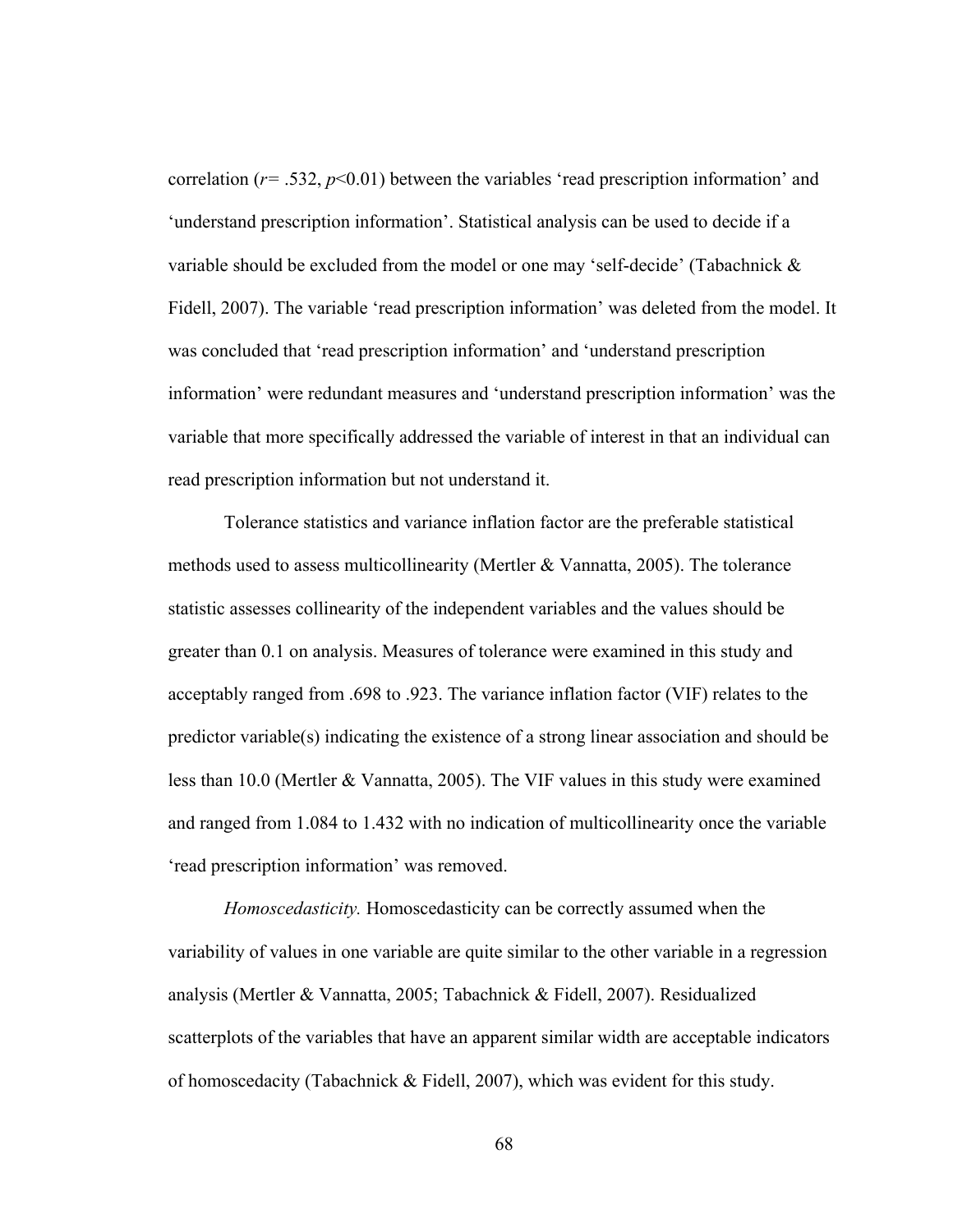correlation ( $r = .532$ ,  $p < 0.01$ ) between the variables 'read prescription information' and 'understand prescription information'. Statistical analysis can be used to decide if a variable should be excluded from the model or one may 'self-decide' (Tabachnick & Fidell, 2007). The variable 'read prescription information' was deleted from the model. It was concluded that 'read prescription information' and 'understand prescription information' were redundant measures and 'understand prescription information' was the variable that more specifically addressed the variable of interest in that an individual can read prescription information but not understand it.

Tolerance statistics and variance inflation factor are the preferable statistical methods used to assess multicollinearity (Mertler & Vannatta, 2005). The tolerance statistic assesses collinearity of the independent variables and the values should be greater than 0.1 on analysis. Measures of tolerance were examined in this study and acceptably ranged from .698 to .923. The variance inflation factor (VIF) relates to the predictor variable(s) indicating the existence of a strong linear association and should be less than 10.0 (Mertler & Vannatta, 2005). The VIF values in this study were examined and ranged from 1.084 to 1.432 with no indication of multicollinearity once the variable 'read prescription information' was removed.

 *Homoscedasticity.* Homoscedasticity can be correctly assumed when the variability of values in one variable are quite similar to the other variable in a regression analysis (Mertler & Vannatta, 2005; Tabachnick & Fidell, 2007). Residualized scatterplots of the variables that have an apparent similar width are acceptable indicators of homoscedacity (Tabachnick & Fidell, 2007), which was evident for this study.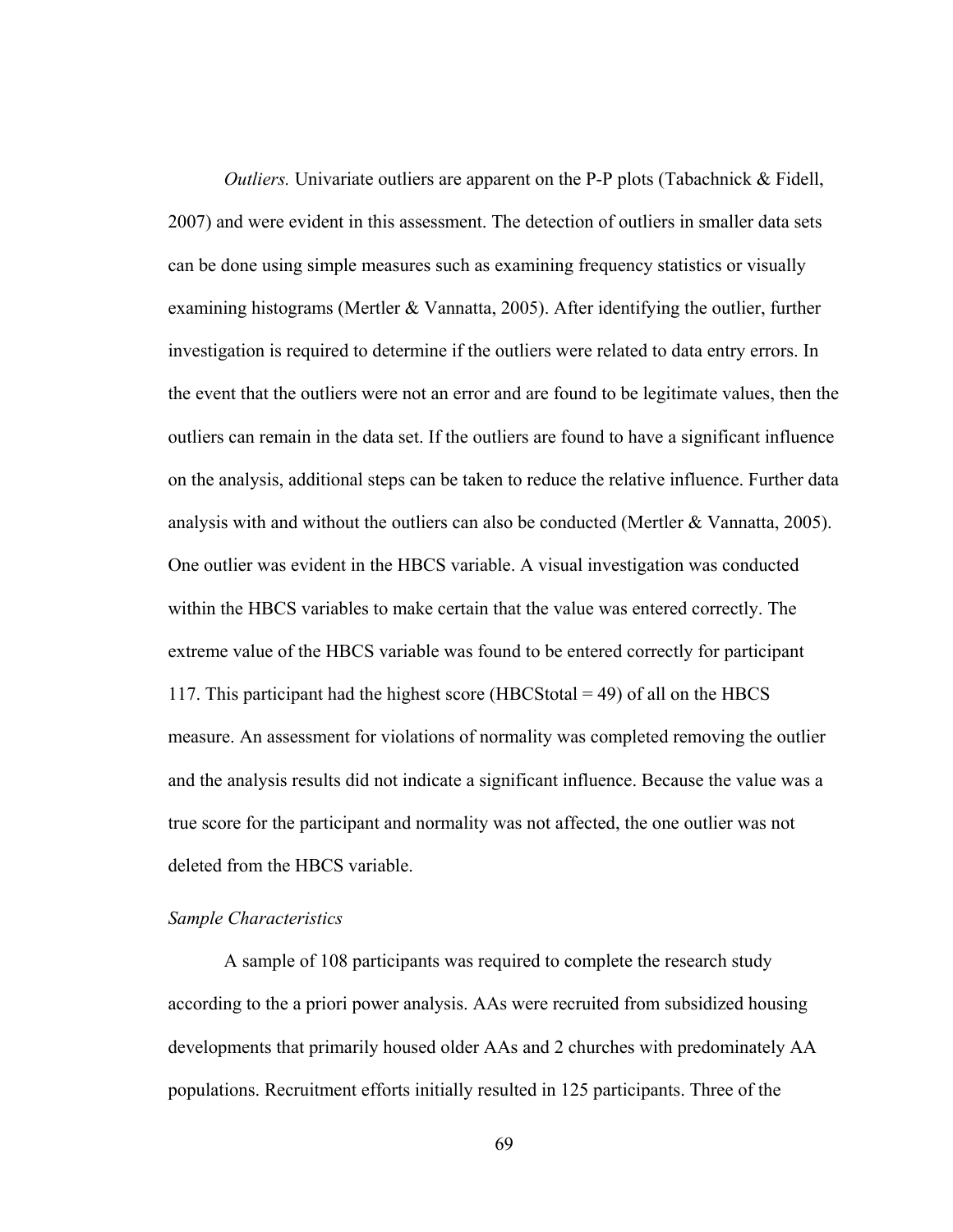*Outliers.* Univariate outliers are apparent on the P-P plots (Tabachnick & Fidell, 2007) and were evident in this assessment. The detection of outliers in smaller data sets can be done using simple measures such as examining frequency statistics or visually examining histograms (Mertler & Vannatta, 2005). After identifying the outlier, further investigation is required to determine if the outliers were related to data entry errors. In the event that the outliers were not an error and are found to be legitimate values, then the outliers can remain in the data set. If the outliers are found to have a significant influence on the analysis, additional steps can be taken to reduce the relative influence. Further data analysis with and without the outliers can also be conducted (Mertler & Vannatta, 2005). One outlier was evident in the HBCS variable. A visual investigation was conducted within the HBCS variables to make certain that the value was entered correctly. The extreme value of the HBCS variable was found to be entered correctly for participant 117. This participant had the highest score (HBCStotal  $=$  49) of all on the HBCS measure. An assessment for violations of normality was completed removing the outlier and the analysis results did not indicate a significant influence. Because the value was a true score for the participant and normality was not affected, the one outlier was not deleted from the HBCS variable.

# *Sample Characteristics*

A sample of 108 participants was required to complete the research study according to the a priori power analysis. AAs were recruited from subsidized housing developments that primarily housed older AAs and 2 churches with predominately AA populations. Recruitment efforts initially resulted in 125 participants. Three of the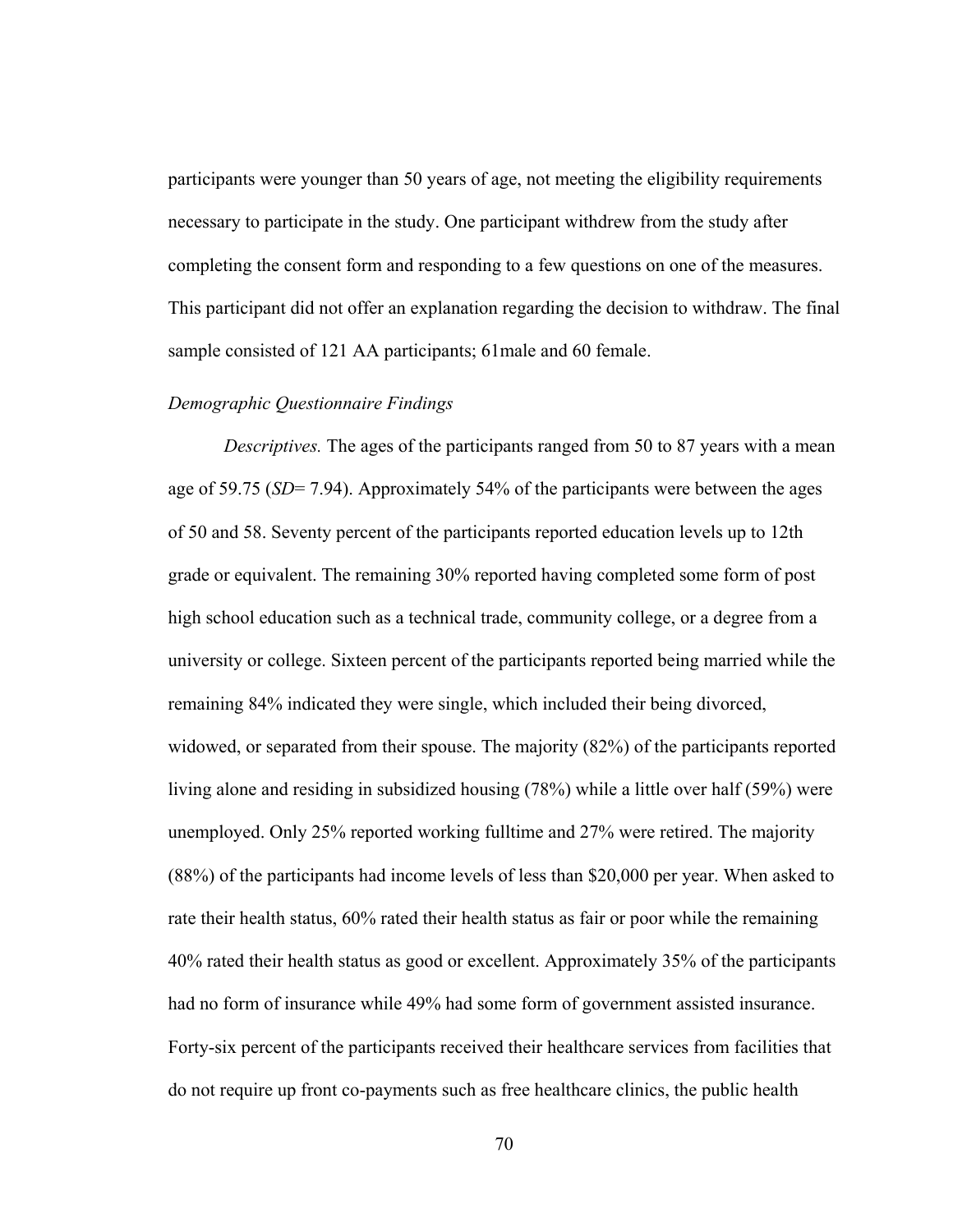participants were younger than 50 years of age, not meeting the eligibility requirements necessary to participate in the study. One participant withdrew from the study after completing the consent form and responding to a few questions on one of the measures. This participant did not offer an explanation regarding the decision to withdraw. The final sample consisted of 121 AA participants; 61male and 60 female.

# *Demographic Questionnaire Findings*

*Descriptives.* The ages of the participants ranged from 50 to 87 years with a mean age of 59.75 (*SD*= 7.94). Approximately 54% of the participants were between the ages of 50 and 58. Seventy percent of the participants reported education levels up to 12th grade or equivalent. The remaining 30% reported having completed some form of post high school education such as a technical trade, community college, or a degree from a university or college. Sixteen percent of the participants reported being married while the remaining 84% indicated they were single, which included their being divorced, widowed, or separated from their spouse. The majority (82%) of the participants reported living alone and residing in subsidized housing (78%) while a little over half (59%) were unemployed. Only 25% reported working fulltime and 27% were retired. The majority (88%) of the participants had income levels of less than \$20,000 per year. When asked to rate their health status, 60% rated their health status as fair or poor while the remaining 40% rated their health status as good or excellent. Approximately 35% of the participants had no form of insurance while 49% had some form of government assisted insurance. Forty-six percent of the participants received their healthcare services from facilities that do not require up front co-payments such as free healthcare clinics, the public health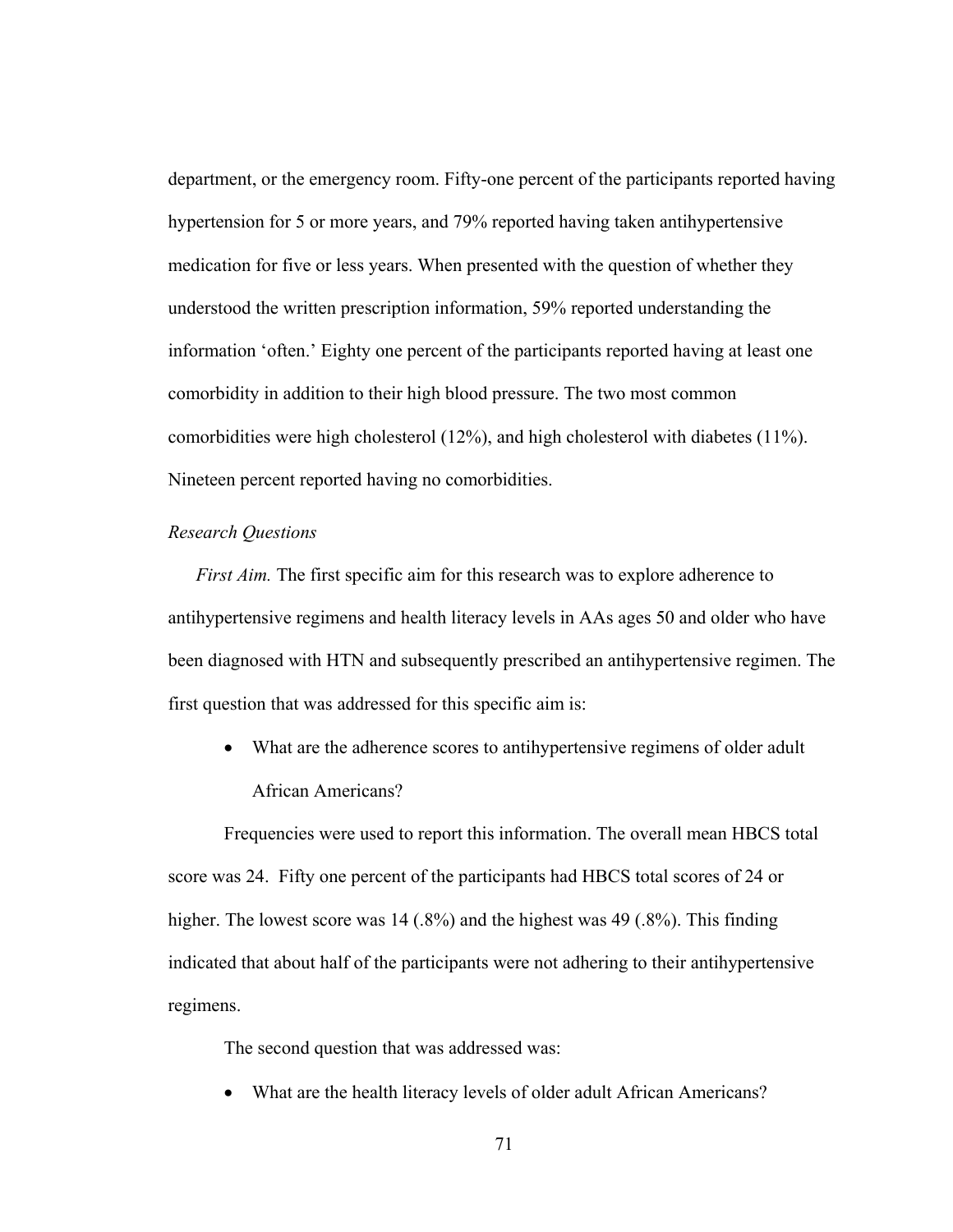department, or the emergency room. Fifty-one percent of the participants reported having hypertension for 5 or more years, and 79% reported having taken antihypertensive medication for five or less years. When presented with the question of whether they understood the written prescription information, 59% reported understanding the information 'often.' Eighty one percent of the participants reported having at least one comorbidity in addition to their high blood pressure. The two most common comorbidities were high cholesterol (12%), and high cholesterol with diabetes (11%). Nineteen percent reported having no comorbidities.

## *Research Questions*

*First Aim.* The first specific aim for this research was to explore adherence to antihypertensive regimens and health literacy levels in AAs ages 50 and older who have been diagnosed with HTN and subsequently prescribed an antihypertensive regimen. The first question that was addressed for this specific aim is:

 What are the adherence scores to antihypertensive regimens of older adult African Americans?

Frequencies were used to report this information. The overall mean HBCS total score was 24. Fifty one percent of the participants had HBCS total scores of 24 or higher. The lowest score was 14 (.8%) and the highest was 49 (.8%). This finding indicated that about half of the participants were not adhering to their antihypertensive regimens.

The second question that was addressed was:

What are the health literacy levels of older adult African Americans?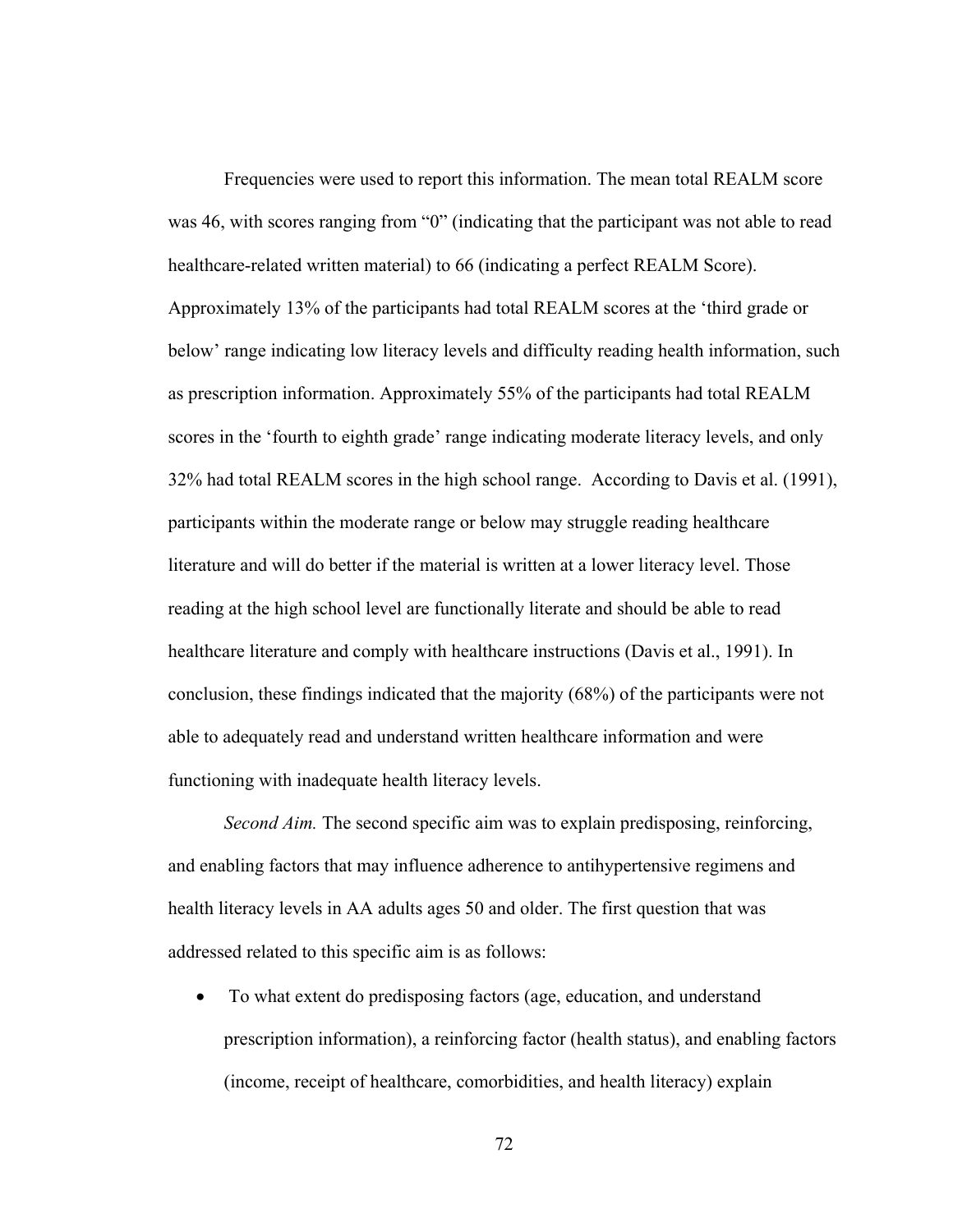Frequencies were used to report this information. The mean total REALM score was 46, with scores ranging from "0" (indicating that the participant was not able to read healthcare-related written material) to 66 (indicating a perfect REALM Score). Approximately 13% of the participants had total REALM scores at the 'third grade or below' range indicating low literacy levels and difficulty reading health information, such as prescription information. Approximately 55% of the participants had total REALM scores in the 'fourth to eighth grade' range indicating moderate literacy levels, and only 32% had total REALM scores in the high school range. According to Davis et al. (1991), participants within the moderate range or below may struggle reading healthcare literature and will do better if the material is written at a lower literacy level. Those reading at the high school level are functionally literate and should be able to read healthcare literature and comply with healthcare instructions (Davis et al., 1991). In conclusion, these findings indicated that the majority (68%) of the participants were not able to adequately read and understand written healthcare information and were functioning with inadequate health literacy levels.

*Second Aim.* The second specific aim was to explain predisposing, reinforcing, and enabling factors that may influence adherence to antihypertensive regimens and health literacy levels in AA adults ages 50 and older. The first question that was addressed related to this specific aim is as follows:

 To what extent do predisposing factors (age, education, and understand prescription information), a reinforcing factor (health status), and enabling factors (income, receipt of healthcare, comorbidities, and health literacy) explain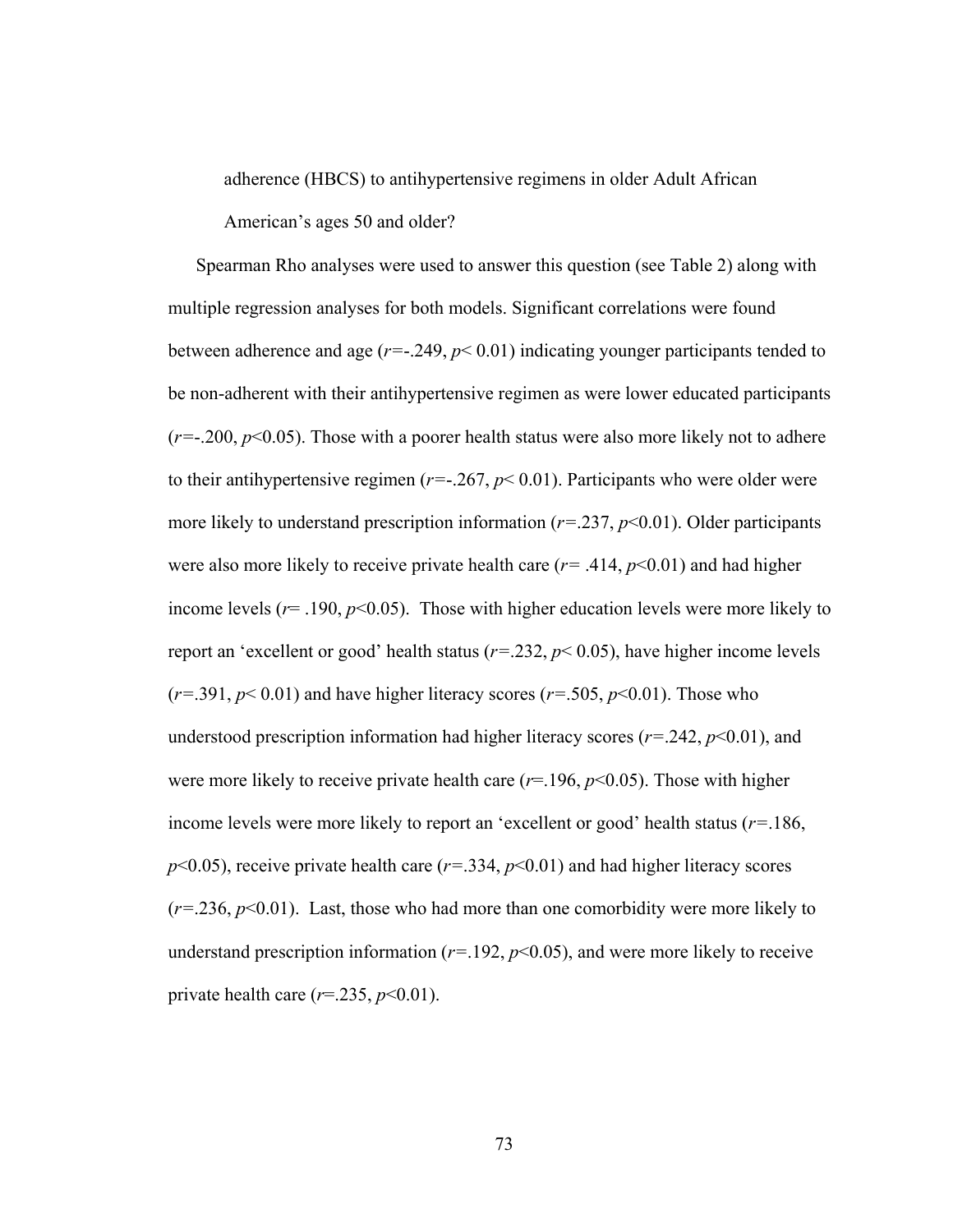adherence (HBCS) to antihypertensive regimens in older Adult African

American's ages 50 and older?

Spearman Rho analyses were used to answer this question (see Table 2) along with multiple regression analyses for both models. Significant correlations were found between adherence and age  $(r=-.249, p< 0.01)$  indicating younger participants tended to be non-adherent with their antihypertensive regimen as were lower educated participants  $(r=-.200, p<0.05)$ . Those with a poorer health status were also more likely not to adhere to their antihypertensive regimen ( $r=-.267$ ,  $p<0.01$ ). Participants who were older were more likely to understand prescription information (*r=*.237, *p*<0.01). Older participants were also more likely to receive private health care  $(r=0.414, p<0.01)$  and had higher income levels ( $r = .190$ ,  $p < 0.05$ ). Those with higher education levels were more likely to report an 'excellent or good' health status (*r=*.232, *p*< 0.05), have higher income levels (*r=*.391, *p*< 0.01) and have higher literacy scores (*r=*.505, *p*<0.01). Those who understood prescription information had higher literacy scores (*r=*.242, *p*<0.01), and were more likely to receive private health care  $(r=196, p<0.05)$ . Those with higher income levels were more likely to report an 'excellent or good' health status (*r=*.186,  $p<0.05$ ), receive private health care ( $r=.334$ ,  $p<0.01$ ) and had higher literacy scores (*r=*.236, *p*<0.01). Last, those who had more than one comorbidity were more likely to understand prescription information  $(r=192, p<0.05)$ , and were more likely to receive private health care  $(r=235, p<0.01)$ .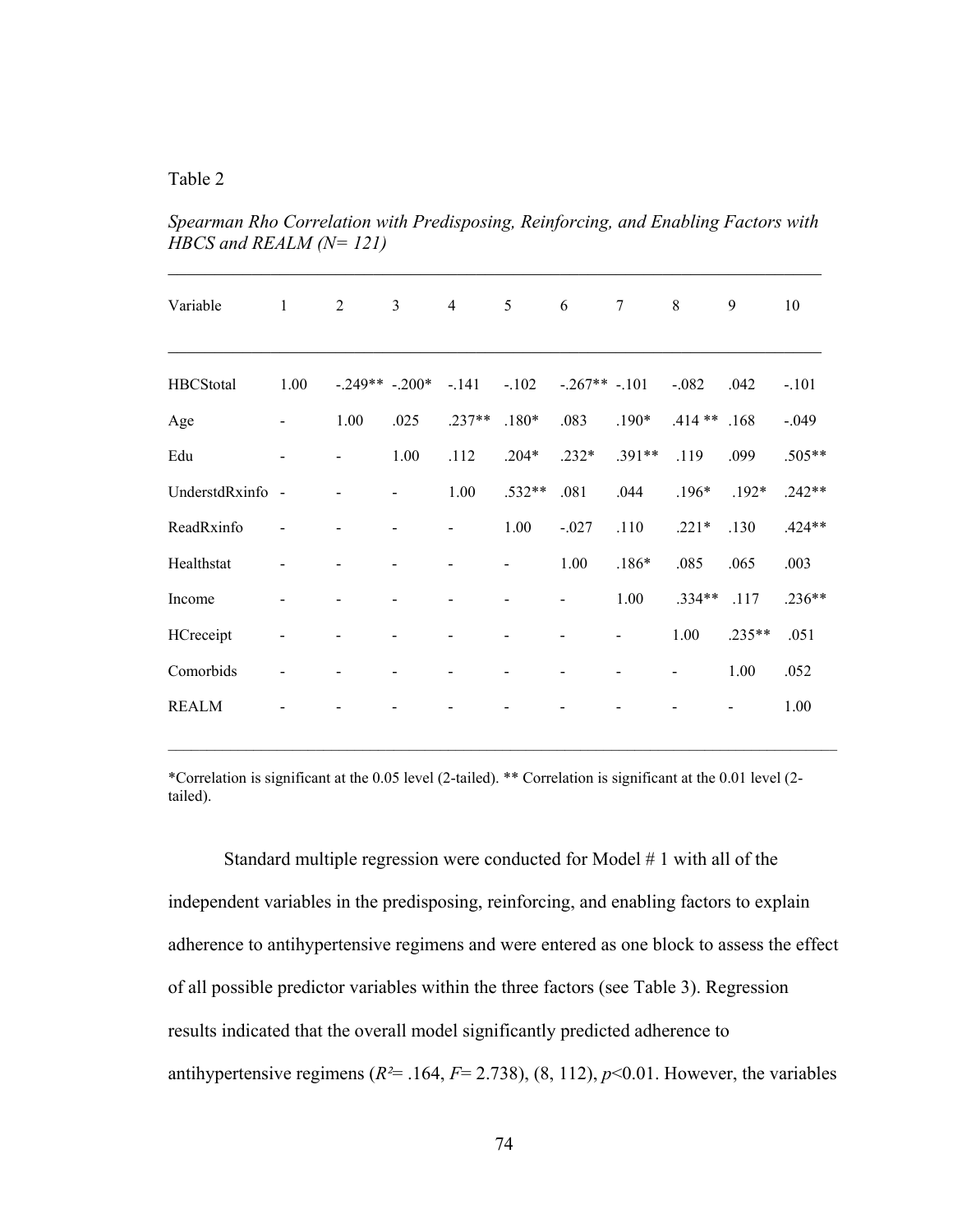# Table 2

| Variable         | $\mathbf{1}$             | 2              | 3               | $\overline{4}$ | 5              | 6              | $\tau$   | 8             | 9        | 10       |
|------------------|--------------------------|----------------|-----------------|----------------|----------------|----------------|----------|---------------|----------|----------|
| <b>HBCStotal</b> | 1.00                     |                | $-.249**-.200*$ | $-.141$        | $-.102$        | $-.267**-.101$ |          | $-.082$       | .042     | $-.101$  |
| Age              |                          | 1.00           | .025            | $.237**$       | $.180*$        | .083           | $.190*$  | $.414**$ .168 |          | $-.049$  |
| Edu              | $\overline{\phantom{a}}$ | $\blacksquare$ | 1.00            | .112           | $.204*$        | $.232*$        | $.391**$ | .119          | .099     | .505**   |
| UnderstdRxinfo - |                          |                |                 | 1.00           | $.532**$       | .081           | .044     | $.196*$       | $.192*$  | $.242**$ |
| ReadRxinfo       |                          |                |                 |                | 1.00           | $-.027$        | .110     | $.221*$       | .130     | $.424**$ |
| Healthstat       | -                        |                |                 |                | $\blacksquare$ | 1.00           | $.186*$  | .085          | .065     | .003     |
| Income           |                          |                |                 |                |                |                | 1.00     | $.334**$      | .117     | $.236**$ |
| HCreceipt        |                          |                |                 |                |                |                |          | 1.00          | $.235**$ | .051     |
| Comorbids        |                          |                |                 |                |                |                |          |               | 1.00     | .052     |
| <b>REALM</b>     |                          |                |                 |                |                |                |          |               |          | 1.00     |

*Spearman Rho Correlation with Predisposing, Reinforcing, and Enabling Factors with HBCS and REALM (N= 121)* 

\*Correlation is significant at the 0.05 level (2-tailed). \*\* Correlation is significant at the 0.01 level (2 tailed).

Standard multiple regression were conducted for Model # 1 with all of the independent variables in the predisposing, reinforcing, and enabling factors to explain adherence to antihypertensive regimens and were entered as one block to assess the effect of all possible predictor variables within the three factors (see Table 3). Regression results indicated that the overall model significantly predicted adherence to antihypertensive regimens ( $R^2$ = .164,  $F$ = 2.738), (8, 112),  $p$ <0.01. However, the variables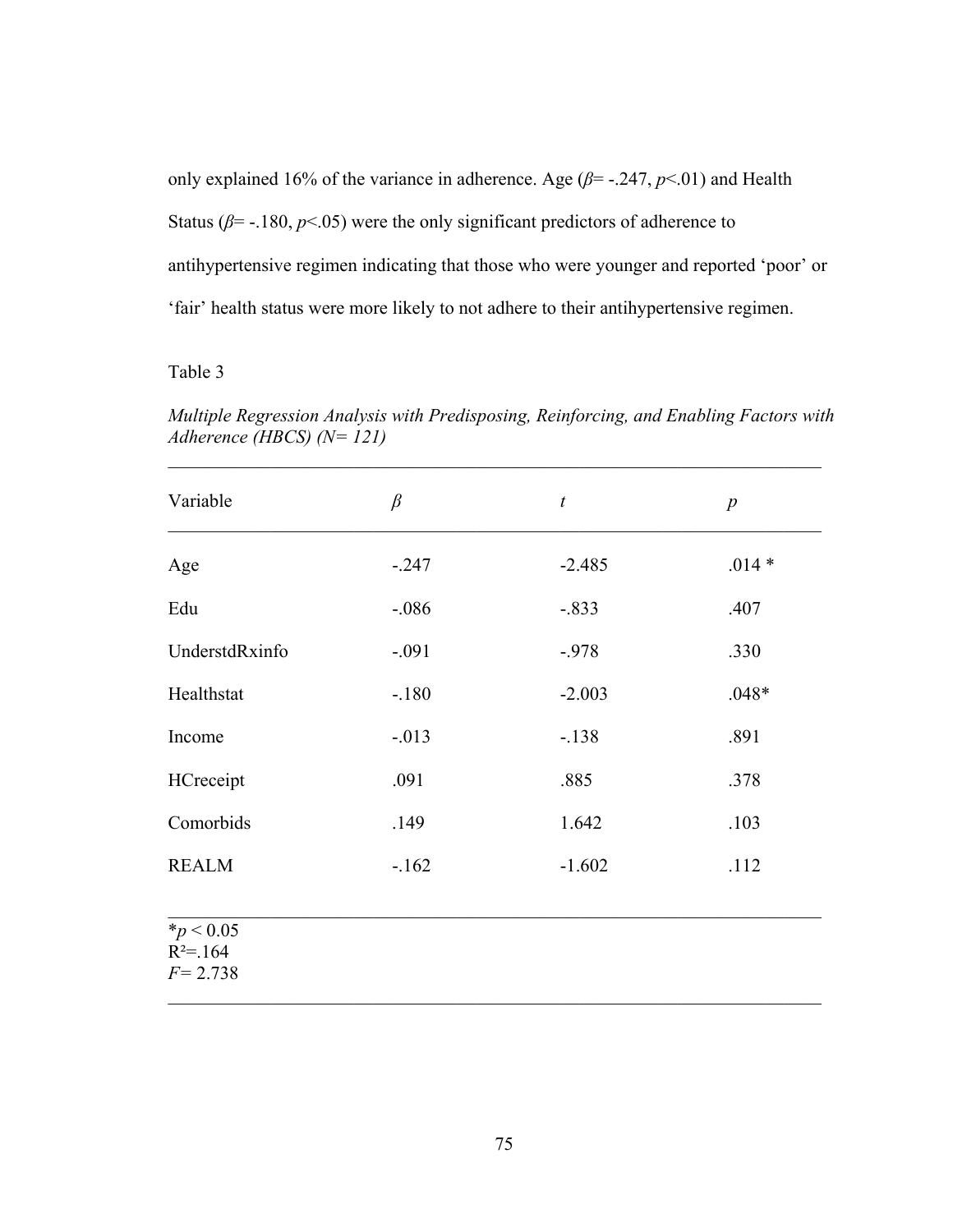only explained 16% of the variance in adherence. Age ( $\beta$ = -.247,  $p$ <.01) and Health Status ( $\beta$ = -.180,  $p$ <.05) were the only significant predictors of adherence to antihypertensive regimen indicating that those who were younger and reported 'poor' or 'fair' health status were more likely to not adhere to their antihypertensive regimen.

# Table 3

*Multiple Regression Analysis with Predisposing, Reinforcing, and Enabling Factors with Adherence (HBCS) (N= 121)* 

| Variable                                     | $\beta$  | $\boldsymbol{t}$ | $\boldsymbol{p}$ |
|----------------------------------------------|----------|------------------|------------------|
| Age                                          | $-0.247$ | $-2.485$         | $.014*$          |
| Edu                                          | $-0.086$ | $-.833$          | .407             |
| UnderstdRxinfo                               | $-.091$  | $-978$           | .330             |
| Healthstat                                   | $-.180$  | $-2.003$         | $.048*$          |
| Income                                       | $-.013$  | $-.138$          | .891             |
| HCreceipt                                    | .091     | .885             | .378             |
| Comorbids                                    | .149     | 1.642            | .103             |
| <b>REALM</b>                                 | $-162$   | $-1.602$         | .112             |
| $*_{p}$ < 0.05<br>$R^2 = 164$<br>$F = 2.738$ |          |                  |                  |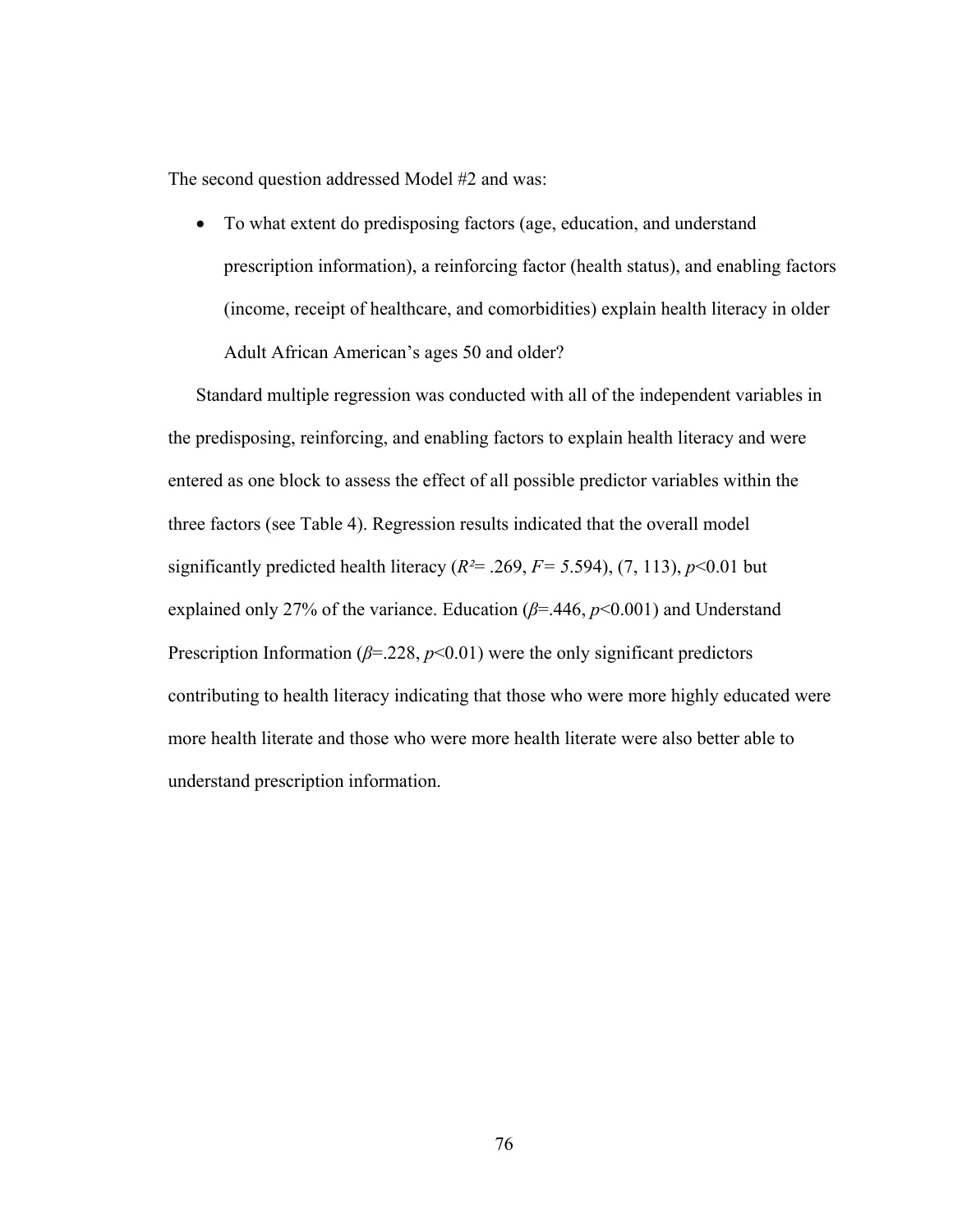The second question addressed Model #2 and was:

 To what extent do predisposing factors (age, education, and understand prescription information), a reinforcing factor (health status), and enabling factors (income, receipt of healthcare, and comorbidities) explain health literacy in older Adult African American's ages 50 and older?

Standard multiple regression was conducted with all of the independent variables in the predisposing, reinforcing, and enabling factors to explain health literacy and were entered as one block to assess the effect of all possible predictor variables within the three factors (see Table 4). Regression results indicated that the overall model significantly predicted health literacy  $(R^2 = .269, F = 5.594)$ ,  $(7, 113)$ ,  $p < 0.01$  but explained only 27% of the variance. Education (*β*=.446, *p*<0.001) and Understand Prescription Information ( $\beta$ =.228,  $p$ <0.01) were the only significant predictors contributing to health literacy indicating that those who were more highly educated were more health literate and those who were more health literate were also better able to understand prescription information.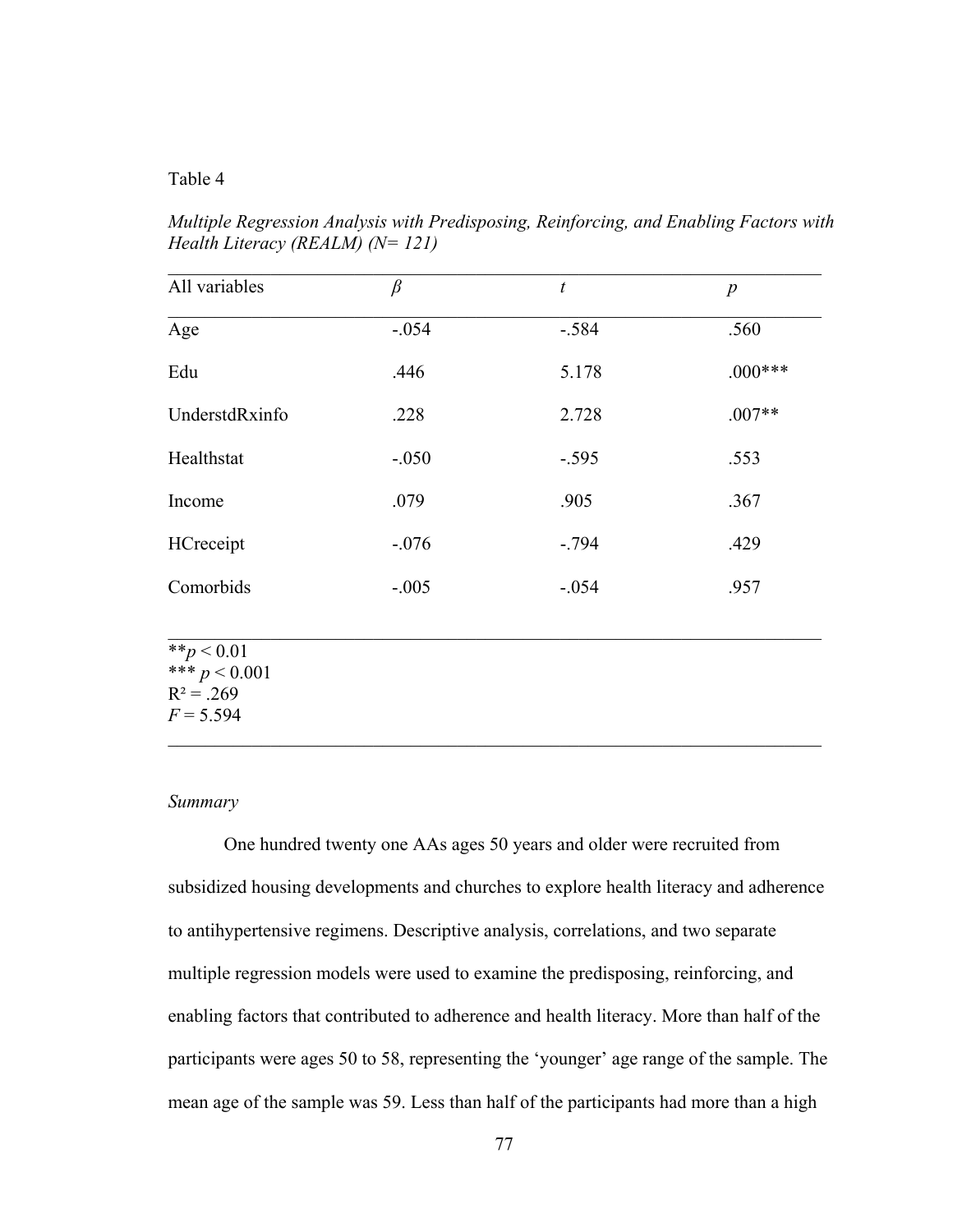# Table 4

*Multiple Regression Analysis with Predisposing, Reinforcing, and Enabling Factors with Health Literacy (REALM) (N= 121)* 

| All variables  | $\beta$ | $\boldsymbol{t}$ | $\boldsymbol{p}$ |
|----------------|---------|------------------|------------------|
| Age            | $-.054$ | $-.584$          | .560             |
| Edu            | .446    | 5.178            | $.000***$        |
| UnderstdRxinfo | .228    | 2.728            | $.007**$         |
| Healthstat     | $-.050$ | $-.595$          | .553             |
| Income         | .079    | .905             | .367             |
| HCreceipt      | $-.076$ | $-.794$          | .429             |
| Comorbids      | $-.005$ | $-.054$          | .957             |

 $\mathcal{L}_\mathcal{L} = \mathcal{L}_\mathcal{L} = \mathcal{L}_\mathcal{L} = \mathcal{L}_\mathcal{L} = \mathcal{L}_\mathcal{L} = \mathcal{L}_\mathcal{L} = \mathcal{L}_\mathcal{L} = \mathcal{L}_\mathcal{L} = \mathcal{L}_\mathcal{L} = \mathcal{L}_\mathcal{L} = \mathcal{L}_\mathcal{L} = \mathcal{L}_\mathcal{L} = \mathcal{L}_\mathcal{L} = \mathcal{L}_\mathcal{L} = \mathcal{L}_\mathcal{L} = \mathcal{L}_\mathcal{L} = \mathcal{L}_\mathcal{L}$ 

 $\mathcal{L}_\mathcal{L} = \mathcal{L}_\mathcal{L} = \mathcal{L}_\mathcal{L} = \mathcal{L}_\mathcal{L} = \mathcal{L}_\mathcal{L} = \mathcal{L}_\mathcal{L} = \mathcal{L}_\mathcal{L} = \mathcal{L}_\mathcal{L} = \mathcal{L}_\mathcal{L} = \mathcal{L}_\mathcal{L} = \mathcal{L}_\mathcal{L} = \mathcal{L}_\mathcal{L} = \mathcal{L}_\mathcal{L} = \mathcal{L}_\mathcal{L} = \mathcal{L}_\mathcal{L} = \mathcal{L}_\mathcal{L} = \mathcal{L}_\mathcal{L}$ 

 $**_p < 0.01$ \*\*\*  $p < 0.001$  $R^2 = .269$  $F = 5.594$ 

## *Summary*

One hundred twenty one AAs ages 50 years and older were recruited from subsidized housing developments and churches to explore health literacy and adherence to antihypertensive regimens. Descriptive analysis, correlations, and two separate multiple regression models were used to examine the predisposing, reinforcing, and enabling factors that contributed to adherence and health literacy. More than half of the participants were ages 50 to 58, representing the 'younger' age range of the sample. The mean age of the sample was 59. Less than half of the participants had more than a high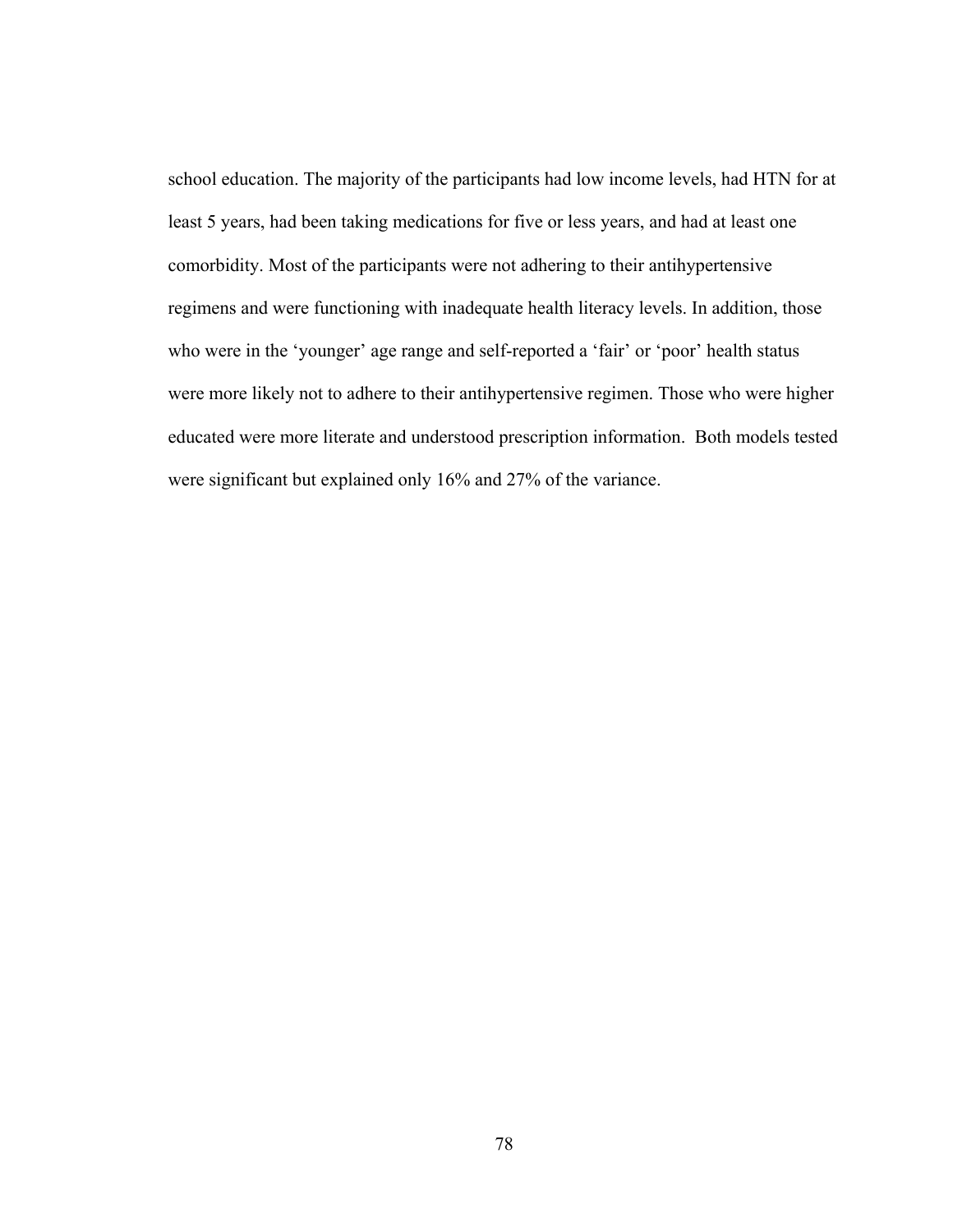school education. The majority of the participants had low income levels, had HTN for at least 5 years, had been taking medications for five or less years, and had at least one comorbidity. Most of the participants were not adhering to their antihypertensive regimens and were functioning with inadequate health literacy levels. In addition, those who were in the 'younger' age range and self-reported a 'fair' or 'poor' health status were more likely not to adhere to their antihypertensive regimen. Those who were higher educated were more literate and understood prescription information. Both models tested were significant but explained only 16% and 27% of the variance.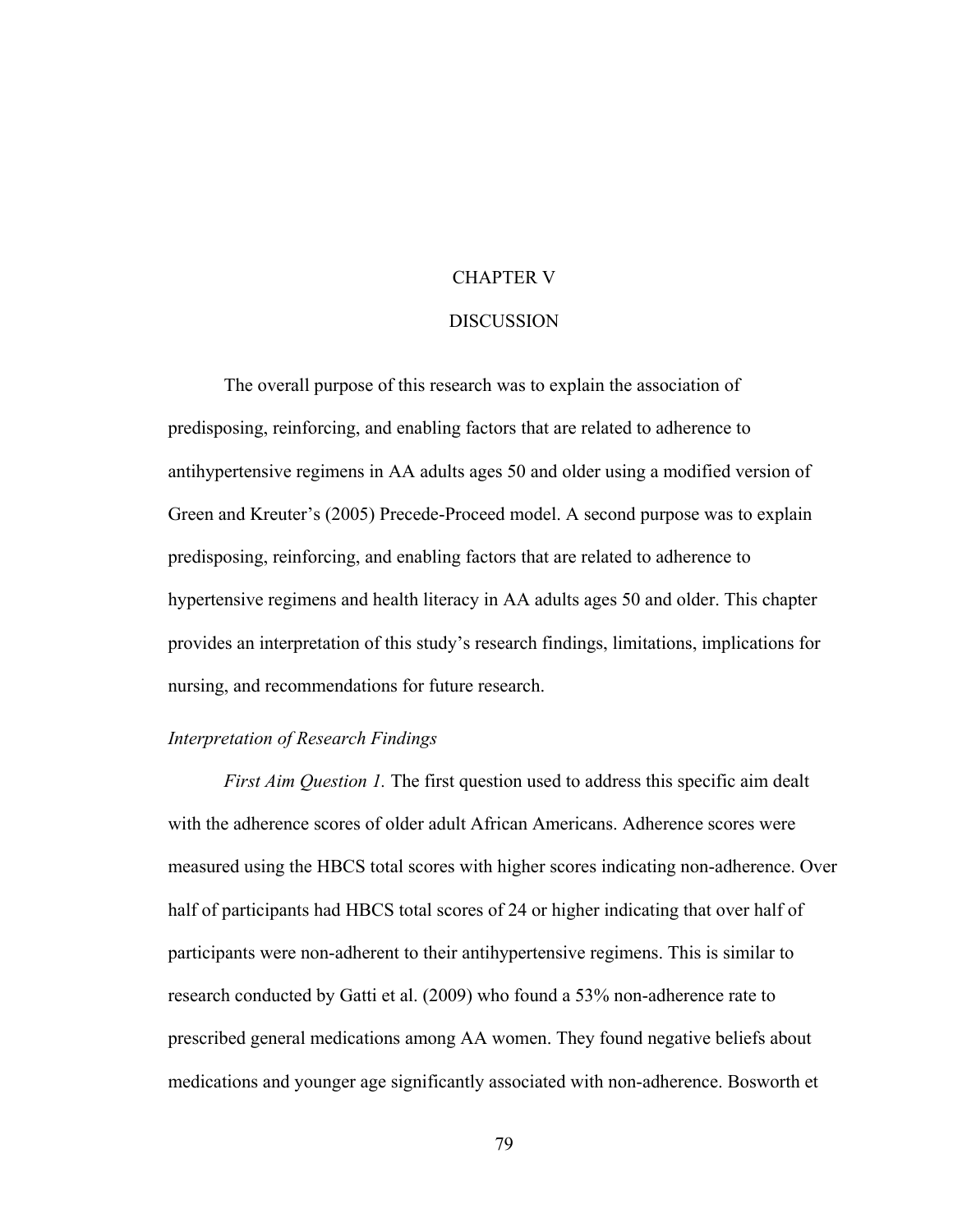# CHAPTER V

#### **DISCUSSION**

The overall purpose of this research was to explain the association of predisposing, reinforcing, and enabling factors that are related to adherence to antihypertensive regimens in AA adults ages 50 and older using a modified version of Green and Kreuter's (2005) Precede-Proceed model. A second purpose was to explain predisposing, reinforcing, and enabling factors that are related to adherence to hypertensive regimens and health literacy in AA adults ages 50 and older. This chapter provides an interpretation of this study's research findings, limitations, implications for nursing, and recommendations for future research.

# *Interpretation of Research Findings*

*First Aim Question 1.* The first question used to address this specific aim dealt with the adherence scores of older adult African Americans. Adherence scores were measured using the HBCS total scores with higher scores indicating non-adherence. Over half of participants had HBCS total scores of 24 or higher indicating that over half of participants were non-adherent to their antihypertensive regimens. This is similar to research conducted by Gatti et al. (2009) who found a 53% non-adherence rate to prescribed general medications among AA women. They found negative beliefs about medications and younger age significantly associated with non-adherence. Bosworth et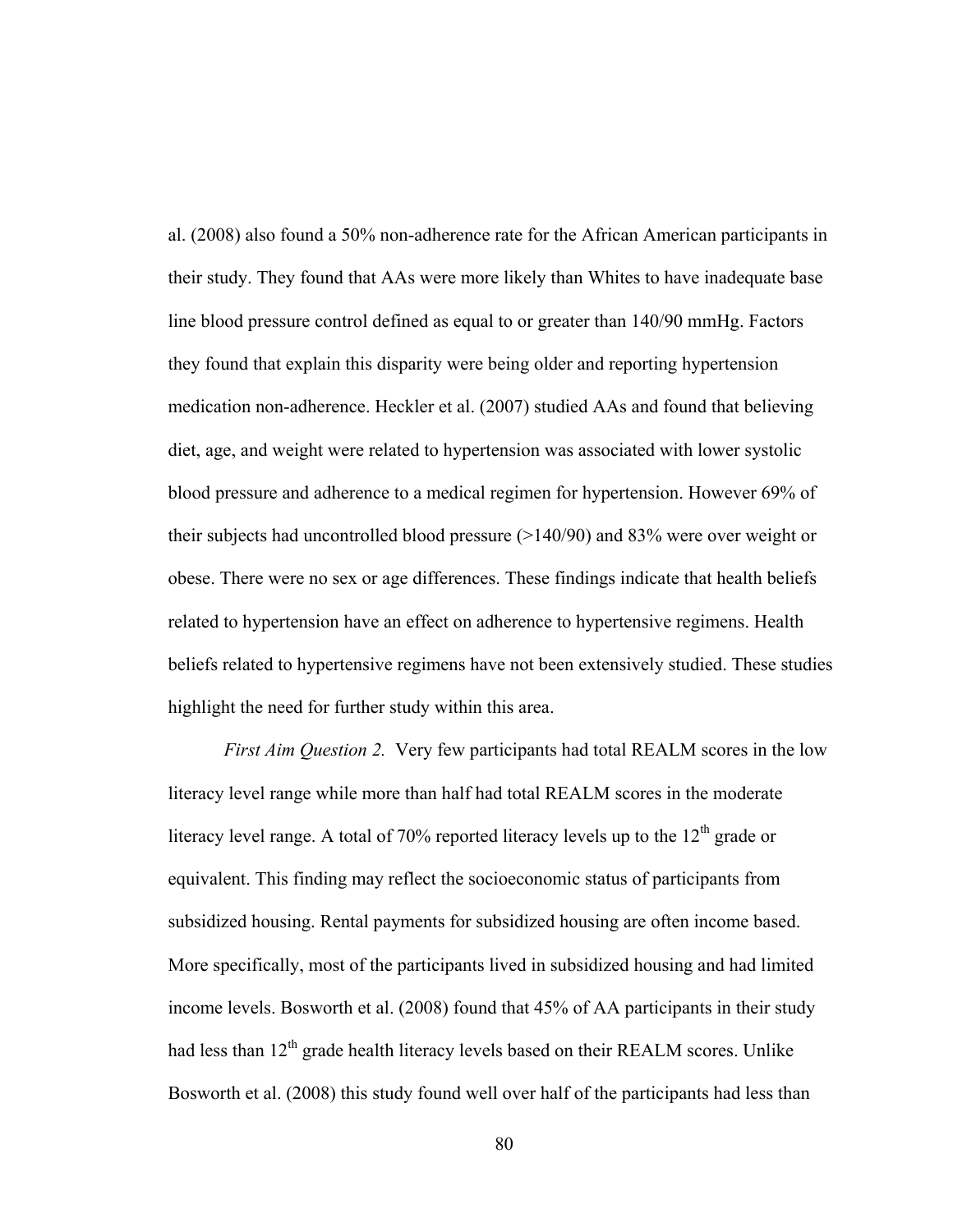al. (2008) also found a 50% non-adherence rate for the African American participants in their study. They found that AAs were more likely than Whites to have inadequate base line blood pressure control defined as equal to or greater than 140/90 mmHg. Factors they found that explain this disparity were being older and reporting hypertension medication non-adherence. Heckler et al. (2007) studied AAs and found that believing diet, age, and weight were related to hypertension was associated with lower systolic blood pressure and adherence to a medical regimen for hypertension. However 69% of their subjects had uncontrolled blood pressure (>140/90) and 83% were over weight or obese. There were no sex or age differences. These findings indicate that health beliefs related to hypertension have an effect on adherence to hypertensive regimens. Health beliefs related to hypertensive regimens have not been extensively studied. These studies highlight the need for further study within this area.

*First Aim Question 2.* Very few participants had total REALM scores in the low literacy level range while more than half had total REALM scores in the moderate literacy level range. A total of 70% reported literacy levels up to the  $12<sup>th</sup>$  grade or equivalent. This finding may reflect the socioeconomic status of participants from subsidized housing. Rental payments for subsidized housing are often income based. More specifically, most of the participants lived in subsidized housing and had limited income levels. Bosworth et al. (2008) found that 45% of AA participants in their study had less than  $12<sup>th</sup>$  grade health literacy levels based on their REALM scores. Unlike Bosworth et al. (2008) this study found well over half of the participants had less than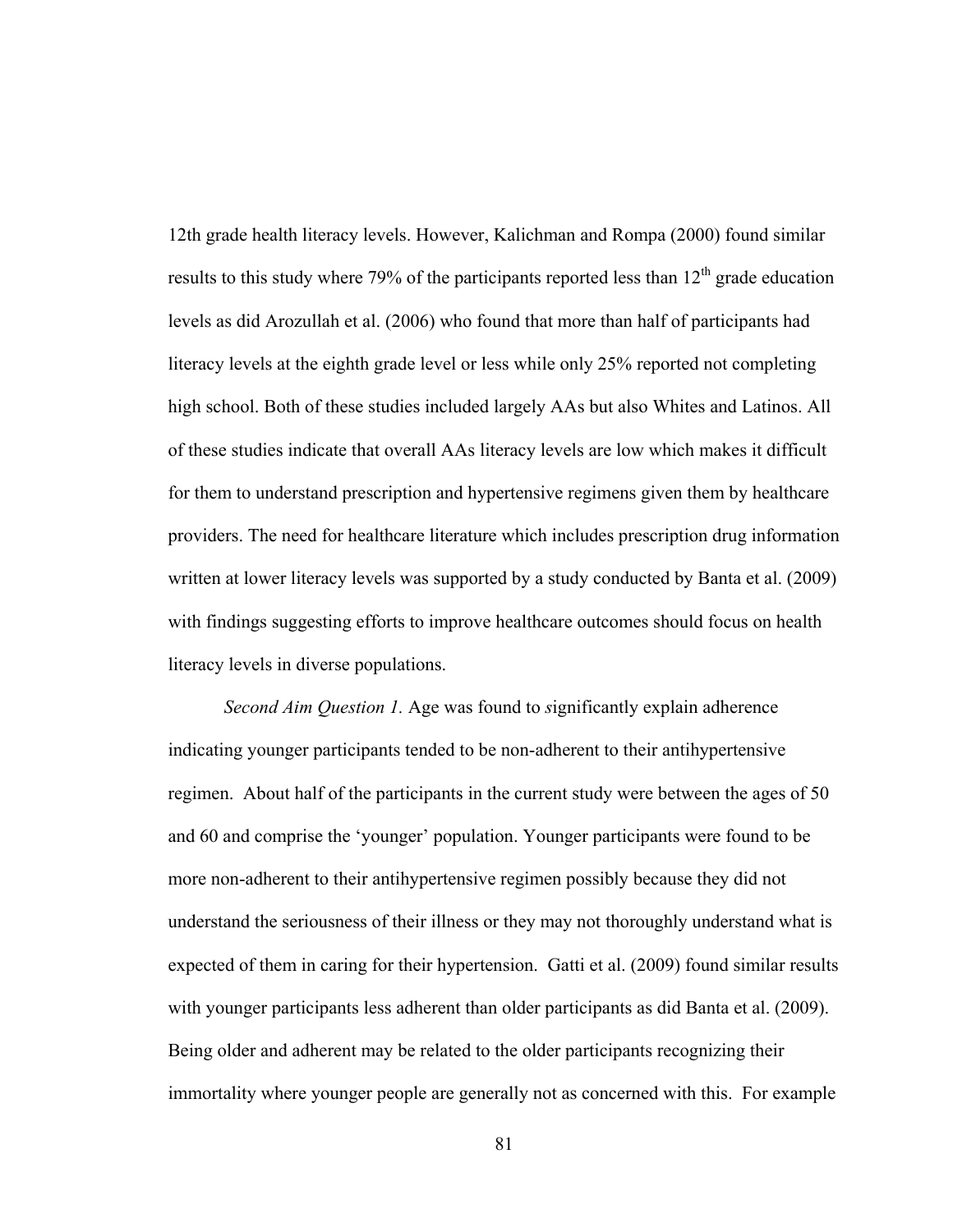12th grade health literacy levels. However, Kalichman and Rompa (2000) found similar results to this study where 79% of the participants reported less than  $12<sup>th</sup>$  grade education levels as did Arozullah et al. (2006) who found that more than half of participants had literacy levels at the eighth grade level or less while only 25% reported not completing high school. Both of these studies included largely AAs but also Whites and Latinos. All of these studies indicate that overall AAs literacy levels are low which makes it difficult for them to understand prescription and hypertensive regimens given them by healthcare providers. The need for healthcare literature which includes prescription drug information written at lower literacy levels was supported by a study conducted by Banta et al. (2009) with findings suggesting efforts to improve healthcare outcomes should focus on health literacy levels in diverse populations.

*Second Aim Question 1.* Age was found to *s*ignificantly explain adherence indicating younger participants tended to be non-adherent to their antihypertensive regimen. About half of the participants in the current study were between the ages of 50 and 60 and comprise the 'younger' population. Younger participants were found to be more non-adherent to their antihypertensive regimen possibly because they did not understand the seriousness of their illness or they may not thoroughly understand what is expected of them in caring for their hypertension. Gatti et al. (2009) found similar results with younger participants less adherent than older participants as did Banta et al. (2009). Being older and adherent may be related to the older participants recognizing their immortality where younger people are generally not as concerned with this. For example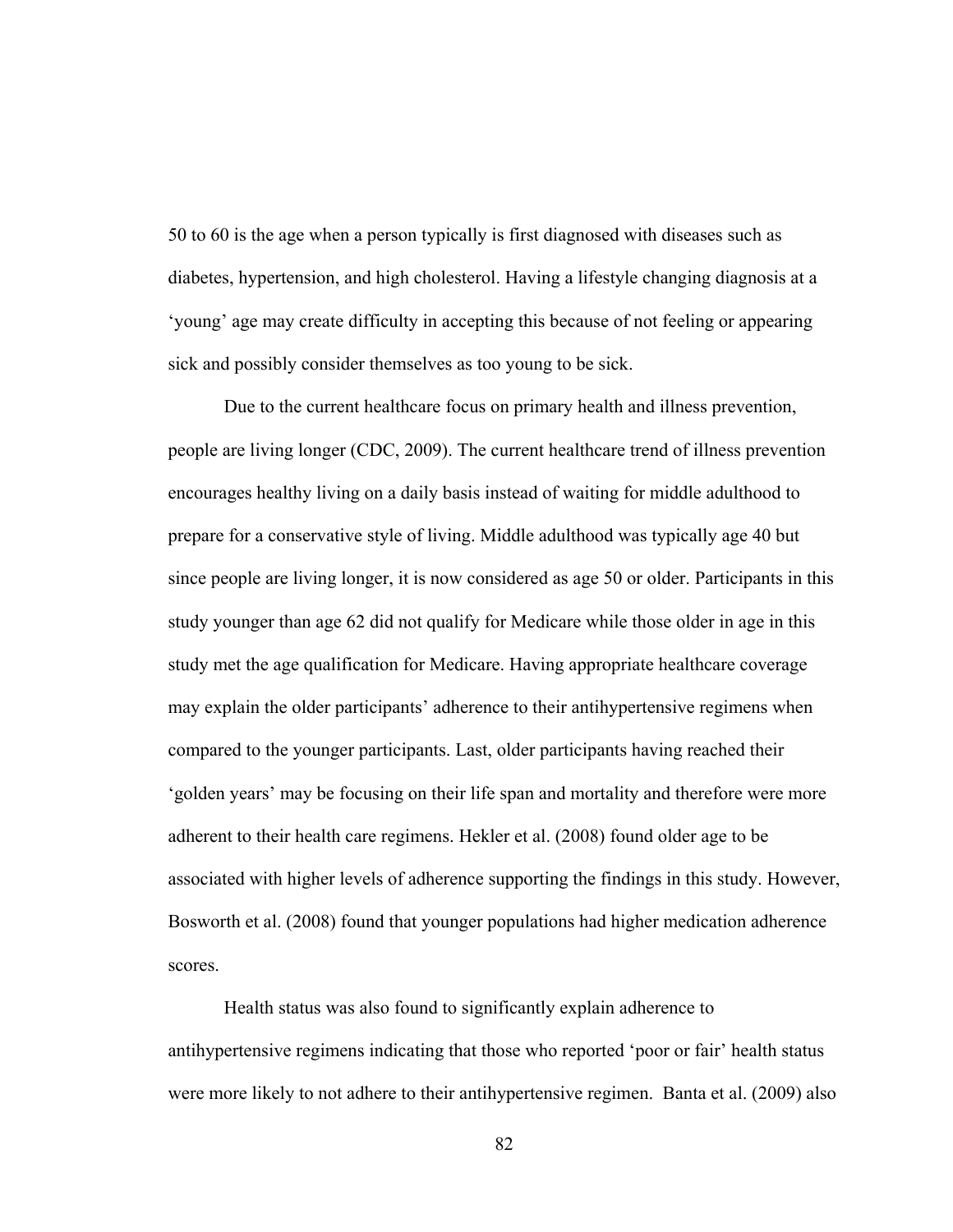50 to 60 is the age when a person typically is first diagnosed with diseases such as diabetes, hypertension, and high cholesterol. Having a lifestyle changing diagnosis at a 'young' age may create difficulty in accepting this because of not feeling or appearing sick and possibly consider themselves as too young to be sick.

Due to the current healthcare focus on primary health and illness prevention, people are living longer (CDC, 2009). The current healthcare trend of illness prevention encourages healthy living on a daily basis instead of waiting for middle adulthood to prepare for a conservative style of living. Middle adulthood was typically age 40 but since people are living longer, it is now considered as age 50 or older. Participants in this study younger than age 62 did not qualify for Medicare while those older in age in this study met the age qualification for Medicare. Having appropriate healthcare coverage may explain the older participants' adherence to their antihypertensive regimens when compared to the younger participants. Last, older participants having reached their 'golden years' may be focusing on their life span and mortality and therefore were more adherent to their health care regimens. Hekler et al. (2008) found older age to be associated with higher levels of adherence supporting the findings in this study. However, Bosworth et al. (2008) found that younger populations had higher medication adherence scores.

Health status was also found to significantly explain adherence to antihypertensive regimens indicating that those who reported 'poor or fair' health status were more likely to not adhere to their antihypertensive regimen. Banta et al. (2009) also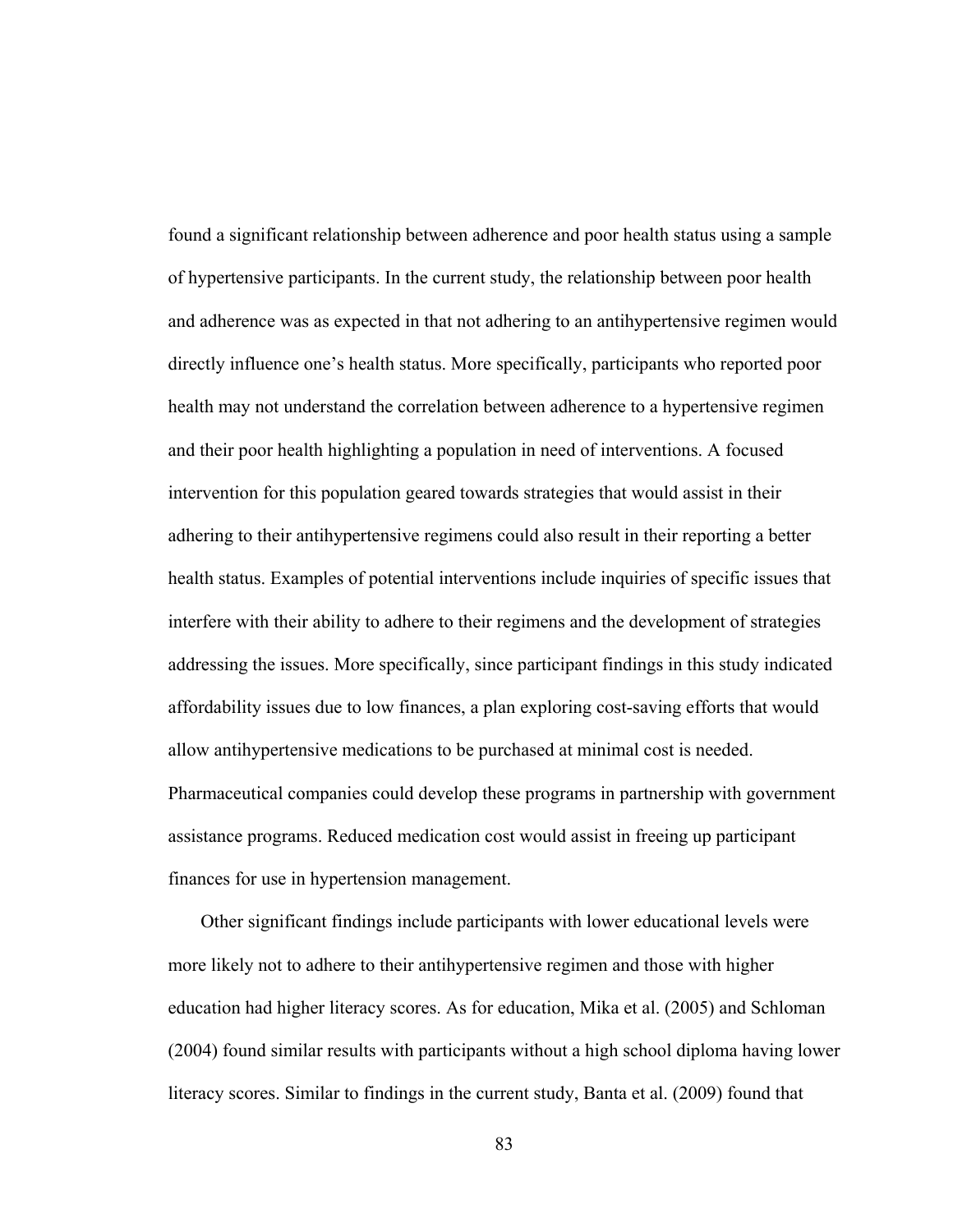found a significant relationship between adherence and poor health status using a sample of hypertensive participants. In the current study, the relationship between poor health and adherence was as expected in that not adhering to an antihypertensive regimen would directly influence one's health status. More specifically, participants who reported poor health may not understand the correlation between adherence to a hypertensive regimen and their poor health highlighting a population in need of interventions. A focused intervention for this population geared towards strategies that would assist in their adhering to their antihypertensive regimens could also result in their reporting a better health status. Examples of potential interventions include inquiries of specific issues that interfere with their ability to adhere to their regimens and the development of strategies addressing the issues. More specifically, since participant findings in this study indicated affordability issues due to low finances, a plan exploring cost-saving efforts that would allow antihypertensive medications to be purchased at minimal cost is needed. Pharmaceutical companies could develop these programs in partnership with government assistance programs. Reduced medication cost would assist in freeing up participant finances for use in hypertension management.

 Other significant findings include participants with lower educational levels were more likely not to adhere to their antihypertensive regimen and those with higher education had higher literacy scores. As for education, Mika et al. (2005) and Schloman (2004) found similar results with participants without a high school diploma having lower literacy scores. Similar to findings in the current study, Banta et al. (2009) found that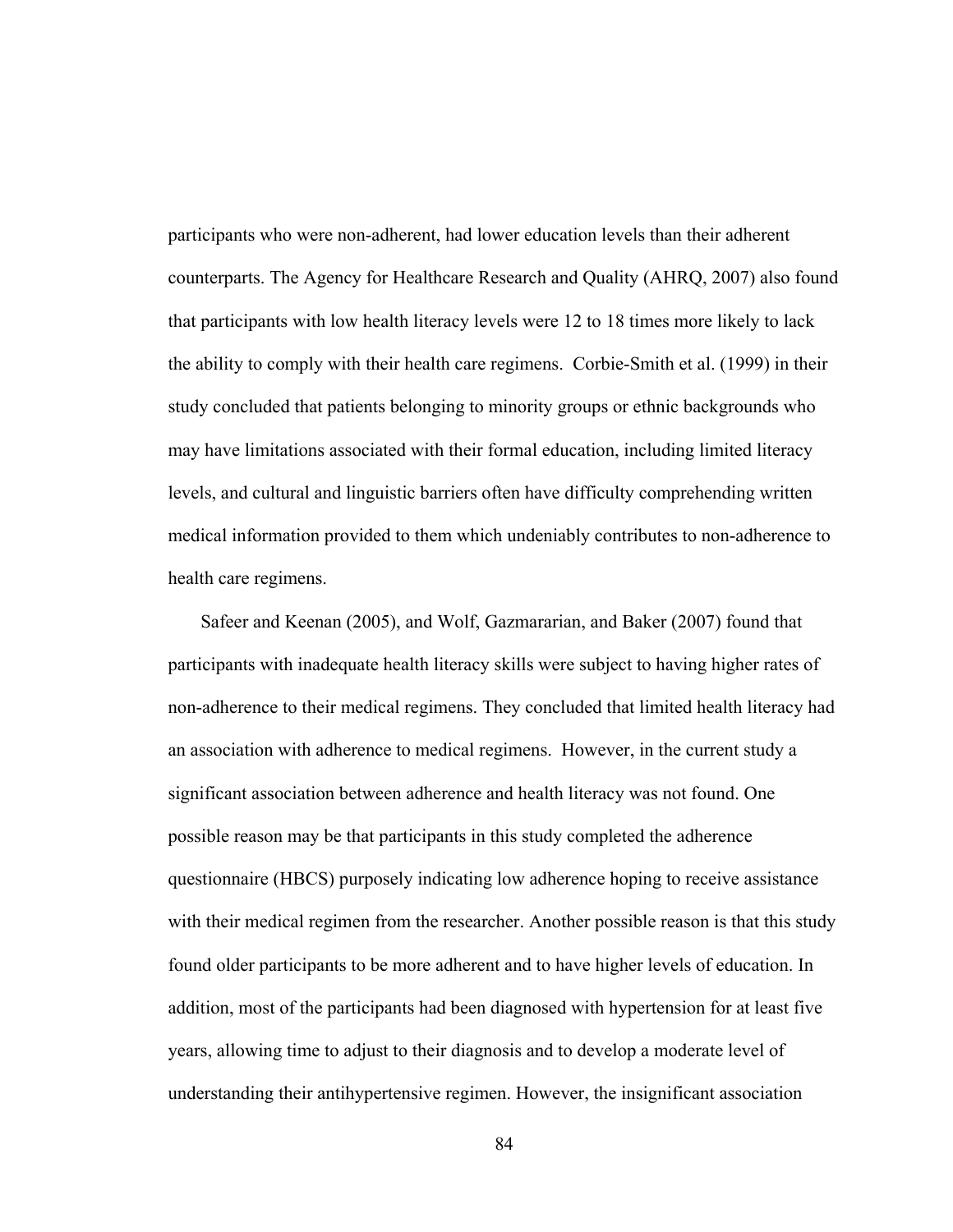participants who were non-adherent, had lower education levels than their adherent counterparts. The Agency for Healthcare Research and Quality (AHRQ, 2007) also found that participants with low health literacy levels were 12 to 18 times more likely to lack the ability to comply with their health care regimens. Corbie-Smith et al. (1999) in their study concluded that patients belonging to minority groups or ethnic backgrounds who may have limitations associated with their formal education, including limited literacy levels, and cultural and linguistic barriers often have difficulty comprehending written medical information provided to them which undeniably contributes to non-adherence to health care regimens.

 Safeer and Keenan (2005), and Wolf, Gazmararian, and Baker (2007) found that participants with inadequate health literacy skills were subject to having higher rates of non-adherence to their medical regimens. They concluded that limited health literacy had an association with adherence to medical regimens. However, in the current study a significant association between adherence and health literacy was not found. One possible reason may be that participants in this study completed the adherence questionnaire (HBCS) purposely indicating low adherence hoping to receive assistance with their medical regimen from the researcher. Another possible reason is that this study found older participants to be more adherent and to have higher levels of education. In addition, most of the participants had been diagnosed with hypertension for at least five years, allowing time to adjust to their diagnosis and to develop a moderate level of understanding their antihypertensive regimen. However, the insignificant association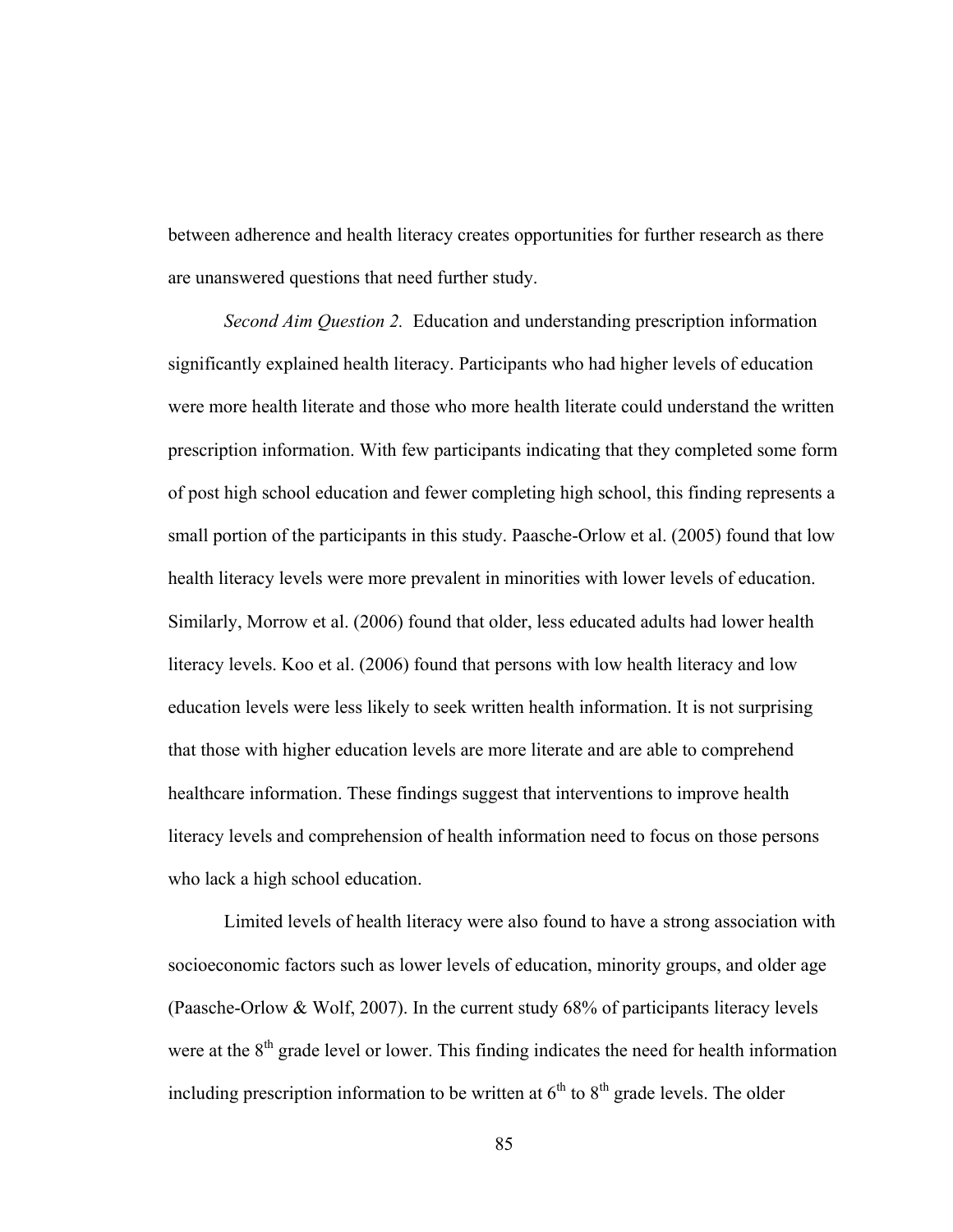between adherence and health literacy creates opportunities for further research as there are unanswered questions that need further study.

*Second Aim Question 2.* Education and understanding prescription information significantly explained health literacy. Participants who had higher levels of education were more health literate and those who more health literate could understand the written prescription information. With few participants indicating that they completed some form of post high school education and fewer completing high school, this finding represents a small portion of the participants in this study. Paasche-Orlow et al. (2005) found that low health literacy levels were more prevalent in minorities with lower levels of education. Similarly, Morrow et al. (2006) found that older, less educated adults had lower health literacy levels. Koo et al. (2006) found that persons with low health literacy and low education levels were less likely to seek written health information. It is not surprising that those with higher education levels are more literate and are able to comprehend healthcare information. These findings suggest that interventions to improve health literacy levels and comprehension of health information need to focus on those persons who lack a high school education.

Limited levels of health literacy were also found to have a strong association with socioeconomic factors such as lower levels of education, minority groups, and older age (Paasche-Orlow & Wolf, 2007). In the current study 68% of participants literacy levels were at the  $8<sup>th</sup>$  grade level or lower. This finding indicates the need for health information including prescription information to be written at  $6<sup>th</sup>$  to  $8<sup>th</sup>$  grade levels. The older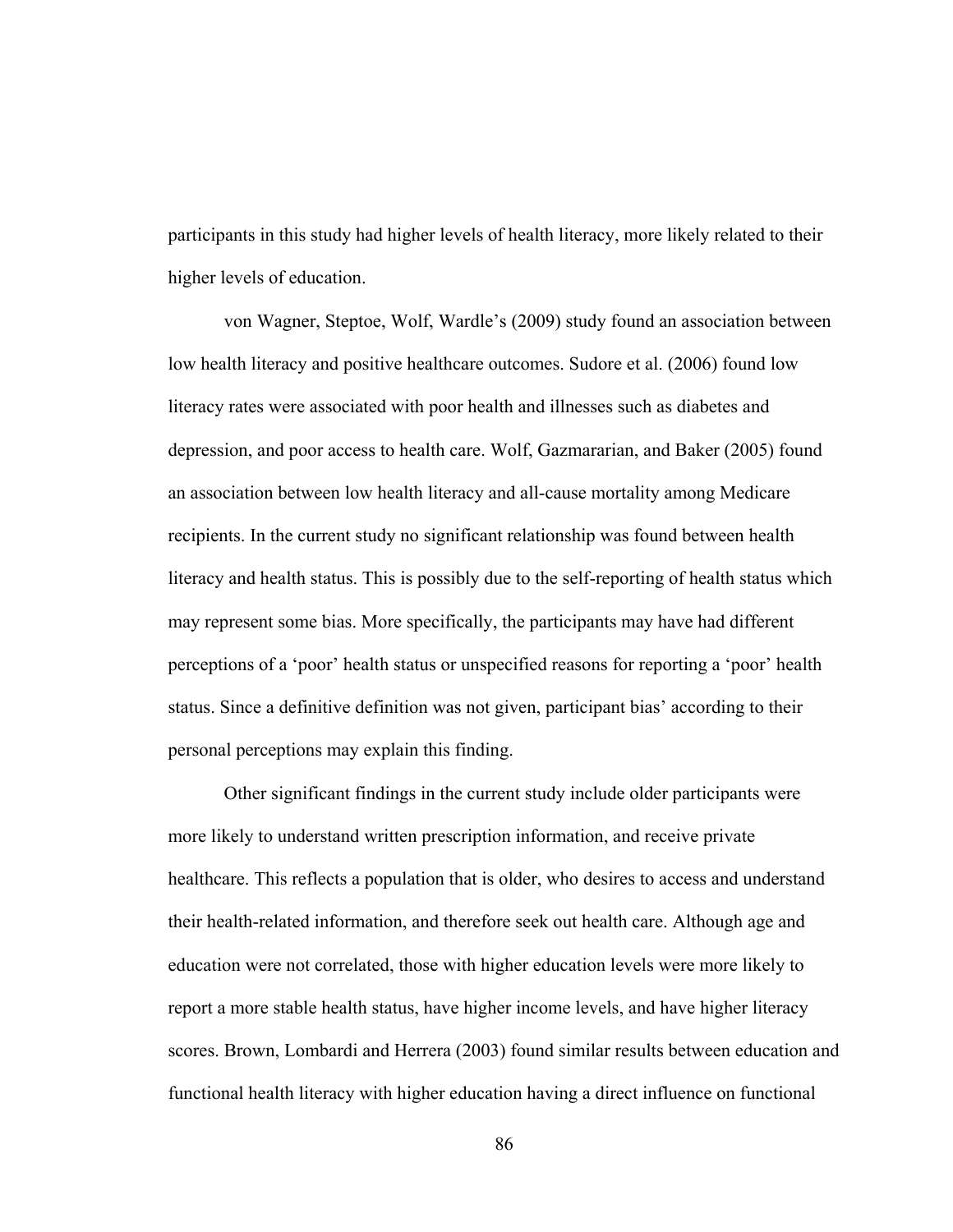participants in this study had higher levels of health literacy, more likely related to their higher levels of education.

von Wagner, Steptoe, Wolf, Wardle's (2009) study found an association between low health literacy and positive healthcare outcomes. Sudore et al. (2006) found low literacy rates were associated with poor health and illnesses such as diabetes and depression, and poor access to health care. Wolf, Gazmararian, and Baker (2005) found an association between low health literacy and all-cause mortality among Medicare recipients. In the current study no significant relationship was found between health literacy and health status. This is possibly due to the self-reporting of health status which may represent some bias. More specifically, the participants may have had different perceptions of a 'poor' health status or unspecified reasons for reporting a 'poor' health status. Since a definitive definition was not given, participant bias' according to their personal perceptions may explain this finding.

Other significant findings in the current study include older participants were more likely to understand written prescription information, and receive private healthcare. This reflects a population that is older, who desires to access and understand their health-related information, and therefore seek out health care. Although age and education were not correlated, those with higher education levels were more likely to report a more stable health status, have higher income levels, and have higher literacy scores. Brown, Lombardi and Herrera (2003) found similar results between education and functional health literacy with higher education having a direct influence on functional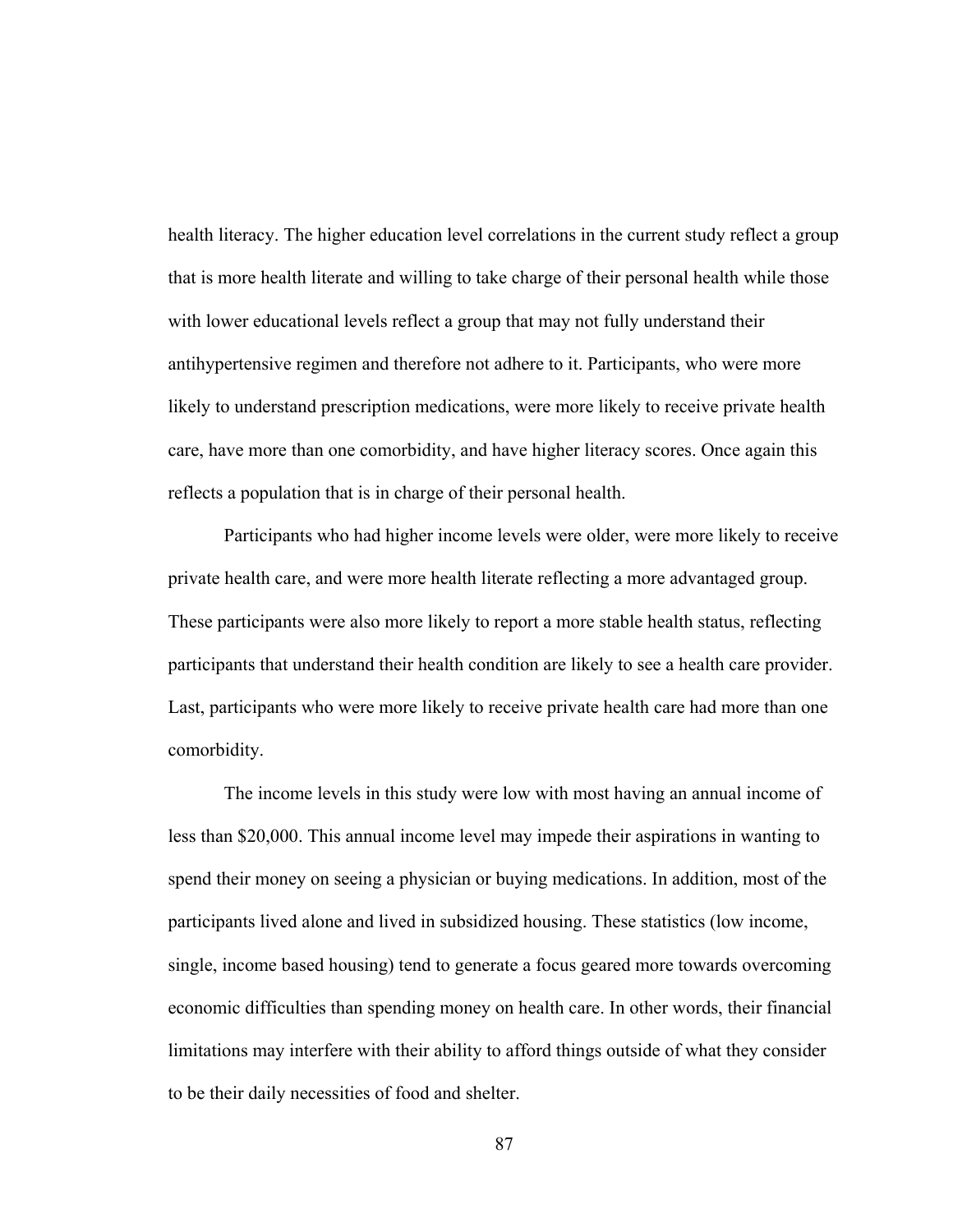health literacy. The higher education level correlations in the current study reflect a group that is more health literate and willing to take charge of their personal health while those with lower educational levels reflect a group that may not fully understand their antihypertensive regimen and therefore not adhere to it. Participants, who were more likely to understand prescription medications, were more likely to receive private health care, have more than one comorbidity, and have higher literacy scores. Once again this reflects a population that is in charge of their personal health.

Participants who had higher income levels were older, were more likely to receive private health care, and were more health literate reflecting a more advantaged group. These participants were also more likely to report a more stable health status, reflecting participants that understand their health condition are likely to see a health care provider. Last, participants who were more likely to receive private health care had more than one comorbidity.

The income levels in this study were low with most having an annual income of less than \$20,000. This annual income level may impede their aspirations in wanting to spend their money on seeing a physician or buying medications. In addition, most of the participants lived alone and lived in subsidized housing. These statistics (low income, single, income based housing) tend to generate a focus geared more towards overcoming economic difficulties than spending money on health care. In other words, their financial limitations may interfere with their ability to afford things outside of what they consider to be their daily necessities of food and shelter.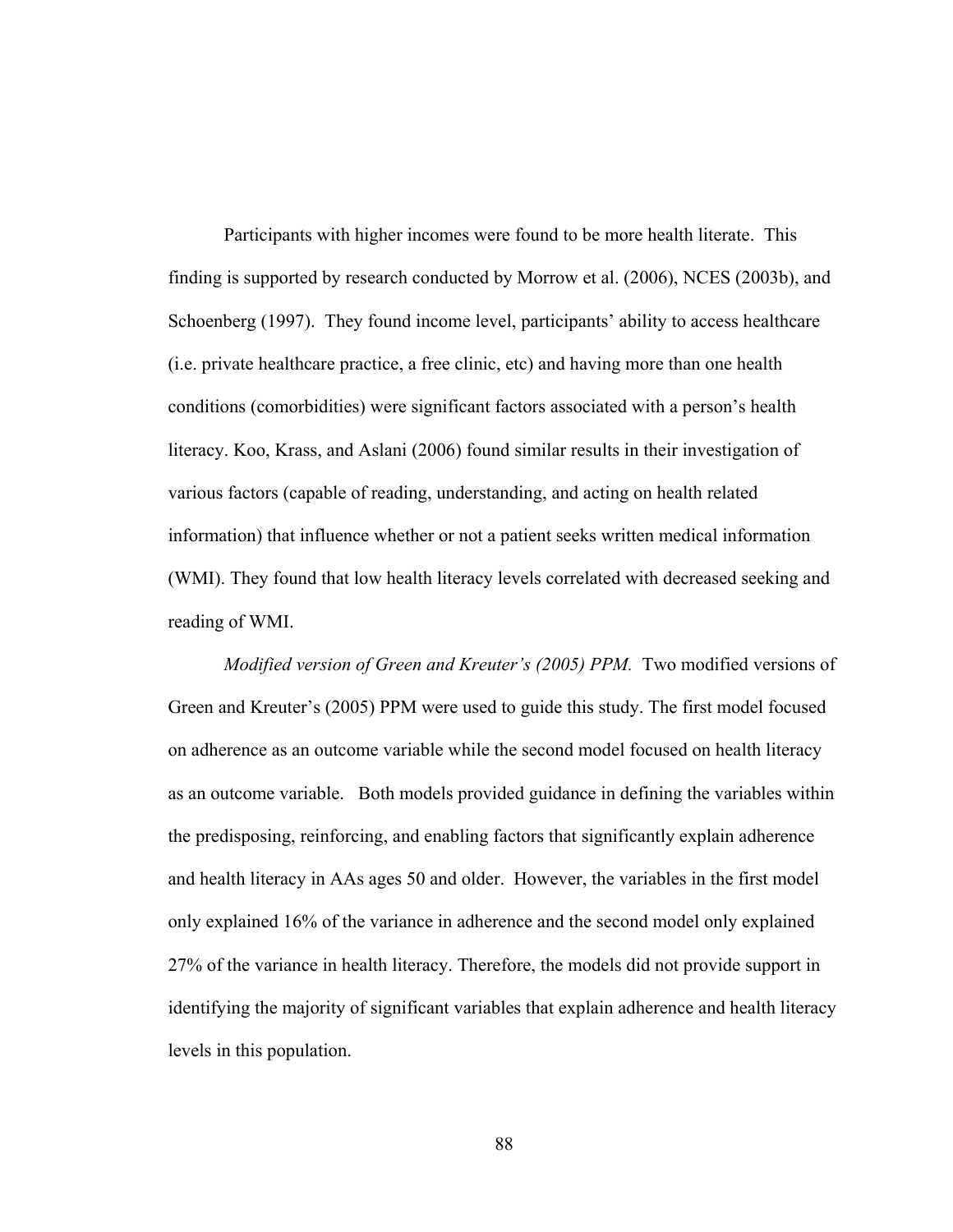Participants with higher incomes were found to be more health literate. This finding is supported by research conducted by Morrow et al. (2006), NCES (2003b), and Schoenberg (1997). They found income level, participants' ability to access healthcare (i.e. private healthcare practice, a free clinic, etc) and having more than one health conditions (comorbidities) were significant factors associated with a person's health literacy. Koo, Krass, and Aslani (2006) found similar results in their investigation of various factors (capable of reading, understanding, and acting on health related information) that influence whether or not a patient seeks written medical information (WMI). They found that low health literacy levels correlated with decreased seeking and reading of WMI.

*Modified version of Green and Kreuter's (2005) PPM.* Two modified versions of Green and Kreuter's (2005) PPM were used to guide this study. The first model focused on adherence as an outcome variable while the second model focused on health literacy as an outcome variable. Both models provided guidance in defining the variables within the predisposing, reinforcing, and enabling factors that significantly explain adherence and health literacy in AAs ages 50 and older. However, the variables in the first model only explained 16% of the variance in adherence and the second model only explained 27% of the variance in health literacy. Therefore, the models did not provide support in identifying the majority of significant variables that explain adherence and health literacy levels in this population.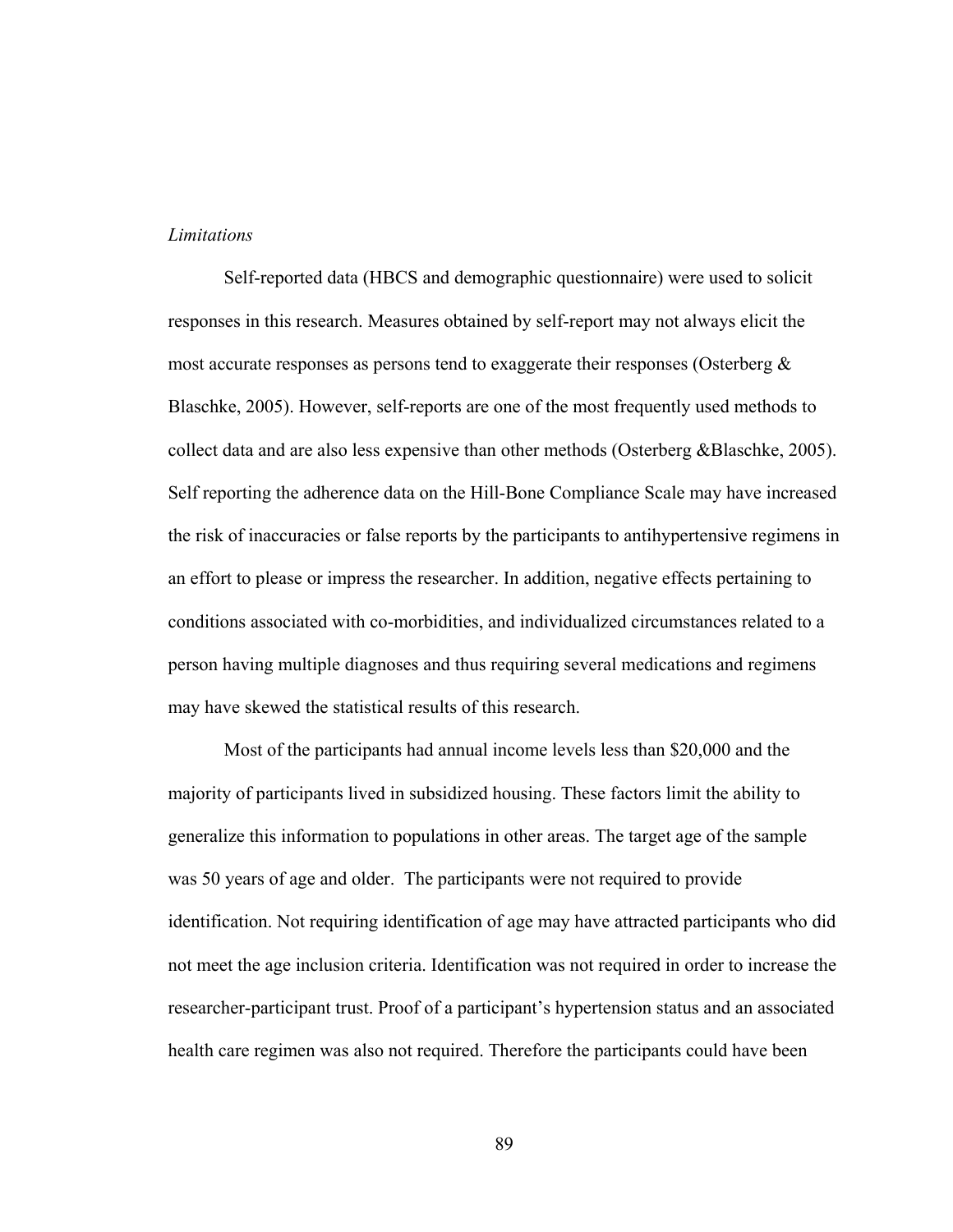### *Limitations*

Self-reported data (HBCS and demographic questionnaire) were used to solicit responses in this research. Measures obtained by self-report may not always elicit the most accurate responses as persons tend to exaggerate their responses (Osterberg  $\&$ Blaschke, 2005). However, self-reports are one of the most frequently used methods to collect data and are also less expensive than other methods (Osterberg &Blaschke, 2005). Self reporting the adherence data on the Hill-Bone Compliance Scale may have increased the risk of inaccuracies or false reports by the participants to antihypertensive regimens in an effort to please or impress the researcher. In addition, negative effects pertaining to conditions associated with co-morbidities, and individualized circumstances related to a person having multiple diagnoses and thus requiring several medications and regimens may have skewed the statistical results of this research.

Most of the participants had annual income levels less than \$20,000 and the majority of participants lived in subsidized housing. These factors limit the ability to generalize this information to populations in other areas. The target age of the sample was 50 years of age and older. The participants were not required to provide identification. Not requiring identification of age may have attracted participants who did not meet the age inclusion criteria. Identification was not required in order to increase the researcher-participant trust. Proof of a participant's hypertension status and an associated health care regimen was also not required. Therefore the participants could have been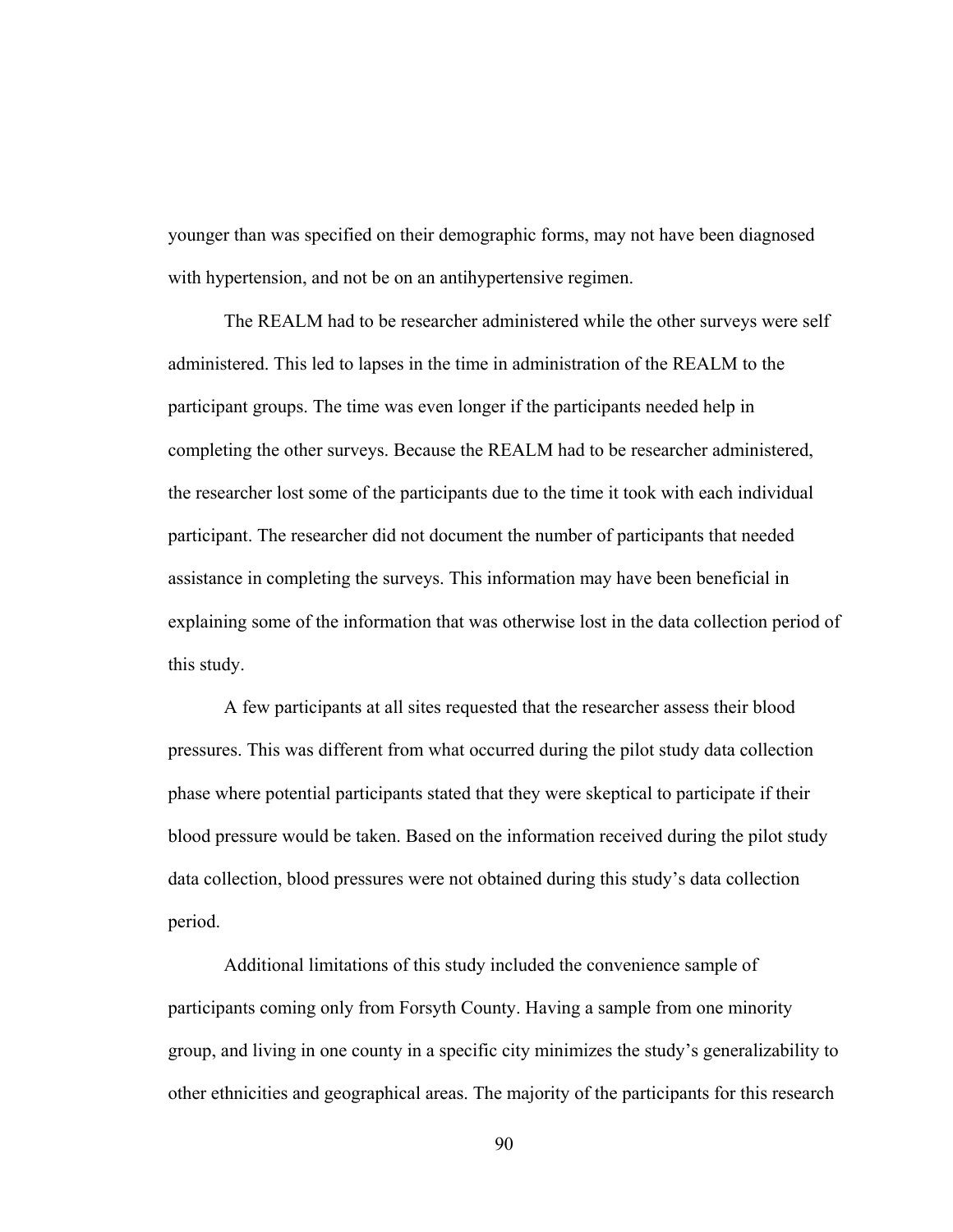younger than was specified on their demographic forms, may not have been diagnosed with hypertension, and not be on an antihypertensive regimen.

The REALM had to be researcher administered while the other surveys were self administered. This led to lapses in the time in administration of the REALM to the participant groups. The time was even longer if the participants needed help in completing the other surveys. Because the REALM had to be researcher administered, the researcher lost some of the participants due to the time it took with each individual participant. The researcher did not document the number of participants that needed assistance in completing the surveys. This information may have been beneficial in explaining some of the information that was otherwise lost in the data collection period of this study.

A few participants at all sites requested that the researcher assess their blood pressures. This was different from what occurred during the pilot study data collection phase where potential participants stated that they were skeptical to participate if their blood pressure would be taken. Based on the information received during the pilot study data collection, blood pressures were not obtained during this study's data collection period.

 Additional limitations of this study included the convenience sample of participants coming only from Forsyth County. Having a sample from one minority group, and living in one county in a specific city minimizes the study's generalizability to other ethnicities and geographical areas. The majority of the participants for this research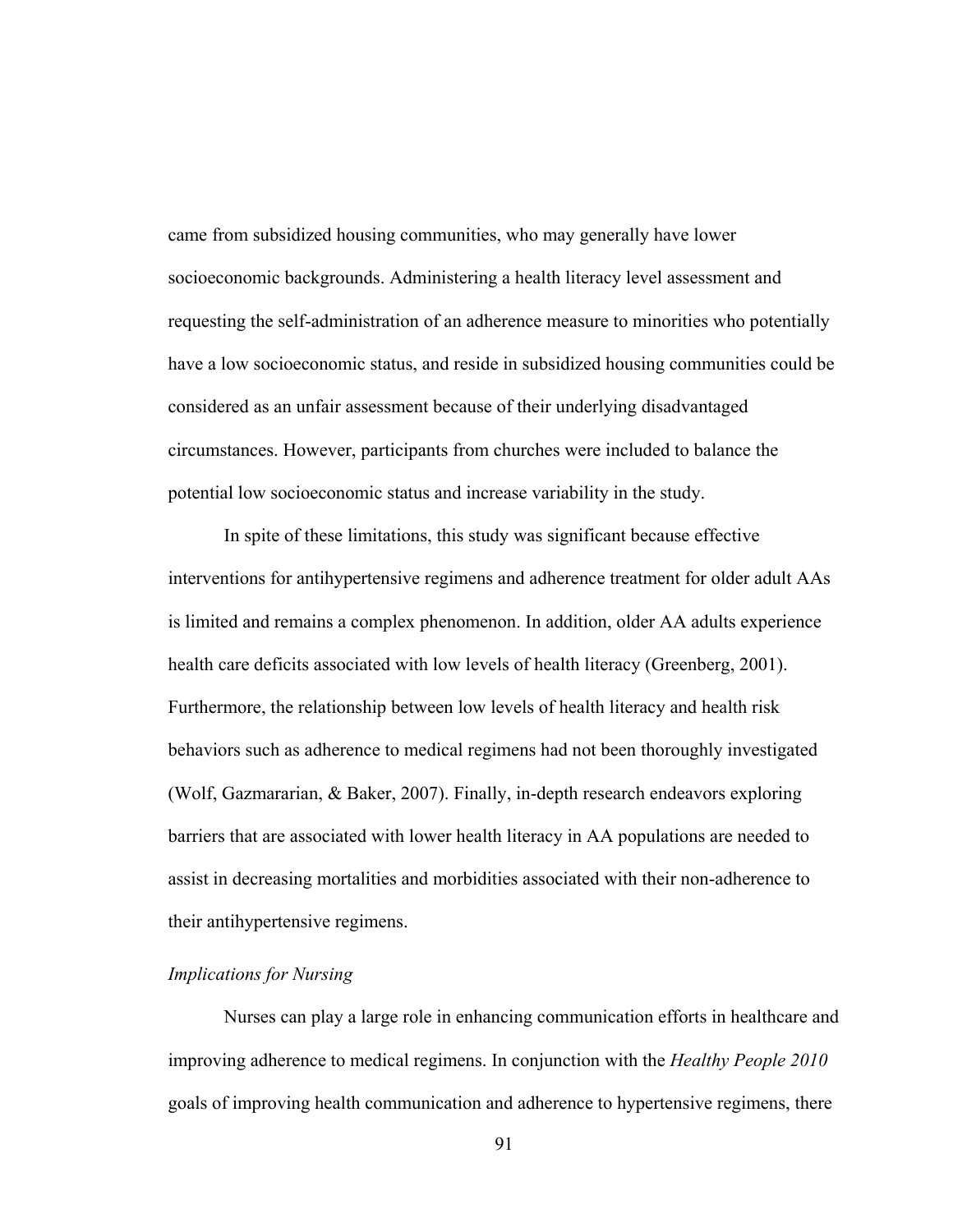came from subsidized housing communities, who may generally have lower socioeconomic backgrounds. Administering a health literacy level assessment and requesting the self-administration of an adherence measure to minorities who potentially have a low socioeconomic status, and reside in subsidized housing communities could be considered as an unfair assessment because of their underlying disadvantaged circumstances. However, participants from churches were included to balance the potential low socioeconomic status and increase variability in the study.

In spite of these limitations, this study was significant because effective interventions for antihypertensive regimens and adherence treatment for older adult AAs is limited and remains a complex phenomenon. In addition, older AA adults experience health care deficits associated with low levels of health literacy (Greenberg, 2001). Furthermore, the relationship between low levels of health literacy and health risk behaviors such as adherence to medical regimens had not been thoroughly investigated (Wolf, Gazmararian, & Baker, 2007). Finally, in-depth research endeavors exploring barriers that are associated with lower health literacy in AA populations are needed to assist in decreasing mortalities and morbidities associated with their non-adherence to their antihypertensive regimens.

# *Implications for Nursing*

 Nurses can play a large role in enhancing communication efforts in healthcare and improving adherence to medical regimens. In conjunction with the *Healthy People 2010* goals of improving health communication and adherence to hypertensive regimens, there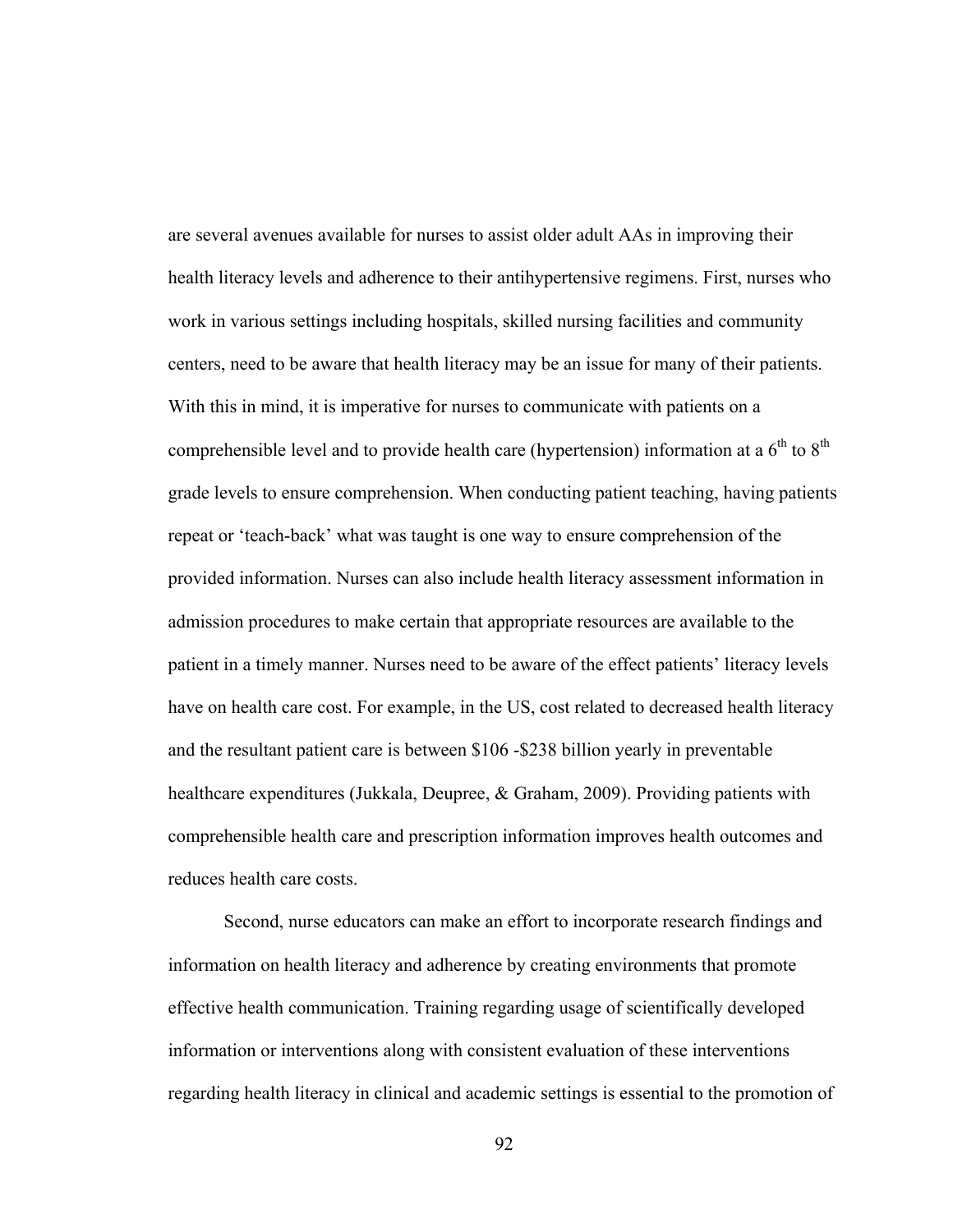are several avenues available for nurses to assist older adult AAs in improving their health literacy levels and adherence to their antihypertensive regimens. First, nurses who work in various settings including hospitals, skilled nursing facilities and community centers, need to be aware that health literacy may be an issue for many of their patients. With this in mind, it is imperative for nurses to communicate with patients on a comprehensible level and to provide health care (hypertension) information at a  $6<sup>th</sup>$  to  $8<sup>th</sup>$ grade levels to ensure comprehension. When conducting patient teaching, having patients repeat or 'teach-back' what was taught is one way to ensure comprehension of the provided information. Nurses can also include health literacy assessment information in admission procedures to make certain that appropriate resources are available to the patient in a timely manner. Nurses need to be aware of the effect patients' literacy levels have on health care cost. For example, in the US, cost related to decreased health literacy and the resultant patient care is between \$106 -\$238 billion yearly in preventable healthcare expenditures (Jukkala, Deupree, & Graham, 2009). Providing patients with comprehensible health care and prescription information improves health outcomes and reduces health care costs.

Second, nurse educators can make an effort to incorporate research findings and information on health literacy and adherence by creating environments that promote effective health communication. Training regarding usage of scientifically developed information or interventions along with consistent evaluation of these interventions regarding health literacy in clinical and academic settings is essential to the promotion of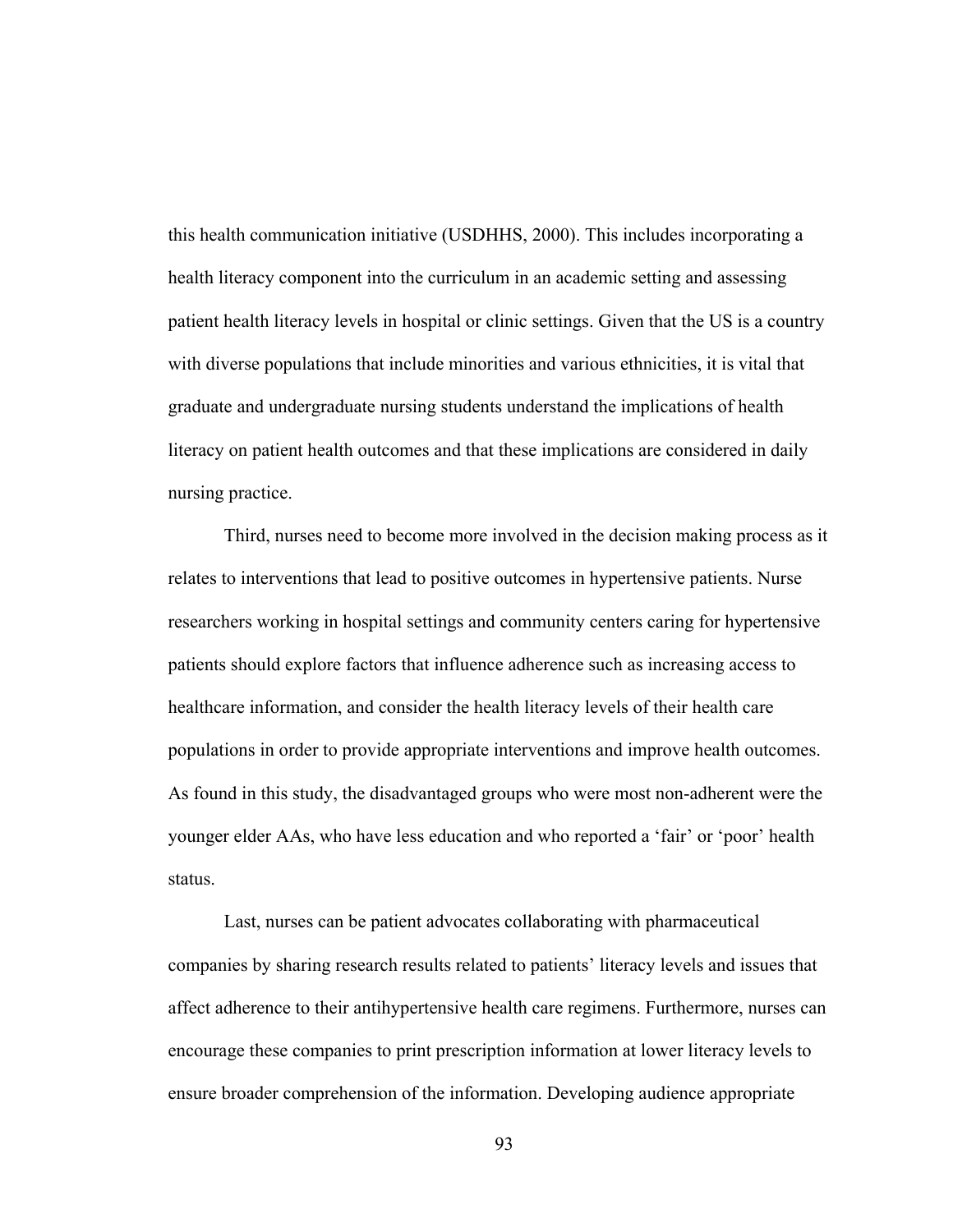this health communication initiative (USDHHS, 2000). This includes incorporating a health literacy component into the curriculum in an academic setting and assessing patient health literacy levels in hospital or clinic settings. Given that the US is a country with diverse populations that include minorities and various ethnicities, it is vital that graduate and undergraduate nursing students understand the implications of health literacy on patient health outcomes and that these implications are considered in daily nursing practice.

Third, nurses need to become more involved in the decision making process as it relates to interventions that lead to positive outcomes in hypertensive patients. Nurse researchers working in hospital settings and community centers caring for hypertensive patients should explore factors that influence adherence such as increasing access to healthcare information, and consider the health literacy levels of their health care populations in order to provide appropriate interventions and improve health outcomes. As found in this study, the disadvantaged groups who were most non-adherent were the younger elder AAs, who have less education and who reported a 'fair' or 'poor' health status.

Last, nurses can be patient advocates collaborating with pharmaceutical companies by sharing research results related to patients' literacy levels and issues that affect adherence to their antihypertensive health care regimens. Furthermore, nurses can encourage these companies to print prescription information at lower literacy levels to ensure broader comprehension of the information. Developing audience appropriate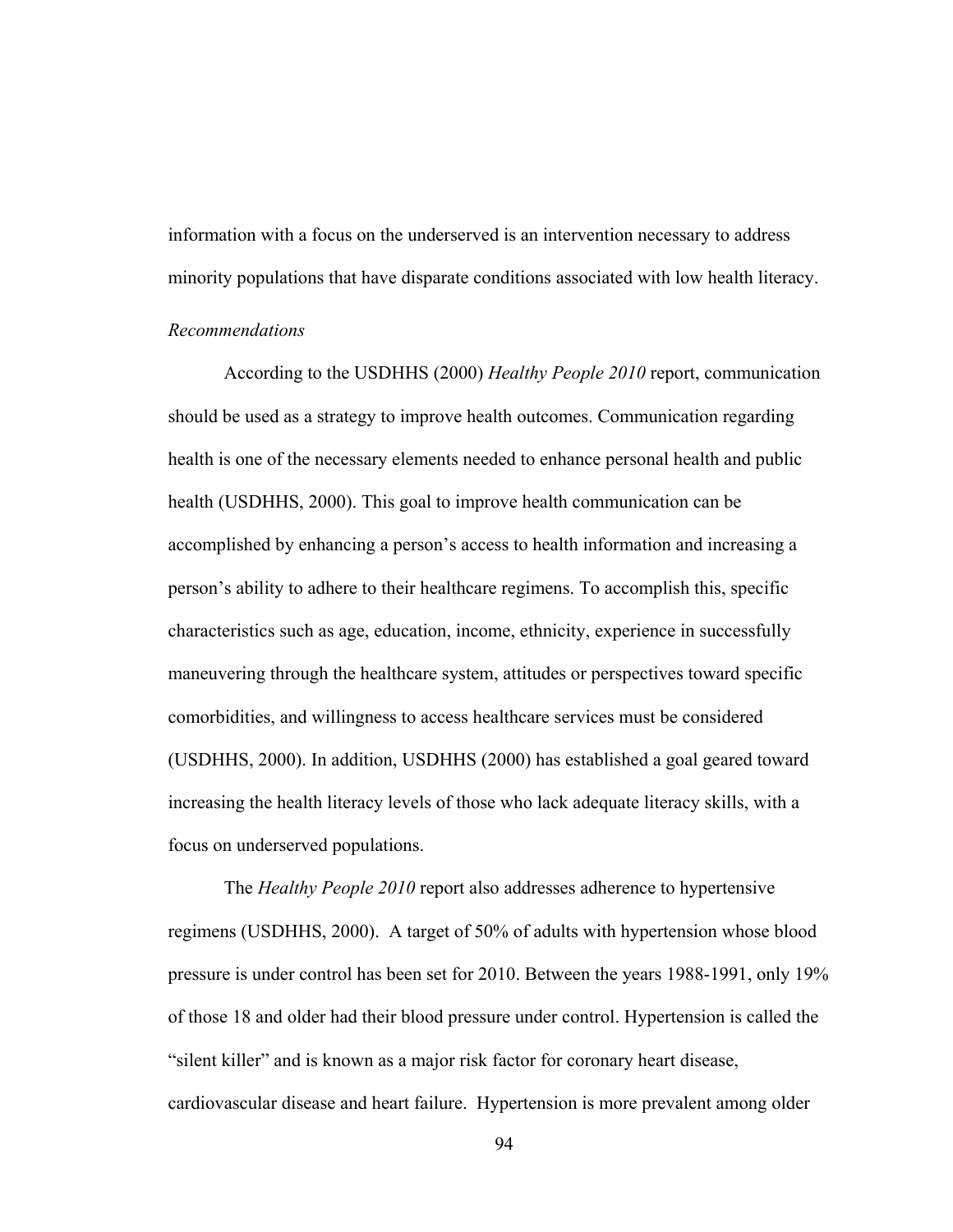information with a focus on the underserved is an intervention necessary to address minority populations that have disparate conditions associated with low health literacy.

# *Recommendations*

 According to the USDHHS (2000) *Healthy People 2010* report, communication should be used as a strategy to improve health outcomes. Communication regarding health is one of the necessary elements needed to enhance personal health and public health (USDHHS, 2000). This goal to improve health communication can be accomplished by enhancing a person's access to health information and increasing a person's ability to adhere to their healthcare regimens. To accomplish this, specific characteristics such as age, education, income, ethnicity, experience in successfully maneuvering through the healthcare system, attitudes or perspectives toward specific comorbidities, and willingness to access healthcare services must be considered (USDHHS, 2000). In addition, USDHHS (2000) has established a goal geared toward increasing the health literacy levels of those who lack adequate literacy skills, with a focus on underserved populations.

The *Healthy People 2010* report also addresses adherence to hypertensive regimens (USDHHS, 2000). A target of 50% of adults with hypertension whose blood pressure is under control has been set for 2010. Between the years 1988-1991, only 19% of those 18 and older had their blood pressure under control. Hypertension is called the "silent killer" and is known as a major risk factor for coronary heart disease, cardiovascular disease and heart failure. Hypertension is more prevalent among older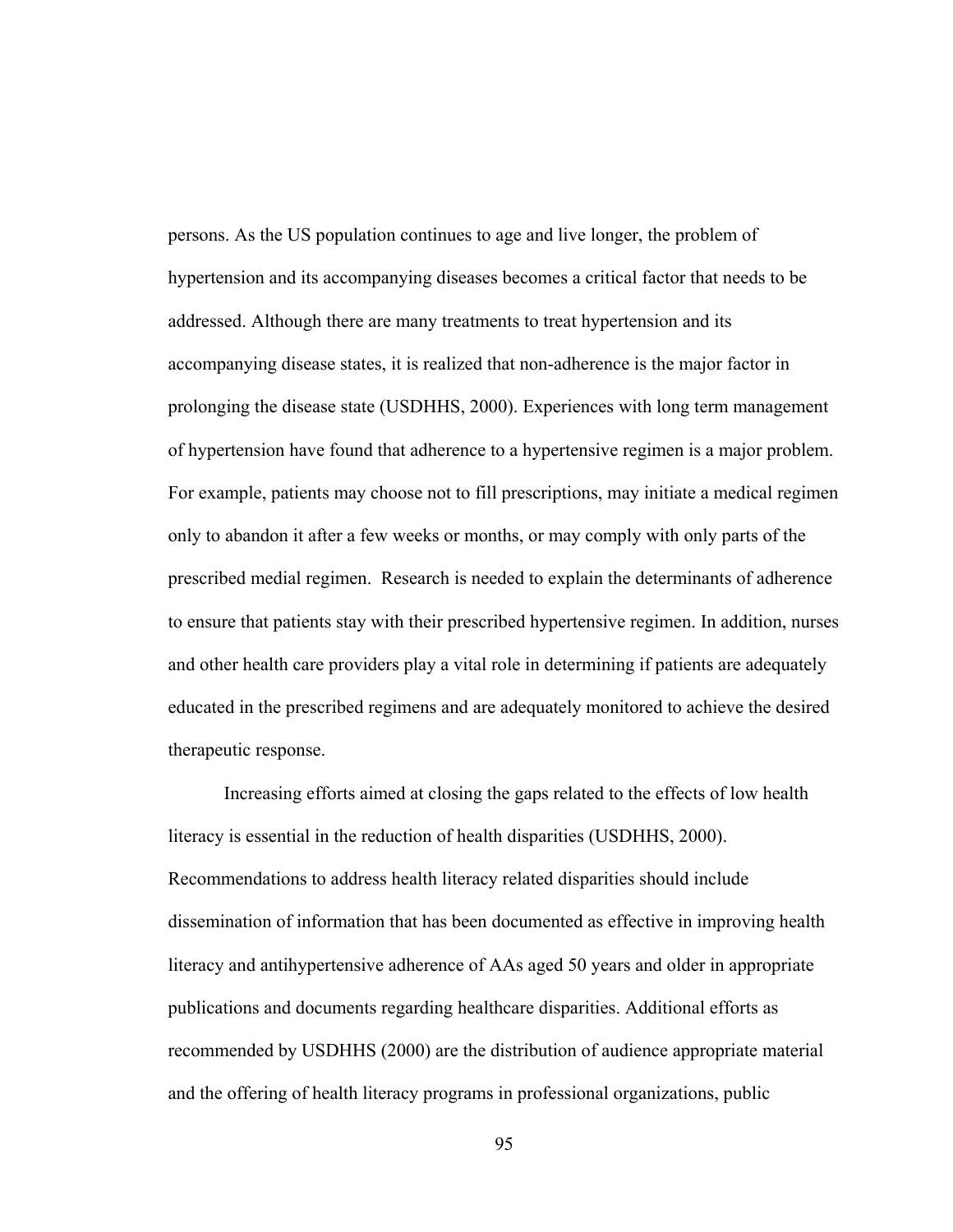persons. As the US population continues to age and live longer, the problem of hypertension and its accompanying diseases becomes a critical factor that needs to be addressed. Although there are many treatments to treat hypertension and its accompanying disease states, it is realized that non-adherence is the major factor in prolonging the disease state (USDHHS, 2000). Experiences with long term management of hypertension have found that adherence to a hypertensive regimen is a major problem. For example, patients may choose not to fill prescriptions, may initiate a medical regimen only to abandon it after a few weeks or months, or may comply with only parts of the prescribed medial regimen. Research is needed to explain the determinants of adherence to ensure that patients stay with their prescribed hypertensive regimen. In addition, nurses and other health care providers play a vital role in determining if patients are adequately educated in the prescribed regimens and are adequately monitored to achieve the desired therapeutic response.

Increasing efforts aimed at closing the gaps related to the effects of low health literacy is essential in the reduction of health disparities (USDHHS, 2000). Recommendations to address health literacy related disparities should include dissemination of information that has been documented as effective in improving health literacy and antihypertensive adherence of AAs aged 50 years and older in appropriate publications and documents regarding healthcare disparities. Additional efforts as recommended by USDHHS (2000) are the distribution of audience appropriate material and the offering of health literacy programs in professional organizations, public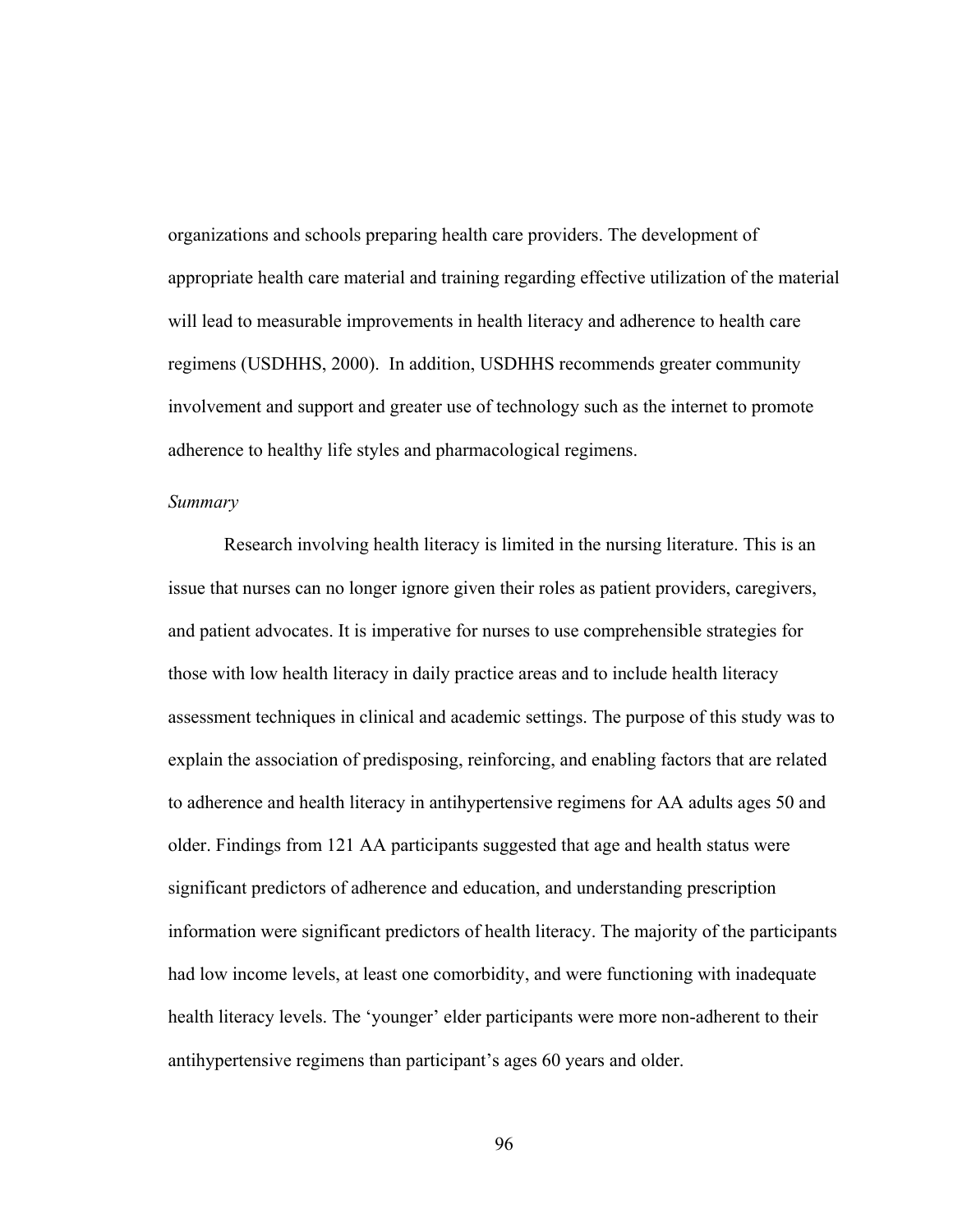organizations and schools preparing health care providers. The development of appropriate health care material and training regarding effective utilization of the material will lead to measurable improvements in health literacy and adherence to health care regimens (USDHHS, 2000). In addition, USDHHS recommends greater community involvement and support and greater use of technology such as the internet to promote adherence to healthy life styles and pharmacological regimens.

#### *Summary*

Research involving health literacy is limited in the nursing literature. This is an issue that nurses can no longer ignore given their roles as patient providers, caregivers, and patient advocates. It is imperative for nurses to use comprehensible strategies for those with low health literacy in daily practice areas and to include health literacy assessment techniques in clinical and academic settings. The purpose of this study was to explain the association of predisposing, reinforcing, and enabling factors that are related to adherence and health literacy in antihypertensive regimens for AA adults ages 50 and older. Findings from 121 AA participants suggested that age and health status were significant predictors of adherence and education, and understanding prescription information were significant predictors of health literacy. The majority of the participants had low income levels, at least one comorbidity, and were functioning with inadequate health literacy levels. The 'younger' elder participants were more non-adherent to their antihypertensive regimens than participant's ages 60 years and older.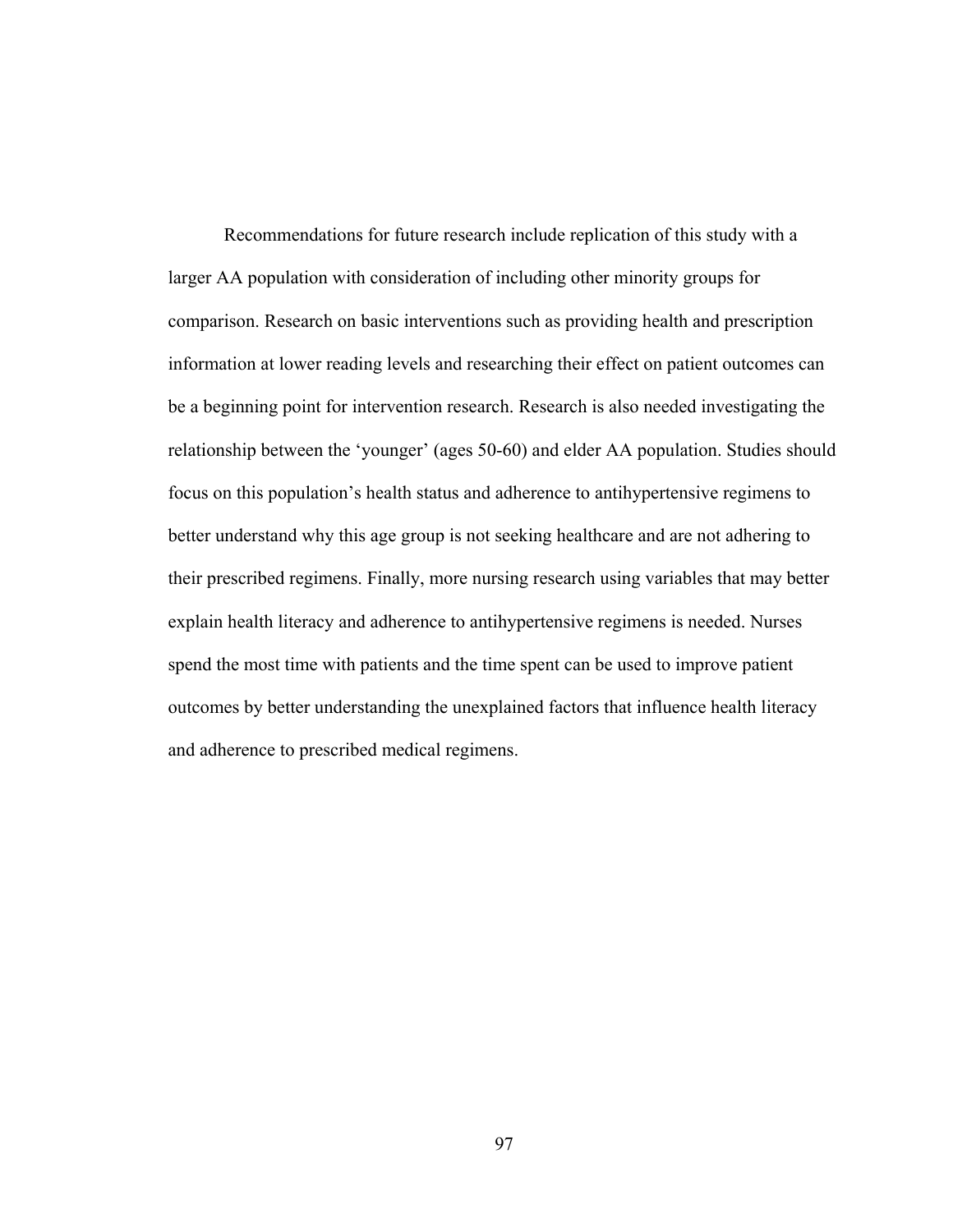Recommendations for future research include replication of this study with a larger AA population with consideration of including other minority groups for comparison. Research on basic interventions such as providing health and prescription information at lower reading levels and researching their effect on patient outcomes can be a beginning point for intervention research. Research is also needed investigating the relationship between the 'younger' (ages 50-60) and elder AA population. Studies should focus on this population's health status and adherence to antihypertensive regimens to better understand why this age group is not seeking healthcare and are not adhering to their prescribed regimens. Finally, more nursing research using variables that may better explain health literacy and adherence to antihypertensive regimens is needed. Nurses spend the most time with patients and the time spent can be used to improve patient outcomes by better understanding the unexplained factors that influence health literacy and adherence to prescribed medical regimens.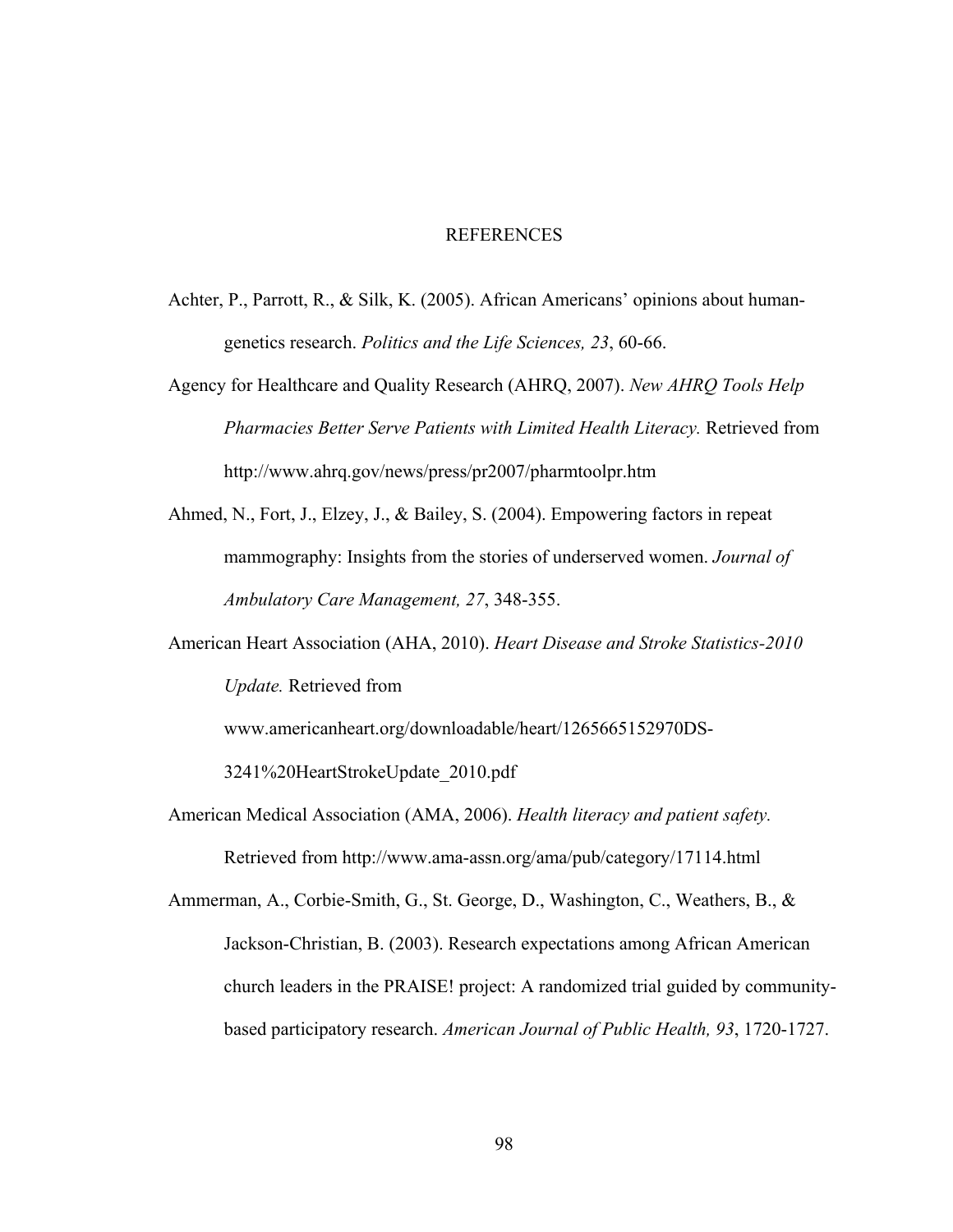#### REFERENCES

- Achter, P., Parrott, R., & Silk, K. (2005). African Americans' opinions about humangenetics research. *Politics and the Life Sciences, 23*, 60-66.
- Agency for Healthcare and Quality Research (AHRQ, 2007). *New AHRQ Tools Help Pharmacies Better Serve Patients with Limited Health Literacy.* Retrieved from http://www.ahrq.gov/news/press/pr2007/pharmtoolpr.htm
- Ahmed, N., Fort, J., Elzey, J., & Bailey, S. (2004). Empowering factors in repeat mammography: Insights from the stories of underserved women. *Journal of Ambulatory Care Management, 27*, 348-355.
- American Heart Association (AHA, 2010). *Heart Disease and Stroke Statistics-2010 Update.* Retrieved from

www.americanheart.org/downloadable/heart/1265665152970DS-

3241%20HeartStrokeUpdate\_2010.pdf

American Medical Association (AMA, 2006). *Health literacy and patient safety.*  Retrieved from http://www.ama-assn.org/ama/pub/category/17114.html

Ammerman, A., Corbie-Smith, G., St. George, D., Washington, C., Weathers, B., & Jackson-Christian, B. (2003). Research expectations among African American church leaders in the PRAISE! project: A randomized trial guided by communitybased participatory research. *American Journal of Public Health, 93*, 1720-1727.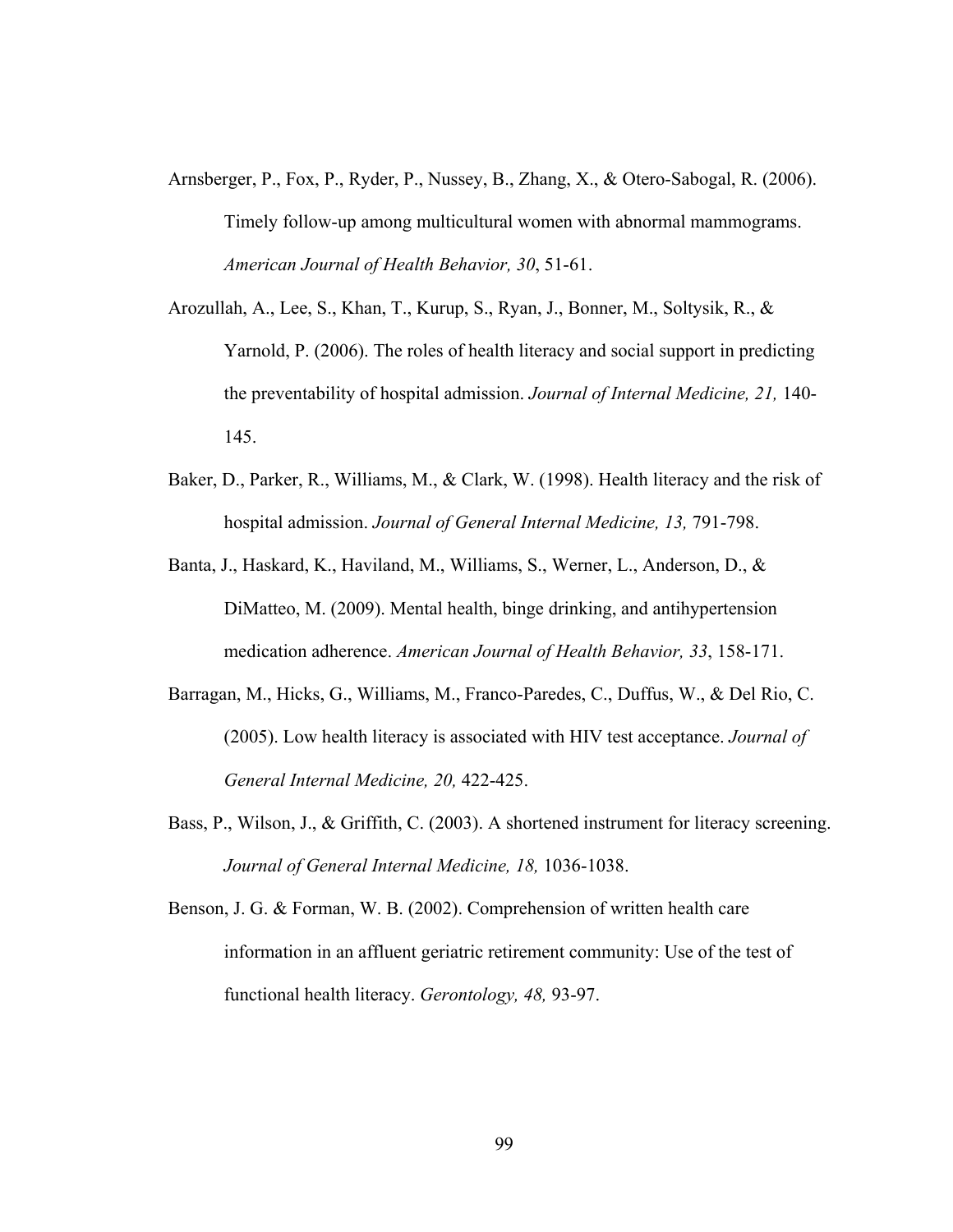- Arnsberger, P., Fox, P., Ryder, P., Nussey, B., Zhang, X., & Otero-Sabogal, R. (2006). Timely follow-up among multicultural women with abnormal mammograms. *American Journal of Health Behavior, 30*, 51-61.
- Arozullah, A., Lee, S., Khan, T., Kurup, S., Ryan, J., Bonner, M., Soltysik, R., & Yarnold, P. (2006). The roles of health literacy and social support in predicting the preventability of hospital admission. *Journal of Internal Medicine, 21,* 140- 145.
- Baker, D., Parker, R., Williams, M., & Clark, W. (1998). Health literacy and the risk of hospital admission. *Journal of General Internal Medicine, 13,* 791-798.
- Banta, J., Haskard, K., Haviland, M., Williams, S., Werner, L., Anderson, D., & DiMatteo, M. (2009). Mental health, binge drinking, and antihypertension medication adherence. *American Journal of Health Behavior, 33*, 158-171.
- Barragan, M., Hicks, G., Williams, M., Franco-Paredes, C., Duffus, W., & Del Rio, C. (2005). Low health literacy is associated with HIV test acceptance. *Journal of General Internal Medicine, 20,* 422-425.
- Bass, P., Wilson, J., & Griffith, C. (2003). A shortened instrument for literacy screening. *Journal of General Internal Medicine, 18,* 1036-1038.
- Benson, J. G. & Forman, W. B. (2002). Comprehension of written health care information in an affluent geriatric retirement community: Use of the test of functional health literacy. *Gerontology, 48,* 93-97.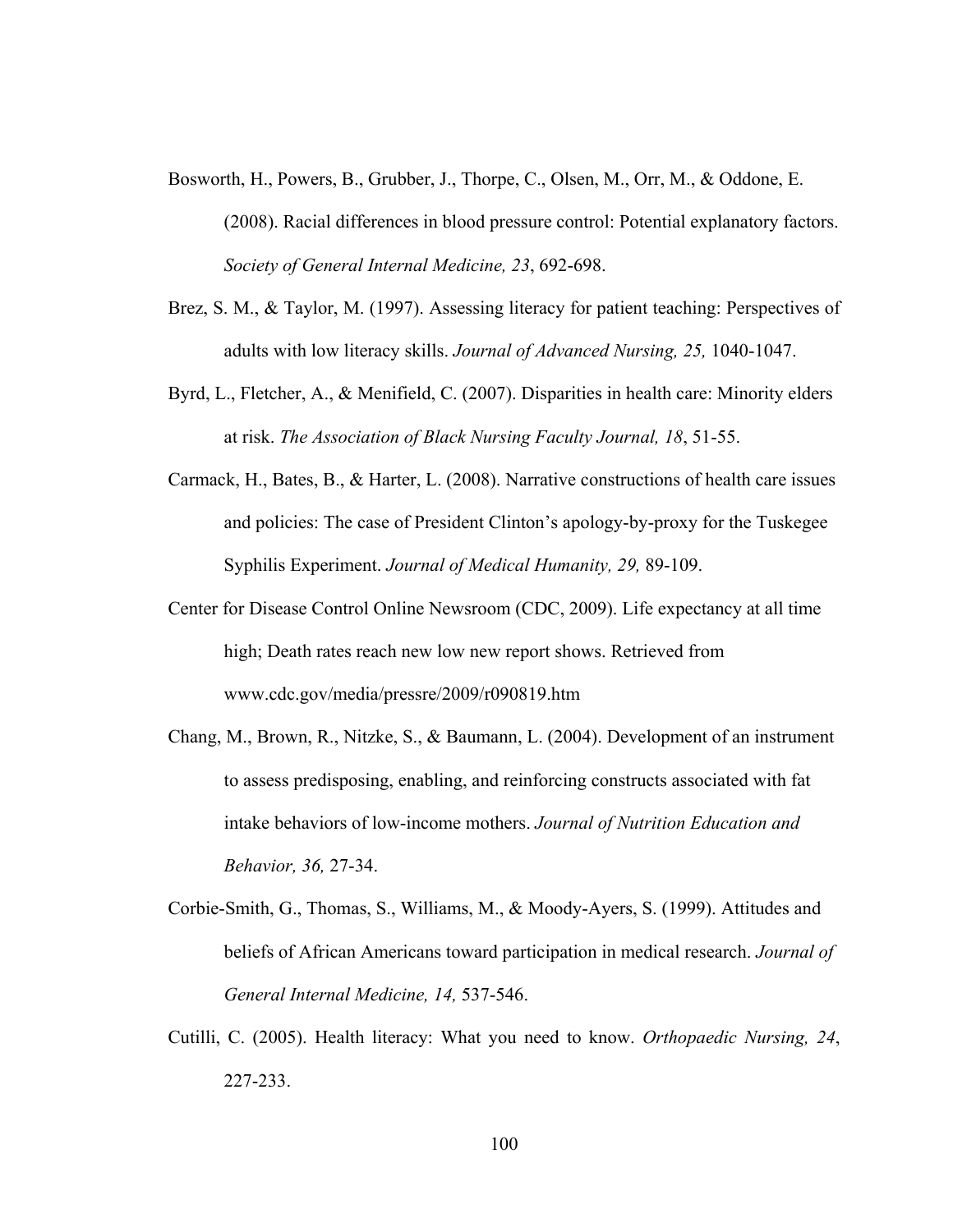- Bosworth, H., Powers, B., Grubber, J., Thorpe, C., Olsen, M., Orr, M., & Oddone, E. (2008). Racial differences in blood pressure control: Potential explanatory factors. *Society of General Internal Medicine, 23*, 692-698.
- Brez, S. M., & Taylor, M. (1997). Assessing literacy for patient teaching: Perspectives of adults with low literacy skills. *Journal of Advanced Nursing, 25,* 1040-1047.
- Byrd, L., Fletcher, A., & Menifield, C. (2007). Disparities in health care: Minority elders at risk. *The Association of Black Nursing Faculty Journal, 18*, 51-55.
- Carmack, H., Bates, B., & Harter, L. (2008). Narrative constructions of health care issues and policies: The case of President Clinton's apology-by-proxy for the Tuskegee Syphilis Experiment. *Journal of Medical Humanity, 29,* 89-109.
- Center for Disease Control Online Newsroom (CDC, 2009). Life expectancy at all time high; Death rates reach new low new report shows. Retrieved from www.cdc.gov/media/pressre/2009/r090819.htm
- Chang, M., Brown, R., Nitzke, S., & Baumann, L. (2004). Development of an instrument to assess predisposing, enabling, and reinforcing constructs associated with fat intake behaviors of low-income mothers. *Journal of Nutrition Education and Behavior, 36,* 27-34.
- Corbie-Smith, G., Thomas, S., Williams, M., & Moody-Ayers, S. (1999). Attitudes and beliefs of African Americans toward participation in medical research. *Journal of General Internal Medicine, 14,* 537-546.
- Cutilli, C. (2005). Health literacy: What you need to know. *Orthopaedic Nursing, 24*, 227-233.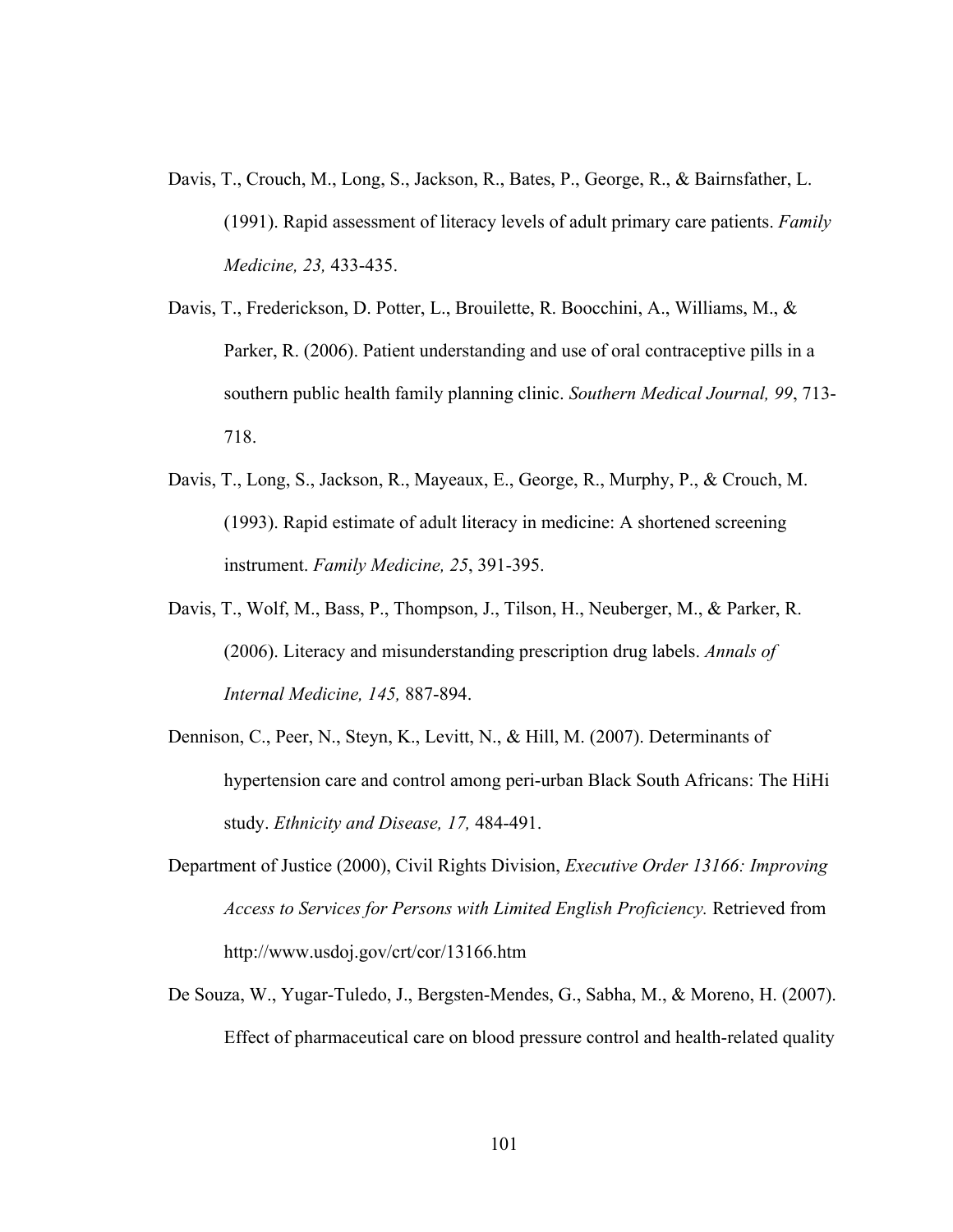- Davis, T., Crouch, M., Long, S., Jackson, R., Bates, P., George, R., & Bairnsfather, L. (1991). Rapid assessment of literacy levels of adult primary care patients. *Family Medicine, 23,* 433-435.
- Davis, T., Frederickson, D. Potter, L., Brouilette, R. Boocchini, A., Williams, M., & Parker, R. (2006). Patient understanding and use of oral contraceptive pills in a southern public health family planning clinic. *Southern Medical Journal, 99*, 713- 718.
- Davis, T., Long, S., Jackson, R., Mayeaux, E., George, R., Murphy, P., & Crouch, M. (1993). Rapid estimate of adult literacy in medicine: A shortened screening instrument. *Family Medicine, 25*, 391-395.
- Davis, T., Wolf, M., Bass, P., Thompson, J., Tilson, H., Neuberger, M., & Parker, R. (2006). Literacy and misunderstanding prescription drug labels. *Annals of Internal Medicine, 145,* 887-894.
- Dennison, C., Peer, N., Steyn, K., Levitt, N., & Hill, M. (2007). Determinants of hypertension care and control among peri-urban Black South Africans: The HiHi study. *Ethnicity and Disease, 17,* 484-491.
- Department of Justice (2000), Civil Rights Division, *Executive Order 13166: Improving Access to Services for Persons with Limited English Proficiency.* Retrieved from http://www.usdoj.gov/crt/cor/13166.htm
- De Souza, W., Yugar-Tuledo, J., Bergsten-Mendes, G., Sabha, M., & Moreno, H. (2007). Effect of pharmaceutical care on blood pressure control and health-related quality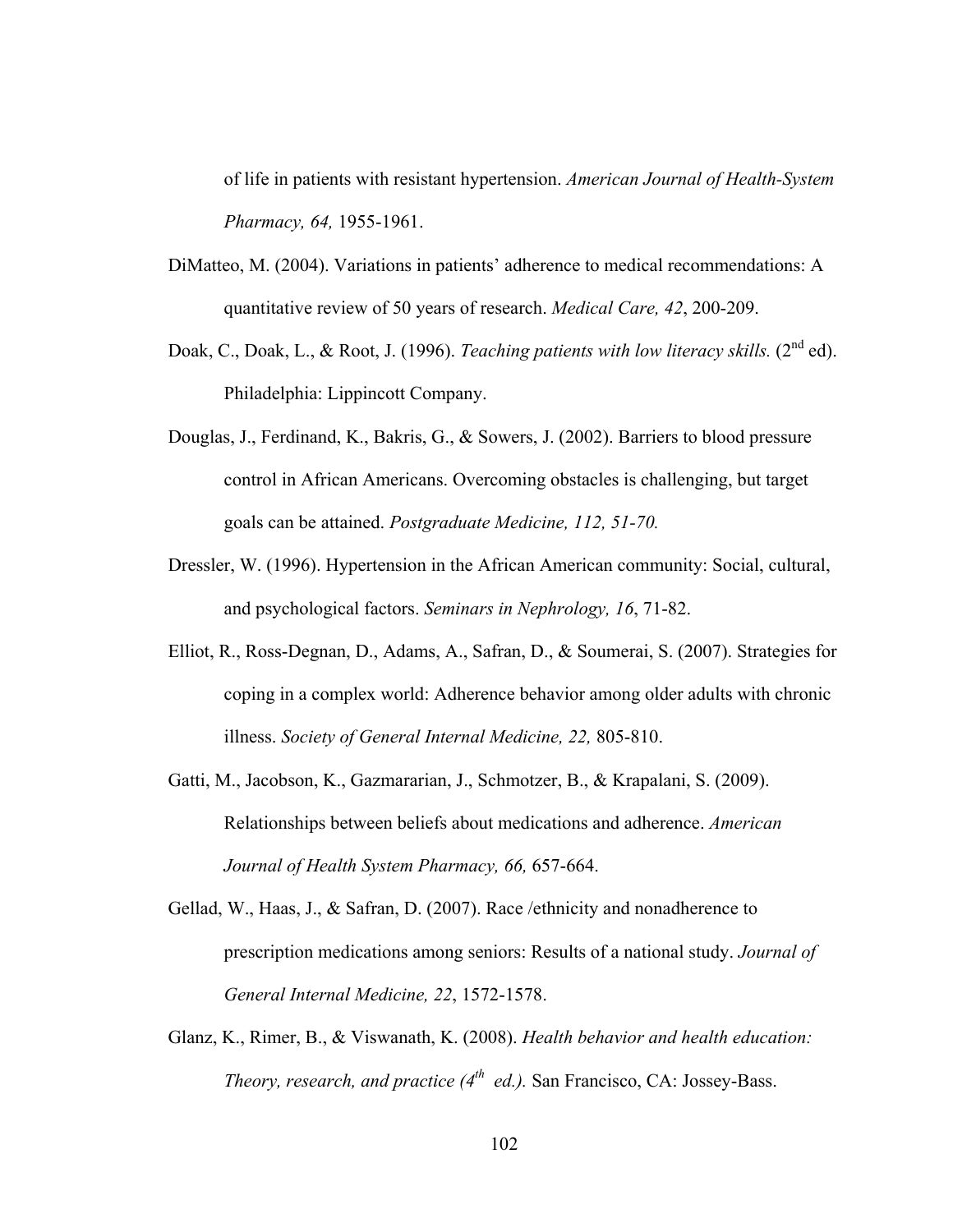of life in patients with resistant hypertension. *American Journal of Health-System Pharmacy, 64,* 1955-1961.

- DiMatteo, M. (2004). Variations in patients' adherence to medical recommendations: A quantitative review of 50 years of research. *Medical Care, 42*, 200-209.
- Doak, C., Doak, L., & Root, J. (1996). *Teaching patients with low literacy skills.* (2<sup>nd</sup> ed). Philadelphia: Lippincott Company.
- Douglas, J., Ferdinand, K., Bakris, G., & Sowers, J. (2002). Barriers to blood pressure control in African Americans. Overcoming obstacles is challenging, but target goals can be attained. *Postgraduate Medicine, 112, 51-70.*
- Dressler, W. (1996). Hypertension in the African American community: Social, cultural, and psychological factors. *Seminars in Nephrology, 16*, 71-82.
- Elliot, R., Ross-Degnan, D., Adams, A., Safran, D., & Soumerai, S. (2007). Strategies for coping in a complex world: Adherence behavior among older adults with chronic illness. *Society of General Internal Medicine, 22,* 805-810.
- Gatti, M., Jacobson, K., Gazmararian, J., Schmotzer, B., & Krapalani, S. (2009). Relationships between beliefs about medications and adherence. *American Journal of Health System Pharmacy, 66,* 657-664.
- Gellad, W., Haas, J., & Safran, D. (2007). Race /ethnicity and nonadherence to prescription medications among seniors: Results of a national study. *Journal of General Internal Medicine, 22*, 1572-1578.
- Glanz, K., Rimer, B., & Viswanath, K. (2008). *Health behavior and health education: Theory, research, and practice (4th ed.).* San Francisco, CA: Jossey-Bass.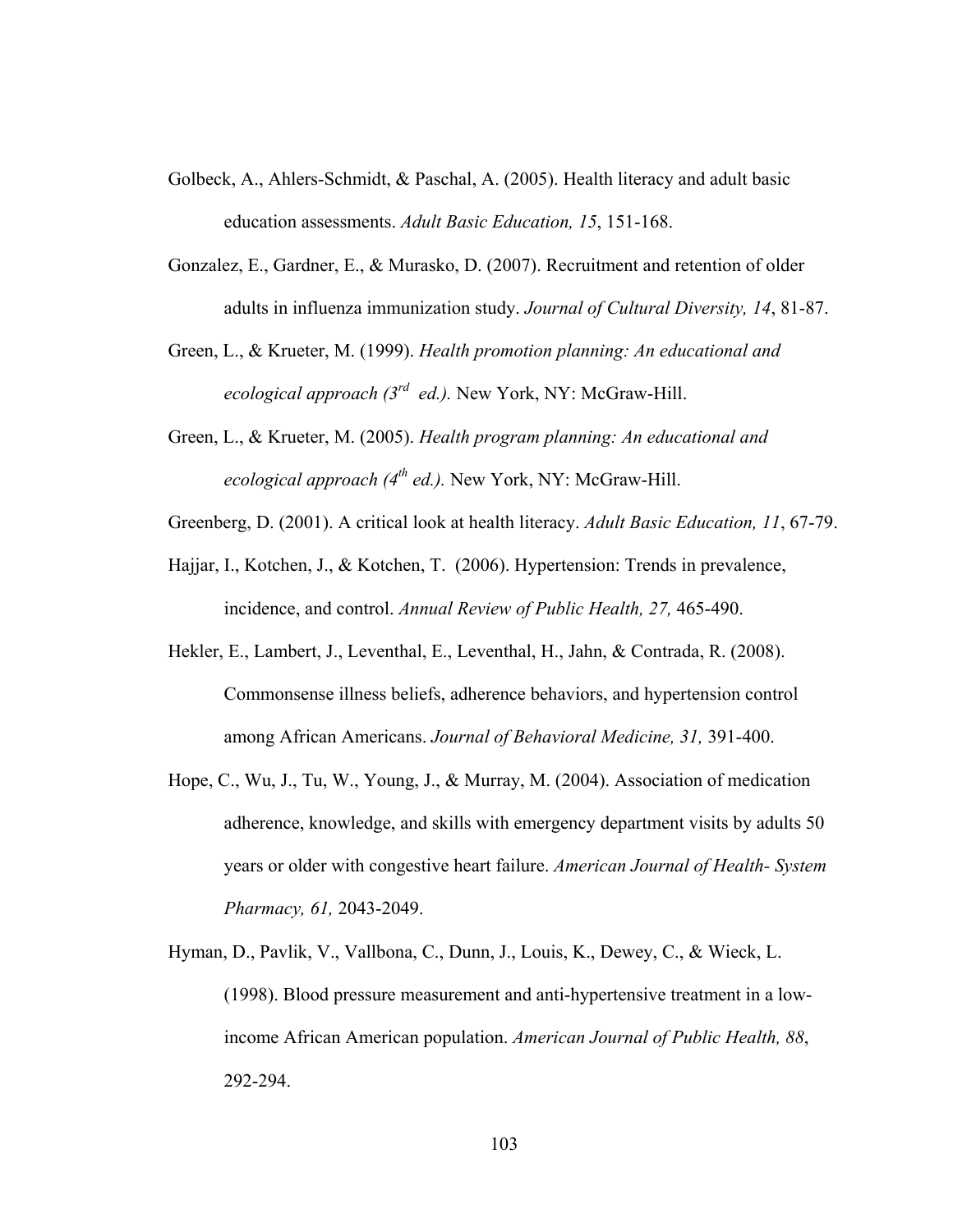- Golbeck, A., Ahlers-Schmidt, & Paschal, A. (2005). Health literacy and adult basic education assessments. *Adult Basic Education, 15*, 151-168.
- Gonzalez, E., Gardner, E., & Murasko, D. (2007). Recruitment and retention of older adults in influenza immunization study. *Journal of Cultural Diversity, 14*, 81-87.
- Green, L., & Krueter, M. (1999). *Health promotion planning: An educational and ecological approach (3rd ed.).* New York, NY: McGraw-Hill.
- Green, L., & Krueter, M. (2005). *Health program planning: An educational and ecological approach (4<sup>th</sup> ed.).* New York, NY: McGraw-Hill.
- Greenberg, D. (2001). A critical look at health literacy. *Adult Basic Education, 11*, 67-79.
- Hajjar, I., Kotchen, J., & Kotchen, T. (2006). Hypertension: Trends in prevalence, incidence, and control. *Annual Review of Public Health, 27,* 465-490.
- Hekler, E., Lambert, J., Leventhal, E., Leventhal, H., Jahn, & Contrada, R. (2008). Commonsense illness beliefs, adherence behaviors, and hypertension control among African Americans. *Journal of Behavioral Medicine, 31,* 391-400.
- Hope, C., Wu, J., Tu, W., Young, J., & Murray, M. (2004). Association of medication adherence, knowledge, and skills with emergency department visits by adults 50 years or older with congestive heart failure. *American Journal of Health- System Pharmacy, 61,* 2043-2049.
- Hyman, D., Pavlik, V., Vallbona, C., Dunn, J., Louis, K., Dewey, C., & Wieck, L. (1998). Blood pressure measurement and anti-hypertensive treatment in a lowincome African American population. *American Journal of Public Health, 88*, 292-294.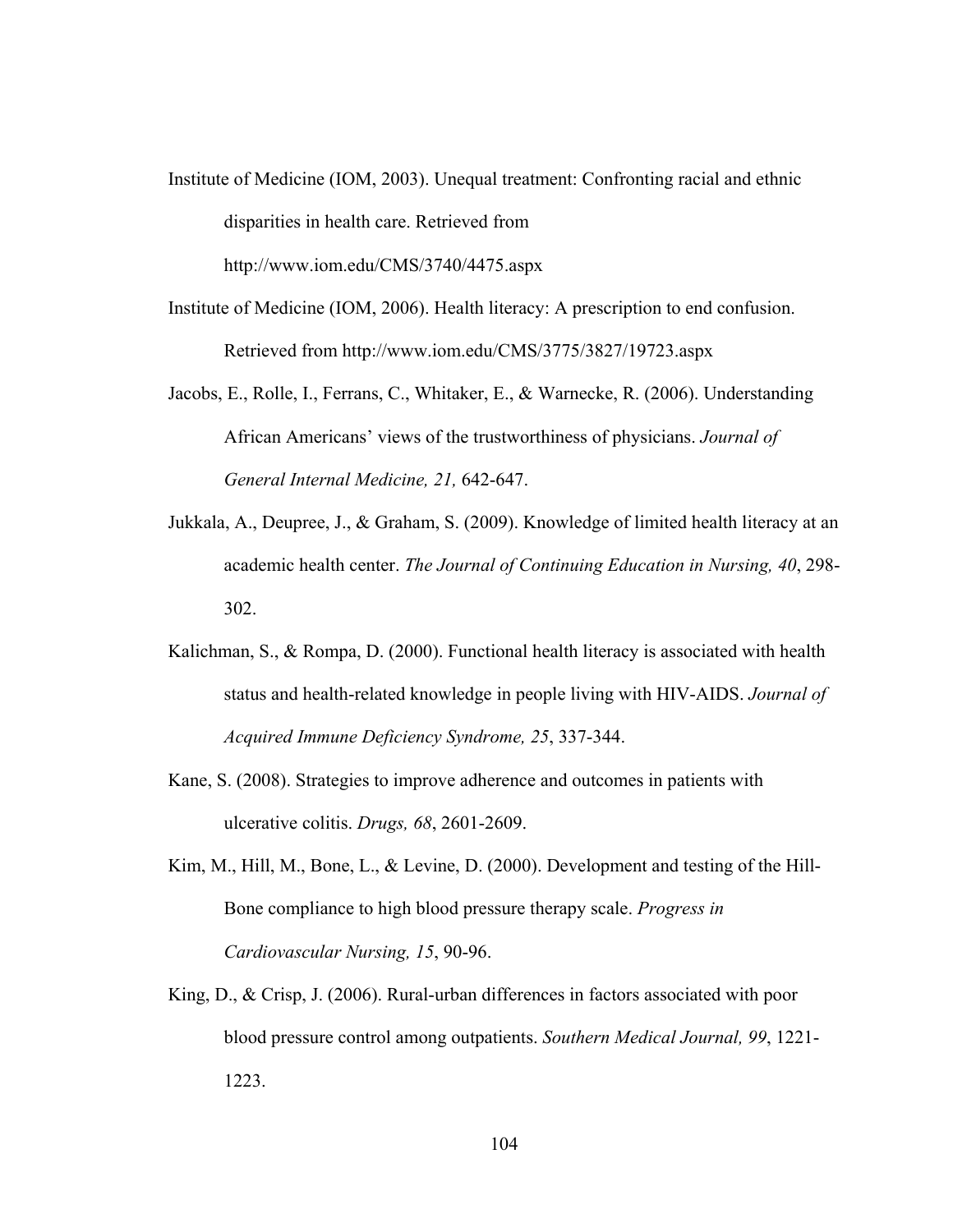Institute of Medicine (IOM, 2003). Unequal treatment: Confronting racial and ethnic disparities in health care. Retrieved from http://www.iom.edu/CMS/3740/4475.aspx

Institute of Medicine (IOM, 2006). Health literacy: A prescription to end confusion. Retrieved from http://www.iom.edu/CMS/3775/3827/19723.aspx

- Jacobs, E., Rolle, I., Ferrans, C., Whitaker, E., & Warnecke, R. (2006). Understanding African Americans' views of the trustworthiness of physicians. *Journal of General Internal Medicine, 21,* 642-647.
- Jukkala, A., Deupree, J., & Graham, S. (2009). Knowledge of limited health literacy at an academic health center. *The Journal of Continuing Education in Nursing, 40*, 298- 302.
- Kalichman, S., & Rompa, D. (2000). Functional health literacy is associated with health status and health-related knowledge in people living with HIV-AIDS. *Journal of Acquired Immune Deficiency Syndrome, 25*, 337-344.
- Kane, S. (2008). Strategies to improve adherence and outcomes in patients with ulcerative colitis. *Drugs, 68*, 2601-2609.
- Kim, M., Hill, M., Bone, L., & Levine, D. (2000). Development and testing of the Hill-Bone compliance to high blood pressure therapy scale. *Progress in Cardiovascular Nursing, 15*, 90-96.
- King, D., & Crisp, J. (2006). Rural-urban differences in factors associated with poor blood pressure control among outpatients. *Southern Medical Journal, 99*, 1221- 1223.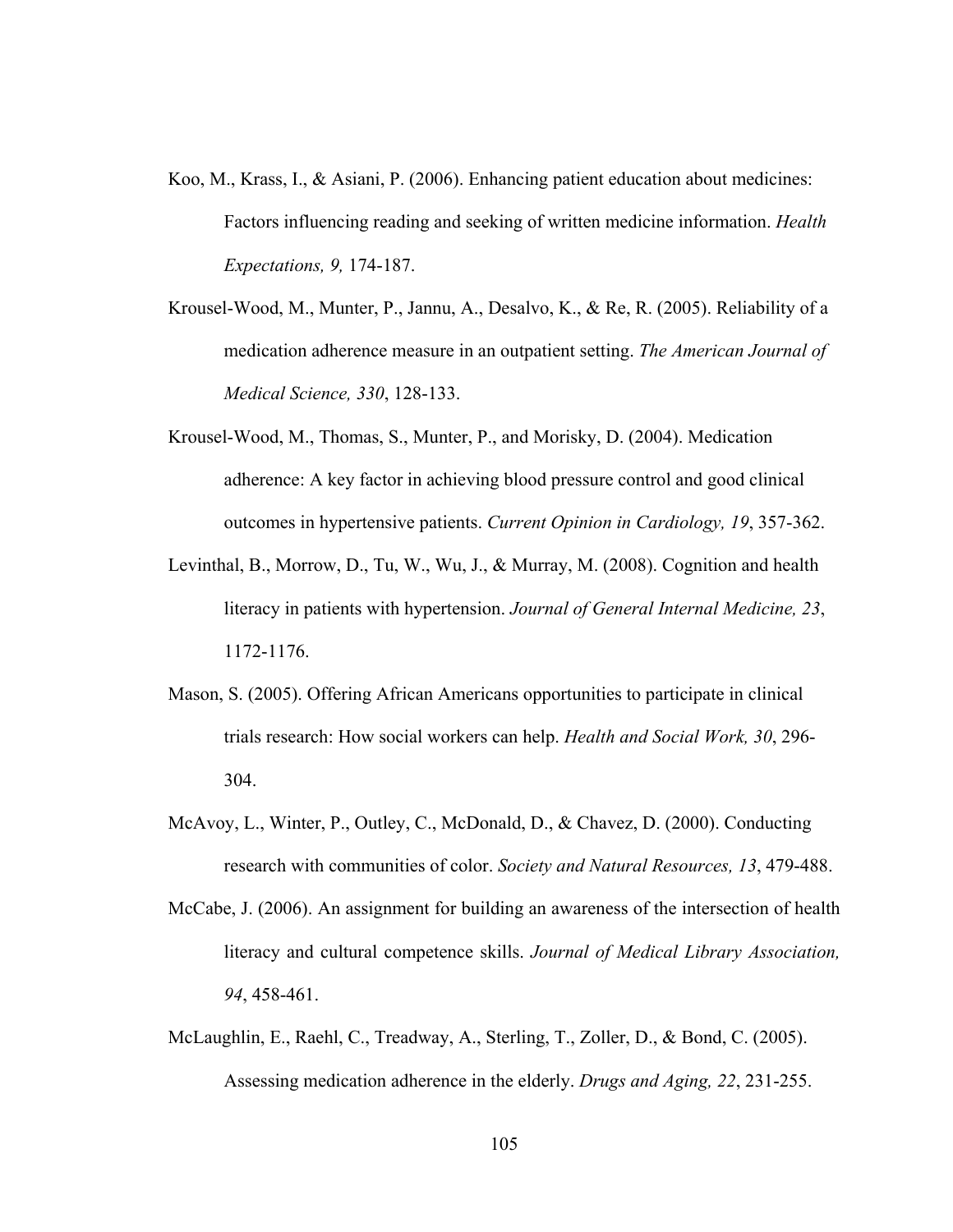- Koo, M., Krass, I., & Asiani, P. (2006). Enhancing patient education about medicines: Factors influencing reading and seeking of written medicine information. *Health Expectations, 9,* 174-187.
- Krousel-Wood, M., Munter, P., Jannu, A., Desalvo, K., & Re, R. (2005). Reliability of a medication adherence measure in an outpatient setting. *The American Journal of Medical Science, 330*, 128-133.
- Krousel-Wood, M., Thomas, S., Munter, P., and Morisky, D. (2004). Medication adherence: A key factor in achieving blood pressure control and good clinical outcomes in hypertensive patients. *Current Opinion in Cardiology, 19*, 357-362.
- Levinthal, B., Morrow, D., Tu, W., Wu, J., & Murray, M. (2008). Cognition and health literacy in patients with hypertension. *Journal of General Internal Medicine, 23*, 1172-1176.
- Mason, S. (2005). Offering African Americans opportunities to participate in clinical trials research: How social workers can help. *Health and Social Work, 30*, 296- 304.
- McAvoy, L., Winter, P., Outley, C., McDonald, D., & Chavez, D. (2000). Conducting research with communities of color. *Society and Natural Resources, 13*, 479-488.
- McCabe, J. (2006). An assignment for building an awareness of the intersection of health literacy and cultural competence skills. *Journal of Medical Library Association, 94*, 458-461.
- McLaughlin, E., Raehl, C., Treadway, A., Sterling, T., Zoller, D., & Bond, C. (2005). Assessing medication adherence in the elderly. *Drugs and Aging, 22*, 231-255.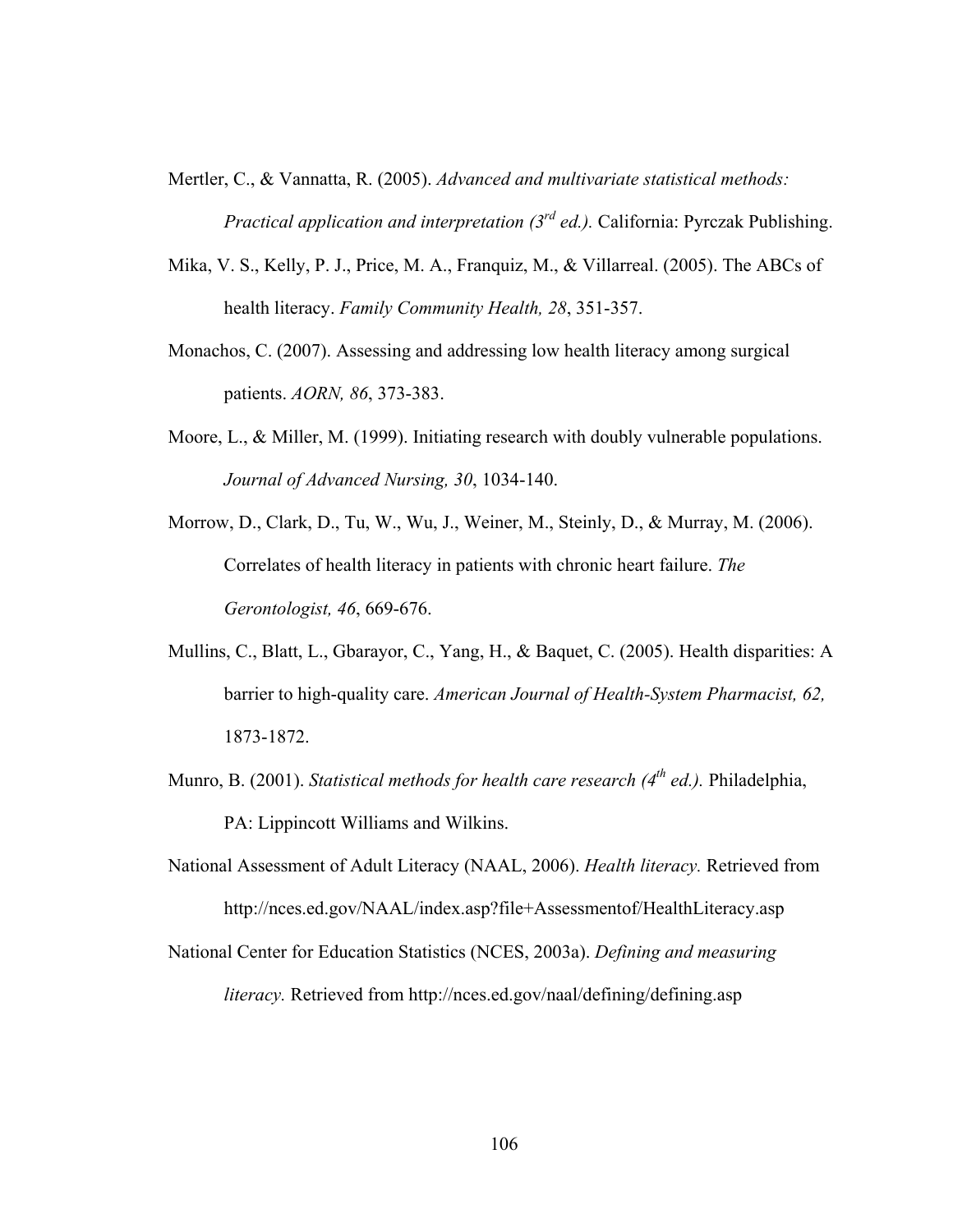- Mertler, C., & Vannatta, R. (2005). *Advanced and multivariate statistical methods: Practical application and interpretation (3rd ed.).* California: Pyrczak Publishing.
- Mika, V. S., Kelly, P. J., Price, M. A., Franquiz, M., & Villarreal. (2005). The ABCs of health literacy. *Family Community Health, 28*, 351-357.
- Monachos, C. (2007). Assessing and addressing low health literacy among surgical patients. *AORN, 86*, 373-383.
- Moore, L., & Miller, M. (1999). Initiating research with doubly vulnerable populations. *Journal of Advanced Nursing, 30*, 1034-140.
- Morrow, D., Clark, D., Tu, W., Wu, J., Weiner, M., Steinly, D., & Murray, M. (2006). Correlates of health literacy in patients with chronic heart failure. *The Gerontologist, 46*, 669-676.
- Mullins, C., Blatt, L., Gbarayor, C., Yang, H., & Baquet, C. (2005). Health disparities: A barrier to high-quality care. *American Journal of Health-System Pharmacist, 62,* 1873-1872.
- Munro, B. (2001). *Statistical methods for health care research (4th ed.).* Philadelphia, PA: Lippincott Williams and Wilkins.
- National Assessment of Adult Literacy (NAAL, 2006). *Health literacy.* Retrieved from http://nces.ed.gov/NAAL/index.asp?file+Assessmentof/HealthLiteracy.asp
- National Center for Education Statistics (NCES, 2003a). *Defining and measuring literacy.* Retrieved from http://nces.ed.gov/naal/defining/defining.asp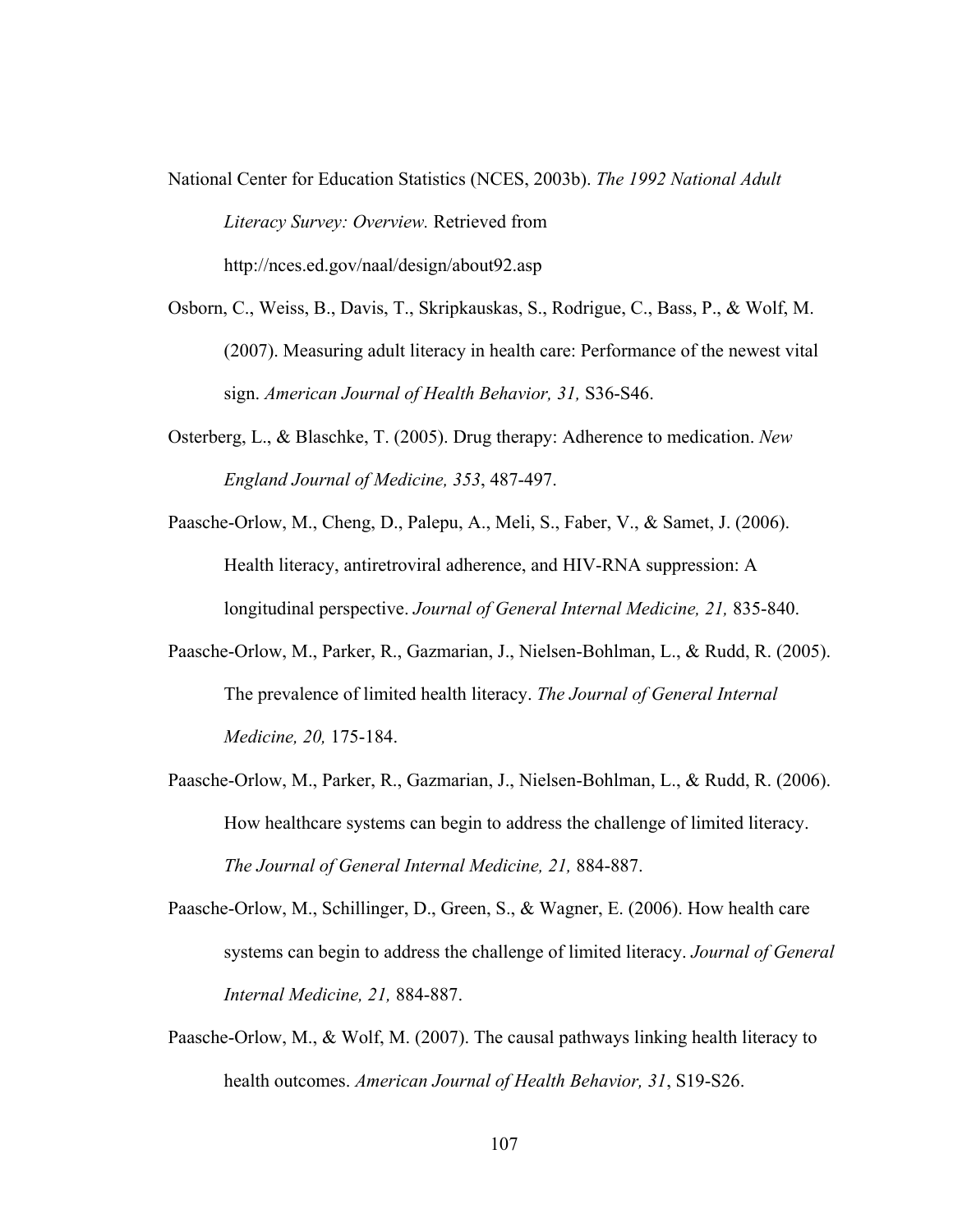National Center for Education Statistics (NCES, 2003b). *The 1992 National Adult Literacy Survey: Overview.* Retrieved from http://nces.ed.gov/naal/design/about92.asp

- Osborn, C., Weiss, B., Davis, T., Skripkauskas, S., Rodrigue, C., Bass, P., & Wolf, M. (2007). Measuring adult literacy in health care: Performance of the newest vital sign. *American Journal of Health Behavior, 31,* S36-S46.
- Osterberg, L., & Blaschke, T. (2005). Drug therapy: Adherence to medication. *New England Journal of Medicine, 353*, 487-497.
- Paasche-Orlow, M., Cheng, D., Palepu, A., Meli, S., Faber, V., & Samet, J. (2006). Health literacy, antiretroviral adherence, and HIV-RNA suppression: A longitudinal perspective. *Journal of General Internal Medicine, 21,* 835-840.
- Paasche-Orlow, M., Parker, R., Gazmarian, J., Nielsen-Bohlman, L., & Rudd, R. (2005). The prevalence of limited health literacy. *The Journal of General Internal Medicine, 20,* 175-184.
- Paasche-Orlow, M., Parker, R., Gazmarian, J., Nielsen-Bohlman, L., & Rudd, R. (2006). How healthcare systems can begin to address the challenge of limited literacy. *The Journal of General Internal Medicine, 21,* 884-887.
- Paasche-Orlow, M., Schillinger, D., Green, S., & Wagner, E. (2006). How health care systems can begin to address the challenge of limited literacy. *Journal of General Internal Medicine, 21,* 884-887.
- Paasche-Orlow, M., & Wolf, M. (2007). The causal pathways linking health literacy to health outcomes. *American Journal of Health Behavior, 31*, S19-S26.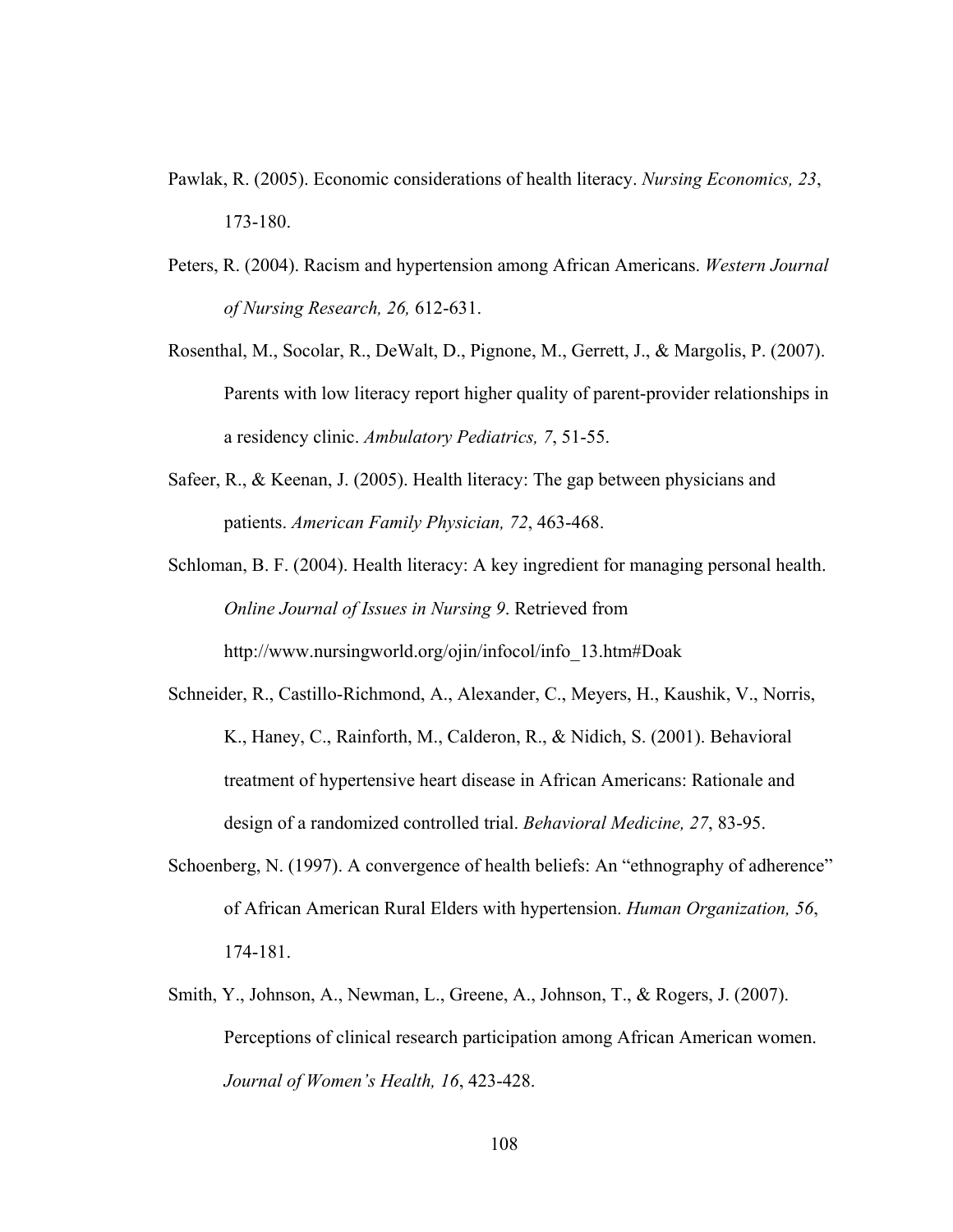- Pawlak, R. (2005). Economic considerations of health literacy. *Nursing Economics, 23*, 173-180.
- Peters, R. (2004). Racism and hypertension among African Americans. *Western Journal of Nursing Research, 26,* 612-631.
- Rosenthal, M., Socolar, R., DeWalt, D., Pignone, M., Gerrett, J., & Margolis, P. (2007). Parents with low literacy report higher quality of parent-provider relationships in a residency clinic. *Ambulatory Pediatrics, 7*, 51-55.
- Safeer, R., & Keenan, J. (2005). Health literacy: The gap between physicians and patients. *American Family Physician, 72*, 463-468.
- Schloman, B. F. (2004). Health literacy: A key ingredient for managing personal health. *Online Journal of Issues in Nursing 9*. Retrieved from http://www.nursingworld.org/ojin/infocol/info\_13.htm#Doak
- Schneider, R., Castillo-Richmond, A., Alexander, C., Meyers, H., Kaushik, V., Norris, K., Haney, C., Rainforth, M., Calderon, R., & Nidich, S. (2001). Behavioral treatment of hypertensive heart disease in African Americans: Rationale and design of a randomized controlled trial. *Behavioral Medicine, 27*, 83-95.
- Schoenberg, N. (1997). A convergence of health beliefs: An "ethnography of adherence" of African American Rural Elders with hypertension. *Human Organization, 56*, 174-181.
- Smith, Y., Johnson, A., Newman, L., Greene, A., Johnson, T., & Rogers, J. (2007). Perceptions of clinical research participation among African American women. *Journal of Women's Health, 16*, 423-428.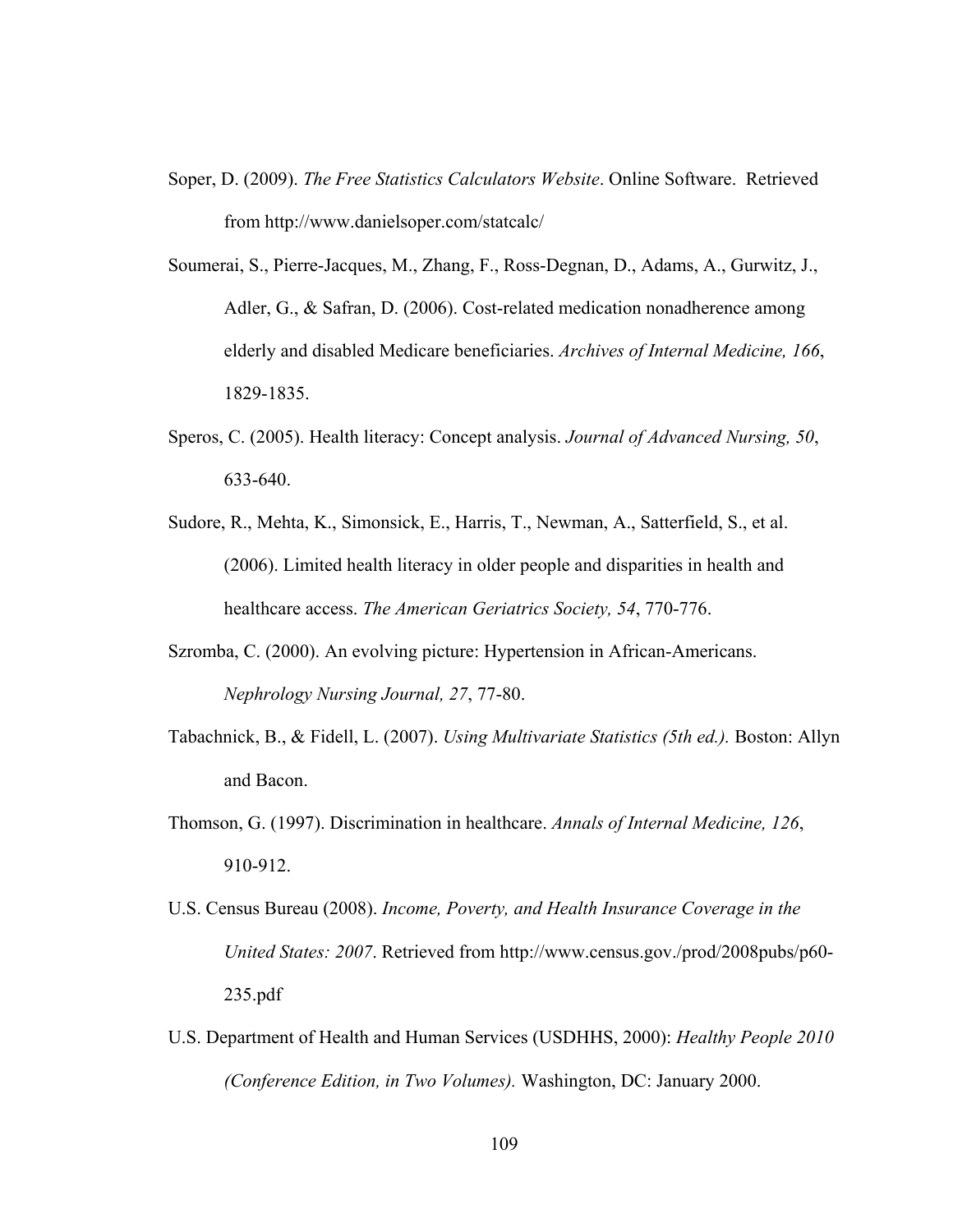- Soper, D. (2009). *The Free Statistics Calculators Website*. Online Software. Retrieved from http://www.danielsoper.com/statcalc/
- Soumerai, S., Pierre-Jacques, M., Zhang, F., Ross-Degnan, D., Adams, A., Gurwitz, J., Adler, G., & Safran, D. (2006). Cost-related medication nonadherence among elderly and disabled Medicare beneficiaries. *Archives of Internal Medicine, 166*, 1829-1835.
- Speros, C. (2005). Health literacy: Concept analysis. *Journal of Advanced Nursing, 50*, 633-640.
- Sudore, R., Mehta, K., Simonsick, E., Harris, T., Newman, A., Satterfield, S., et al. (2006). Limited health literacy in older people and disparities in health and healthcare access. *The American Geriatrics Society, 54*, 770-776.
- Szromba, C. (2000). An evolving picture: Hypertension in African-Americans. *Nephrology Nursing Journal, 27*, 77-80.
- Tabachnick, B., & Fidell, L. (2007). *Using Multivariate Statistics (5th ed.).* Boston: Allyn and Bacon.
- Thomson, G. (1997). Discrimination in healthcare. *Annals of Internal Medicine, 126*, 910-912.
- U.S. Census Bureau (2008). *Income, Poverty, and Health Insurance Coverage in the United States: 2007*. Retrieved from http://www.census.gov./prod/2008pubs/p60- 235.pdf
- U.S. Department of Health and Human Services (USDHHS, 2000): *Healthy People 2010 (Conference Edition, in Two Volumes).* Washington, DC: January 2000.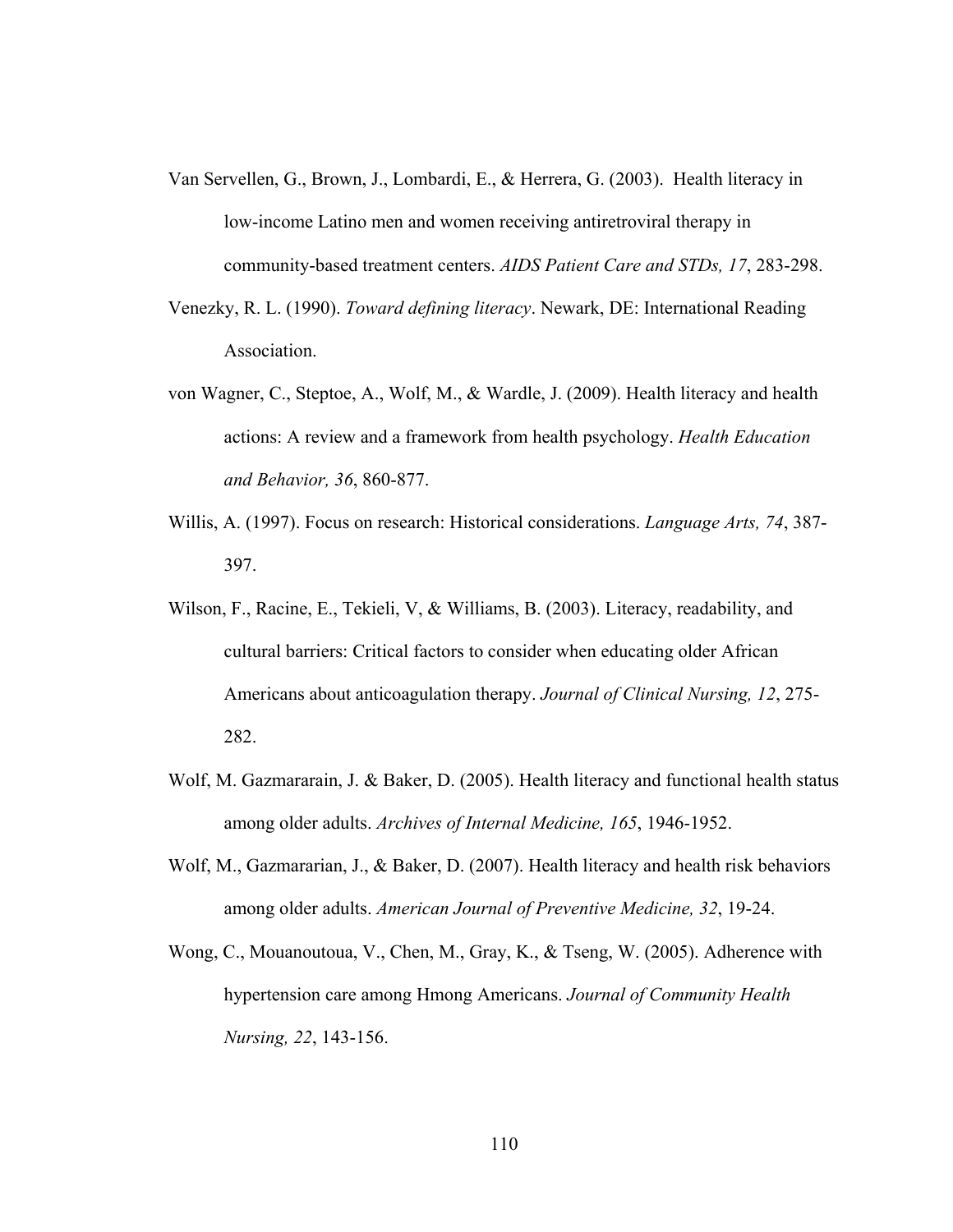- Van Servellen, G., Brown, J., Lombardi, E., & Herrera, G. (2003). Health literacy in low-income Latino men and women receiving antiretroviral therapy in community-based treatment centers. *AIDS Patient Care and STDs, 17*, 283-298.
- Venezky, R. L. (1990). *Toward defining literacy*. Newark, DE: International Reading Association.
- von Wagner, C., Steptoe, A., Wolf, M., & Wardle, J. (2009). Health literacy and health actions: A review and a framework from health psychology. *Health Education and Behavior, 36*, 860-877.
- Willis, A. (1997). Focus on research: Historical considerations. *Language Arts, 74*, 387- 397.
- Wilson, F., Racine, E., Tekieli, V. & Williams, B. (2003). Literacy, readability, and cultural barriers: Critical factors to consider when educating older African Americans about anticoagulation therapy. *Journal of Clinical Nursing, 12*, 275- 282.
- Wolf, M. Gazmararain, J. & Baker, D. (2005). Health literacy and functional health status among older adults. *Archives of Internal Medicine, 165*, 1946-1952.
- Wolf, M., Gazmararian, J., & Baker, D. (2007). Health literacy and health risk behaviors among older adults. *American Journal of Preventive Medicine, 32*, 19-24.
- Wong, C., Mouanoutoua, V., Chen, M., Gray, K., & Tseng, W. (2005). Adherence with hypertension care among Hmong Americans. *Journal of Community Health Nursing, 22*, 143-156.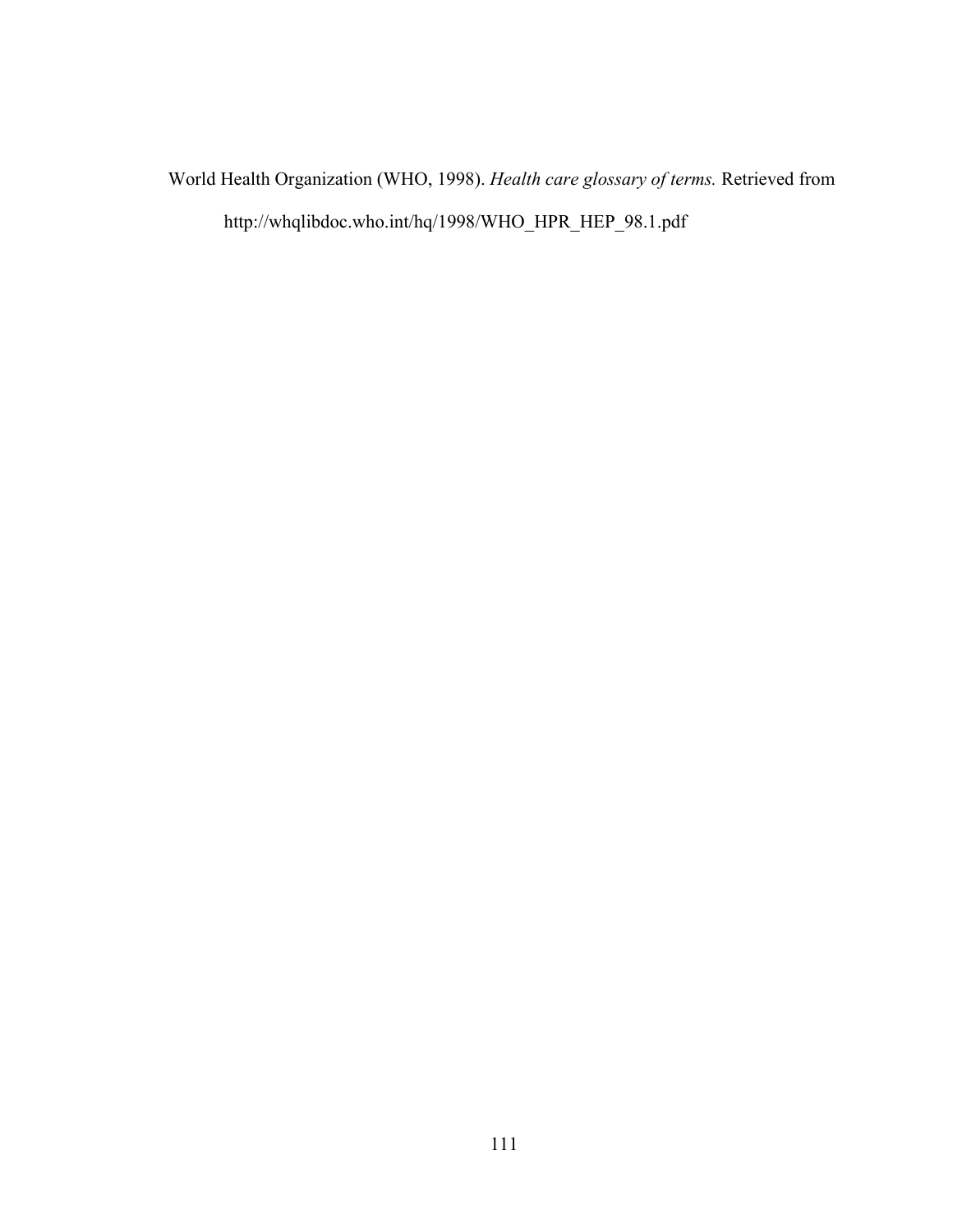World Health Organization (WHO, 1998). *Health care glossary of terms.* Retrieved from http://whqlibdoc.who.int/hq/1998/WHO\_HPR\_HEP\_98.1.pdf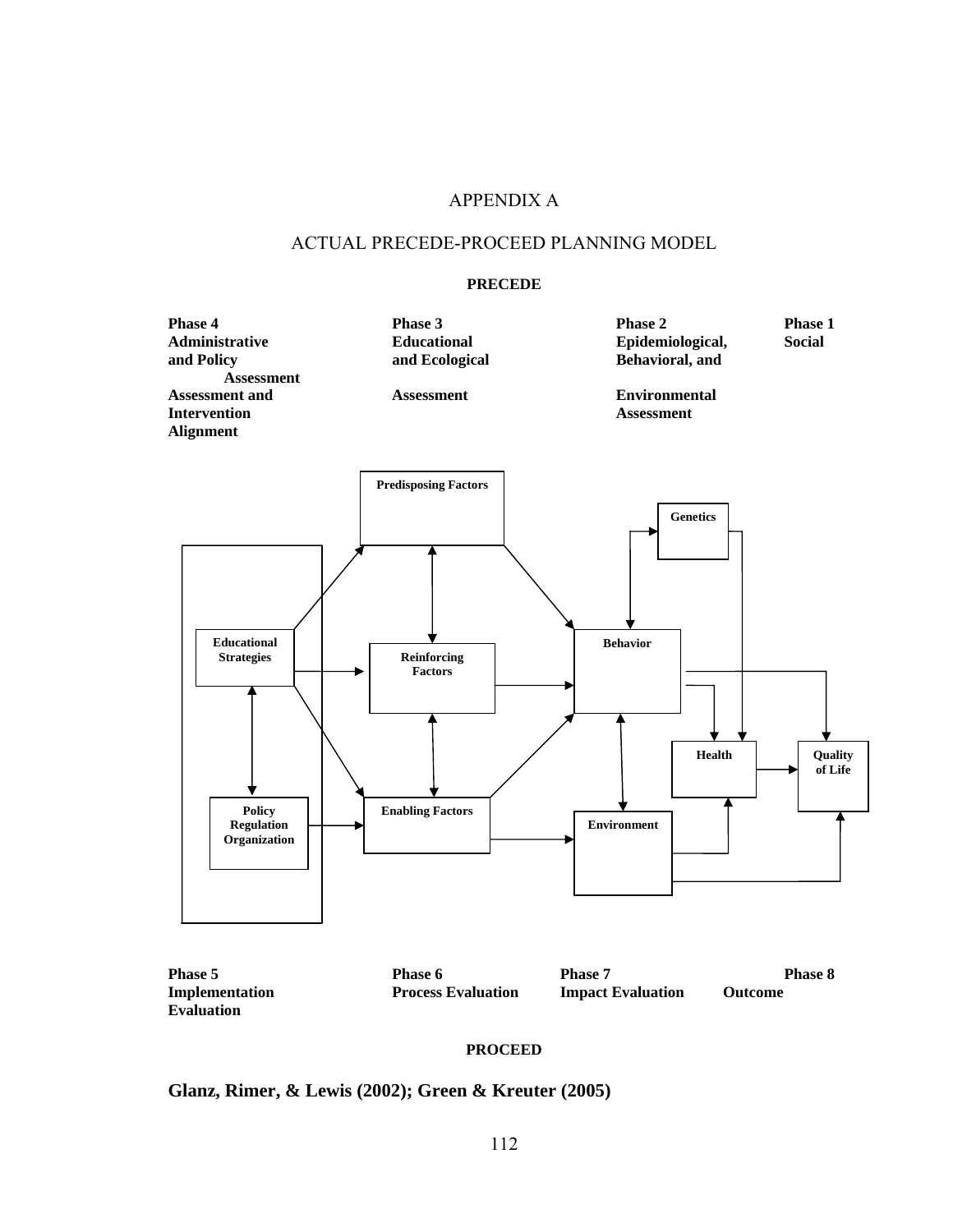# APPENDIX A

#### ACTUAL PRECEDE-PROCEED PLANNING MODEL

#### **PRECEDE**



#### **PROCEED**

**Glanz, Rimer, & Lewis (2002); Green & Kreuter (2005)** 

**Evaluation**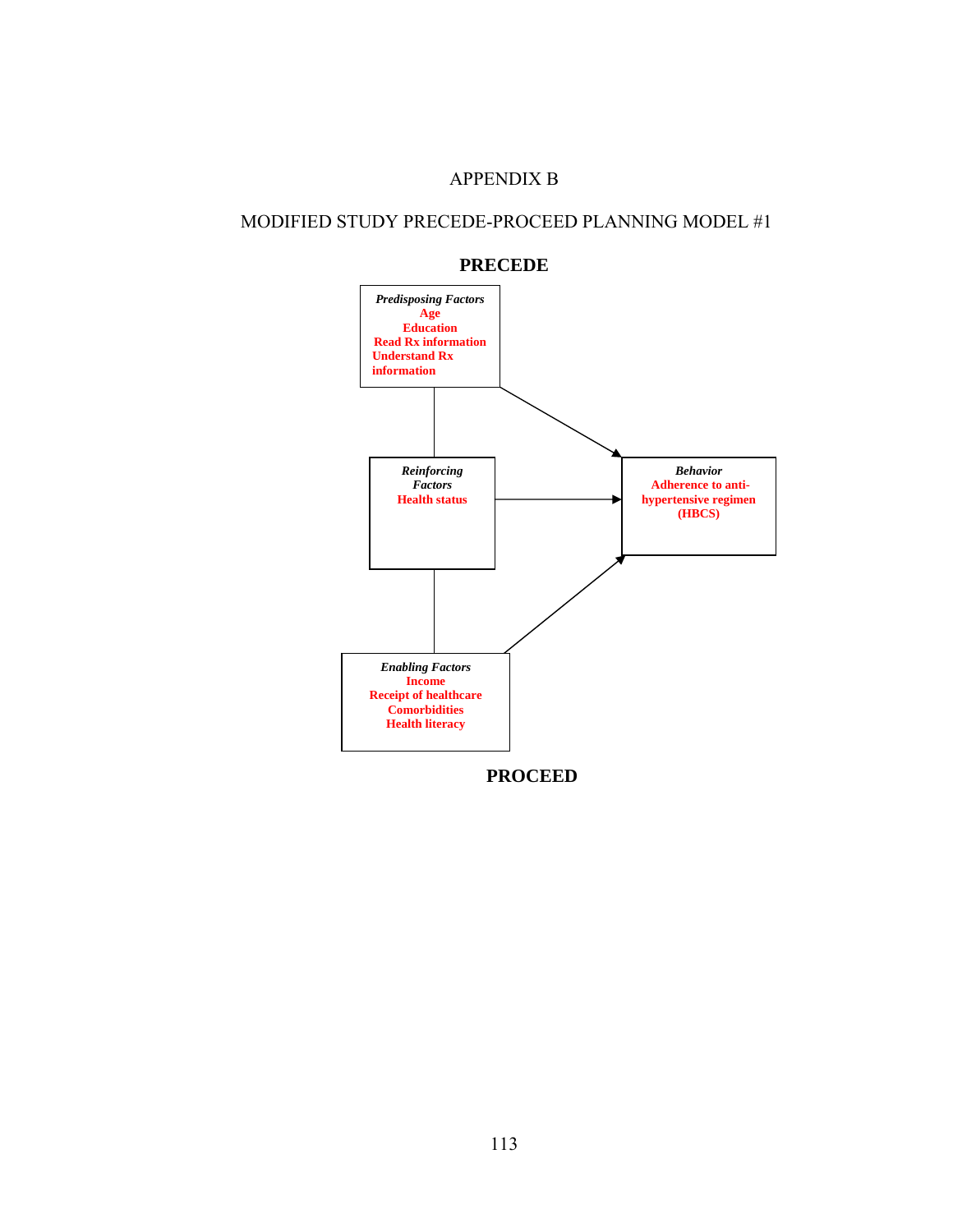## APPENDIX B

# MODIFIED STUDY PRECEDE-PROCEED PLANNING MODEL #1



#### **PRECEDE**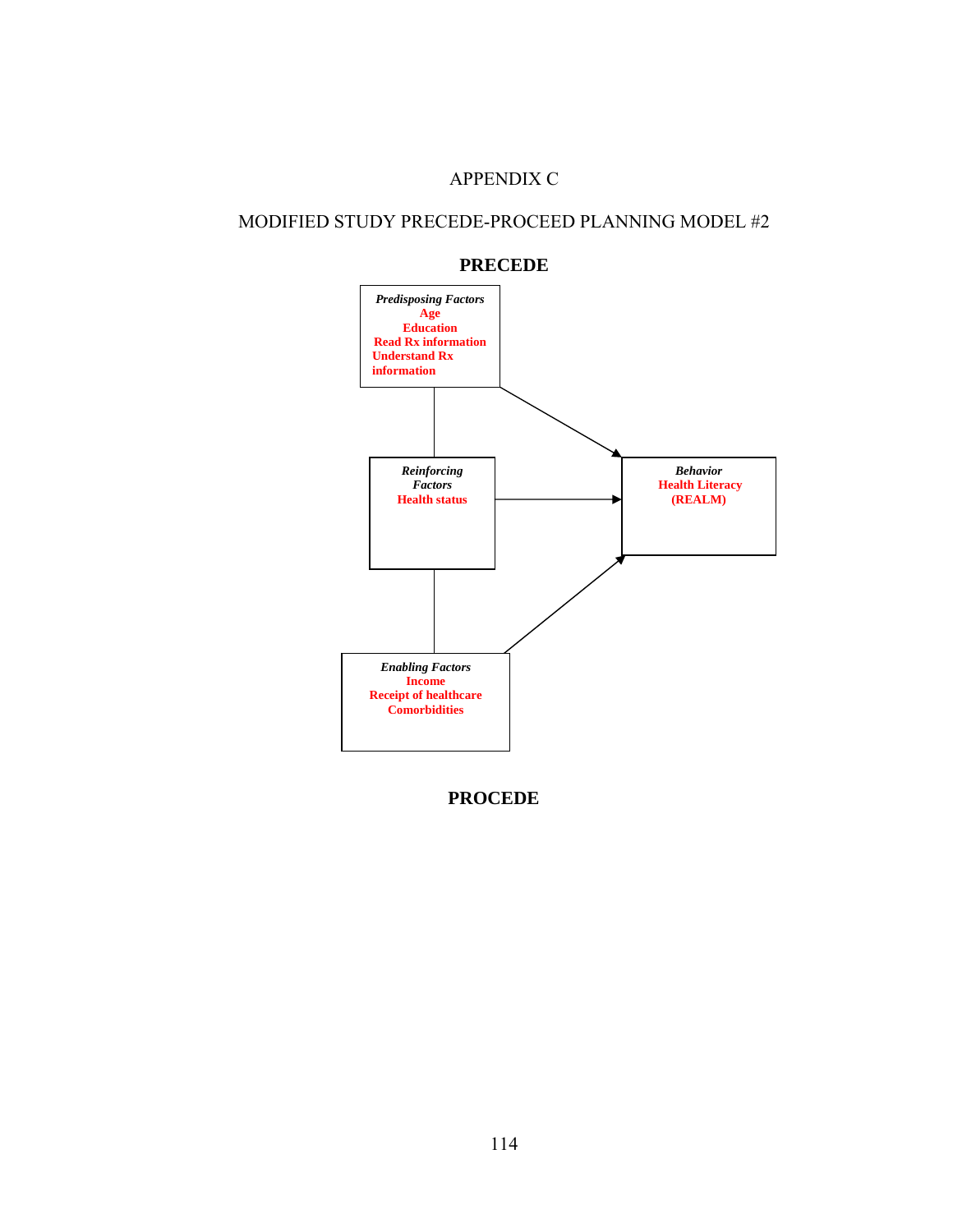## APPENDIX C

# MODIFIED STUDY PRECEDE-PROCEED PLANNING MODEL #2





**PROCEDE**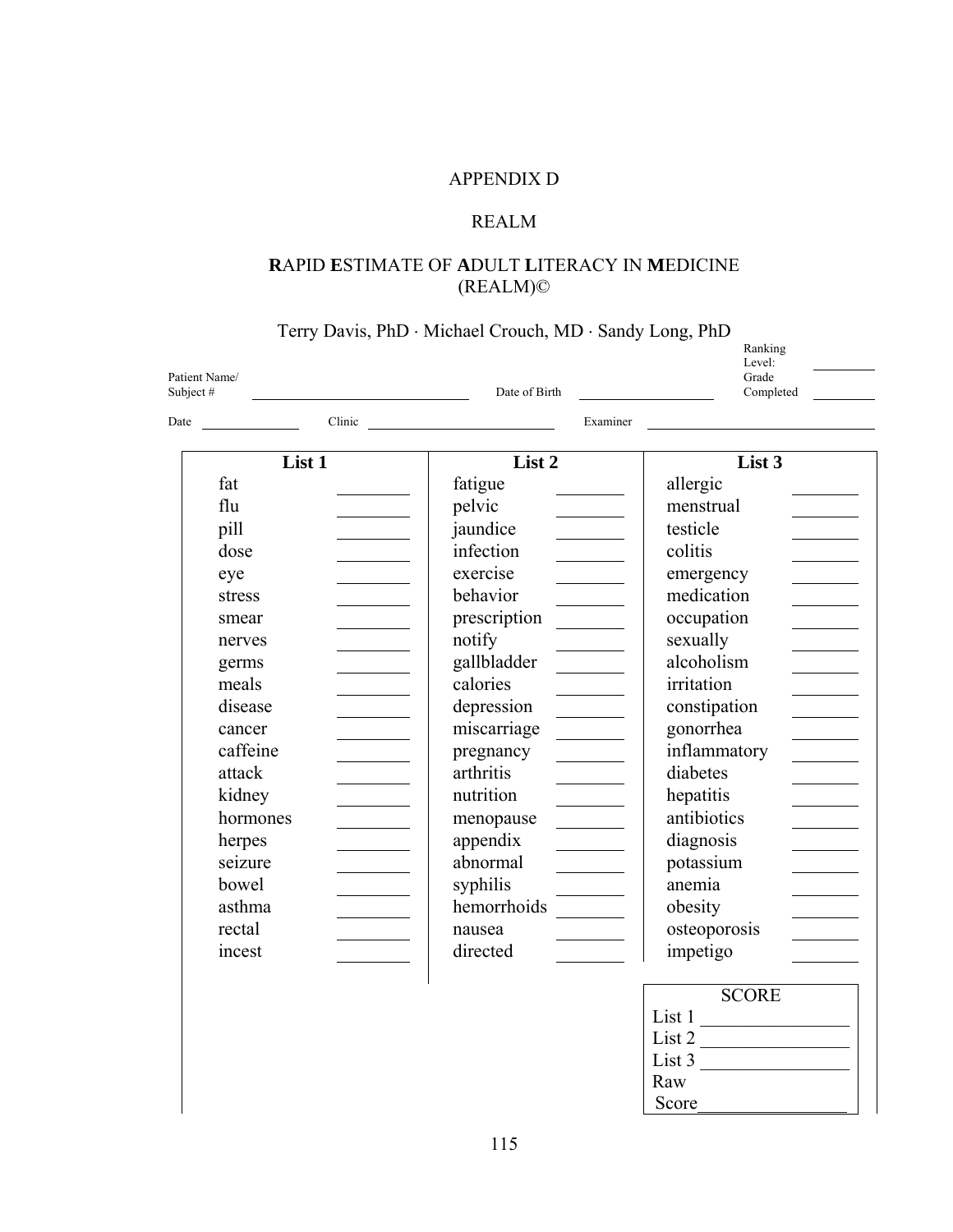# APPENDIX D

# REALM

# **R**APID **E**STIMATE OF **A**DULT **L**ITERACY IN **M**EDICINE (REALM)©

Terry Davis, PhD · Michael Crouch, MD · Sandy Long, PhD

| Patient Name/<br>Subject# | Date of Birth                                                                                                                                                                                                                              | Ranking<br>Level:<br>Grade<br>Completed |
|---------------------------|--------------------------------------------------------------------------------------------------------------------------------------------------------------------------------------------------------------------------------------------|-----------------------------------------|
| Date                      | Clinic Communication of the communication of the communication of the communication of the communication of the communication of the communication of the communication of the communication of the communication of the commu<br>Examiner |                                         |
| List 1                    | List 2                                                                                                                                                                                                                                     | List 3                                  |
| fat                       | fatigue                                                                                                                                                                                                                                    | allergic                                |
| flu                       | pelvic                                                                                                                                                                                                                                     | menstrual                               |
| pill                      | jaundice                                                                                                                                                                                                                                   | testicle                                |
| dose                      | infection                                                                                                                                                                                                                                  | colitis                                 |
| eye                       | exercise<br>$\overline{\phantom{a}}$                                                                                                                                                                                                       | emergency                               |
| stress                    | behavior                                                                                                                                                                                                                                   | medication                              |
| smear                     | prescription                                                                                                                                                                                                                               | occupation                              |
| nerves                    | notify                                                                                                                                                                                                                                     | sexually                                |
| germs                     | gallbladder                                                                                                                                                                                                                                | alcoholism                              |
| meals                     | calories                                                                                                                                                                                                                                   | irritation                              |
| disease                   | depression                                                                                                                                                                                                                                 | constipation                            |
| cancer                    | miscarriage                                                                                                                                                                                                                                | gonorrhea                               |
| caffeine                  | pregnancy                                                                                                                                                                                                                                  | inflammatory                            |
| attack                    | arthritis                                                                                                                                                                                                                                  | diabetes                                |
| kidney                    | nutrition                                                                                                                                                                                                                                  | hepatitis                               |
| hormones                  | menopause                                                                                                                                                                                                                                  | antibiotics                             |
| herpes                    | appendix                                                                                                                                                                                                                                   | diagnosis                               |
| seizure                   | abnormal                                                                                                                                                                                                                                   | potassium                               |
| bowel                     | syphilis                                                                                                                                                                                                                                   | anemia                                  |
| asthma                    | hemorrhoids                                                                                                                                                                                                                                | obesity                                 |
| rectal                    | nausea                                                                                                                                                                                                                                     | osteoporosis                            |
| incest                    | directed                                                                                                                                                                                                                                   | impetigo                                |
|                           |                                                                                                                                                                                                                                            | <b>SCORE</b>                            |
|                           |                                                                                                                                                                                                                                            | List 1                                  |
|                           |                                                                                                                                                                                                                                            | List 2                                  |

List  $3$ 

Raw<sup>1</sup> Score\_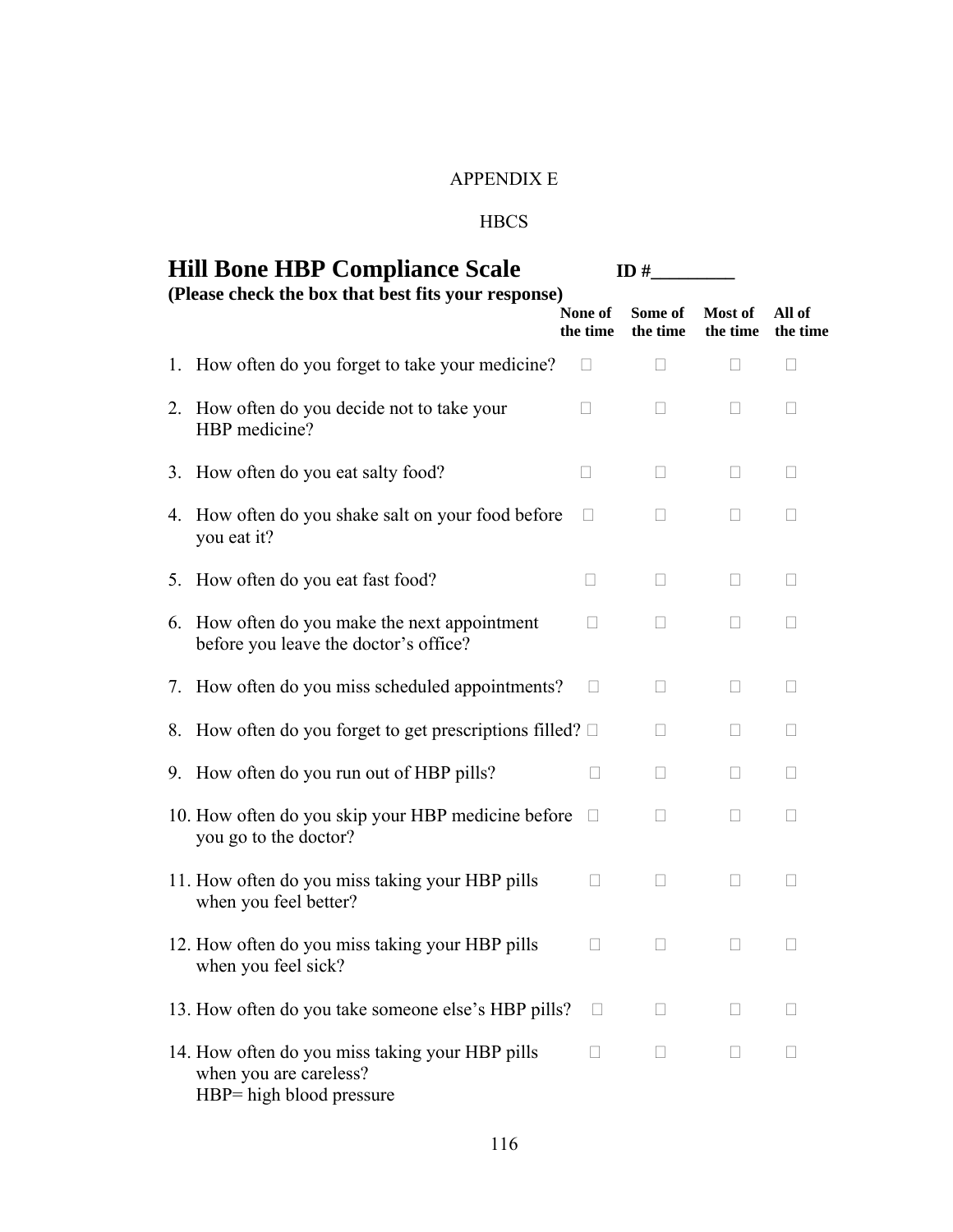# APPENDIX E

# **HBCS**

| <b>Hill Bone HBP Compliance Scale</b> |                                                                                                       |                          | ID#                 |                     |                    |
|---------------------------------------|-------------------------------------------------------------------------------------------------------|--------------------------|---------------------|---------------------|--------------------|
|                                       | (Please check the box that best fits your response)                                                   | None of<br>the time      | Some of<br>the time | Most of<br>the time | All of<br>the time |
| 1.                                    | How often do you forget to take your medicine?                                                        | $\Box$                   | Ш                   | $\Box$              |                    |
|                                       | 2. How often do you decide not to take your<br>HBP medicine?                                          | $\overline{\phantom{a}}$ | $\Box$              | Ш                   |                    |
|                                       | 3. How often do you eat salty food?                                                                   | $\mathbf{L}$             | $\Box$              | $\Box$              |                    |
| 4.                                    | How often do you shake salt on your food before<br>you eat it?                                        | Ш                        | Ш                   | Ц                   | $\mathbf{L}$       |
| 5.                                    | How often do you eat fast food?                                                                       | $\Box$                   | $\Box$              | $\Box$              | Ш                  |
| 6.                                    | How often do you make the next appointment<br>before you leave the doctor's office?                   |                          | $\Box$              | Ш                   |                    |
| 7.                                    | How often do you miss scheduled appointments?                                                         | $\mathbf{L}$             | Ш                   | $\Box$              |                    |
|                                       | 8. How often do you forget to get prescriptions filled? $\square$                                     |                          | $\Box$              | $\Box$              | Ш                  |
| 9.                                    | How often do you run out of HBP pills?                                                                | $\vert \ \ \vert$        | $\Box$              | Ш                   | $\Box$             |
|                                       | 10. How often do you skip your HBP medicine before<br>you go to the doctor?                           | П                        | П                   | П                   | $\mathbf{L}$       |
|                                       | 11. How often do you miss taking your HBP pills<br>when you feel better?                              | Н                        | $\Box$              | $\mathbf{L}$        | $\Box$             |
|                                       | 12. How often do you miss taking your HBP pills<br>when you feel sick?                                |                          | $\mathbf{L}$        | $\Box$              |                    |
|                                       | 13. How often do you take someone else's HBP pills?                                                   | $\Box$                   | $\mathbf{L}$        |                     |                    |
|                                       | 14. How often do you miss taking your HBP pills<br>when you are careless?<br>HBP= high blood pressure |                          | $\mathbf{L}$        | $\vert \ \vert$     |                    |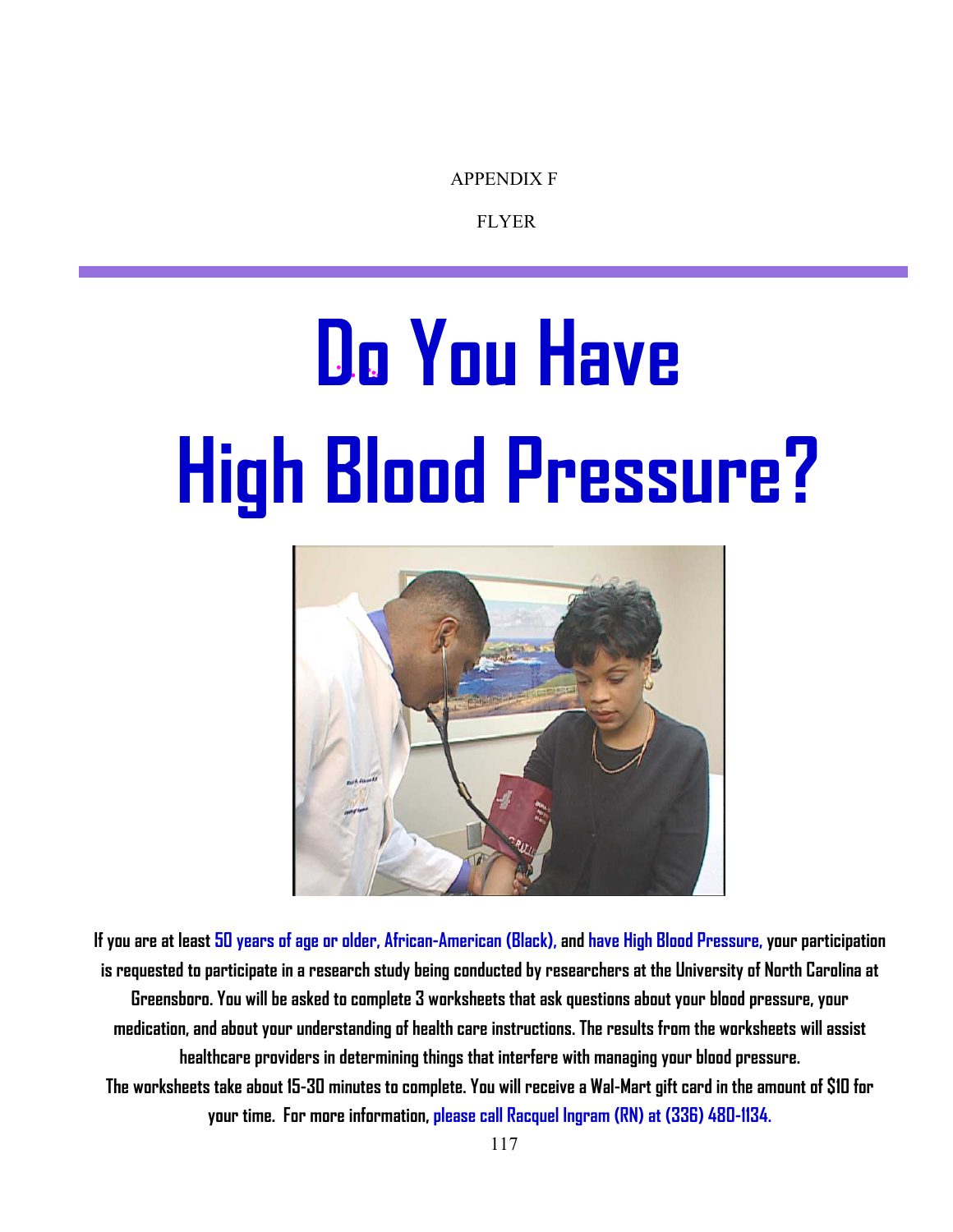APPENDIX F

FLYER

# **Do You Have High Blood Pressure?**



**If you are at least 50 years of age or older, African-American (Black), and have High Blood Pressure, your participation is requested to participate in a research study being conducted by researchers at the University of North Carolina at Greensboro. You will be asked to complete 3 worksheets that ask questions about your blood pressure, your medication, and about your understanding of health care instructions. The results from the worksheets will assist healthcare providers in determining things that interfere with managing your blood pressure. The worksheets take about 15-30 minutes to complete. You will receive a Wal-Mart gift card in the amount of \$10 for your time. For more information, please call Racquel Ingram (RN) at (336) 480-1134.**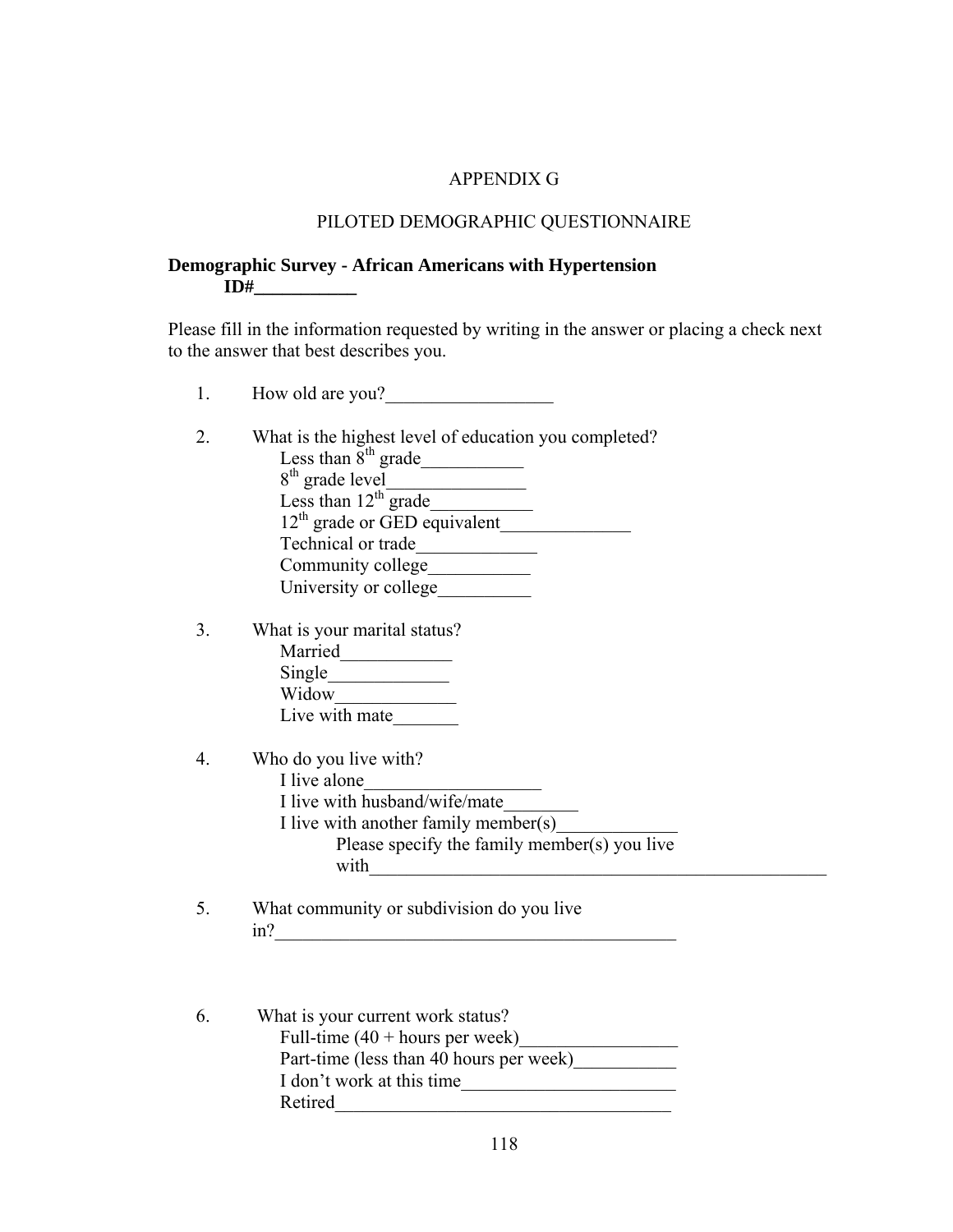## APPENDIX G

## PILOTED DEMOGRAPHIC QUESTIONNAIRE

# **Demographic Survey - African Americans with Hypertension ID#** \_\_\_\_\_\_\_\_\_\_

Please fill in the information requested by writing in the answer or placing a check next to the answer that best describes you.

- 1. How old are you?
- 2. What is the highest level of education you completed? Less than  $8^{th}$  grade 8th grade level\_\_\_\_\_\_\_\_\_\_\_\_\_\_\_ Less than  $12^{\text{th}}$  grade\_  $12^{th}$  grade or GED equivalent Technical or trade\_\_\_\_\_\_\_\_\_\_\_\_\_ Community college\_\_\_\_\_\_\_\_\_\_\_ University or college\_\_\_\_\_\_\_\_\_\_
- 3. What is your marital status? Married\_\_\_\_\_\_\_\_\_\_\_\_ Single\_\_\_\_\_\_\_\_\_\_\_\_\_ Widow<sub>w</sub> Live with mate
- 4. Who do you live with?
	- I live alone I live with husband/wife/mate I live with another family member(s) Please specify the family member(s) you live with  $\Box$
- 5. What community or subdivision do you live in?\_\_\_\_\_\_\_\_\_\_\_\_\_\_\_\_\_\_\_\_\_\_\_\_\_\_\_\_\_\_\_\_\_\_\_\_\_\_\_\_\_\_\_
- 6. What is your current work status? Full-time  $(40 + \text{hours per week})$ Part-time (less than 40 hours per week) I don't work at this time Retired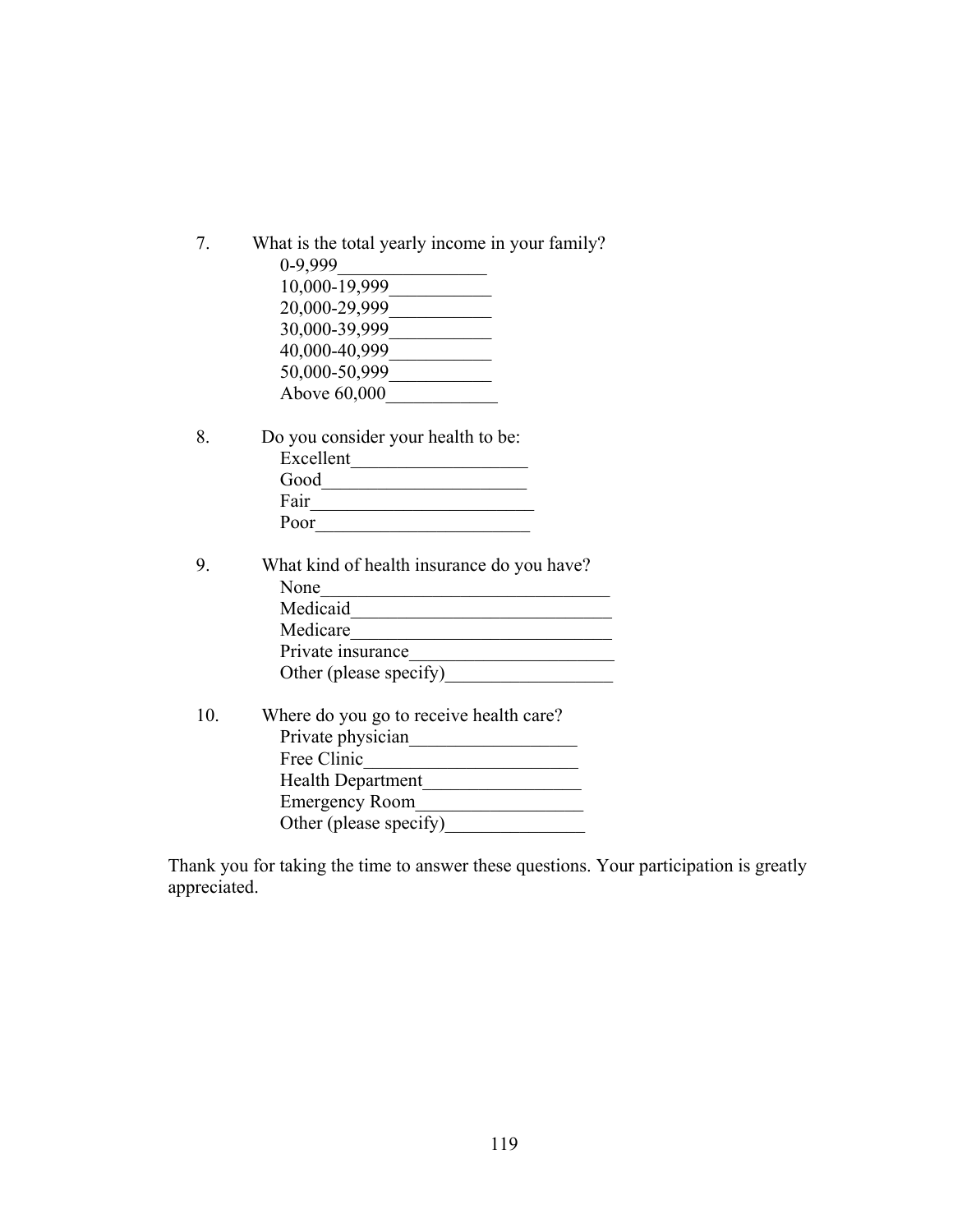| 7. | What is the total yearly income in your family? |
|----|-------------------------------------------------|
|    | 0-9,999                                         |
|    | 10,000-19,999                                   |
|    | 20,000-29,999                                   |
|    | 30,000-39,999                                   |
|    | 40,000-40,999                                   |
|    | 50,000-50,999                                   |
|    | Above 60,000                                    |
|    |                                                 |

- 8. Do you consider your health to be: Excellent\_\_\_\_\_\_\_\_\_\_\_\_\_\_\_\_\_\_\_  $Good$   $\qquad \qquad \qquad$ Fair\_\_\_\_\_\_\_\_\_\_\_\_\_\_\_\_\_\_\_\_\_\_\_\_ Poor
- 9. What kind of health insurance do you have? None\_\_\_\_\_\_\_\_\_\_\_\_\_\_\_\_\_\_\_\_\_\_\_\_\_\_\_\_\_\_\_ Medicaid\_\_\_\_\_\_\_\_\_\_\_\_\_\_\_\_\_\_\_\_\_\_\_\_\_\_\_\_ Medicare\_\_\_\_\_\_\_\_\_\_\_\_\_\_\_\_\_\_\_\_\_\_\_\_\_\_\_\_ Private insurance\_\_\_\_\_\_\_\_\_\_\_\_\_\_\_\_\_\_\_\_\_\_ Other (please specify)\_\_\_\_\_\_\_\_\_\_\_\_\_\_\_\_\_\_
- 10. Where do you go to receive health care? Private physician\_\_\_\_\_\_\_\_\_\_\_\_\_\_\_\_\_\_ Free Clinic\_\_\_\_\_\_\_\_\_\_\_\_\_\_\_\_\_\_\_\_\_\_\_ Health Department\_\_\_\_\_\_\_\_\_\_\_\_\_\_\_\_\_ Emergency Room\_\_\_\_\_\_\_\_\_\_\_\_\_\_\_\_\_\_ Other (please specify)\_\_\_\_\_\_\_\_\_\_\_\_\_\_\_

Thank you for taking the time to answer these questions. Your participation is greatly appreciated.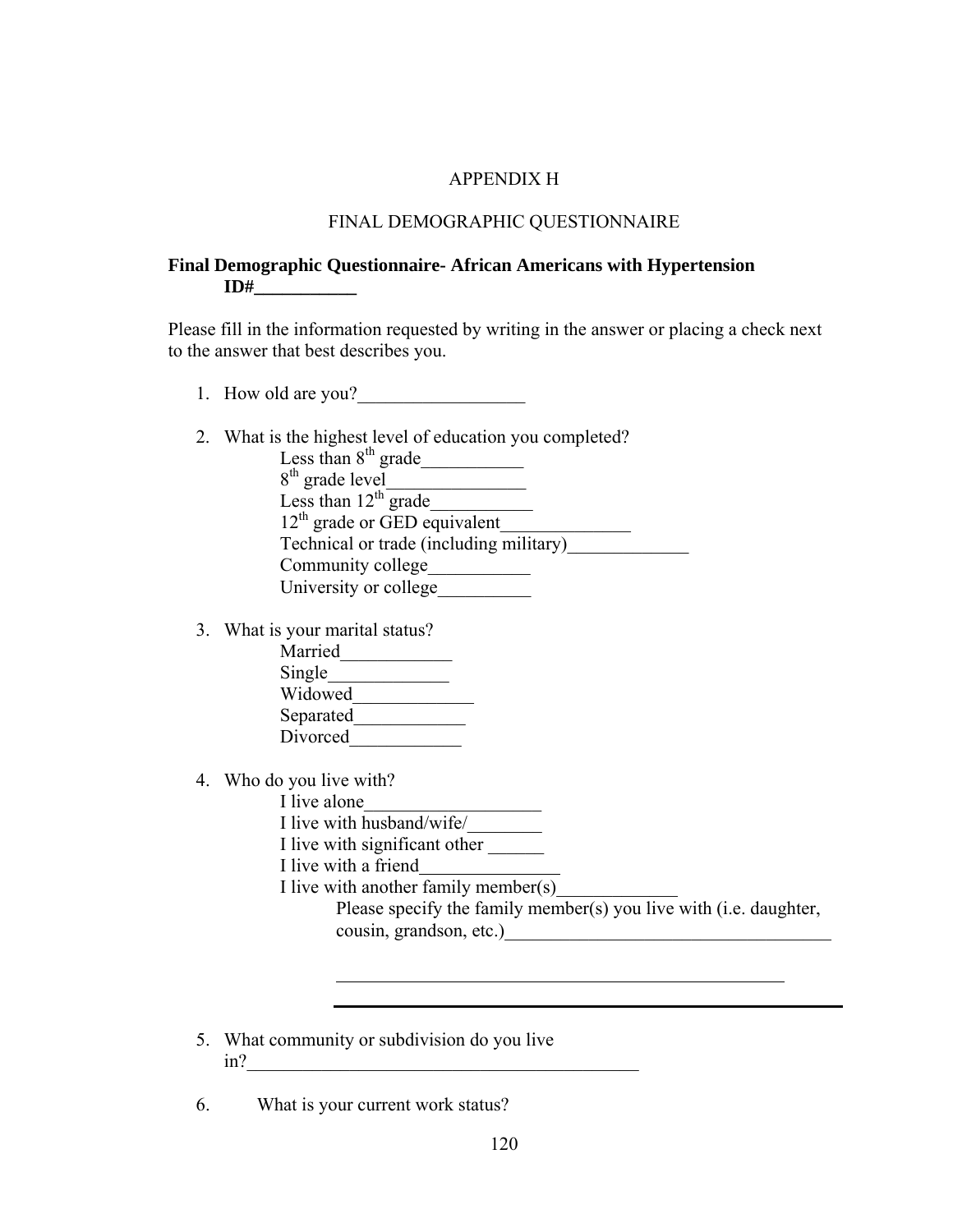#### APPENDIX H

#### FINAL DEMOGRAPHIC QUESTIONNAIRE

## **Final Demographic Questionnaire- African Americans with Hypertension ID#\_\_\_\_\_\_\_\_\_\_\_**

Please fill in the information requested by writing in the answer or placing a check next to the answer that best describes you.

- 1. How old are you?
- 2. What is the highest level of education you completed?

Less than  $8^{th}$  grade  $8<sup>th</sup>$  grade level Less than  $12^{th}$  grade 12th grade or GED equivalent\_\_\_\_\_\_\_\_\_\_\_\_\_\_ Technical or trade (including military)\_\_\_\_\_\_\_\_\_\_\_\_\_ Community college\_\_\_\_\_\_\_\_\_\_\_ University or college\_\_\_\_\_\_\_\_\_\_

3. What is your marital status?

| Married   |  |
|-----------|--|
| Single    |  |
| Widowed   |  |
| Separated |  |
| Divorced  |  |

- 4. Who do you live with?
	- I live alone
	- I live with husband/wife/
	- I live with significant other
	- I live with a friend

 $\overline{a}$ 

I live with another family member(s)

Please specify the family member(s) you live with (i.e. daughter, cousin, grandson, etc.)\_\_\_\_\_\_\_\_\_\_\_\_\_\_\_\_\_\_\_\_\_\_\_\_\_\_\_\_\_\_\_\_\_\_\_

<u> 1989 - Johann Barbara, martin amerikan basar dan basa dan basa dan basa dalam basa dalam basa dalam basa dala</u>

- 5. What community or subdivision do you live in?\_\_\_\_\_\_\_\_\_\_\_\_\_\_\_\_\_\_\_\_\_\_\_\_\_\_\_\_\_\_\_\_\_\_\_\_\_\_\_\_\_\_
- 6. What is your current work status?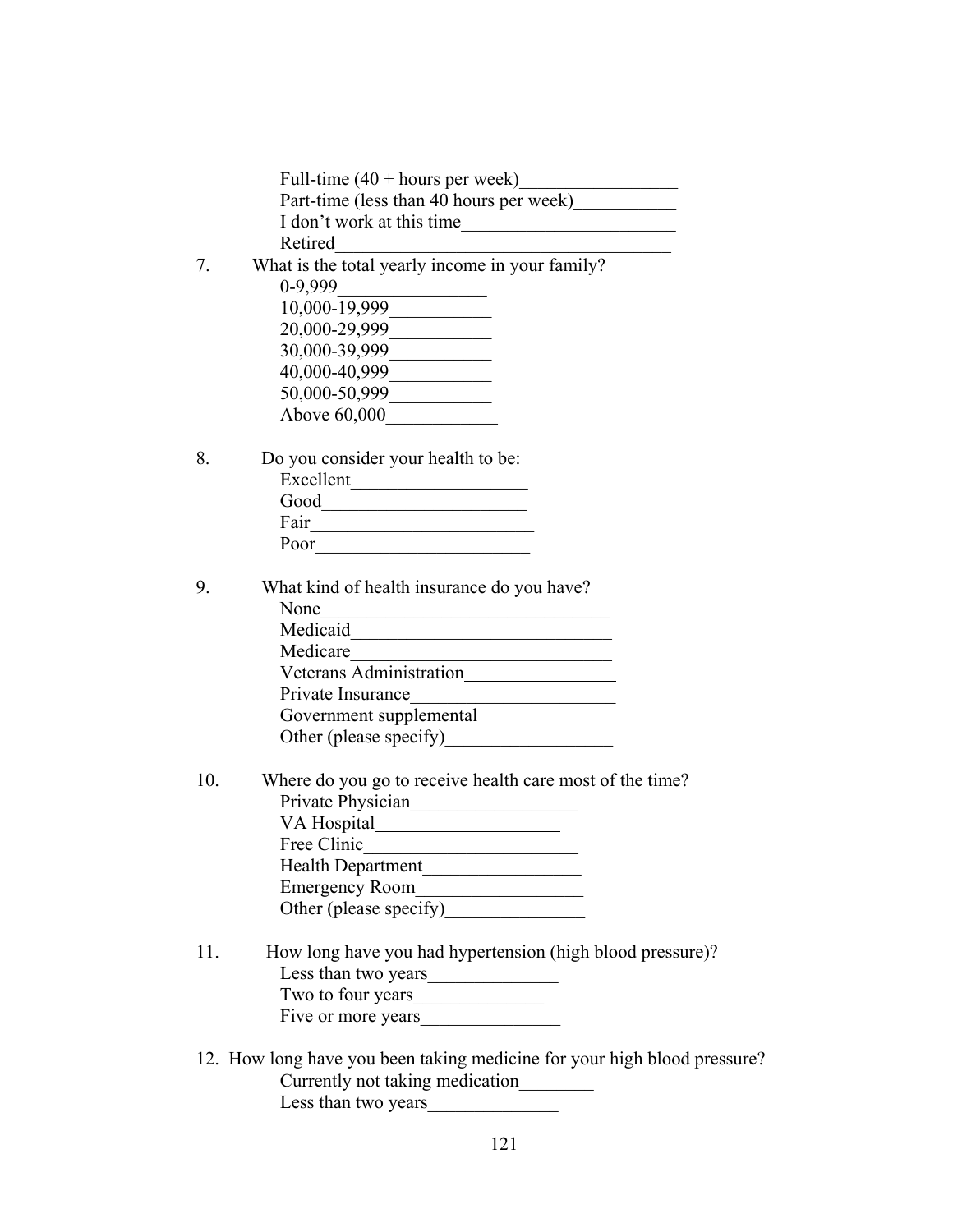|     | Full-time $(40 + hours per week)$                                                                                                 |
|-----|-----------------------------------------------------------------------------------------------------------------------------------|
|     | Part-time (less than 40 hours per week)                                                                                           |
|     |                                                                                                                                   |
|     | Retired                                                                                                                           |
| 7.  | Retired<br>What is the total yearly income in your family?<br>0-9,999                                                             |
|     | $10,000 - 19,999$                                                                                                                 |
|     | 20,000-29,999                                                                                                                     |
|     | 30,000-39,999                                                                                                                     |
|     | $40,000-40,999$                                                                                                                   |
|     | 50,000-50,999                                                                                                                     |
|     | Above 60,000                                                                                                                      |
|     |                                                                                                                                   |
| 8.  | Do you consider your health to be:                                                                                                |
|     | Excellent                                                                                                                         |
|     | Good                                                                                                                              |
|     |                                                                                                                                   |
|     |                                                                                                                                   |
|     |                                                                                                                                   |
| 9.  | What kind of health insurance do you have?                                                                                        |
|     | None<br><u> 1989 - Johann Barbara, martin amerikan basar da</u>                                                                   |
|     | Medicaid<br><u> 1989 - Johann Harry Harry Harry Harry Harry Harry Harry Harry Harry Harry Harry Harry Harry Harry Harry Harry</u> |
|     | Medicare                                                                                                                          |
|     | Medicare<br>Veterans Administration                                                                                               |
|     | Private Insurance                                                                                                                 |
|     |                                                                                                                                   |
|     | Other (please specify)<br><u>University</u>                                                                                       |
|     |                                                                                                                                   |
| 10. | Where do you go to receive health care most of the time?                                                                          |
|     |                                                                                                                                   |
|     |                                                                                                                                   |
|     | Free Clinic                                                                                                                       |
|     | Health Department                                                                                                                 |
|     | Emergency Room                                                                                                                    |
|     | Other (please specify)                                                                                                            |
|     |                                                                                                                                   |
| 11. | How long have you had hypertension (high blood pressure)?                                                                         |
|     |                                                                                                                                   |
|     |                                                                                                                                   |
|     | Five or more years                                                                                                                |
|     |                                                                                                                                   |
|     | 12. How long have you been taking medicine for your high blood pressure?                                                          |
|     | Currently not taking medication________                                                                                           |
|     | Less than two years                                                                                                               |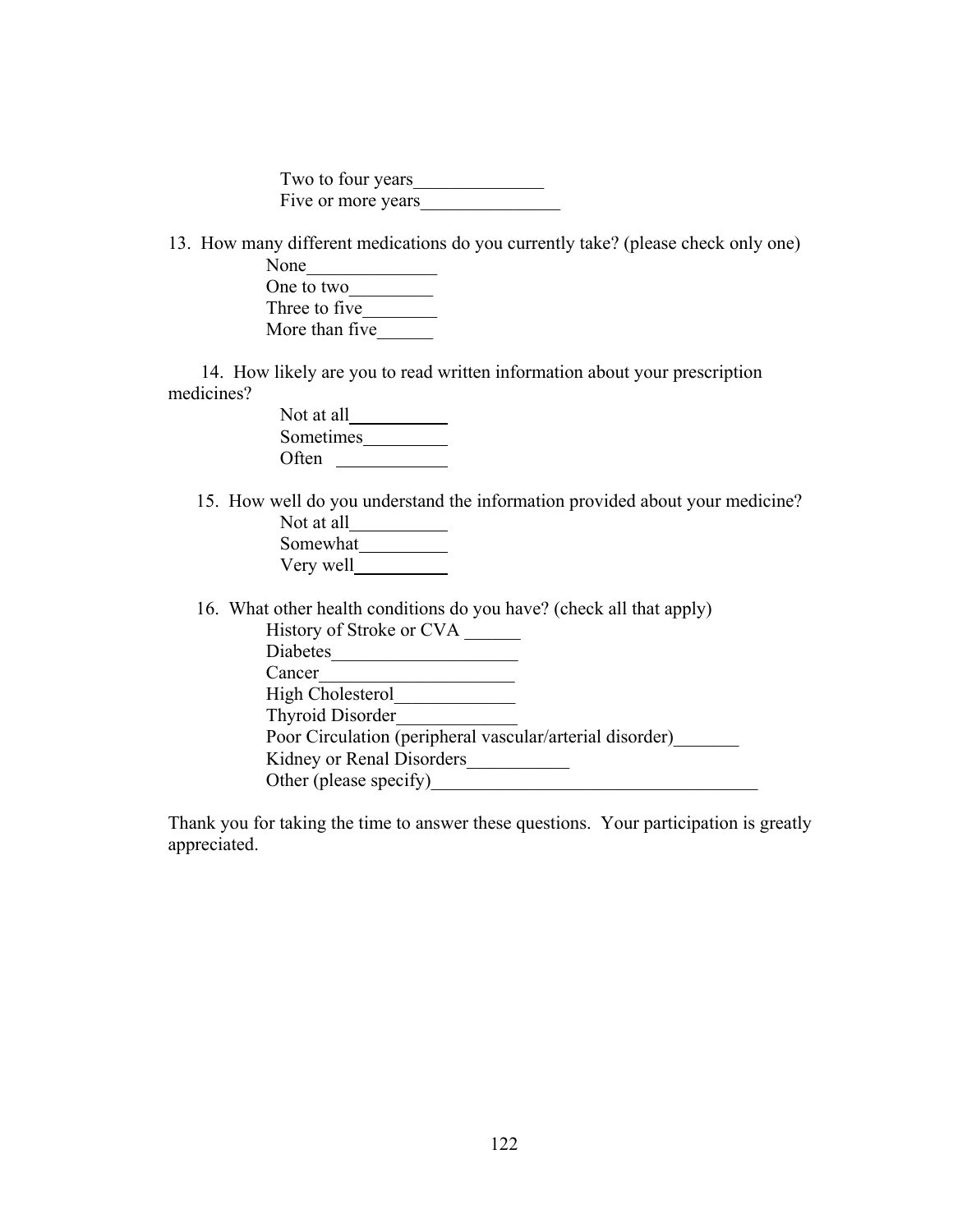Two to four years\_\_\_\_\_\_\_\_\_\_\_\_\_\_ Five or more years

13. How many different medications do you currently take? (please check only one)

| None           |  |
|----------------|--|
| One to two     |  |
| Three to five. |  |
| More than five |  |

 14. How likely are you to read written information about your prescription medicines?

| Not at all       |  |
|------------------|--|
| <b>Sometimes</b> |  |
| Often            |  |

 15. How well do you understand the information provided about your medicine? Not at all Somewhat Very well

| 16. What other health conditions do you have? (check all that apply) |
|----------------------------------------------------------------------|
| History of Stroke or CVA                                             |
| Diabetes                                                             |
| Cancer                                                               |
| High Cholesterol                                                     |
| <b>Thyroid Disorder</b>                                              |
| Poor Circulation (peripheral vascular/arterial disorder)             |
| Kidney or Renal Disorders                                            |
| Other (please specify)                                               |

Thank you for taking the time to answer these questions. Your participation is greatly appreciated.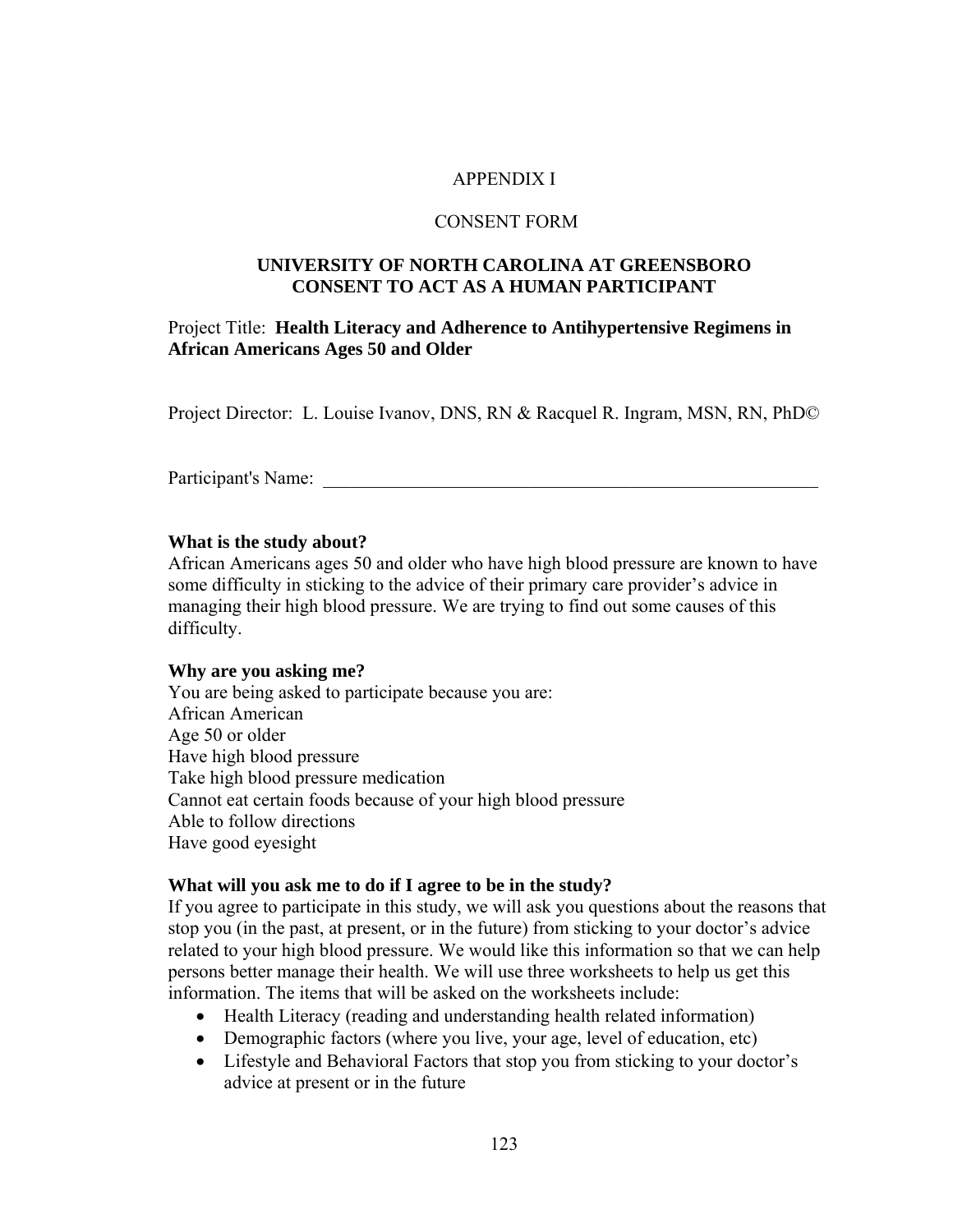# APPENDIX I

## CONSENT FORM

## **UNIVERSITY OF NORTH CAROLINA AT GREENSBORO CONSENT TO ACT AS A HUMAN PARTICIPANT**

# Project Title: **Health Literacy and Adherence to Antihypertensive Regimens in African Americans Ages 50 and Older**

Project Director: L. Louise Ivanov, DNS, RN & Racquel R. Ingram, MSN, RN, PhD©

Participant's Name:

#### **What is the study about?**

African Americans ages 50 and older who have high blood pressure are known to have some difficulty in sticking to the advice of their primary care provider's advice in managing their high blood pressure. We are trying to find out some causes of this difficulty.

#### **Why are you asking me?**

You are being asked to participate because you are: African American Age 50 or older Have high blood pressure Take high blood pressure medication Cannot eat certain foods because of your high blood pressure Able to follow directions Have good eyesight

## **What will you ask me to do if I agree to be in the study?**

If you agree to participate in this study, we will ask you questions about the reasons that stop you (in the past, at present, or in the future) from sticking to your doctor's advice related to your high blood pressure. We would like this information so that we can help persons better manage their health. We will use three worksheets to help us get this information. The items that will be asked on the worksheets include:

- Health Literacy (reading and understanding health related information)
- Demographic factors (where you live, your age, level of education, etc)
- Lifestyle and Behavioral Factors that stop you from sticking to your doctor's advice at present or in the future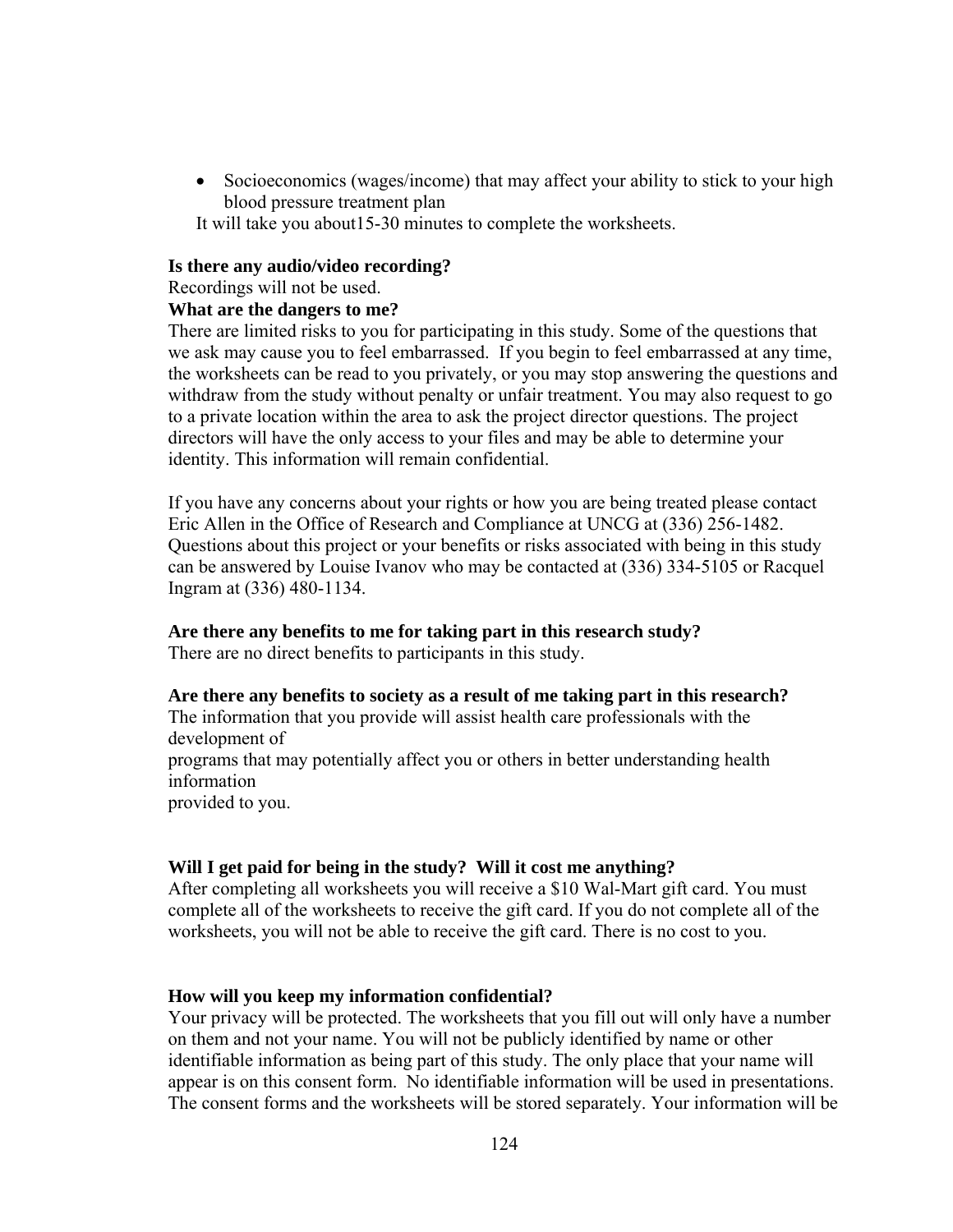• Socioeconomics (wages/income) that may affect your ability to stick to your high blood pressure treatment plan

It will take you about15-30 minutes to complete the worksheets.

#### **Is there any audio/video recording?**

Recordings will not be used.

#### **What are the dangers to me?**

There are limited risks to you for participating in this study. Some of the questions that we ask may cause you to feel embarrassed. If you begin to feel embarrassed at any time, the worksheets can be read to you privately, or you may stop answering the questions and withdraw from the study without penalty or unfair treatment. You may also request to go to a private location within the area to ask the project director questions. The project directors will have the only access to your files and may be able to determine your identity. This information will remain confidential.

If you have any concerns about your rights or how you are being treated please contact Eric Allen in the Office of Research and Compliance at UNCG at (336) 256-1482. Questions about this project or your benefits or risks associated with being in this study can be answered by Louise Ivanov who may be contacted at (336) 334-5105 or Racquel Ingram at (336) 480-1134.

## **Are there any benefits to me for taking part in this research study?**

There are no direct benefits to participants in this study.

#### **Are there any benefits to society as a result of me taking part in this research?**

The information that you provide will assist health care professionals with the development of

programs that may potentially affect you or others in better understanding health information

provided to you.

## **Will I get paid for being in the study? Will it cost me anything?**

After completing all worksheets you will receive a \$10 Wal-Mart gift card. You must complete all of the worksheets to receive the gift card. If you do not complete all of the worksheets, you will not be able to receive the gift card. There is no cost to you.

## **How will you keep my information confidential?**

Your privacy will be protected. The worksheets that you fill out will only have a number on them and not your name. You will not be publicly identified by name or other identifiable information as being part of this study. The only place that your name will appear is on this consent form. No identifiable information will be used in presentations. The consent forms and the worksheets will be stored separately. Your information will be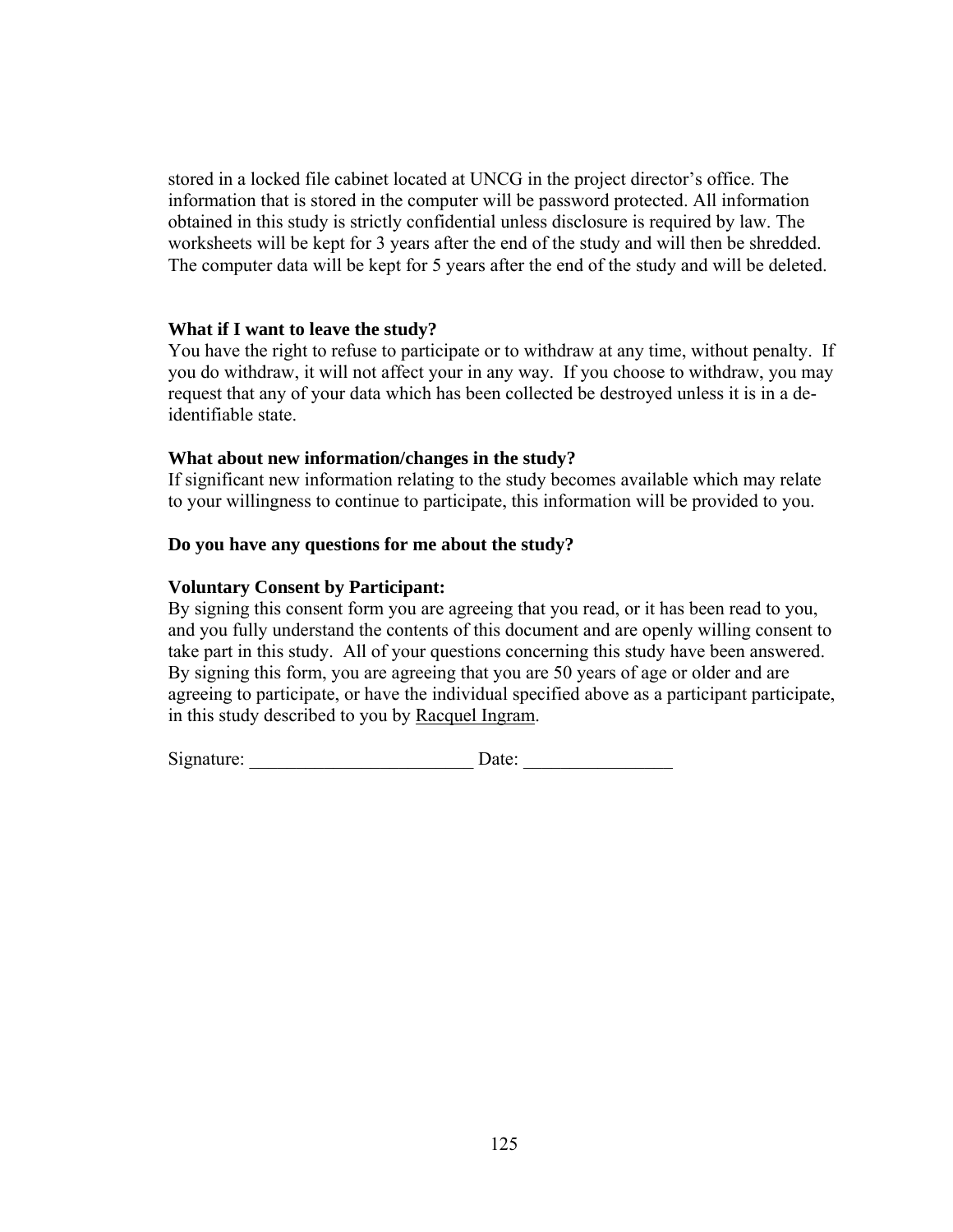stored in a locked file cabinet located at UNCG in the project director's office. The information that is stored in the computer will be password protected. All information obtained in this study is strictly confidential unless disclosure is required by law. The worksheets will be kept for 3 years after the end of the study and will then be shredded. The computer data will be kept for 5 years after the end of the study and will be deleted.

## **What if I want to leave the study?**

You have the right to refuse to participate or to withdraw at any time, without penalty. If you do withdraw, it will not affect your in any way. If you choose to withdraw, you may request that any of your data which has been collected be destroyed unless it is in a deidentifiable state.

#### **What about new information/changes in the study?**

If significant new information relating to the study becomes available which may relate to your willingness to continue to participate, this information will be provided to you.

#### **Do you have any questions for me about the study?**

#### **Voluntary Consent by Participant:**

By signing this consent form you are agreeing that you read, or it has been read to you, and you fully understand the contents of this document and are openly willing consent to take part in this study. All of your questions concerning this study have been answered. By signing this form, you are agreeing that you are 50 years of age or older and are agreeing to participate, or have the individual specified above as a participant participate, in this study described to you by Racquel Ingram.

Signature: \_\_\_\_\_\_\_\_\_\_\_\_\_\_\_\_\_\_\_\_\_\_\_\_ Date: \_\_\_\_\_\_\_\_\_\_\_\_\_\_\_\_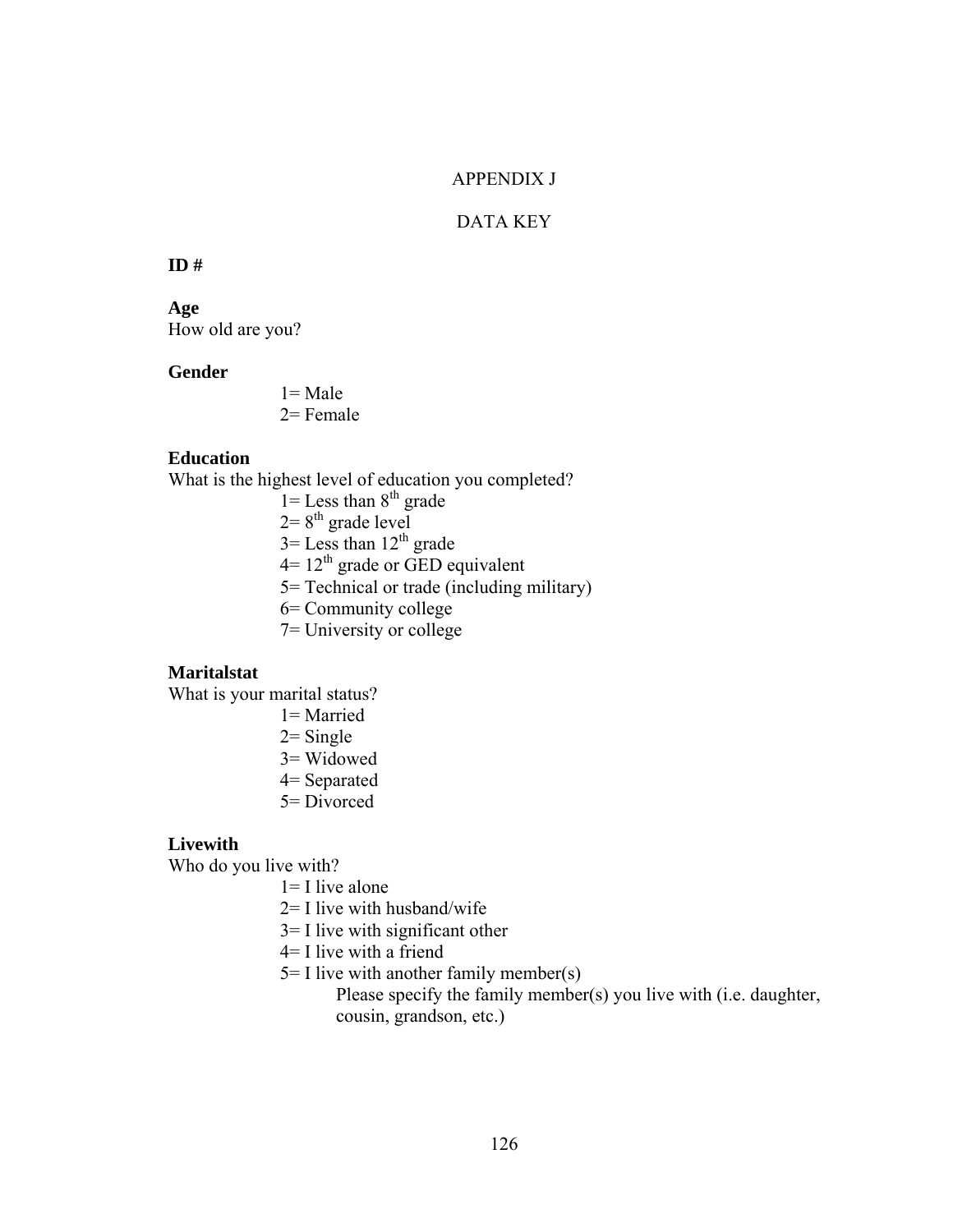# APPENDIX J

# DATA KEY

#### **ID #**

**Age**  How old are you?

#### **Gender**

 $1 = Male$  $2=$  Female

#### **Education**

What is the highest level of education you completed?

- $1 =$  Less than  $8<sup>th</sup>$  grade
- $2=8^{th}$  grade level
- $3=$  Less than  $12<sup>th</sup>$  grade
- $4=12^{th}$  grade or GED equivalent
- 5= Technical or trade (including military)
- 6= Community college
- 7= University or college

## **Maritalstat**

What is your marital status?

- 1= Married
- $2 =$  Single
- 3= Widowed
- 4= Separated
- 5= Divorced

#### **Livewith**

Who do you live with?

- $1=$  I live alone
- 2= I live with husband/wife
- 3= I live with significant other
- 4= I live with a friend
- $5=$  I live with another family member(s)
	- Please specify the family member(s) you live with (i.e. daughter, cousin, grandson, etc.)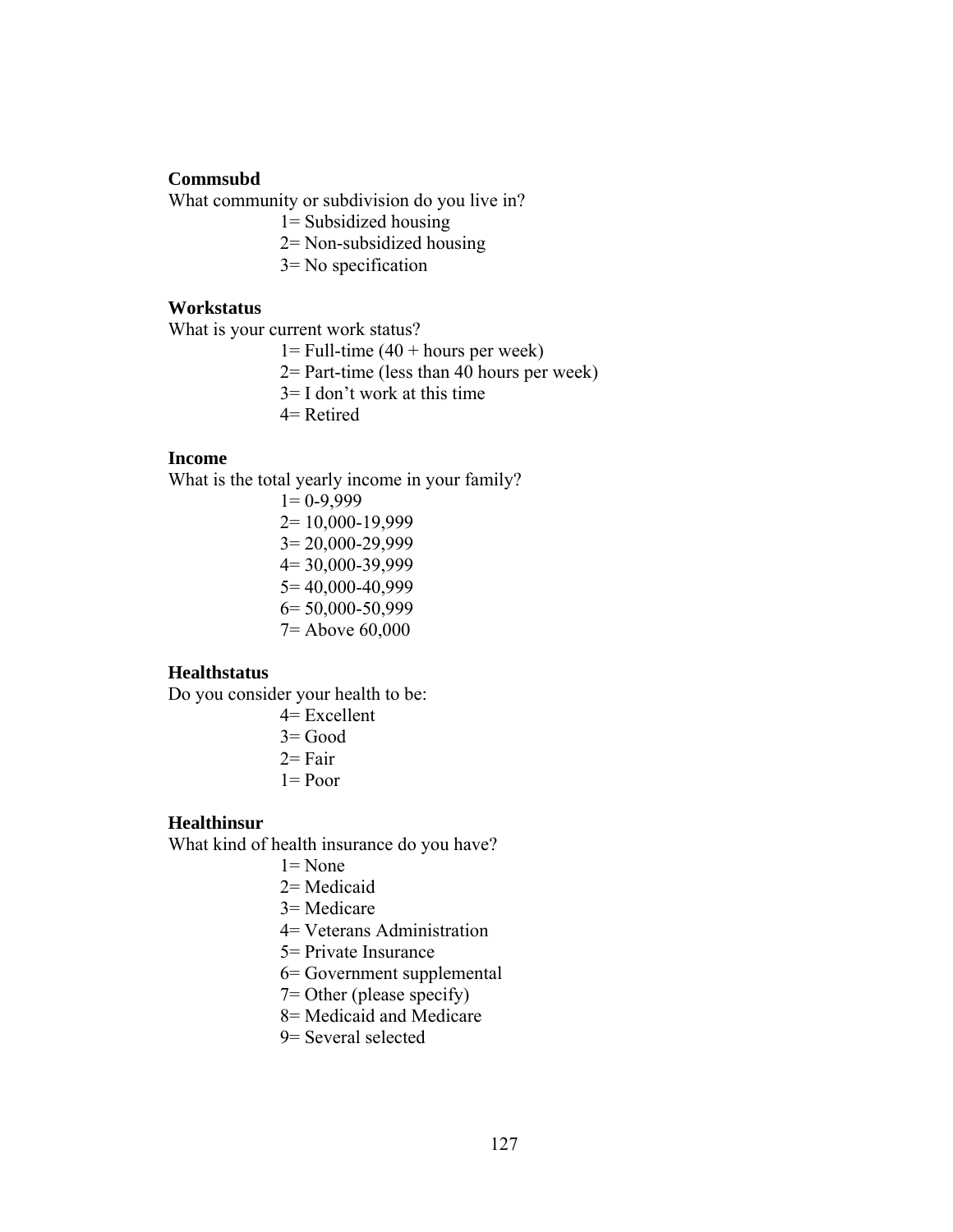## **Commsubd**

What community or subdivision do you live in?

- 1= Subsidized housing
- 2= Non-subsidized housing
- 3= No specification

## **Workstatus**

What is your current work status?

 $1 =$  Full-time (40 + hours per week)

2= Part-time (less than 40 hours per week)

- 3= I don't work at this time
- 4= Retired

## **Income**

What is the total yearly income in your family?

 $1= 0-9,999$ 2= 10,000-19,999 3= 20,000-29,999 4= 30,000-39,999 5= 40,000-40,999 6= 50,000-50,999 7= Above 60,000

# **Healthstatus**

Do you consider your health to be:

- 4= Excellent
- 3= Good
- $2=$  Fair
- $1 = Poor$

## **Healthinsur**

What kind of health insurance do you have?

- $1 = None$
- 2= Medicaid
- 3= Medicare
- 4= Veterans Administration
- 5= Private Insurance
- 6= Government supplemental
- 7= Other (please specify)
- 8= Medicaid and Medicare
- 9= Several selected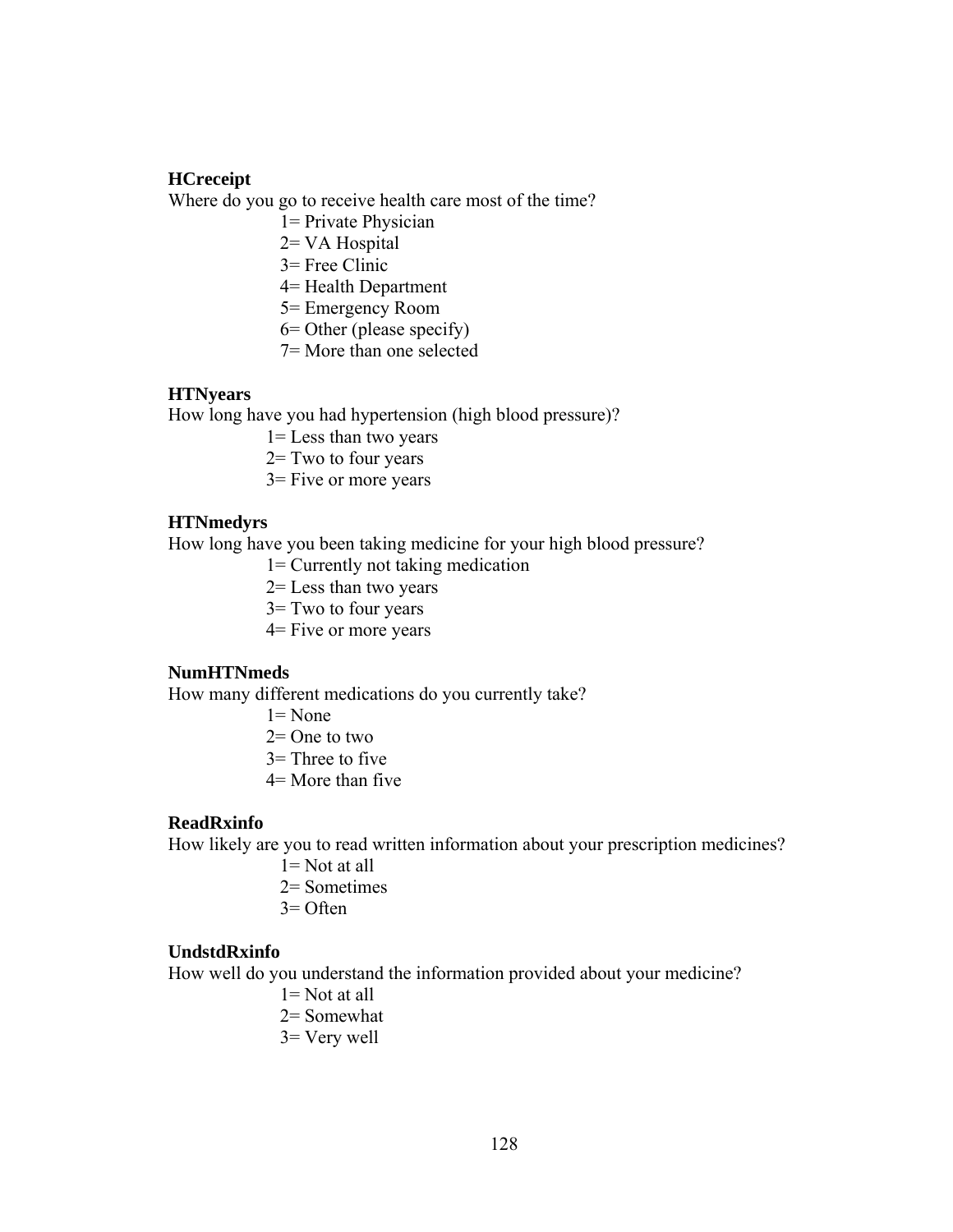## **HCreceipt**

Where do you go to receive health care most of the time?

- 1= Private Physician
- 2= VA Hospital
- 3= Free Clinic
- 4= Health Department
- 5= Emergency Room
- 6= Other (please specify)
- 7= More than one selected

## **HTNyears**

How long have you had hypertension (high blood pressure)?

- 1= Less than two years
- 2= Two to four years
- 3= Five or more years

#### **HTNmedyrs**

How long have you been taking medicine for your high blood pressure?

- 1= Currently not taking medication
- 2= Less than two years
- 3= Two to four years
- 4= Five or more years

## **NumHTNmeds**

How many different medications do you currently take?

- $1 =$  None
- $2=$  One to two
- $3=$  Three to five
- 4= More than five

## **ReadRxinfo**

How likely are you to read written information about your prescription medicines?

- 1= Not at all
- 2= Sometimes
- $3=$  Often

#### **UndstdRxinfo**

How well do you understand the information provided about your medicine?

- 1= Not at all 2= Somewhat
- 3= Very well